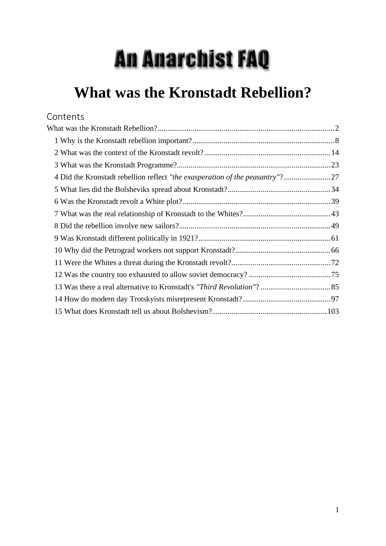# **An Anarchist FAQ**

# **What was the Kronstadt Rebellion?**

| Contents |  |
|----------|--|
|          |  |
|          |  |
|          |  |
|          |  |
|          |  |
|          |  |
|          |  |
|          |  |
|          |  |
|          |  |
|          |  |
|          |  |
|          |  |
|          |  |
|          |  |
|          |  |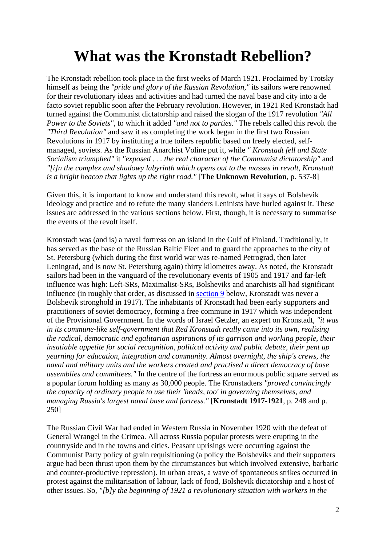# **What was the Kronstadt Rebellion?**

<span id="page-1-0"></span>The Kronstadt rebellion took place in the first weeks of March 1921. Proclaimed by Trotsky himself as being the *"pride and glory of the Russian Revolution,"* its sailors were renowned for their revolutionary ideas and activities and had turned the naval base and city into a de facto soviet republic soon after the February revolution. However, in 1921 Red Kronstadt had turned against the Communist dictatorship and raised the slogan of the 1917 revolution *"All Power to the Soviets"*, to which it added *"and not to parties."* The rebels called this revolt the *"Third Revolution"* and saw it as completing the work began in the first two Russian Revolutions in 1917 by instituting a true toilers republic based on freely elected, selfmanaged, soviets. As the Russian Anarchist Voline put it, while *" Kronstadt fell and State Socialism triumphed"* it *"exposed . . . the real character of the Communist dictatorship"* and *"[i]n the complex and shadowy labyrinth which opens out to the masses in revolt, Kronstadt is a bright beacon that lights up the right road."* [**The Unknown Revolution**, p. 537-8]

Given this, it is important to know and understand this revolt, what it says of Bolshevik ideology and practice and to refute the many slanders Leninists have hurled against it. These issues are addressed in the various sections below. First, though, it is necessary to summarise the events of the revolt itself.

Kronstadt was (and is) a naval fortress on an island in the Gulf of Finland. Traditionally, it has served as the base of the Russian Baltic Fleet and to guard the approaches to the city of St. Petersburg (which during the first world war was re-named Petrograd, then later Leningrad, and is now St. Petersburg again) thirty kilometres away. As noted, the Kronstadt sailors had been in the vanguard of the revolutionary events of 1905 and 1917 and far-left influence was high: Left-SRs, Maximalist-SRs, Bolsheviks and anarchists all had significant influence (in roughly that order, as discussed in [section 9](append42.html#app9) below, Kronstadt was never a Bolshevik stronghold in 1917). The inhabitants of Kronstadt had been early supporters and practitioners of soviet democracy, forming a free commune in 1917 which was independent of the Provisional Government. In the words of Israel Getzler, an expert on Kronstadt, *"it was in its commune-like self-government that Red Kronstadt really came into its own, realising the radical, democratic and egalitarian aspirations of its garrison and working people, their insatiable appetite for social recognition, political activity and public debate, their pent up yearning for education, integration and community. Almost overnight, the ship's crews, the naval and military units and the workers created and practised a direct democracy of base assemblies and committees."* In the centre of the fortress an enormous public square served as a popular forum holding as many as 30,000 people. The Kronstadters *"proved convincingly the capacity of ordinary people to use their 'heads, too' in governing themselves, and managing Russia's largest naval base and fortress."* [**Kronstadt 1917-1921**, p. 248 and p. 250]

The Russian Civil War had ended in Western Russia in November 1920 with the defeat of General Wrangel in the Crimea. All across Russia popular protests were erupting in the countryside and in the towns and cities. Peasant uprisings were occurring against the Communist Party policy of grain requisitioning (a policy the Bolsheviks and their supporters argue had been thrust upon them by the circumstances but which involved extensive, barbaric and counter-productive repression). In urban areas, a wave of spontaneous strikes occurred in protest against the militarisation of labour, lack of food, Bolshevik dictatorship and a host of other issues. So, *"[b]y the beginning of 1921 a revolutionary situation with workers in the*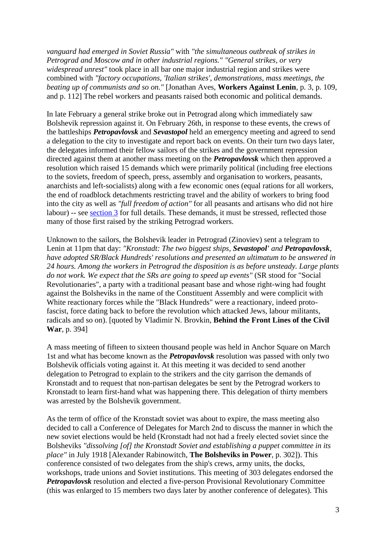*vanguard had emerged in Soviet Russia"* with *"the simultaneous outbreak of strikes in Petrograd and Moscow and in other industrial regions." "General strikes, or very widespread unrest"* took place in all bar one major industrial region and strikes were combined with *"factory occupations, 'Italian strikes', demonstrations, mass meetings, the beating up of communists and so on."* [Jonathan Aves, **Workers Against Lenin**, p. 3, p. 109, and p. 112] The rebel workers and peasants raised both economic and political demands.

In late February a general strike broke out in Petrograd along which immediately saw Bolshevik repression against it. On February 26th, in response to these events, the crews of the battleships *Petropavlovsk* and *Sevastopol* held an emergency meeting and agreed to send a delegation to the city to investigate and report back on events. On their turn two days later, the delegates informed their fellow sailors of the strikes and the government repression directed against them at another mass meeting on the *Petropavlovsk* which then approved a resolution which raised 15 demands which were primarily political (including free elections to the soviets, freedom of speech, press, assembly and organisation to workers, peasants, anarchists and left-socialists) along with a few economic ones (equal rations for all workers, the end of roadblock detachments restricting travel and the ability of workers to bring food into the city as well as *"full freedom of action"* for all peasants and artisans who did not hire labour) -- see [section 3](append42.html#app3) for full details. These demands, it must be stressed, reflected those many of those first raised by the striking Petrograd workers.

Unknown to the sailors, the Bolshevik leader in Petrograd (Zinoviev) sent a telegram to Lenin at 11pm that day: *"Kronstadt: The two biggest ships, Sevastopol' and Petropavlovsk, have adopted SR/Black Hundreds' resolutions and presented an ultimatum to be answered in 24 hours. Among the workers in Petrograd the disposition is as before unsteady. Large plants do not work. We expect that the SRs are going to speed up events"* (SR stood for "Social Revolutionaries", a party with a traditional peasant base and whose right-wing had fought against the Bolsheviks in the name of the Constituent Assembly and were complicit with White reactionary forces while the "Black Hundreds" were a reactionary, indeed protofascist, force dating back to before the revolution which attacked Jews, labour militants, radicals and so on). [quoted by Vladimir N. Brovkin, **Behind the Front Lines of the Civil War**, p. 394]

A mass meeting of fifteen to sixteen thousand people was held in Anchor Square on March 1st and what has become known as the *Petropavlovsk* resolution was passed with only two Bolshevik officials voting against it. At this meeting it was decided to send another delegation to Petrograd to explain to the strikers and the city garrison the demands of Kronstadt and to request that non-partisan delegates be sent by the Petrograd workers to Kronstadt to learn first-hand what was happening there. This delegation of thirty members was arrested by the Bolshevik government.

As the term of office of the Kronstadt soviet was about to expire, the mass meeting also decided to call a Conference of Delegates for March 2nd to discuss the manner in which the new soviet elections would be held (Kronstadt had not had a freely elected soviet since the Bolsheviks *"dissolving [of] the Kronstadt Soviet and establishing a puppet committee in its place"* in July 1918 [Alexander Rabinowitch, **The Bolsheviks in Power**, p. 302]). This conference consisted of two delegates from the ship's crews, army units, the docks, workshops, trade unions and Soviet institutions. This meeting of 303 delegates endorsed the *Petropavlovsk* resolution and elected a five-person Provisional Revolutionary Committee (this was enlarged to 15 members two days later by another conference of delegates). This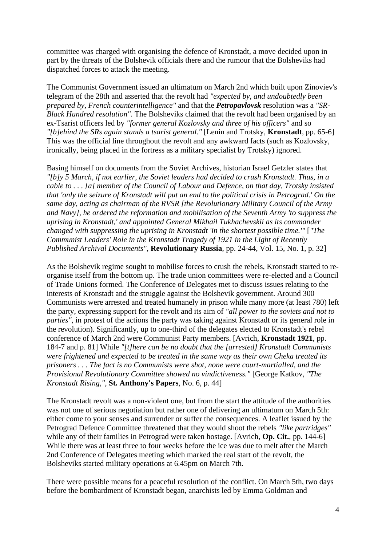committee was charged with organising the defence of Kronstadt, a move decided upon in part by the threats of the Bolshevik officials there and the rumour that the Bolsheviks had dispatched forces to attack the meeting.

The Communist Government issued an ultimatum on March 2nd which built upon Zinoviev's telegram of the 28th and asserted that the revolt had *"expected by, and undoubtedly been prepared by, French counterintelligence"* and that the *Petropavlovsk* resolution was a *"SR-Black Hundred resolution"*. The Bolsheviks claimed that the revolt had been organised by an ex-Tsarist officers led by *"former general Kozlovsky and three of his officers"* and so *"[b]ehind the SRs again stands a tsarist general."* [Lenin and Trotsky, **Kronstadt**, pp. 65-6] This was the official line throughout the revolt and any awkward facts (such as Kozlovsky, ironically, being placed in the fortress as a military specialist by Trotsky) ignored.

Basing himself on documents from the Soviet Archives, historian Israel Getzler states that *"[b]y 5 March, if not earlier, the Soviet leaders had decided to crush Kronstadt. Thus, in a cable to . . . [a] member of the Council of Labour and Defence, on that day, Trotsky insisted that 'only the seizure of Kronstadt will put an end to the political crisis in Petrograd.' On the same day, acting as chairman of the RVSR [the Revolutionary Military Council of the Army and Navy], he ordered the reformation and mobilisation of the Seventh Army 'to suppress the uprising in Kronstadt,' and appointed General Mikhail Tukhachevskii as its commander changed with suppressing the uprising in Kronstadt 'in the shortest possible time.'"* [*"The Communist Leaders' Role in the Kronstadt Tragedy of 1921 in the Light of Recently Published Archival Documents"*, **Revolutionary Russia**, pp. 24-44, Vol. 15, No. 1, p. 32]

As the Bolshevik regime sought to mobilise forces to crush the rebels, Kronstadt started to reorganise itself from the bottom up. The trade union committees were re-elected and a Council of Trade Unions formed. The Conference of Delegates met to discuss issues relating to the interests of Kronstadt and the struggle against the Bolshevik government. Around 300 Communists were arrested and treated humanely in prison while many more (at least 780) left the party, expressing support for the revolt and its aim of *"all power to the soviets and not to parties*", in protest of the actions the party was taking against Kronstadt or its general role in the revolution). Significantly, up to one-third of the delegates elected to Kronstadt's rebel conference of March 2nd were Communist Party members. [Avrich, **Kronstadt 1921**, pp. 184-7 and p. 81] While *"[t]here can be no doubt that the [arrested] Kronstadt Communists were frightened and expected to be treated in the same way as their own Cheka treated its prisoners . . . The fact is no Communists were shot, none were court-martialled, and the Provisional Revolutionary Committee showed no vindictiveness."* [George Katkov, *"The Kronstadt Rising,"*, **St. Anthony's Papers**, No. 6, p. 44]

The Kronstadt revolt was a non-violent one, but from the start the attitude of the authorities was not one of serious negotiation but rather one of delivering an ultimatum on March 5th: either come to your senses and surrender or suffer the consequences. A leaflet issued by the Petrograd Defence Committee threatened that they would shoot the rebels *"like partridges"* while any of their families in Petrograd were taken hostage. [Avrich, **Op. Cit.**, pp. 144-6] While there was at least three to four weeks before the ice was due to melt after the March 2nd Conference of Delegates meeting which marked the real start of the revolt, the Bolsheviks started military operations at 6.45pm on March 7th.

There were possible means for a peaceful resolution of the conflict. On March 5th, two days before the bombardment of Kronstadt began, anarchists led by Emma Goldman and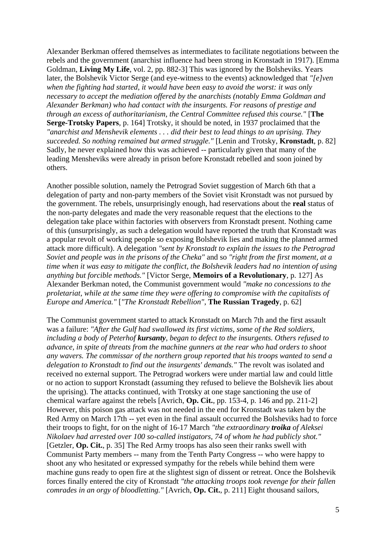Alexander Berkman offered themselves as intermediates to facilitate negotiations between the rebels and the government (anarchist influence had been strong in Kronstadt in 1917). [Emma Goldman, **Living My Life**, vol. 2, pp. 882-3] This was ignored by the Bolsheviks. Years later, the Bolshevik Victor Serge (and eye-witness to the events) acknowledged that *"[e]ven when the fighting had started, it would have been easy to avoid the worst: it was only necessary to accept the mediation offered by the anarchists (notably Emma Goldman and Alexander Berkman) who had contact with the insurgents. For reasons of prestige and through an excess of authoritarianism, the Central Committee refused this course."* [**The Serge-Trotsky Papers**, p. 164] Trotsky, it should be noted, in 1937 proclaimed that the *"anarchist and Menshevik elements . . . did their best to lead things to an uprising. They succeeded. So nothing remained but armed struggle."* [Lenin and Trotsky, **Kronstadt**, p. 82] Sadly, he never explained how this was achieved -- particularly given that many of the leading Mensheviks were already in prison before Kronstadt rebelled and soon joined by others.

Another possible solution, namely the Petrograd Soviet suggestion of March 6th that a delegation of party and non-party members of the Soviet visit Kronstadt was not pursued by the government. The rebels, unsurprisingly enough, had reservations about the **real** status of the non-party delegates and made the very reasonable request that the elections to the delegation take place within factories with observers from Kronstadt present. Nothing came of this (unsurprisingly, as such a delegation would have reported the truth that Kronstadt was a popular revolt of working people so exposing Bolshevik lies and making the planned armed attack more difficult). A delegation *"sent by Kronstadt to explain the issues to the Petrograd Soviet and people was in the prisons of the Cheka"* and so *"right from the first moment, at a time when it was easy to mitigate the conflict, the Bolshevik leaders had no intention of using anything but forcible methods."* [Victor Serge, **Memoirs of a Revolutionary**, p. 127] As Alexander Berkman noted, the Communist government would *"make no concessions to the proletariat, while at the same time they were offering to compromise with the capitalists of Europe and America."* [*"The Kronstadt Rebellion"*, **The Russian Tragedy**, p. 62]

The Communist government started to attack Kronstadt on March 7th and the first assault was a failure: *"After the Gulf had swallowed its first victims, some of the Red soldiers, including a body of Peterhof kursanty, began to defect to the insurgents. Others refused to advance, in spite of threats from the machine gunners at the rear who had orders to shoot any wavers. The commissar of the northern group reported that his troops wanted to send a delegation to Kronstadt to find out the insurgents' demands."* The revolt was isolated and received no external support. The Petrograd workers were under martial law and could little or no action to support Kronstadt (assuming they refused to believe the Bolshevik lies about the uprising). The attacks continued, with Trotsky at one stage sanctioning the use of chemical warfare against the rebels [Avrich, **Op. Cit.**, pp. 153-4, p. 146 and pp. 211-2] However, this poison gas attack was not needed in the end for Kronstadt was taken by the Red Army on March 17th -- yet even in the final assault occurred the Bolsheviks had to force their troops to fight, for on the night of 16-17 March *"the extraordinary troika of Aleksei Nikolaev had arrested over 100 so-called instigators, 74 of whom he had publicly shot."* [Getzler, **Op. Cit.**, p. 35] The Red Army troops has also seen their ranks swell with Communist Party members -- many from the Tenth Party Congress -- who were happy to shoot any who hesitated or expressed sympathy for the rebels while behind them were machine guns ready to open fire at the slightest sign of dissent or retreat. Once the Bolshevik forces finally entered the city of Kronstadt *"the attacking troops took revenge for their fallen comrades in an orgy of bloodletting."* [Avrich, **Op. Cit.**, p. 211] Eight thousand sailors,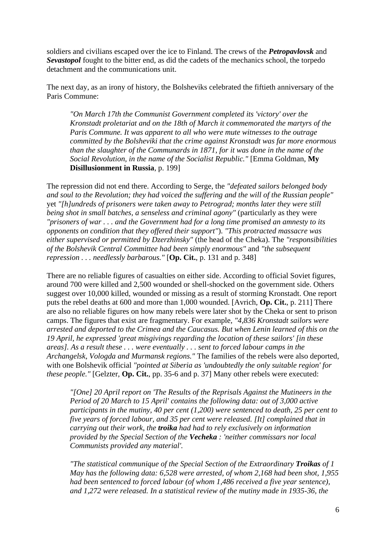soldiers and civilians escaped over the ice to Finland. The crews of the *Petropavlovsk* and *Sevastopol* fought to the bitter end, as did the cadets of the mechanics school, the torpedo detachment and the communications unit.

The next day, as an irony of history, the Bolsheviks celebrated the fiftieth anniversary of the Paris Commune:

*"On March 17th the Communist Government completed its 'victory' over the Kronstadt proletariat and on the 18th of March it commemorated the martyrs of the Paris Commune. It was apparent to all who were mute witnesses to the outrage committed by the Bolsheviki that the crime against Kronstadt was far more enormous than the slaughter of the Communards in 1871, for it was done in the name of the Social Revolution, in the name of the Socialist Republic."* [Emma Goldman, **My Disillusionment in Russia**, p. 199]

The repression did not end there. According to Serge, the *"defeated sailors belonged body and soul to the Revolution; they had voiced the suffering and the will of the Russian people"* yet *"[h]undreds of prisoners were taken away to Petrograd; months later they were still being shot in small batches, a senseless and criminal agony"* (particularly as they were *"prisoners of war . . . and the Government had for a long time promised an amnesty to its opponents on condition that they offered their support"*). *"This protracted massacre was either supervised or permitted by Dzerzhinsky"* (the head of the Cheka). The *"responsibilities of the Bolshevik Central Committee had been simply enormous"* and *"the subsequent repression . . . needlessly barbarous."* [**Op. Cit.**, p. 131 and p. 348]

There are no reliable figures of casualties on either side. According to official Soviet figures, around 700 were killed and 2,500 wounded or shell-shocked on the government side. Others suggest over 10,000 killed, wounded or missing as a result of storming Kronstadt. One report puts the rebel deaths at 600 and more than 1,000 wounded. [Avrich, **Op. Cit.**, p. 211] There are also no reliable figures on how many rebels were later shot by the Cheka or sent to prison camps. The figures that exist are fragmentary. For example, *"4,836 Kronstadt sailors were arrested and deported to the Crimea and the Caucasus. But when Lenin learned of this on the 19 April, he expressed 'great misgivings regarding the location of these sailors' [in these areas]. As a result these . . . were eventually . . . sent to forced labour camps in the Archangelsk, Vologda and Murmansk regions."* The families of the rebels were also deported, with one Bolshevik official *"pointed at Siberia as 'undoubtedly the only suitable region' for these people."* [Gelzter, **Op. Cit.**, pp. 35-6 and p. 37] Many other rebels were executed:

*"[One] 20 April report on 'The Results of the Reprisals Against the Mutineers in the Period of 20 March to 15 April' contains the following data: out of 3,000 active participants in the mutiny, 40 per cent (1,200) were sentenced to death, 25 per cent to five years of forced labour, and 35 per cent were released. [It] complained that in carrying out their work, the troika had had to rely exclusively on information provided by the Special Section of the Vecheka : 'neither commissars nor local Communists provided any material'.*

*"The statistical communique of the Special Section of the Extraordinary Troikas of 1 May has the following data: 6,528 were arrested, of whom 2,168 had been shot, 1,955 had been sentenced to forced labour (of whom 1,486 received a five year sentence), and 1,272 were released. In a statistical review of the mutiny made in 1935-36, the*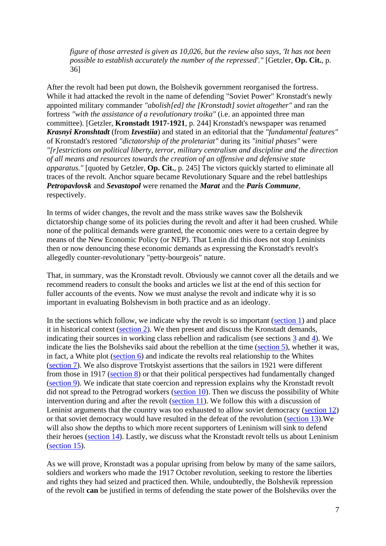*figure of those arrested is given as 10,026, but the review also says, 'It has not been possible to establish accurately the number of the repressed'."* [Getzler, **Op. Cit.**, p. 36]

After the revolt had been put down, the Bolshevik government reorganised the fortress. While it had attacked the revolt in the name of defending "Soviet Power" Kronstadt's newly appointed military commander *"abolish[ed] the [Kronstadt] soviet altogether"* and ran the fortress *"with the assistance of a revolutionary troika"* (i.e. an appointed three man committee). [Getzler, **Kronstadt 1917-1921**, p. 244] Kronstadt's newspaper was renamed *Krasnyi Kronshtadt* (from *Izvestiia*) and stated in an editorial that the *"fundamental features"* of Kronstadt's restored *"dictatorship of the proletariat"* during its *"initial phases"* were *"[r]estrictions on political liberty, terror, military centralism and discipline and the direction of all means and resources towards the creation of an offensive and defensive state apparatus."* [quoted by Getzler, **Op. Cit.**, p. 245] The victors quickly started to eliminate all traces of the revolt. Anchor square became Revolutionary Square and the rebel battleships *Petropavlovsk* and *Sevastopol* were renamed the *Marat* and the *Paris Commune*, respectively.

In terms of wider changes, the revolt and the mass strike waves saw the Bolshevik dictatorship change some of its policies during the revolt and after it had been crushed. While none of the political demands were granted, the economic ones were to a certain degree by means of the New Economic Policy (or NEP). That Lenin did this does not stop Leninists then or now denouncing these economic demands as expressing the Kronstadt's revolt's allegedly counter-revolutionary "petty-bourgeois" nature.

That, in summary, was the Kronstadt revolt. Obviously we cannot cover all the details and we recommend readers to consult the books and articles we list at the end of this section for fuller accounts of the events. Now we must analyse the revolt and indicate why it is so important in evaluating Bolshevism in both practice and as an ideology.

In the sections which follow, we indicate why the revolt is so important (section  $\alpha$ ) and place it in historical context [\(section 2\)](append42.html#app2). We then present and discuss the Kronstadt demands, indicating their sources in working class rebellion and radicalism (see sections [3](append42.html#app3) and [4\)](append42.html#app4). We indicate the lies the Bolsheviks said about the rebellion at the time [\(section 5\)](append42.html#app5), whether it was, in fact, a White plot [\(section](append42.html#app6) 6) and indicate the revolts real relationship to the Whites [\(section 7\)](append42.html#app7). We also disprove Trotskyist assertions that the sailors in 1921 were different from those in 1917 [\(section 8\)](append42.html#app8) or that their political perspectives had fundamentally changed [\(section 9\)](append42.html#app9). We indicate that state coercion and repression explains why the Kronstadt revolt did not spread to the Petrograd workers ( $section 10$ ). Then we discuss the possibility of White intervention during and after the revolt [\(section 11\)](append42.html#app11). We follow this with a discussion of Leninist arguments that the country was too exhausted to allow soviet democracy [\(section 12\)](append42.html#app12) or that soviet democracy would have resulted in the defeat of the revolution [\(section 13\)](append42.html#app13).We will also show the depths to which more recent supporters of Leninism will sink to defend their heroes [\(section 14\)](append42.html#app14). Lastly, we discuss what the Kronstadt revolt tells us about Leninism [\(section 15\)](append42.html#app15).

As we will prove, Kronstadt was a popular uprising from below by many of the same sailors, soldiers and workers who made the 1917 October revolution, seeking to restore the liberties and rights they had seized and practiced then. While, undoubtedly, the Bolshevik repression of the revolt **can** be justified in terms of defending the state power of the Bolsheviks over the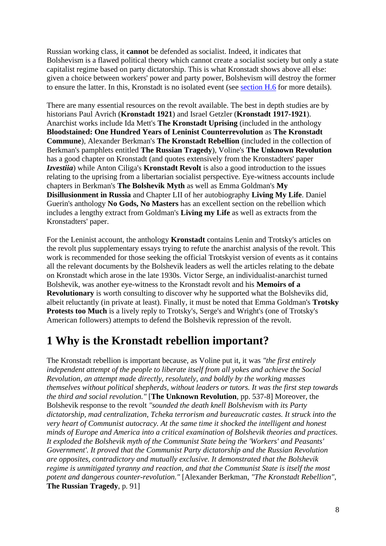Russian working class, it **cannot** be defended as socialist. Indeed, it indicates that Bolshevism is a flawed political theory which cannot create a socialist society but only a state capitalist regime based on party dictatorship. This is what Kronstadt shows above all else: given a choice between workers' power and party power, Bolshevism will destroy the former to ensure the latter. In this, Kronstadt is no isolated event (see [section H.6](sectionH.html#sech6) for more details).

There are many essential resources on the revolt available. The best in depth studies are by historians Paul Avrich (**Kronstadt 1921**) and Israel Getzler (**Kronstadt 1917-1921**). Anarchist works include Ida Mett's **The Kronstadt Uprising** (included in the anthology **Bloodstained: One Hundred Years of Leninist Counterrevolution** as **The Kronstadt Commune**), Alexander Berkman's **The Kronstadt Rebellion** (included in the collection of Berkman's pamphlets entitled **The Russian Tragedy**), Voline's **The Unknown Revolution** has a good chapter on Kronstadt (and quotes extensively from the Kronstadters' paper *Izvestiia*) while Anton Ciliga's **Kronstadt Revolt** is also a good introduction to the issues relating to the uprising from a libertarian socialist perspective. Eye-witness accounts include chapters in Berkman's **The Bolshevik Myth** as well as Emma Goldman's **My Disillusionment in Russia** and Chapter LII of her autobiography **Living My Life**. Daniel Guerin's anthology **No Gods, No Masters** has an excellent section on the rebellion which includes a lengthy extract from Goldman's **Living my Life** as well as extracts from the Kronstadters' paper.

For the Leninist account, the anthology **Kronstadt** contains Lenin and Trotsky's articles on the revolt plus supplementary essays trying to refute the anarchist analysis of the revolt. This work is recommended for those seeking the official Trotskyist version of events as it contains all the relevant documents by the Bolshevik leaders as well the articles relating to the debate on Kronstadt which arose in the late 1930s. Victor Serge, an individualist-anarchist turned Bolshevik, was another eye-witness to the Kronstadt revolt and his **Memoirs of a Revolutionary** is worth consulting to discover why he supported what the Bolsheviks did, albeit reluctantly (in private at least). Finally, it must be noted that Emma Goldman's **Trotsky Protests too Much** is a lively reply to Trotsky's, Serge's and Wright's (one of Trotsky's American followers) attempts to defend the Bolshevik repression of the revolt.

### <span id="page-7-0"></span>**1 Why is the Kronstadt rebellion important?**

The Kronstadt rebellion is important because, as Voline put it, it was *"the first entirely independent attempt of the people to liberate itself from all yokes and achieve the Social Revolution, an attempt made directly, resolutely, and boldly by the working masses themselves without political shepherds, without leaders or tutors. It was the first step towards the third and social revolution."* [**The Unknown Revolution**, pp. 537-8] Moreover, the Bolshevik response to the revolt *"sounded the death knell Bolshevism with its Party dictatorship, mad centralization, Tcheka terrorism and bureaucratic castes. It struck into the very heart of Communist autocracy. At the same time it shocked the intelligent and honest minds of Europe and America into a critical examination of Bolshevik theories and practices. It exploded the Bolshevik myth of the Communist State being the 'Workers' and Peasants' Government'. It proved that the Communist Party dictatorship and the Russian Revolution are opposites, contradictory and mutually exclusive. It demonstrated that the Bolshevik regime is unmitigated tyranny and reaction, and that the Communist State is itself the most potent and dangerous counter-revolution."* [Alexander Berkman, *"The Kronstadt Rebellion"*, **The Russian Tragedy**, p. 91]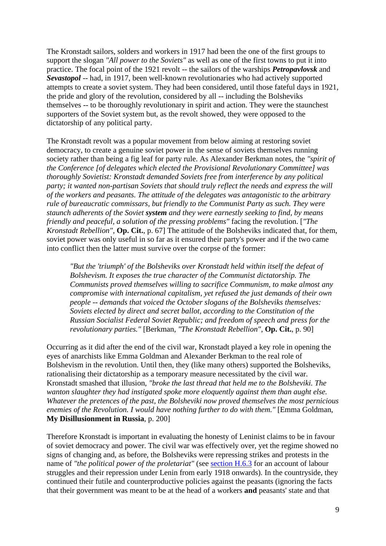The Kronstadt sailors, solders and workers in 1917 had been the one of the first groups to support the slogan *"All power to the Soviets"* as well as one of the first towns to put it into practice. The focal point of the 1921 revolt -- the sailors of the warships *Petropavlovsk* and *Sevastopol* -- had, in 1917, been well-known revolutionaries who had actively supported attempts to create a soviet system. They had been considered, until those fateful days in 1921, the pride and glory of the revolution, considered by all -- including the Bolsheviks themselves -- to be thoroughly revolutionary in spirit and action. They were the staunchest supporters of the Soviet system but, as the revolt showed, they were opposed to the dictatorship of any political party.

The Kronstadt revolt was a popular movement from below aiming at restoring soviet democracy, to create a genuine soviet power in the sense of soviets themselves running society rather than being a fig leaf for party rule. As Alexander Berkman notes, the *"spirit of the Conference [of delegates which elected the Provisional Revolutionary Committee] was thoroughly Sovietist: Kronstadt demanded Soviets free from interference by any political party; it wanted non-partisan Soviets that should truly reflect the needs and express the will of the workers and peasants. The attitude of the delegates was antagonistic to the arbitrary rule of bureaucratic commissars, but friendly to the Communist Party as such. They were staunch adherents of the Soviet system and they were earnestly seeking to find, by means friendly and peaceful, a solution of the pressing problems"* facing the revolution. [*"The Kronstadt Rebellion"*, **Op. Cit.**, p. 67] The attitude of the Bolsheviks indicated that, for them, soviet power was only useful in so far as it ensured their party's power and if the two came into conflict then the latter must survive over the corpse of the former:

*"But the 'triumph' of the Bolsheviks over Kronstadt held within itself the defeat of Bolshevism. It exposes the true character of the Communist dictatorship. The Communists proved themselves willing to sacrifice Communism, to make almost any compromise with international capitalism, yet refused the just demands of their own people -- demands that voiced the October slogans of the Bolsheviks themselves: Soviets elected by direct and secret ballot, according to the Constitution of the Russian Socialist Federal Soviet Republic; and freedom of speech and press for the revolutionary parties."* [Berkman, *"The Kronstadt Rebellion"*, **Op. Cit.**, p. 90]

Occurring as it did after the end of the civil war, Kronstadt played a key role in opening the eyes of anarchists like Emma Goldman and Alexander Berkman to the real role of Bolshevism in the revolution. Until then, they (like many others) supported the Bolsheviks, rationalising their dictatorship as a temporary measure necessitated by the civil war. Kronstadt smashed that illusion, *"broke the last thread that held me to the Bolsheviki. The wanton slaughter they had instigated spoke more eloquently against them than aught else. Whatever the pretences of the past, the Bolsheviki now proved themselves the most pernicious enemies of the Revolution. I would have nothing further to do with them."* [Emma Goldman, **My Disillusionment in Russia**, p. 200]

Therefore Kronstadt is important in evaluating the honesty of Leninist claims to be in favour of soviet democracy and power. The civil war was effectively over, yet the regime showed no signs of changing and, as before, the Bolsheviks were repressing strikes and protests in the name of *"the political power of the proletariat"* (see [section H.6.3](sectionH.html#sech63) for an account of labour struggles and their repression under Lenin from early 1918 onwards). In the countryside, they continued their futile and counterproductive policies against the peasants (ignoring the facts that their government was meant to be at the head of a workers **and** peasants' state and that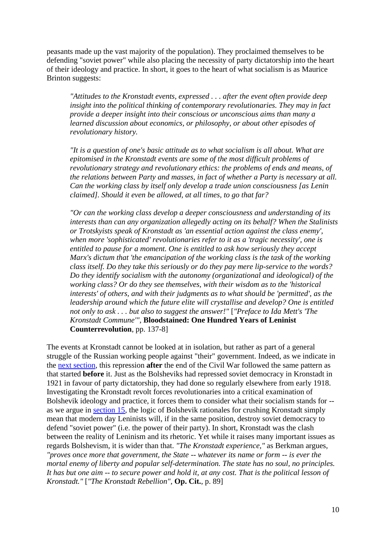peasants made up the vast majority of the population). They proclaimed themselves to be defending "soviet power" while also placing the necessity of party dictatorship into the heart of their ideology and practice. In short, it goes to the heart of what socialism is as Maurice Brinton suggests:

*"Attitudes to the Kronstadt events, expressed . . . after the event often provide deep insight into the political thinking of contemporary revolutionaries. They may in fact provide a deeper insight into their conscious or unconscious aims than many a learned discussion about economics, or philosophy, or about other episodes of revolutionary history.*

*"It is a question of one's basic attitude as to what socialism is all about. What are epitomised in the Kronstadt events are some of the most difficult problems of revolutionary strategy and revolutionary ethics: the problems of ends and means, of the relations between Party and masses, in fact of whether a Party is necessary at all. Can the working class by itself only develop a trade union consciousness [as Lenin claimed]. Should it even be allowed, at all times, to go that far?*

*"Or can the working class develop a deeper consciousness and understanding of its interests than can any organization allegedly acting on its behalf? When the Stalinists or Trotskyists speak of Kronstadt as 'an essential action against the class enemy', when more 'sophisticated' revolutionaries refer to it as a 'tragic necessity', one is entitled to pause for a moment. One is entitled to ask how seriously they accept Marx's dictum that 'the emancipation of the working class is the task of the working class itself. Do they take this seriously or do they pay mere lip-service to the words? Do they identify socialism with the autonomy (organizational and ideological) of the working class? Or do they see themselves, with their wisdom as to the 'historical interests' of others, and with their judgments as to what should be 'permitted', as the leadership around which the future elite will crystallise and develop? One is entitled not only to ask . . . but also to suggest the answer!"* [*"Preface to Ida Mett's 'The Kronstadt Commune'"*, **Bloodstained: One Hundred Years of Leninist Counterrevolution**, pp. 137-8]

The events at Kronstadt cannot be looked at in isolation, but rather as part of a general struggle of the Russian working people against "their" government. Indeed, as we indicate in the [next section,](append42.html#app2) this repression **after** the end of the Civil War followed the same pattern as that started **before** it. Just as the Bolsheviks had repressed soviet democracy in Kronstadt in 1921 in favour of party dictatorship, they had done so regularly elsewhere from early 1918. Investigating the Kronstadt revolt forces revolutionaries into a critical examination of Bolshevik ideology and practice, it forces them to consider what their socialism stands for - as we argue in [section 15,](append42.html#app15) the logic of Bolshevik rationales for crushing Kronstadt simply mean that modern day Leninists will, if in the same position, destroy soviet democracy to defend "soviet power" (i.e. the power of their party). In short, Kronstadt was the clash between the reality of Leninism and its rhetoric. Yet while it raises many important issues as regards Bolshevism, it is wider than that. *"The Kronstadt experience,"* as Berkman argues, *"proves once more that government, the State -- whatever its name or form -- is ever the mortal enemy of liberty and popular self-determination. The state has no soul, no principles. It has but one aim -- to secure power and hold it, at any cost. That is the political lesson of Kronstadt."* [*"The Kronstadt Rebellion"*, **Op. Cit.**, p. 89]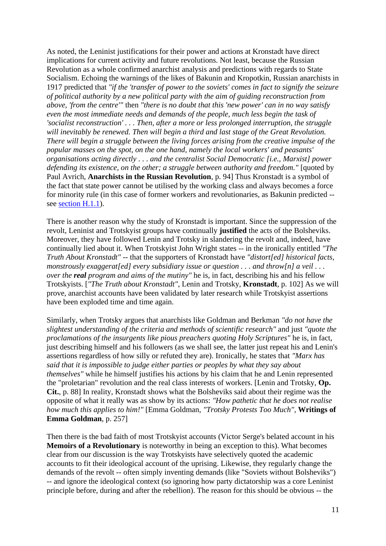As noted, the Leninist justifications for their power and actions at Kronstadt have direct implications for current activity and future revolutions. Not least, because the Russian Revolution as a whole confirmed anarchist analysis and predictions with regards to State Socialism. Echoing the warnings of the likes of Bakunin and Kropotkin, Russian anarchists in 1917 predicted that *"if the 'transfer of power to the soviets' comes in fact to signify the seizure of political authority by a new political party with the aim of guiding reconstruction from above, 'from the centre'"* then *"there is no doubt that this 'new power' can in no way satisfy even the most immediate needs and demands of the people, much less begin the task of 'socialist reconstruction' . . . Then, after a more or less prolonged interruption, the struggle will inevitably be renewed. Then will begin a third and last stage of the Great Revolution. There will begin a struggle between the living forces arising from the creative impulse of the popular masses on the spot, on the one hand, namely the local workers' and peasants' organisations acting directly . . . and the centralist Social Democratic [i.e., Marxist] power defending its existence, on the other; a struggle between authority and freedom."* [quoted by Paul Avrich, **Anarchists in the Russian Revolution**, p. 94] Thus Kronstadt is a symbol of the fact that state power cannot be utilised by the working class and always becomes a force for minority rule (in this case of former workers and revolutionaries, as Bakunin predicted - see [section H.1.1\)](sectionH.html#sech11).

There is another reason why the study of Kronstadt is important. Since the suppression of the revolt, Leninist and Trotskyist groups have continually **justified** the acts of the Bolsheviks. Moreover, they have followed Lenin and Trotsky in slandering the revolt and, indeed, have continually lied about it. When Trotskyist John Wright states -- in the ironically entitled *"The Truth About Kronstadt"* -- that the supporters of Kronstadt have *"distort[ed] historical facts, monstrously exaggerat[ed] every subsidiary issue or question . . . and throw[n] a veil . . . over the real program and aims of the mutiny"* he is, in fact, describing his and his fellow Trotskyists. [*"The Truth about Kronstadt"*, Lenin and Trotsky, **Kronstadt**, p. 102] As we will prove, anarchist accounts have been validated by later research while Trotskyist assertions have been exploded time and time again.

Similarly, when Trotsky argues that anarchists like Goldman and Berkman *"do not have the slightest understanding of the criteria and methods of scientific research"* and just *"quote the proclamations of the insurgents like pious preachers quoting Holy Scriptures"* he is, in fact, just describing himself and his followers (as we shall see, the latter just repeat his and Lenin's assertions regardless of how silly or refuted they are). Ironically, he states that *"Marx has said that it is impossible to judge either parties or peoples by what they say about themselves"* while he himself justifies his actions by his claim that he and Lenin represented the "proletarian" revolution and the real class interests of workers. [Lenin and Trotsky, **Op. Cit.**, p. 88] In reality, Kronstadt shows what the Bolsheviks said about their regime was the opposite of what it really was as show by its actions: *"How pathetic that he does not realise how much this applies to him!"* [Emma Goldman, *"Trotsky Protests Too Much"*, **Writings of Emma Goldman**, p. 257]

Then there is the bad faith of most Trotskyist accounts (Victor Serge's belated account in his **Memoirs of a Revolutionary** is noteworthy in being an exception to this). What becomes clear from our discussion is the way Trotskyists have selectively quoted the academic accounts to fit their ideological account of the uprising. Likewise, they regularly change the demands of the revolt -- often simply inventing demands (like "Soviets without Bolsheviks") -- and ignore the ideological context (so ignoring how party dictatorship was a core Leninist principle before, during and after the rebellion). The reason for this should be obvious -- the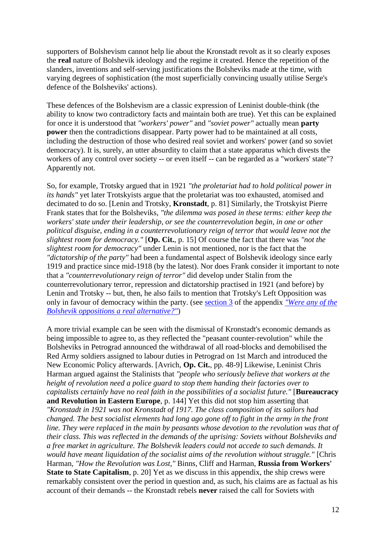supporters of Bolshevism cannot help lie about the Kronstadt revolt as it so clearly exposes the **real** nature of Bolshevik ideology and the regime it created. Hence the repetition of the slanders, inventions and self-serving justifications the Bolsheviks made at the time, with varying degrees of sophistication (the most superficially convincing usually utilise Serge's defence of the Bolsheviks' actions).

These defences of the Bolshevism are a classic expression of Leninist double-think (the ability to know two contradictory facts and maintain both are true). Yet this can be explained for once it is understood that *"workers' power"* and *"soviet power"* actually mean **party power** then the contradictions disappear. Party power had to be maintained at all costs, including the destruction of those who desired real soviet and workers' power (and so soviet democracy). It is, surely, an utter absurdity to claim that a state apparatus which divests the workers of any control over society -- or even itself -- can be regarded as a "workers' state"? Apparently not.

So, for example, Trotsky argued that in 1921 *"the proletariat had to hold political power in its hands"* yet later Trotskyists argue that the proletariat was too exhausted, atomised and decimated to do so. [Lenin and Trotsky, **Kronstadt**, p. 81] Similarly, the Trotskyist Pierre Frank states that for the Bolsheviks, *"the dilemma was posed in these terms: either keep the workers' state under their leadership, or see the counterrevolution begin, in one or other political disguise, ending in a counterrevolutionary reign of terror that would leave not the slightest room for democracy."* [**Op. Cit.**, p. 15] Of course the fact that there was *"not the slightest room for democracy"* under Lenin is not mentioned, nor is the fact that the *"dictatorship of the party"* had been a fundamental aspect of Bolshevik ideology since early 1919 and practice since mid-1918 (by the latest). Nor does Frank consider it important to note that a *"counterrevolutionary reign of terror"* did develop under Stalin from the counterrevolutionary terror, repression and dictatorship practised in 1921 (and before) by Lenin and Trotsky -- but, then, he also fails to mention that Trotsky's Left Opposition was only in favour of democracy within the party. (see [section 3](append45.html#app3) of the appendix *["Were any of the](append45.html)  [Bolshevik oppositions a real alternative?"](append45.html)*)

A more trivial example can be seen with the dismissal of Kronstadt's economic demands as being impossible to agree to, as they reflected the "peasant counter-revolution" while the Bolsheviks in Petrograd announced the withdrawal of all road-blocks and demobilised the Red Army soldiers assigned to labour duties in Petrograd on 1st March and introduced the New Economic Policy afterwards. [Avrich, **Op. Cit.**, pp. 48-9] Likewise, Leninist Chris Harman argued against the Stalinists that *"people who seriously believe that workers at the height of revolution need a police guard to stop them handing their factories over to capitalists certainly have no real faith in the possibilities of a socialist future."* [**Bureaucracy and Revolution in Eastern Europe**, p. 144] Yet this did not stop him asserting that *"Kronstadt in 1921 was not Kronstadt of 1917. The class composition of its sailors had changed. The best socialist elements had long ago gone off to fight in the army in the front line. They were replaced in the main by peasants whose devotion to the revolution was that of their class. This was reflected in the demands of the uprising: Soviets without Bolsheviks and a free market in agriculture. The Bolshevik leaders could not accede to such demands. It would have meant liquidation of the socialist aims of the revolution without struggle."* [Chris Harman, *"How the Revolution was Lost,"* Binns, Cliff and Harman, **Russia from Workers' State to State Capitalism**, p. 20] Yet as we discuss in this appendix, the ship crews were remarkably consistent over the period in question and, as such, his claims are as factual as his account of their demands -- the Kronstadt rebels **never** raised the call for Soviets with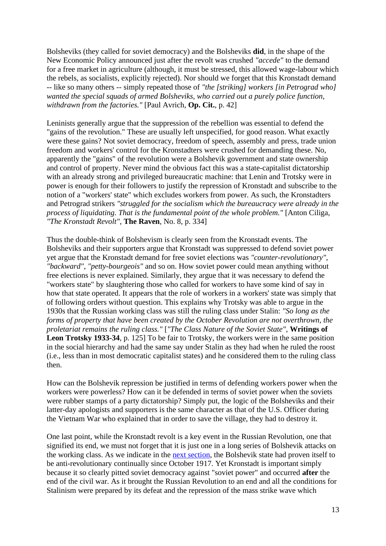Bolsheviks (they called for soviet democracy) and the Bolsheviks **did**, in the shape of the New Economic Policy announced just after the revolt was crushed *"accede"* to the demand for a free market in agriculture (although, it must be stressed, this allowed wage-labour which the rebels, as socialists, explicitly rejected). Nor should we forget that this Kronstadt demand -- like so many others -- simply repeated those of *"the [striking] workers [in Petrograd who] wanted the special squads of armed Bolsheviks, who carried out a purely police function, withdrawn from the factories."* [Paul Avrich, **Op. Cit.**, p. 42]

Leninists generally argue that the suppression of the rebellion was essential to defend the "gains of the revolution." These are usually left unspecified, for good reason. What exactly were these gains? Not soviet democracy, freedom of speech, assembly and press, trade union freedom and workers' control for the Kronstadters were crushed for demanding these. No, apparently the "gains" of the revolution were a Bolshevik government and state ownership and control of property. Never mind the obvious fact this was a state-capitalist dictatorship with an already strong and privileged bureaucratic machine: that Lenin and Trotsky were in power is enough for their followers to justify the repression of Kronstadt and subscribe to the notion of a "workers' state" which excludes workers from power. As such, the Kronstadters and Petrograd strikers *"struggled for the socialism which the bureaucracy were already in the process of liquidating. That is the fundamental point of the whole problem."* [Anton Ciliga, *"The Kronstadt Revolt"*, **The Raven**, No. 8, p. 334]

Thus the double-think of Bolshevism is clearly seen from the Kronstadt events. The Bolsheviks and their supporters argue that Kronstadt was suppressed to defend soviet power yet argue that the Kronstadt demand for free soviet elections was *"counter-revolutionary"*, *"backward"*, *"petty-bourgeois"* and so on. How soviet power could mean anything without free elections is never explained. Similarly, they argue that it was necessary to defend the "workers state" by slaughtering those who called for workers to have some kind of say in how that state operated. It appears that the role of workers in a workers' state was simply that of following orders without question. This explains why Trotsky was able to argue in the 1930s that the Russian working class was still the ruling class under Stalin: *"So long as the forms of property that have been created by the October Revolution are not overthrown, the proletariat remains the ruling class."* [*"The Class Nature of the Soviet State"*, **Writings of Leon Trotsky 1933-34**, p. 125] To be fair to Trotsky, the workers were in the same position in the social hierarchy and had the same say under Stalin as they had when he ruled the roost (i.e., less than in most democratic capitalist states) and he considered them to the ruling class then.

How can the Bolshevik repression be justified in terms of defending workers power when the workers were powerless? How can it be defended in terms of soviet power when the soviets were rubber stamps of a party dictatorship? Simply put, the logic of the Bolsheviks and their latter-day apologists and supporters is the same character as that of the U.S. Officer during the Vietnam War who explained that in order to save the village, they had to destroy it.

One last point, while the Kronstadt revolt is a key event in the Russian Revolution, one that signified its end, we must not forget that it is just one in a long series of Bolshevik attacks on the working class. As we indicate in the [next section,](append42.html#app2) the Bolshevik state had proven itself to be anti-revolutionary continually since October 1917. Yet Kronstadt is important simply because it so clearly pitted soviet democracy against "soviet power" and occurred **after** the end of the civil war. As it brought the Russian Revolution to an end and all the conditions for Stalinism were prepared by its defeat and the repression of the mass strike wave which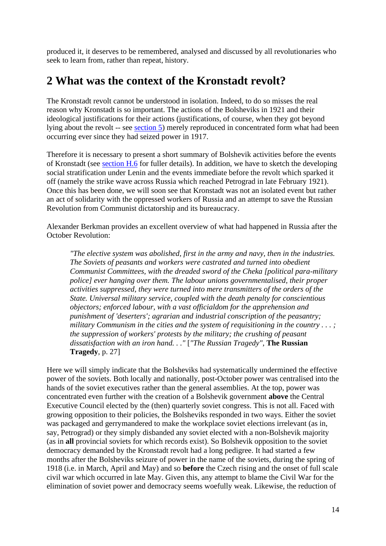produced it, it deserves to be remembered, analysed and discussed by all revolutionaries who seek to learn from, rather than repeat, history.

### <span id="page-13-0"></span>**2 What was the context of the Kronstadt revolt?**

The Kronstadt revolt cannot be understood in isolation. Indeed, to do so misses the real reason why Kronstadt is so important. The actions of the Bolsheviks in 1921 and their ideological justifications for their actions (justifications, of course, when they got beyond lying about the revolt -- see [section 5\)](append42.html#app5) merely reproduced in concentrated form what had been occurring ever since they had seized power in 1917.

Therefore it is necessary to present a short summary of Bolshevik activities before the events of Kronstadt (see [section H.6](sectionH.html#sech6) for fuller details). In addition, we have to sketch the developing social stratification under Lenin and the events immediate before the revolt which sparked it off (namely the strike wave across Russia which reached Petrograd in late February 1921). Once this has been done, we will soon see that Kronstadt was not an isolated event but rather an act of solidarity with the oppressed workers of Russia and an attempt to save the Russian Revolution from Communist dictatorship and its bureaucracy.

Alexander Berkman provides an excellent overview of what had happened in Russia after the October Revolution:

*"The elective system was abolished, first in the army and navy, then in the industries. The Soviets of peasants and workers were castrated and turned into obedient Communist Committees, with the dreaded sword of the Cheka [political para-military police] ever hanging over them. The labour unions governmentalised, their proper activities suppressed, they were turned into mere transmitters of the orders of the State. Universal military service, coupled with the death penalty for conscientious objectors; enforced labour, with a vast officialdom for the apprehension and punishment of 'deserters'; agrarian and industrial conscription of the peasantry; military Communism in the cities and the system of requisitioning in the country . . . ; the suppression of workers' protests by the military; the crushing of peasant dissatisfaction with an iron hand. . ."* [*"The Russian Tragedy"*, **The Russian Tragedy**, p. 27]

Here we will simply indicate that the Bolsheviks had systematically undermined the effective power of the soviets. Both locally and nationally, post-October power was centralised into the hands of the soviet executives rather than the general assemblies. At the top, power was concentrated even further with the creation of a Bolshevik government **above** the Central Executive Council elected by the (then) quarterly soviet congress. This is not all. Faced with growing opposition to their policies, the Bolsheviks responded in two ways. Either the soviet was packaged and gerrymandered to make the workplace soviet elections irrelevant (as in, say, Petrograd) or they simply disbanded any soviet elected with a non-Bolshevik majority (as in **all** provincial soviets for which records exist). So Bolshevik opposition to the soviet democracy demanded by the Kronstadt revolt had a long pedigree. It had started a few months after the Bolsheviks seizure of power in the name of the soviets, during the spring of 1918 (i.e. in March, April and May) and so **before** the Czech rising and the onset of full scale civil war which occurred in late May. Given this, any attempt to blame the Civil War for the elimination of soviet power and democracy seems woefully weak. Likewise, the reduction of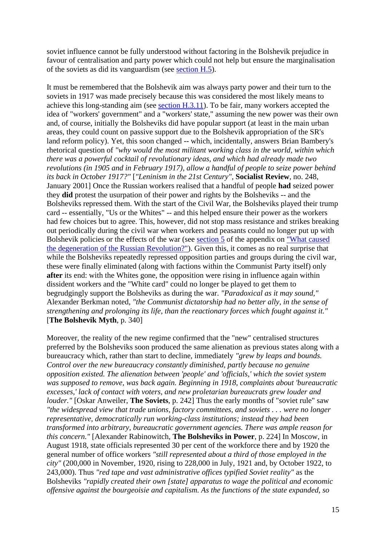soviet influence cannot be fully understood without factoring in the Bolshevik prejudice in favour of centralisation and party power which could not help but ensure the marginalisation of the soviets as did its vanguardism (see [section H.5\)](sectionH.html#sech5).

It must be remembered that the Bolshevik aim was always party power and their turn to the soviets in 1917 was made precisely because this was considered the most likely means to achieve this long-standing aim (see [section H.3.11\)](sectionH.html#sech310). To be fair, many workers accepted the idea of "workers' government" and a "workers' state," assuming the new power was their own and, of course, initially the Bolsheviks did have popular support (at least in the main urban areas, they could count on passive support due to the Bolshevik appropriation of the SR's land reform policy). Yet, this soon changed -- which, incidentally, answers Brian Bambery's rhetorical question of *"why would the most militant working class in the world, within which there was a powerful cocktail of revolutionary ideas, and which had already made two revolutions (in 1905 and in February 1917), allow a handful of people to seize power behind its back in October 1917?"* [*"Leninism in the 21st Century"*, **Socialist Review**, no. 248, January 2001] Once the Russian workers realised that a handful of people **had** seized power they **did** protest the usurpation of their power and rights by the Bolsheviks -- and the Bolsheviks repressed them. With the start of the Civil War, the Bolsheviks played their trump card -- essentially, "Us or the Whites" -- and this helped ensure their power as the workers had few choices but to agree. This, however, did not stop mass resistance and strikes breaking out periodically during the civil war when workers and peasants could no longer put up with Bolshevik policies or the effects of the war (see [section 5](append44.html#app5) of the appendix on ["What caused](append44.html)  [the degeneration of the Russian Revolution?"\)](append44.html). Given this, it comes as no real surprise that while the Bolsheviks repeatedly repressed opposition parties and groups during the civil war, these were finally eliminated (along with factions within the Communist Party itself) only **after** its end: with the Whites gone, the opposition were rising in influence again within dissident workers and the "White card" could no longer be played to get them to begrudgingly support the Bolsheviks as during the war. *"Paradoxical as it may sound,"* Alexander Berkman noted, *"the Communist dictatorship had no better ally, in the sense of strengthening and prolonging its life, than the reactionary forces which fought against it."* [**The Bolshevik Myth**, p. 340]

Moreover, the reality of the new regime confirmed that the "new" centralised structures preferred by the Bolsheviks soon produced the same alienation as previous states along with a bureaucracy which, rather than start to decline, immediately *"grew by leaps and bounds. Control over the new bureaucracy constantly diminished, partly because no genuine opposition existed. The alienation between 'people' and 'officials,' which the soviet system was supposed to remove, was back again. Beginning in 1918, complaints about 'bureaucratic excesses,' lack of contact with voters, and new proletarian bureaucrats grew louder and louder."* [Oskar Anweiler, **The Soviets**, p. 242] Thus the early months of "soviet rule" saw *"the widespread view that trade unions, factory committees, and soviets . . . were no longer representative, democratically run working-class institutions; instead they had been transformed into arbitrary, bureaucratic government agencies. There was ample reason for this concern."* [Alexander Rabinowitch, **The Bolsheviks in Power**, p. 224] In Moscow, in August 1918, state officials represented 30 per cent of the workforce there and by 1920 the general number of office workers *"still represented about a third of those employed in the city"* (200,000 in November, 1920, rising to 228,000 in July, 1921 and, by October 1922, to 243,000). Thus *"red tape and vast administrative offices typified Soviet reality"* as the Bolsheviks *"rapidly created their own [state] apparatus to wage the political and economic offensive against the bourgeoisie and capitalism. As the functions of the state expanded, so*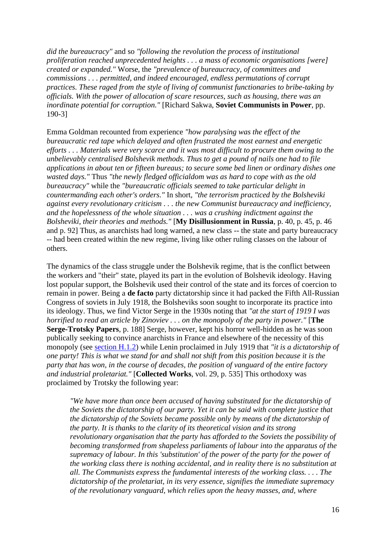*did the bureaucracy"* and so *"following the revolution the process of institutional proliferation reached unprecedented heights . . . a mass of economic organisations [were] created or expanded."* Worse, the *"prevalence of bureaucracy, of committees and commissions . . . permitted, and indeed encouraged, endless permutations of corrupt practices. These raged from the style of living of communist functionaries to bribe-taking by officials. With the power of allocation of scare resources, such as housing, there was an inordinate potential for corruption."* [Richard Sakwa, **Soviet Communists in Power**, pp. 190-3]

Emma Goldman recounted from experience *"how paralysing was the effect of the bureaucratic red tape which delayed and often frustrated the most earnest and energetic efforts . . . Materials were very scarce and it was most difficult to procure them owing to the unbelievably centralised Bolshevik methods. Thus to get a pound of nails one had to file applications in about ten or fifteen bureaus; to secure some bed linen or ordinary dishes one wasted days."* Thus *"the newly fledged officialdom was as hard to cope with as the old bureaucracy"* while the *"bureaucratic officials seemed to take particular delight in countermanding each other's orders."* In short, *"the terrorism practiced by the Bolsheviki against every revolutionary criticism . . . the new Communist bureaucracy and inefficiency, and the hopelessness of the whole situation . . . was a crushing indictment against the Bolsheviki, their theories and methods."* [**My Disillusionment in Russia**, p. 40, p. 45, p. 46 and p. 92] Thus, as anarchists had long warned, a new class -- the state and party bureaucracy -- had been created within the new regime, living like other ruling classes on the labour of others.

The dynamics of the class struggle under the Bolshevik regime, that is the conflict between the workers and "their" state, played its part in the evolution of Bolshevik ideology. Having lost popular support, the Bolshevik used their control of the state and its forces of coercion to remain in power. Being a **de facto** party dictatorship since it had packed the Fifth All-Russian Congress of soviets in July 1918, the Bolsheviks soon sought to incorporate its practice into its ideology. Thus, we find Victor Serge in the 1930s noting that *"at the start of 1919 I was horrified to read an article by Zinoviev . . . on the monopoly of the party in power."* [**The Serge-Trotsky Papers**, p. 188] Serge, however, kept his horror well-hidden as he was soon publically seeking to convince anarchists in France and elsewhere of the necessity of this monopoly (see [section H.1.2\)](sectionH.html#sech12) while Lenin proclaimed in July 1919 that *"it is a dictatorship of one party! This is what we stand for and shall not shift from this position because it is the party that has won, in the course of decades, the position of vanguard of the entire factory and industrial proletariat."* [**Collected Works**, vol. 29, p. 535] This orthodoxy was proclaimed by Trotsky the following year:

*"We have more than once been accused of having substituted for the dictatorship of the Soviets the dictatorship of our party. Yet it can be said with complete justice that the dictatorship of the Soviets became possible only by means of the dictatorship of the party. It is thanks to the clarity of its theoretical vision and its strong revolutionary organisation that the party has afforded to the Soviets the possibility of becoming transformed from shapeless parliaments of labour into the apparatus of the supremacy of labour. In this 'substitution' of the power of the party for the power of the working class there is nothing accidental, and in reality there is no substitution at all. The Communists express the fundamental interests of the working class. . . . The dictatorship of the proletariat, in its very essence, signifies the immediate supremacy of the revolutionary vanguard, which relies upon the heavy masses, and, where*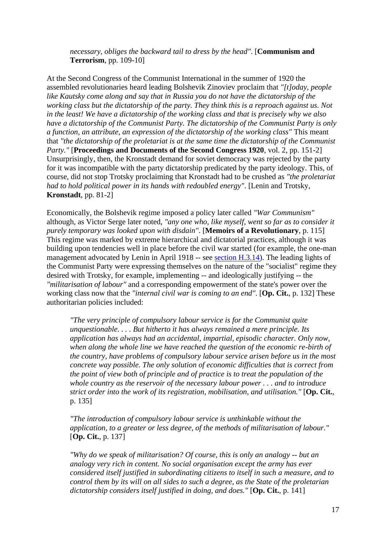*necessary, obliges the backward tail to dress by the head"*. [**Communism and Terrorism**, pp. 109-10]

At the Second Congress of the Communist International in the summer of 1920 the assembled revolutionaries heard leading Bolshevik Zinoviev proclaim that *"[t]oday, people like Kautsky come along and say that in Russia you do not have the dictatorship of the working class but the dictatorship of the party. They think this is a reproach against us. Not in the least! We have a dictatorship of the working class and that is precisely why we also have a dictatorship of the Communist Party. The dictatorship of the Communist Party is only a function, an attribute, an expression of the dictatorship of the working class"* This meant that *"the dictatorship of the proletariat is at the same time the dictatorship of the Communist Party.*" [Proceedings and Documents of the Second Congress 1920, vol. 2, pp. 151-2] Unsurprisingly, then, the Kronstadt demand for soviet democracy was rejected by the party for it was incompatible with the party dictatorship predicated by the party ideology. This, of course, did not stop Trotsky proclaiming that Kronstadt had to be crushed as *"the proletariat had to hold political power in its hands with redoubled energy"*. [Lenin and Trotsky, **Kronstadt**, pp. 81-2]

Economically, the Bolshevik regime imposed a policy later called *"War Communism"* although, as Victor Serge later noted, *"any one who, like myself, went so far as to consider it purely temporary was looked upon with disdain"*. [**Memoirs of a Revolutionary**, p. 115] This regime was marked by extreme hierarchical and dictatorial practices, although it was building upon tendencies well in place before the civil war started (for example, the one-man management advocated by Lenin in April 1918 -- see [section H.3.14\)](sectionH.html#sech314). The leading lights of the Communist Party were expressing themselves on the nature of the "socialist" regime they desired with Trotsky, for example, implementing -- and ideologically justifying -- the *"militarisation of labour"* and a corresponding empowerment of the state's power over the working class now that the *"internal civil war is coming to an end"*. [**Op. Cit.**, p. 132] These authoritarian policies included:

*"The very principle of compulsory labour service is for the Communist quite unquestionable. . . . But hitherto it has always remained a mere principle. Its application has always had an accidental, impartial, episodic character. Only now, when along the whole line we have reached the question of the economic re-birth of the country, have problems of compulsory labour service arisen before us in the most concrete way possible. The only solution of economic difficulties that is correct from the point of view both of principle and of practice is to treat the population of the whole country as the reservoir of the necessary labour power . . . and to introduce strict order into the work of its registration, mobilisation, and utilisation."* [**Op. Cit.**, p. 135]

*"The introduction of compulsory labour service is unthinkable without the application, to a greater or less degree, of the methods of militarisation of labour."* [**Op. Cit.**, p. 137]

*"Why do we speak of militarisation? Of course, this is only an analogy -- but an analogy very rich in content. No social organisation except the army has ever considered itself justified in subordinating citizens to itself in such a measure, and to control them by its will on all sides to such a degree, as the State of the proletarian dictatorship considers itself justified in doing, and does."* [**Op. Cit.**, p. 141]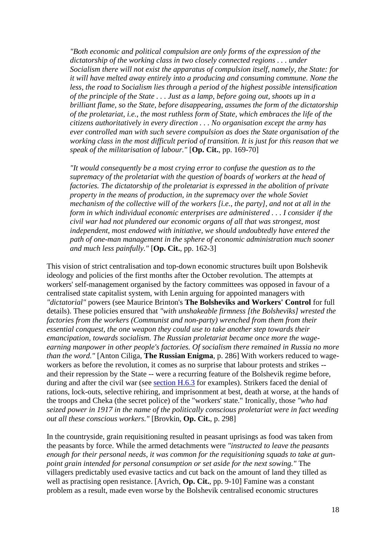*"Both economic and political compulsion are only forms of the expression of the dictatorship of the working class in two closely connected regions . . . under Socialism there will not exist the apparatus of compulsion itself, namely, the State: for it will have melted away entirely into a producing and consuming commune. None the less, the road to Socialism lies through a period of the highest possible intensification of the principle of the State . . . Just as a lamp, before going out, shoots up in a brilliant flame, so the State, before disappearing, assumes the form of the dictatorship of the proletariat, i.e., the most ruthless form of State, which embraces the life of the citizens authoritatively in every direction . . . No organisation except the army has ever controlled man with such severe compulsion as does the State organisation of the working class in the most difficult period of transition. It is just for this reason that we speak of the militarisation of labour."* [**Op. Cit.**, pp. 169-70]

*"It would consequently be a most crying error to confuse the question as to the supremacy of the proletariat with the question of boards of workers at the head of factories. The dictatorship of the proletariat is expressed in the abolition of private property in the means of production, in the supremacy over the whole Soviet mechanism of the collective will of the workers [i.e., the party], and not at all in the form in which individual economic enterprises are administered . . . I consider if the civil war had not plundered our economic organs of all that was strongest, most independent, most endowed with initiative, we should undoubtedly have entered the path of one-man management in the sphere of economic administration much sooner and much less painfully."* [**Op. Cit.**, pp. 162-3]

This vision of strict centralisation and top-down economic structures built upon Bolshevik ideology and policies of the first months after the October revolution. The attempts at workers' self-management organised by the factory committees was opposed in favour of a centralised state capitalist system, with Lenin arguing for appointed managers with *"dictatorial"* powers (see Maurice Brinton's **The Bolsheviks and Workers' Control** for full details). These policies ensured that *"with unshakeable firmness [the Bolsheviks] wrested the factories from the workers (Communist and non-party) wrenched from them from their essential conquest, the one weapon they could use to take another step towards their emancipation, towards socialism. The Russian proletariat became once more the wageearning manpower in other people's factories. Of socialism there remained in Russia no more than the word."* [Anton Ciliga, **The Russian Enigma**, p. 286] With workers reduced to wageworkers as before the revolution, it comes as no surprise that labour protests and strikes - and their repression by the State -- were a recurring feature of the Bolshevik regime before, during and after the civil war (see [section H.6.3](sectionH.html#sech63) for examples). Strikers faced the denial of rations, lock-outs, selective rehiring, and imprisonment at best, death at worse, at the hands of the troops and Cheka (the secret police) of the "workers' state." Ironically, those *"who had seized power in 1917 in the name of the politically conscious proletariat were in fact weeding out all these conscious workers."* [Brovkin, **Op. Cit.**, p. 298]

In the countryside, grain requisitioning resulted in peasant uprisings as food was taken from the peasants by force. While the armed detachments were *"instructed to leave the peasants enough for their personal needs, it was common for the requisitioning squads to take at gunpoint grain intended for personal consumption or set aside for the next sowing."* The villagers predictably used evasive tactics and cut back on the amount of land they tilled as well as practising open resistance. [Avrich, **Op. Cit.**, pp. 9-10] Famine was a constant problem as a result, made even worse by the Bolshevik centralised economic structures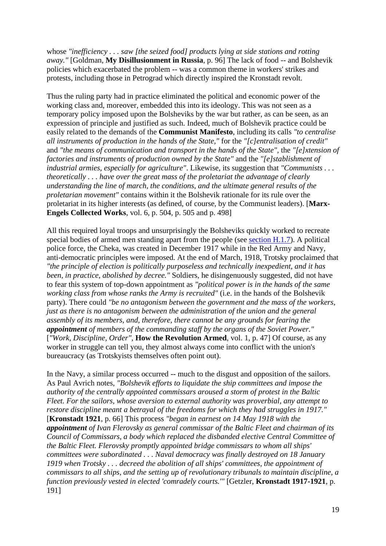whose *"inefficiency . . . saw [the seized food] products lying at side stations and rotting away."* [Goldman, **My Disillusionment in Russia**, p. 96] The lack of food -- and Bolshevik policies which exacerbated the problem -- was a common theme in workers' strikes and protests, including those in Petrograd which directly inspired the Kronstadt revolt.

Thus the ruling party had in practice eliminated the political and economic power of the working class and, moreover, embedded this into its ideology. This was not seen as a temporary policy imposed upon the Bolsheviks by the war but rather, as can be seen, as an expression of principle and justified as such. Indeed, much of Bolshevik practice could be easily related to the demands of the **Communist Manifesto**, including its calls *"to centralise all instruments of production in the hands of the State,"* for the *"[c]entralisation of credit"* and *"the means of communication and transport in the hands of the State"*, the *"[e]xtension of factories and instruments of production owned by the State"* and the *"[e]stablishment of industrial armies, especially for agriculture"*. Likewise, its suggestion that *"Communists . . . theoretically . . . have over the great mass of the proletariat the advantage of clearly understanding the line of march, the conditions, and the ultimate general results of the proletarian movement"* contains within it the Bolshevik rationale for its rule over the proletariat in its higher interests (as defined, of course, by the Communist leaders). [**Marx-Engels Collected Works**, vol. 6, p. 504, p. 505 and p. 498]

All this required loyal troops and unsurprisingly the Bolsheviks quickly worked to recreate special bodies of armed men standing apart from the people (see [section H.1.7\)](sectionH.html#sech17). A political police force, the Cheka, was created in December 1917 while in the Red Army and Navy, anti-democratic principles were imposed. At the end of March, 1918, Trotsky proclaimed that *"the principle of election is politically purposeless and technically inexpedient, and it has been, in practice, abolished by decree."* Soldiers, he disingenuously suggested, did not have to fear this system of top-down appointment as *"political power is in the hands of the same working class from whose ranks the Army is recruited"* (i.e. in the hands of the Bolshevik party). There could *"be no antagonism between the government and the mass of the workers, just as there is no antagonism between the administration of the union and the general assembly of its members, and, therefore, there cannot be any grounds for fearing the appointment of members of the commanding staff by the organs of the Soviet Power."* [*"Work, Discipline, Order"*, **How the Revolution Armed**, vol. 1, p. 47] Of course, as any worker in struggle can tell you, they almost always come into conflict with the union's bureaucracy (as Trotskyists themselves often point out).

In the Navy, a similar process occurred -- much to the disgust and opposition of the sailors. As Paul Avrich notes, *"Bolshevik efforts to liquidate the ship committees and impose the authority of the centrally appointed commissars aroused a storm of protest in the Baltic Fleet. For the sailors, whose aversion to external authority was proverbial, any attempt to restore discipline meant a betrayal of the freedoms for which they had struggles in 1917."* [**Kronstadt 1921**, p. 66] This process *"began in earnest on 14 May 1918 with the appointment of Ivan Flerovsky as general commissar of the Baltic Fleet and chairman of its Council of Commissars, a body which replaced the disbanded elective Central Committee of the Baltic Fleet. Flerovsky promptly appointed bridge commissars to whom all ships' committees were subordinated . . . Naval democracy was finally destroyed on 18 January 1919 when Trotsky . . . decreed the abolition of all ships' committees, the appointment of commissars to all ships, and the setting up of revolutionary tribunals to maintain discipline, a function previously vested in elected 'comradely courts.'"* [Getzler, **Kronstadt 1917-1921**, p. 191]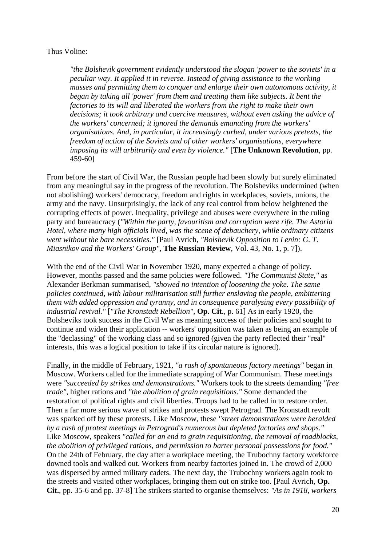#### Thus Voline:

*"the Bolshevik government evidently understood the slogan 'power to the soviets' in a peculiar way. It applied it in reverse. Instead of giving assistance to the working masses and permitting them to conquer and enlarge their own autonomous activity, it began by taking all 'power' from them and treating them like subjects. It bent the factories to its will and liberated the workers from the right to make their own decisions; it took arbitrary and coercive measures, without even asking the advice of the workers' concerned; it ignored the demands emanating from the workers' organisations. And, in particular, it increasingly curbed, under various pretexts, the freedom of action of the Soviets and of other workers' organisations, everywhere imposing its will arbitrarily and even by violence."* [**The Unknown Revolution**, pp. 459-60]

From before the start of Civil War, the Russian people had been slowly but surely eliminated from any meaningful say in the progress of the revolution. The Bolsheviks undermined (when not abolishing) workers' democracy, freedom and rights in workplaces, soviets, unions, the army and the navy. Unsurprisingly, the lack of any real control from below heightened the corrupting effects of power. Inequality, privilege and abuses were everywhere in the ruling party and bureaucracy (*"Within the party, favouritism and corruption were rife. The Astoria Hotel, where many high officials lived, was the scene of debauchery, while ordinary citizens went without the bare necessities."* [Paul Avrich, *"Bolshevik Opposition to Lenin: G. T. Miasnikov and the Workers' Group"*, **The Russian Review**, Vol. 43, No. 1, p. 7]).

With the end of the Civil War in November 1920, many expected a change of policy. However, months passed and the same policies were followed. *"The Communist State,"* as Alexander Berkman summarised, *"showed no intention of loosening the yoke. The same policies continued, with labour militarisation still further enslaving the people, embittering them with added oppression and tyranny, and in consequence paralysing every possibility of industrial revival."* [*"The Kronstadt Rebellion"*, **Op. Cit.**, p. 61] As in early 1920, the Bolsheviks took success in the Civil War as meaning success of their policies and sought to continue and widen their application -- workers' opposition was taken as being an example of the "declassing" of the working class and so ignored (given the party reflected their "real" interests, this was a logical position to take if its circular nature is ignored).

Finally, in the middle of February, 1921, *"a rash of spontaneous factory meetings"* began in Moscow. Workers called for the immediate scrapping of War Communism. These meetings were *"succeeded by strikes and demonstrations."* Workers took to the streets demanding *"free trade"*, higher rations and *"the abolition of grain requisitions."* Some demanded the restoration of political rights and civil liberties. Troops had to be called in to restore order. Then a far more serious wave of strikes and protests swept Petrograd. The Kronstadt revolt was sparked off by these protests. Like Moscow, these *"street demonstrations were heralded by a rash of protest meetings in Petrograd's numerous but depleted factories and shops."* Like Moscow, speakers *"called for an end to grain requisitioning, the removal of roadblocks, the abolition of privileged rations, and permission to barter personal possessions for food."* On the 24th of February, the day after a workplace meeting, the Trubochny factory workforce downed tools and walked out. Workers from nearby factories joined in. The crowd of 2,000 was dispersed by armed military cadets. The next day, the Trubochny workers again took to the streets and visited other workplaces, bringing them out on strike too. [Paul Avrich, **Op. Cit.**, pp. 35-6 and pp. 37-8] The strikers started to organise themselves: *"As in 1918, workers*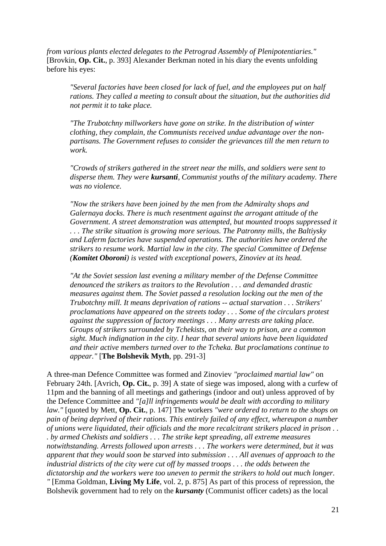*from various plants elected delegates to the Petrograd Assembly of Plenipotentiaries."* [Brovkin, **Op. Cit.**, p. 393] Alexander Berkman noted in his diary the events unfolding before his eyes:

*"Several factories have been closed for lack of fuel, and the employees put on half rations. They called a meeting to consult about the situation, but the authorities did not permit it to take place.*

*"The Trubotchny millworkers have gone on strike. In the distribution of winter clothing, they complain, the Communists received undue advantage over the nonpartisans. The Government refuses to consider the grievances till the men return to work.*

*"Crowds of strikers gathered in the street near the mills, and soldiers were sent to disperse them. They were kursanti, Communist youths of the military academy. There was no violence.*

*"Now the strikers have been joined by the men from the Admiralty shops and Galernaya docks. There is much resentment against the arrogant attitude of the Government. A street demonstration was attempted, but mounted troops suppressed it . . . The strike situation is growing more serious. The Patronny mills, the Baltiysky and Laferm factories have suspended operations. The authorities have ordered the strikers to resume work. Martial law in the city. The special Committee of Defense (Komitet Oboroni) is vested with exceptional powers, Zinoviev at its head.*

*"At the Soviet session last evening a military member of the Defense Committee denounced the strikers as traitors to the Revolution . . . and demanded drastic measures against them. The Soviet passed a resolution locking out the men of the Trubotchny mill. It means deprivation of rations -- actual starvation . . . Strikers' proclamations have appeared on the streets today . . . Some of the circulars protest against the suppression of factory meetings . . . Many arrests are taking place. Groups of strikers surrounded by Tchekists, on their way to prison, are a common sight. Much indignation in the city. I hear that several unions have been liquidated and their active members turned over to the Tcheka. But proclamations continue to appear."* [**The Bolshevik Myth**, pp. 291-3]

A three-man Defence Committee was formed and Zinoviev *"proclaimed martial law"* on February 24th. [Avrich, **Op. Cit.**, p. 39] A state of siege was imposed, along with a curfew of 11pm and the banning of all meetings and gatherings (indoor and out) unless approved of by the Defence Committee and *"[a]ll infringements would be dealt with according to military law."* [quoted by Mett, **Op. Cit.**, p. 147] The workers *"were ordered to return to the shops on pain of being deprived of their rations. This entirely failed of any effect, whereupon a number of unions were liquidated, their officials and the more recalcitrant strikers placed in prison . . . by armed Chekists and soldiers . . . The strike kept spreading, all extreme measures notwithstanding. Arrests followed upon arrests . . . The workers were determined, but it was apparent that they would soon be starved into submission . . . All avenues of approach to the industrial districts of the city were cut off by massed troops . . . the odds between the dictatorship and the workers were too uneven to permit the strikers to hold out much longer. "* [Emma Goldman, **Living My Life**, vol. 2, p. 875] As part of this process of repression, the Bolshevik government had to rely on the *kursanty* (Communist officer cadets) as the local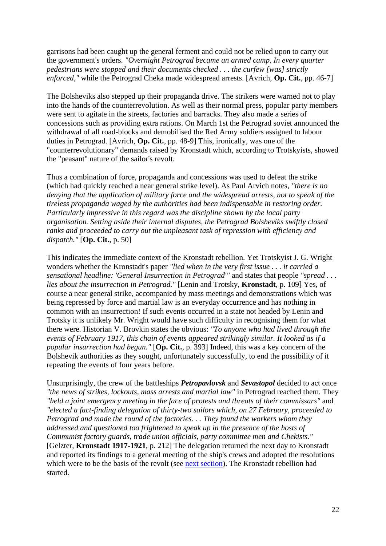garrisons had been caught up the general ferment and could not be relied upon to carry out the government's orders. *"Overnight Petrograd became an armed camp. In every quarter pedestrians were stopped and their documents checked . . . the curfew [was] strictly enforced,"* while the Petrograd Cheka made widespread arrests. [Avrich, **Op. Cit.**, pp. 46-7]

The Bolsheviks also stepped up their propaganda drive. The strikers were warned not to play into the hands of the counterrevolution. As well as their normal press, popular party members were sent to agitate in the streets, factories and barracks. They also made a series of concessions such as providing extra rations. On March 1st the Petrograd soviet announced the withdrawal of all road-blocks and demobilised the Red Army soldiers assigned to labour duties in Petrograd. [Avrich, **Op. Cit.**, pp. 48-9] This, ironically, was one of the "counterrevolutionary" demands raised by Kronstadt which, according to Trotskyists, showed the "peasant" nature of the sailor's revolt.

Thus a combination of force, propaganda and concessions was used to defeat the strike (which had quickly reached a near general strike level). As Paul Arvich notes, *"there is no denying that the application of military force and the widespread arrests, not to speak of the tireless propaganda waged by the authorities had been indispensable in restoring order. Particularly impressive in this regard was the discipline shown by the local party organisation. Setting aside their internal disputes, the Petrograd Bolsheviks swiftly closed ranks and proceeded to carry out the unpleasant task of repression with efficiency and dispatch."* [**Op. Cit.**, p. 50]

This indicates the immediate context of the Kronstadt rebellion. Yet Trotskyist J. G. Wright wonders whether the Kronstadt's paper *"lied when in the very first issue . . . it carried a sensational headline: 'General Insurrection in Petrograd'"* and states that people *"spread . . . lies about the insurrection in Petrograd."* [Lenin and Trotsky, **Kronstadt**, p. 109] Yes, of course a near general strike, accompanied by mass meetings and demonstrations which was being repressed by force and martial law is an everyday occurrence and has nothing in common with an insurrection! If such events occurred in a state not headed by Lenin and Trotsky it is unlikely Mr. Wright would have such difficulty in recognising them for what there were. Historian V. Brovkin states the obvious: *"To anyone who had lived through the events of February 1917, this chain of events appeared strikingly similar. It looked as if a popular insurrection had begun."* [**Op. Cit.**, p. 393] Indeed, this was a key concern of the Bolshevik authorities as they sought, unfortunately successfully, to end the possibility of it repeating the events of four years before.

Unsurprisingly, the crew of the battleships *Petropavlovsk* and *Sevastopol* decided to act once *"the news of strikes, lockouts, mass arrests and martial law"* in Petrograd reached them. They *"held a joint emergency meeting in the face of protests and threats of their commissars"* and *"elected a fact-finding delegation of thirty-two sailors which, on 27 February, proceeded to Petrograd and made the round of the factories. . . They found the workers whom they addressed and questioned too frightened to speak up in the presence of the hosts of Communist factory guards, trade union officials, party committee men and Chekists."* [Gelzter, **Kronstadt 1917-1921**, p. 212] The delegation returned the next day to Kronstadt and reported its findings to a general meeting of the ship's crews and adopted the resolutions which were to be the basis of the revolt (see [next section\)](append42.html#app3). The Kronstadt rebellion had started.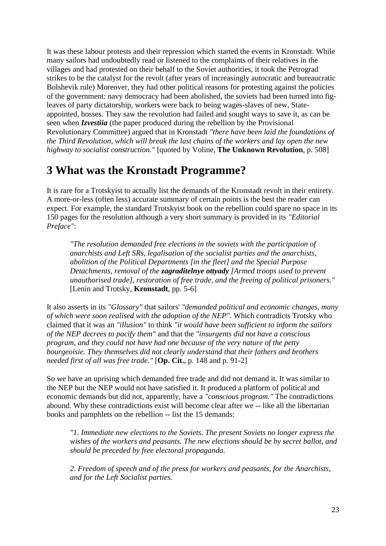It was these labour protests and their repression which started the events in Kronstadt. While many sailors had undoubtedly read or listened to the complaints of their relatives in the villages and had protested on their behalf to the Soviet authorities, it took the Petrograd strikes to be the catalyst for the revolt (after years of increasingly autocratic and bureaucratic Bolshevik rule) Moreover, they had other political reasons for protesting against the policies of the government: navy democracy had been abolished, the soviets had been turned into figleaves of party dictatorship, workers were back to being wages-slaves of new, Stateappointed, bosses. They saw the revolution had failed and sought ways to save it, as can be seen when *Izvestiia* (the paper produced during the rebellion by the Provisional Revolutionary Committee) argued that in Kronstadt *"there have been laid the foundations of the Third Revolution, which will break the last chains of the workers and lay open the new highway to socialist construction."* [quoted by Voline, **The Unknown Revolution**, p. 508]

# <span id="page-22-0"></span>**3 What was the Kronstadt Programme?**

It is rare for a Trotskyist to actually list the demands of the Kronstadt revolt in their entirety. A more-or-less (often less) accurate summary of certain points is the best the reader can expect. For example, the standard Trotskyist book on the rebellion could spare no space in its 150 pages for the resolution although a very short summary is provided in its *"Editorial Preface"*:

*"The resolution demanded free elections in the soviets with the participation of anarchists and Left SRs, legalisation of the socialist parties and the anarchists, abolition of the Political Departments [in the fleet] and the Special Purpose Detachments, removal of the zagraditelnye ottyady [Armed troops used to prevent unauthorised trade], restoration of free trade, and the freeing of political prisoners."* [Lenin and Trotsky, **Kronstadt**, pp. 5-6]

It also asserts in its *"Glossary"* that sailors' *"demanded political and economic changes, many of which were soon realised with the adoption of the NEP"*. Which contradicts Trotsky who claimed that it was an *"illusion"* to think *"it would have been sufficient to inform the sailors of the NEP decrees to pacify them"* and that the *"insurgents did not have a conscious program, and they could not have had one because of the very nature of the petty bourgeoisie. They themselves did not clearly understand that their fathers and brothers needed first of all was free trade."* [**Op. Cit.**, p. 148 and p. 91-2]

So we have an uprising which demanded free trade and did not demand it. It was similar to the NEP but the NEP would not have satisfied it. It produced a platform of political and economic demands but did not, apparently, have a *"conscious program."* The contradictions abound. Why these contradictions exist will become clear after we -- like all the libertarian books and pamphlets on the rebellion -- list the 15 demands:

*"1. Immediate new elections to the Soviets. The present Soviets no longer express the wishes of the workers and peasants. The new elections should be by secret ballot, and should be preceded by free electoral propaganda.*

*2. Freedom of speech and of the press for workers and peasants, for the Anarchists, and for the Left Socialist parties.*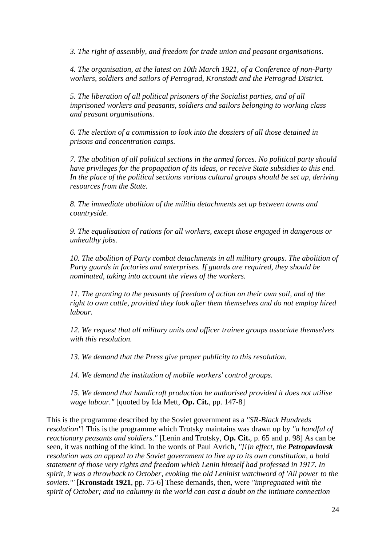*3. The right of assembly, and freedom for trade union and peasant organisations.*

*4. The organisation, at the latest on 10th March 1921, of a Conference of non-Party workers, soldiers and sailors of Petrograd, Kronstadt and the Petrograd District.*

*5. The liberation of all political prisoners of the Socialist parties, and of all imprisoned workers and peasants, soldiers and sailors belonging to working class and peasant organisations.*

*6. The election of a commission to look into the dossiers of all those detained in prisons and concentration camps.*

*7. The abolition of all political sections in the armed forces. No political party should have privileges for the propagation of its ideas, or receive State subsidies to this end. In the place of the political sections various cultural groups should be set up, deriving resources from the State.*

*8. The immediate abolition of the militia detachments set up between towns and countryside.*

*9. The equalisation of rations for all workers, except those engaged in dangerous or unhealthy jobs.*

*10. The abolition of Party combat detachments in all military groups. The abolition of Party guards in factories and enterprises. If guards are required, they should be nominated, taking into account the views of the workers.*

*11. The granting to the peasants of freedom of action on their own soil, and of the right to own cattle, provided they look after them themselves and do not employ hired labour.*

*12. We request that all military units and officer trainee groups associate themselves with this resolution.*

*13. We demand that the Press give proper publicity to this resolution.*

*14. We demand the institution of mobile workers' control groups.*

*15. We demand that handicraft production be authorised provided it does not utilise wage labour."* [quoted by Ida Mett, **Op. Cit.**, pp. 147-8]

This is the programme described by the Soviet government as a *"SR-Black Hundreds resolution"*! This is the programme which Trotsky maintains was drawn up by *"a handful of reactionary peasants and soldiers."* [Lenin and Trotsky, **Op. Cit.**, p. 65 and p. 98] As can be seen, it was nothing of the kind. In the words of Paul Avrich, *"[i]n effect, the Petropavlovsk resolution was an appeal to the Soviet government to live up to its own constitution, a bold statement of those very rights and freedom which Lenin himself had professed in 1917. In spirit, it was a throwback to October, evoking the old Leninist watchword of 'All power to the soviets.'"* [**Kronstadt 1921**, pp. 75-6] These demands, then, were *"impregnated with the spirit of October; and no calumny in the world can cast a doubt on the intimate connection*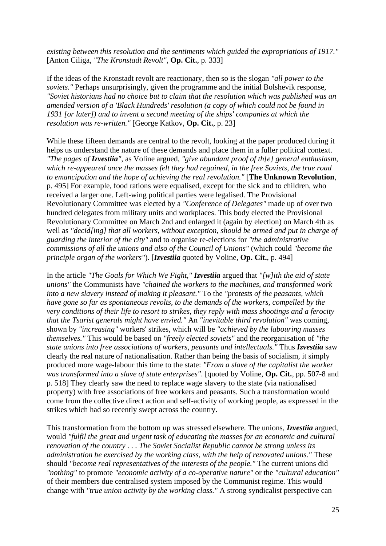*existing between this resolution and the sentiments which guided the expropriations of 1917."* [Anton Ciliga, *"The Kronstadt Revolt"*, **Op. Cit.**, p. 333]

If the ideas of the Kronstadt revolt are reactionary, then so is the slogan *"all power to the soviets."* Perhaps unsurprisingly, given the programme and the initial Bolshevik response, *"Soviet historians had no choice but to claim that the resolution which was published was an amended version of a 'Black Hundreds' resolution (a copy of which could not be found in 1931 [or later]) and to invent a second meeting of the ships' companies at which the resolution was re-written."* [George Katkov, **Op. Cit.**, p. 23]

While these fifteen demands are central to the revolt, looking at the paper produced during it helps us understand the nature of these demands and place them in a fuller political context. *"The pages of Izvestiia"*, as Voline argued, *"give abundant proof of th[e] general enthusiasm, which re-appeared once the masses felt they had regained, in the free Soviets, the true road to emancipation and the hope of achieving the real revolution."* [**The Unknown Revolution**, p. 495] For example, food rations were equalised, except for the sick and to children, who received a larger one. Left-wing political parties were legalised. The Provisional Revolutionary Committee was elected by a *"Conference of Delegates"* made up of over two hundred delegates from military units and workplaces. This body elected the Provisional Revolutionary Committee on March 2nd and enlarged it (again by election) on March 4th as well as *"decid[ing] that all workers, without exception, should be armed and put in charge of guarding the interior of the city"* and to organise re-elections for *"the administrative commissions of all the unions and also of the Council of Unions"* (which could *"become the principle organ of the workers"*). [*Izvestiia* quoted by Voline, **Op. Cit.**, p. 494]

In the article *"The Goals for Which We Fight," Izvestiia* argued that *"[w]ith the aid of state unions"* the Communists have *"chained the workers to the machines, and transformed work into a new slavery instead of making it pleasant."* To the *"protests of the peasants, which have gone so far as spontaneous revolts, to the demands of the workers, compelled by the very conditions of their life to resort to strikes, they reply with mass shootings and a ferocity that the Tsarist generals might have envied."* An *"inevitable third revolution"* was coming, shown by *"increasing"* workers' strikes, which will be *"achieved by the labouring masses themselves."* This would be based on *"freely elected soviets"* and the reorganisation of *"the state unions into free associations of workers, peasants and intellectuals."* Thus *Izvestiia* saw clearly the real nature of nationalisation. Rather than being the basis of socialism, it simply produced more wage-labour this time to the state: *"From a slave of the capitalist the worker was transformed into a slave of state enterprises"*. [quoted by Voline, **Op. Cit.**, pp. 507-8 and p. 518] They clearly saw the need to replace wage slavery to the state (via nationalised property) with free associations of free workers and peasants. Such a transformation would come from the collective direct action and self-activity of working people, as expressed in the strikes which had so recently swept across the country.

This transformation from the bottom up was stressed elsewhere. The unions, *Izvestiia* argued, would *"fulfil the great and urgent task of educating the masses for an economic and cultural renovation of the country . . . The Soviet Socialist Republic cannot be strong unless its administration be exercised by the working class, with the help of renovated unions."* These should *"become real representatives of the interests of the people."* The current unions did *"nothing"* to promote *"economic activity of a co-operative nature"* or the *"cultural education"* of their members due centralised system imposed by the Communist regime. This would change with *"true union activity by the working class."* A strong syndicalist perspective can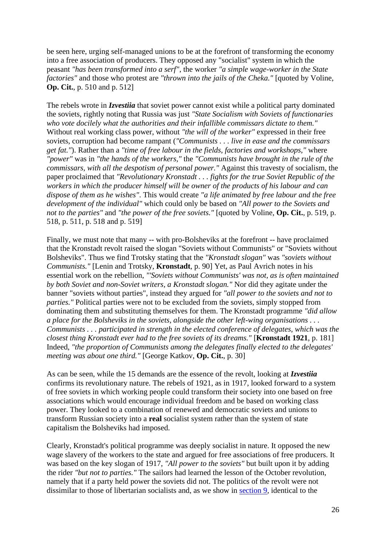be seen here, urging self-managed unions to be at the forefront of transforming the economy into a free association of producers. They opposed any "socialist" system in which the peasant *"has been transformed into a serf"*, the worker *"a simple wage-worker in the State factories"* and those who protest are *"thrown into the jails of the Cheka."* [quoted by Voline, **Op. Cit.**, p. 510 and p. 512]

The rebels wrote in *Izvestiia* that soviet power cannot exist while a political party dominated the soviets, rightly noting that Russia was just *"State Socialism with Soviets of functionaries who vote docilely what the authorities and their infallible commissars dictate to them."* Without real working class power, without *"the will of the worker"* expressed in their free soviets, corruption had become rampant (*"Communists . . . live in ease and the commissars get fat."*). Rather than a *"time of free labour in the fields, factories and workshops,"* where *"power"* was in *"the hands of the workers,"* the *"Communists have brought in the rule of the commissars, with all the despotism of personal power."* Against this travesty of socialism, the paper proclaimed that *"Revolutionary Kronstadt . . . fights for the true Soviet Republic of the workers in which the producer himself will be owner of the products of his labour and can dispose of them as he wishes"*. This would create *"a life animated by free labour and the free development of the individual"* which could only be based on *"All power to the Soviets and not to the parties"* and *"the power of the free soviets."* [quoted by Voline, **Op. Cit.**, p. 519, p. 518, p. 511, p. 518 and p. 519]

Finally, we must note that many -- with pro-Bolsheviks at the forefront -- have proclaimed that the Kronstadt revolt raised the slogan "Soviets without Communists" or "Soviets without Bolsheviks". Thus we find Trotsky stating that the *"Kronstadt slogan"* was *"soviets without Communists."* [Lenin and Trotsky, **Kronstadt**, p. 90] Yet, as Paul Avrich notes in his essential work on the rebellion, *"'Soviets without Communists' was not, as is often maintained by both Soviet and non-Soviet writers, a Kronstadt slogan."* Nor did they agitate under the banner "soviets without parties", instead they argued for *"all power to the soviets and not to parties."* Political parties were not to be excluded from the soviets, simply stopped from dominating them and substituting themselves for them. The Kronstadt programme *"did allow a place for the Bolsheviks in the soviets, alongside the other left-wing organisations . . . Communists . . . participated in strength in the elected conference of delegates, which was the closest thing Kronstadt ever had to the free soviets of its dreams."* [**Kronstadt 1921**, p. 181] Indeed, *"the proportion of Communists among the delegates finally elected to the delegates' meeting was about one third."* [George Katkov, **Op. Cit.**, p. 30]

As can be seen, while the 15 demands are the essence of the revolt, looking at *Izvestiia* confirms its revolutionary nature. The rebels of 1921, as in 1917, looked forward to a system of free soviets in which working people could transform their society into one based on free associations which would encourage individual freedom and be based on working class power. They looked to a combination of renewed and democratic soviets and unions to transform Russian society into a **real** socialist system rather than the system of state capitalism the Bolsheviks had imposed.

Clearly, Kronstadt's political programme was deeply socialist in nature. It opposed the new wage slavery of the workers to the state and argued for free associations of free producers. It was based on the key slogan of 1917, *"All power to the soviets"* but built upon it by adding the rider *"but not to parties."* The sailors had learned the lesson of the October revolution, namely that if a party held power the soviets did not. The politics of the revolt were not dissimilar to those of libertarian socialists and, as we show in [section 9,](append42.html#app9) identical to the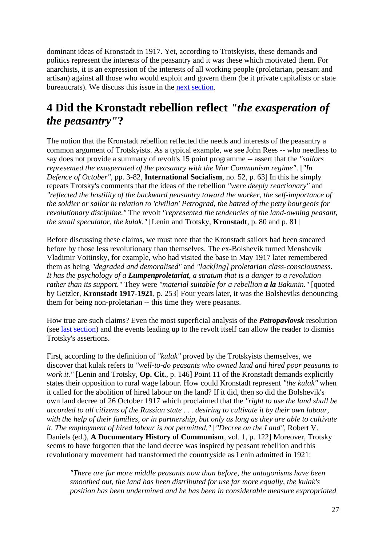dominant ideas of Kronstadt in 1917. Yet, according to Trotskyists, these demands and politics represent the interests of the peasantry and it was these which motivated them. For anarchists, it is an expression of the interests of all working people (proletarian, peasant and artisan) against all those who would exploit and govern them (be it private capitalists or state bureaucrats). We discuss this issue in the [next section.](append42.html#app4)

# <span id="page-26-0"></span>**4 Did the Kronstadt rebellion reflect** *"the exasperation of the peasantry"***?**

The notion that the Kronstadt rebellion reflected the needs and interests of the peasantry a common argument of Trotskyists. As a typical example, we see John Rees -- who needless to say does not provide a summary of revolt's 15 point programme -- assert that the *"sailors represented the exasperated of the peasantry with the War Communism regime"*. [*"In Defence of October"*, pp. 3-82, **International Socialism**, no. 52, p. 63] In this he simply repeats Trotsky's comments that the ideas of the rebellion *"were deeply reactionary"* and *"reflected the hostility of the backward peasantry toward the worker, the self-importance of the soldier or sailor in relation to 'civilian' Petrograd, the hatred of the petty bourgeois for revolutionary discipline."* The revolt *"represented the tendencies of the land-owning peasant, the small speculator, the kulak."* [Lenin and Trotsky, **Kronstadt**, p. 80 and p. 81]

Before discussing these claims, we must note that the Kronstadt sailors had been smeared before by those less revolutionary than themselves. The ex-Bolshevik turned Menshevik Vladimir Voitinsky, for example, who had visited the base in May 1917 later remembered them as being *"degraded and demoralised"* and *"lack[ing] proletarian class-consciousness. It has the psychology of a Lumpenproletariat, a stratum that is a danger to a revolution rather than its support."* They were *"material suitable for a rebellion a la Bakunin."* [quoted by Getzler, **Kronstadt 1917-1921**, p. 253] Four years later, it was the Bolsheviks denouncing them for being non-proletarian -- this time they were peasants.

How true are such claims? Even the most superficial analysis of the *Petropavlovsk* resolution (see [last section\)](append42.html#app3) and the events leading up to the revolt itself can allow the reader to dismiss Trotsky's assertions.

First, according to the definition of *"kulak"* proved by the Trotskyists themselves, we discover that kulak refers to *"well-to-do peasants who owned land and hired poor peasants to work it."* [Lenin and Trotsky, **Op. Cit.**, p. 146] Point 11 of the Kronstadt demands explicitly states their opposition to rural wage labour. How could Kronstadt represent *"the kulak"* when it called for the abolition of hired labour on the land? If it did, then so did the Bolshevik's own land decree of 26 October 1917 which proclaimed that the *"right to use the land shall be accorded to all citizens of the Russian state . . . desiring to cultivate it by their own labour, with the help of their families, or in partnership, but only as long as they are able to cultivate it. The employment of hired labour is not permitted."* [*"Decree on the Land"*, Robert V. Daniels (ed.), **A Documentary History of Communism**, vol. 1, p. 122] Moreover, Trotsky seems to have forgotten that the land decree was inspired by peasant rebellion and this revolutionary movement had transformed the countryside as Lenin admitted in 1921:

*"There are far more middle peasants now than before, the antagonisms have been smoothed out, the land has been distributed for use far more equally, the kulak's position has been undermined and he has been in considerable measure expropriated*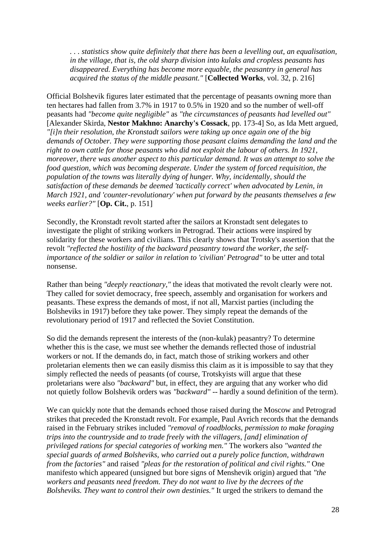*. . . statistics show quite definitely that there has been a levelling out, an equalisation, in the village, that is, the old sharp division into kulaks and cropless peasants has disappeared. Everything has become more equable, the peasantry in general has acquired the status of the middle peasant."* [**Collected Works**, vol. 32, p. 216]

Official Bolshevik figures later estimated that the percentage of peasants owning more than ten hectares had fallen from 3.7% in 1917 to 0.5% in 1920 and so the number of well-off peasants had *"become quite negligible"* as *"the circumstances of peasants had levelled out"* [Alexander Skirda, **Nestor Makhno: Anarchy's Cossack**, pp. 173-4] So, as Ida Mett argued, *"[i]n their resolution, the Kronstadt sailors were taking up once again one of the big demands of October. They were supporting those peasant claims demanding the land and the right to own cattle for those peasants who did not exploit the labour of others. In 1921, moreover, there was another aspect to this particular demand. It was an attempt to solve the food question, which was becoming desperate. Under the system of forced requisition, the population of the towns was literally dying of hunger. Why, incidentally, should the satisfaction of these demands be deemed 'tactically correct' when advocated by Lenin, in March 1921, and 'counter-revolutionary' when put forward by the peasants themselves a few weeks earlier?"* [**Op. Cit.**, p. 151]

Secondly, the Kronstadt revolt started after the sailors at Kronstadt sent delegates to investigate the plight of striking workers in Petrograd. Their actions were inspired by solidarity for these workers and civilians. This clearly shows that Trotsky's assertion that the revolt *"reflected the hostility of the backward peasantry toward the worker, the selfimportance of the soldier or sailor in relation to 'civilian' Petrograd"* to be utter and total nonsense.

Rather than being *"deeply reactionary,"* the ideas that motivated the revolt clearly were not. They called for soviet democracy, free speech, assembly and organisation for workers and peasants. These express the demands of most, if not all, Marxist parties (including the Bolsheviks in 1917) before they take power. They simply repeat the demands of the revolutionary period of 1917 and reflected the Soviet Constitution.

So did the demands represent the interests of the (non-kulak) peasantry? To determine whether this is the case, we must see whether the demands reflected those of industrial workers or not. If the demands do, in fact, match those of striking workers and other proletarian elements then we can easily dismiss this claim as it is impossible to say that they simply reflected the needs of peasants (of course, Trotskyists will argue that these proletarians were also *"backward"* but, in effect, they are arguing that any worker who did not quietly follow Bolshevik orders was *"backward"* -- hardly a sound definition of the term).

We can quickly note that the demands echoed those raised during the Moscow and Petrograd strikes that preceded the Kronstadt revolt. For example, Paul Avrich records that the demands raised in the February strikes included *"removal of roadblocks, permission to make foraging trips into the countryside and to trade freely with the villagers, [and] elimination of privileged rations for special categories of working men."* The workers also *"wanted the special guards of armed Bolsheviks, who carried out a purely police function, withdrawn from the factories"* and raised *"pleas for the restoration of political and civil rights."* One manifesto which appeared (unsigned but bore signs of Menshevik origin) argued that *"the workers and peasants need freedom. They do not want to live by the decrees of the Bolsheviks. They want to control their own destinies."* It urged the strikers to demand the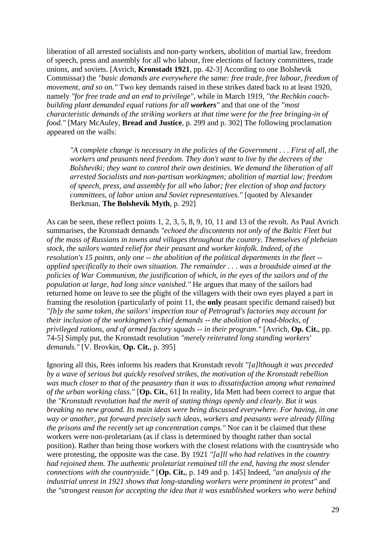liberation of all arrested socialists and non-party workers, abolition of martial law, freedom of speech, press and assembly for all who labour, free elections of factory committees, trade unions, and soviets. [Avrich, **Kronstadt 1921**, pp. 42-3] According to one Bolshevik Commissar) the *"basic demands are everywhere the same: free trade, free labour, freedom of movement, and so on."* Two key demands raised in these strikes dated back to at least 1920, namely *"for free trade and an end to privilege"*, while in March 1919, *"the Rechkin coachbuilding plant demanded equal rations for all workers"* and that one of the *"most characteristic demands of the striking workers at that time were for the free bringing-in of food."* [Mary McAuley, **Bread and Justice**, p. 299 and p. 302] The following proclamation appeared on the walls:

*"A complete change is necessary in the policies of the Government . . . First of all, the workers and peasants need freedom. They don't want to live by the decrees of the Bolsheviki; they want to control their own destinies. We demand the liberation of all arrested Socialists and non-partisan workingmen; abolition of martial law; freedom of speech, press, and assembly for all who labor; free election of shop and factory committees, of labor union and Soviet representatives."* [quoted by Alexander Berkman, **The Bolshevik Myth**, p. 292]

As can be seen, these reflect points 1, 2, 3, 5, 8, 9, 10, 11 and 13 of the revolt. As Paul Avrich summarises, the Kronstadt demands *"echoed the discontents not only of the Baltic Fleet but of the mass of Russians in towns and villages throughout the country. Themselves of plebeian stock, the sailors wanted relief for their peasant and worker kinfolk. Indeed, of the resolution's 15 points, only one -- the abolition of the political departments in the fleet - applied specifically to their own situation. The remainder . . . was a broadside aimed at the policies of War Communism, the justification of which, in the eyes of the sailors and of the population at large, had long since vanished."* He argues that many of the sailors had returned home on leave to see the plight of the villagers with their own eyes played a part in framing the resolution (particularly of point 11, the **only** peasant specific demand raised) but *"[b]y the same token, the sailors' inspection tour of Petrograd's factories may account for their inclusion of the workingmen's chief demands -- the abolition of road-blocks, of privileged rations, and of armed factory squads -- in their program."* [Avrich, **Op. Cit.**, pp. 74-5] Simply put, the Kronstadt resolution *"merely reiterated long standing workers' demands."* [V. Brovkin, **Op. Cit.**, p. 395]

Ignoring all this, Rees informs his readers that Kronstadt revolt *"[a]lthough it was preceded by a wave of serious but quickly resolved strikes, the motivation of the Kronstadt rebellion was much closer to that of the peasantry than it was to dissatisfaction among what remained of the urban working class."* [**Op. Cit.**, 61] In reality, Ida Mett had been correct to argue that the *"Kronstadt revolution had the merit of stating things openly and clearly. But it was breaking no new ground. Its main ideas were being discussed everywhere. For having, in one way or another, put forward precisely such ideas, workers and peasants were already filling the prisons and the recently set up concentration camps."* Nor can it be claimed that these workers were non-proletarians (as if class is determined by thought rather than social position). Rather than being those workers with the closest relations with the countryside who were protesting, the opposite was the case. By 1921 *"[a]ll who had relatives in the country had rejoined them. The authentic proletariat remained till the end, having the most slender connections with the countryside."* [**Op. Cit.**, p. 149 and p. 145] Indeed, *"an analysis of the industrial unrest in 1921 shows that long-standing workers were prominent in protest"* and the *"strongest reason for accepting the idea that it was established workers who were behind*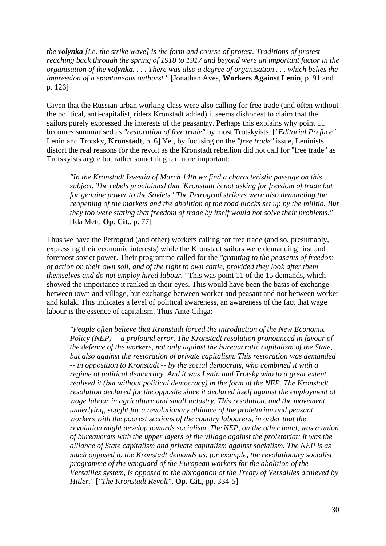*the volynka [i.e. the strike wave] is the form and course of protest. Traditions of protest reaching back through the spring of 1918 to 1917 and beyond were an important factor in the organisation of the volynka. . . . There was also a degree of organisation . . . which belies the impression of a spontaneous outburst."* [Jonathan Aves, **Workers Against Lenin**, p. 91 and p. 126]

Given that the Russian urban working class were also calling for free trade (and often without the political, anti-capitalist, riders Kronstadt added) it seems dishonest to claim that the sailors purely expressed the interests of the peasantry. Perhaps this explains why point 11 becomes summarised as *"restoration of free trade"* by most Trotskyists. [*"Editorial Preface"*, Lenin and Trotsky, **Kronstadt**, p. 6] Yet, by focusing on the *"free trade"* issue, Leninists distort the real reasons for the revolt as the Kronstadt rebellion did not call for "free trade" as Trotskyists argue but rather something far more important:

*"In the Kronstadt Isvestia of March 14th we find a characteristic passage on this subject. The rebels proclaimed that 'Kronstadt is not asking for freedom of trade but for genuine power to the Soviets.' The Petrograd strikers were also demanding the reopening of the markets and the abolition of the road blocks set up by the militia. But they too were stating that freedom of trade by itself would not solve their problems."* [Ida Mett, **Op. Cit.**, p. 77]

Thus we have the Petrograd (and other) workers calling for free trade (and so, presumably, expressing their economic interests) while the Kronstadt sailors were demanding first and foremost soviet power. Their programme called for the *"granting to the peasants of freedom of action on their own soil, and of the right to own cattle, provided they look after them themselves and do not employ hired labour."* This was point 11 of the 15 demands, which showed the importance it ranked in their eyes. This would have been the basis of exchange between town and village, but exchange between worker and peasant and not between worker and kulak. This indicates a level of political awareness, an awareness of the fact that wage labour is the essence of capitalism. Thus Ante Ciliga:

*"People often believe that Kronstadt forced the introduction of the New Economic Policy (NEP) -- a profound error. The Kronstadt resolution pronounced in favour of the defence of the workers, not only against the bureaucratic capitalism of the State, but also against the restoration of private capitalism. This restoration was demanded -- in opposition to Kronstadt -- by the social democrats, who combined it with a regime of political democracy. And it was Lenin and Trotsky who to a great extent realised it (but without political democracy) in the form of the NEP. The Kronstadt resolution declared for the opposite since it declared itself against the employment of wage labour in agriculture and small industry. This resolution, and the movement underlying, sought for a revolutionary alliance of the proletarian and peasant workers with the poorest sections of the country labourers, in order that the revolution might develop towards socialism. The NEP, on the other hand, was a union of bureaucrats with the upper layers of the village against the proletariat; it was the alliance of State capitalism and private capitalism against socialism. The NEP is as much opposed to the Kronstadt demands as, for example, the revolutionary socialist programme of the vanguard of the European workers for the abolition of the Versailles system, is opposed to the abrogation of the Treaty of Versailles achieved by Hitler."* [*"The Kronstadt Revolt"*, **Op. Cit.**, pp. 334-5]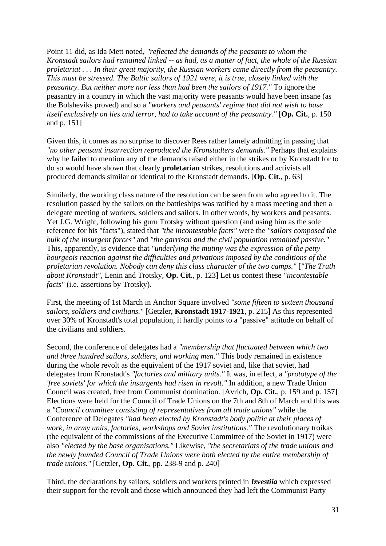Point 11 did, as Ida Mett noted, *"reflected the demands of the peasants to whom the Kronstadt sailors had remained linked -- as had, as a matter of fact, the whole of the Russian proletariat . . . In their great majority, the Russian workers came directly from the peasantry. This must be stressed. The Baltic sailors of 1921 were, it is true, closely linked with the peasantry. But neither more nor less than had been the sailors of 1917."* To ignore the peasantry in a country in which the vast majority were peasants would have been insane (as the Bolsheviks proved) and so a *"workers and peasants' regime that did not wish to base itself exclusively on lies and terror, had to take account of the peasantry."* [**Op. Cit.**, p. 150 and p. 151]

Given this, it comes as no surprise to discover Rees rather lamely admitting in passing that *"no other peasant insurrection reproduced the Kronstadters demands."* Perhaps that explains why he failed to mention any of the demands raised either in the strikes or by Kronstadt for to do so would have shown that clearly **proletarian** strikes, resolutions and activists all produced demands similar or identical to the Kronstadt demands. [**Op. Cit.**, p. 63]

Similarly, the working class nature of the resolution can be seen from who agreed to it. The resolution passed by the sailors on the battleships was ratified by a mass meeting and then a delegate meeting of workers, soldiers and sailors. In other words, by workers **and** peasants. Yet J.G. Wright, following his guru Trotsky without question (and using him as the sole reference for his "facts"), stated that *"the incontestable facts"* were the *"sailors composed the bulk of the insurgent forces"* and *"the garrison and the civil population remained passive."* This, apparently, is evidence that *"underlying the mutiny was the expression of the petty bourgeois reaction against the difficulties and privations imposed by the conditions of the proletarian revolution. Nobody can deny this class character of the two camps."* [*"The Truth about Kronstadt"*, Lenin and Trotsky, **Op. Cit.**, p. 123] Let us contest these *"incontestable facts"* (i.e. assertions by Trotsky).

First, the meeting of 1st March in Anchor Square involved *"some fifteen to sixteen thousand sailors, soldiers and civilians."* [Getzler, **Kronstadt 1917-1921**, p. 215] As this represented over 30% of Kronstadt's total population, it hardly points to a "passive" attitude on behalf of the civilians and soldiers.

Second, the conference of delegates had a *"membership that fluctuated between which two and three hundred sailors, soldiers, and working men."* This body remained in existence during the whole revolt as the equivalent of the 1917 soviet and, like that soviet, had delegates from Kronstadt's *"factories and military units."* It was, in effect, a *"prototype of the 'free soviets' for which the insurgents had risen in revolt."* In addition, a new Trade Union Council was created, free from Communist domination. [Avrich, **Op. Cit.**, p. 159 and p. 157] Elections were held for the Council of Trade Unions on the 7th and 8th of March and this was a *"Council committee consisting of representatives from all trade unions"* while the Conference of Delegates *"had been elected by Kronstadt's body politic at their places of work, in army units, factories, workshops and Soviet institutions."* The revolutionary troikas (the equivalent of the commissions of the Executive Committee of the Soviet in 1917) were also *"elected by the base organisations."* Likewise, *"the secretariats of the trade unions and the newly founded Council of Trade Unions were both elected by the entire membership of trade unions."* [Getzler, **Op. Cit.**, pp. 238-9 and p. 240]

Third, the declarations by sailors, soldiers and workers printed in *Izvestiia* which expressed their support for the revolt and those which announced they had left the Communist Party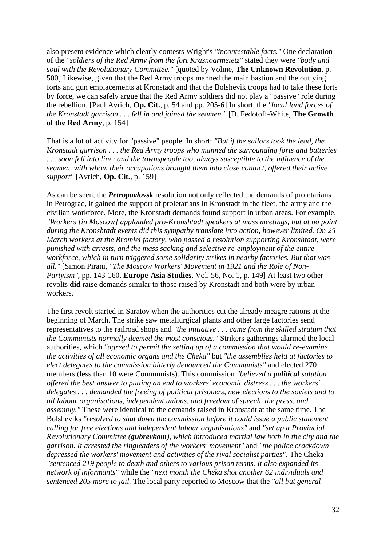also present evidence which clearly contests Wright's *"incontestable facts."* One declaration of the *"soldiers of the Red Army from the fort Krasnoarmeietz"* stated they were *"body and soul with the Revolutionary Committee."* [quoted by Voline, **The Unknown Revolution**, p. 500] Likewise, given that the Red Army troops manned the main bastion and the outlying forts and gun emplacements at Kronstadt and that the Bolshevik troops had to take these forts by force, we can safely argue that the Red Army soldiers did not play a "passive" role during the rebellion. [Paul Avrich, **Op. Cit.**, p. 54 and pp. 205-6] In short, the *"local land forces of the Kronstadt garrison . . . fell in and joined the seamen."* [D. Fedotoff-White, **The Growth of the Red Army**, p. 154]

That is a lot of activity for "passive" people. In short: *"But if the sailors took the lead, the Kronstadt garrison . . . the Red Army troops who manned the surrounding forts and batteries . . . soon fell into line; and the townspeople too, always susceptible to the influence of the seamen, with whom their occupations brought them into close contact, offered their active support"* [Avrich, **Op. Cit.**, p. 159]

As can be seen, the *Petropavlovsk* resolution not only reflected the demands of proletarians in Petrograd, it gained the support of proletarians in Kronstadt in the fleet, the army and the civilian workforce. More, the Kronstadt demands found support in urban areas. For example, *"Workers [in Moscow] applauded pro-Kronshtadt speakers at mass meetings, but at no point during the Kronshtadt events did this sympathy translate into action, however limited. On 25 March workers at the Bromlei factory, who passed a resolution supporting Kronshtadt, were punished with arrests, and the mass sacking and selective re-employment of the entire workforce, which in turn triggered some solidarity strikes in nearby factories. But that was all."* [Simon Pirani, *"The Moscow Workers' Movement in 1921 and the Role of Non-Partyism"*, pp. 143-160, **Europe-Asia Studies**, Vol. 56, No. 1, p. 149] At least two other revolts **did** raise demands similar to those raised by Kronstadt and both were by urban workers.

The first revolt started in Saratov when the authorities cut the already meagre rations at the beginning of March. The strike saw metallurgical plants and other large factories send representatives to the railroad shops and *"the initiative . . . came from the skilled stratum that the Communists normally deemed the most conscious."* Strikers gatherings alarmed the local authorities, which *"agreed to permit the setting up of a commission that would re-examine the activities of all economic organs and the Cheka"* but *"the assemblies held at factories to elect delegates to the commission bitterly denounced the Communists"* and elected 270 members (less than 10 were Communists). This commission *"believed a political solution offered the best answer to putting an end to workers' economic distress . . . the workers' delegates . . . demanded the freeing of political prisoners, new elections to the soviets and to all labour organisations, independent unions, and freedom of speech, the press, and assembly."* These were identical to the demands raised in Kronstadt at the same time. The Bolsheviks *"resolved to shut down the commission before it could issue a public statement calling for free elections and independent labour organisations"* and *"set up a Provincial Revolutionary Committee (gubrevkom), which introduced martial law both in the city and the garrison. It arrested the ringleaders of the workers' movement"* and *"the police crackdown depressed the workers' movement and activities of the rival socialist parties"*. The Cheka *"sentenced 219 people to death and others to various prison terms. It also expanded its network of informants"* while the *"next month the Cheka shot another 62 individuals and sentenced 205 more to jail.* The local party reported to Moscow that the *"all but general*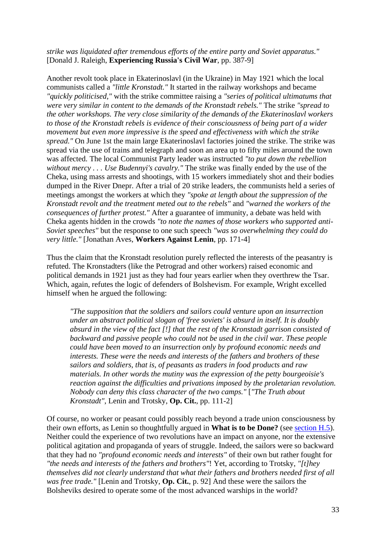#### *strike was liquidated after tremendous efforts of the entire party and Soviet apparatus."* [Donald J. Raleigh, **Experiencing Russia's Civil War**, pp. 387-9]

Another revolt took place in Ekaterinoslavl (in the Ukraine) in May 1921 which the local communists called a *"little Kronstadt."* It started in the railway workshops and became *"quickly politicised,"* with the strike committee raising a *"series of political ultimatums that were very similar in content to the demands of the Kronstadt rebels."* The strike *"spread to the other workshops. The very close similarity of the demands of the Ekaterinoslavl workers to those of the Kronstadt rebels is evidence of their consciousness of being part of a wider movement but even more impressive is the speed and effectiveness with which the strike spread."* On June 1st the main large Ekaterinoslavl factories joined the strike. The strike was spread via the use of trains and telegraph and soon an area up to fifty miles around the town was affected. The local Communist Party leader was instructed *"to put down the rebellion without mercy . . . Use Budennyi's cavalry."* The strike was finally ended by the use of the Cheka, using mass arrests and shootings, with 15 workers immediately shot and their bodies dumped in the River Dnepr. After a trial of 20 strike leaders, the communists held a series of meetings amongst the workers at which they *"spoke at length about the suppression of the Kronstadt revolt and the treatment meted out to the rebels"* and *"warned the workers of the consequences of further protest."* After a guarantee of immunity, a debate was held with Cheka agents hidden in the crowds *"to note the names of those workers who supported anti-Soviet speeches"* but the response to one such speech *"was so overwhelming they could do very little."* [Jonathan Aves, **Workers Against Lenin**, pp. 171-4]

Thus the claim that the Kronstadt resolution purely reflected the interests of the peasantry is refuted. The Kronstadters (like the Petrograd and other workers) raised economic and political demands in 1921 just as they had four years earlier when they overthrew the Tsar. Which, again, refutes the logic of defenders of Bolshevism. For example, Wright excelled himself when he argued the following:

*"The supposition that the soldiers and sailors could venture upon an insurrection under an abstract political slogan of 'free soviets' is absurd in itself. It is doubly absurd in the view of the fact [!] that the rest of the Kronstadt garrison consisted of backward and passive people who could not be used in the civil war. These people could have been moved to an insurrection only by profound economic needs and interests. These were the needs and interests of the fathers and brothers of these sailors and soldiers, that is, of peasants as traders in food products and raw materials. In other words the mutiny was the expression of the petty bourgeoisie's reaction against the difficulties and privations imposed by the proletarian revolution. Nobody can deny this class character of the two camps."* [*"The Truth about Kronstadt"*, Lenin and Trotsky, **Op. Cit.**, pp. 111-2]

Of course, no worker or peasant could possibly reach beyond a trade union consciousness by their own efforts, as Lenin so thoughtfully argued in **What is to be Done?** (see [section H.5\)](sectionH.html#sech5). Neither could the experience of two revolutions have an impact on anyone, nor the extensive political agitation and propaganda of years of struggle. Indeed, the sailors were so backward that they had no *"profound economic needs and interests"* of their own but rather fought for *"the needs and interests of the fathers and brothers"*! Yet, according to Trotsky, *"[t]hey themselves did not clearly understand that what their fathers and brothers needed first of all was free trade."* [Lenin and Trotsky, **Op. Cit.**, p. 92] And these were the sailors the Bolsheviks desired to operate some of the most advanced warships in the world?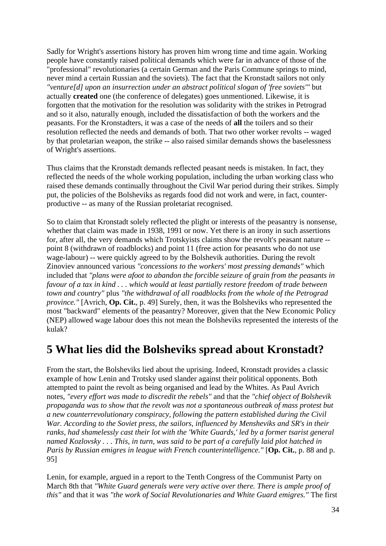Sadly for Wright's assertions history has proven him wrong time and time again. Working people have constantly raised political demands which were far in advance of those of the "professional" revolutionaries (a certain German and the Paris Commune springs to mind, never mind a certain Russian and the soviets). The fact that the Kronstadt sailors not only *"venture[d] upon an insurrection under an abstract political slogan of 'free soviets'"* but actually **created** one (the conference of delegates) goes unmentioned. Likewise, it is forgotten that the motivation for the resolution was solidarity with the strikes in Petrograd and so it also, naturally enough, included the dissatisfaction of both the workers and the peasants. For the Kronstadters, it was a case of the needs of **all** the toilers and so their resolution reflected the needs and demands of both. That two other worker revolts -- waged by that proletarian weapon, the strike -- also raised similar demands shows the baselessness of Wright's assertions.

Thus claims that the Kronstadt demands reflected peasant needs is mistaken. In fact, they reflected the needs of the whole working population, including the urban working class who raised these demands continually throughout the Civil War period during their strikes. Simply put, the policies of the Bolsheviks as regards food did not work and were, in fact, counterproductive -- as many of the Russian proletariat recognised.

So to claim that Kronstadt solely reflected the plight or interests of the peasantry is nonsense, whether that claim was made in 1938, 1991 or now. Yet there is an irony in such assertions for, after all, the very demands which Trotskyists claims show the revolt's peasant nature - point 8 (withdrawn of roadblocks) and point 11 (free action for peasants who do not use wage-labour) -- were quickly agreed to by the Bolshevik authorities. During the revolt Zinoviev announced various *"concessions to the workers' most pressing demands"* which included that *"plans were afoot to abandon the forcible seizure of grain from the peasants in favour of a tax in kind . . . which would at least partially restore freedom of trade between town and country"* plus *"the withdrawal of all roadblocks from the whole of the Petrograd province."* [Avrich, **Op. Cit.**, p. 49] Surely, then, it was the Bolsheviks who represented the most "backward" elements of the peasantry? Moreover, given that the New Economic Policy (NEP) allowed wage labour does this not mean the Bolsheviks represented the interests of the kulak?

# <span id="page-33-0"></span>**5 What lies did the Bolsheviks spread about Kronstadt?**

From the start, the Bolsheviks lied about the uprising. Indeed, Kronstadt provides a classic example of how Lenin and Trotsky used slander against their political opponents. Both attempted to paint the revolt as being organised and lead by the Whites. As Paul Avrich notes, *"every effort was made to discredit the rebels"* and that the *"chief object of Bolshevik propaganda was to show that the revolt was not a spontaneous outbreak of mass protest but a new counterrevolutionary conspiracy, following the pattern established during the Civil War. According to the Soviet press, the sailors, influenced by Mensheviks and SR's in their ranks, had shamelessly cast their lot with the 'White Guards,' led by a former tsarist general named Kozlovsky . . . This, in turn, was said to be part of a carefully laid plot hatched in Paris by Russian emigres in league with French counterintelligence."* [**Op. Cit.**, p. 88 and p. 95]

Lenin, for example, argued in a report to the Tenth Congress of the Communist Party on March 8th that *"White Guard generals were very active over there. There is ample proof of this"* and that it was *"the work of Social Revolutionaries and White Guard emigres."* The first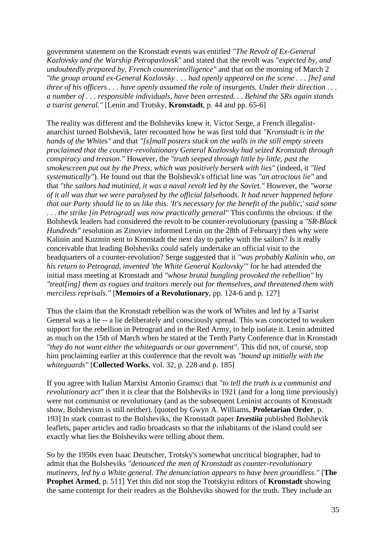government statement on the Kronstadt events was entitled *"The Revolt of Ex-General Kozlovsky and the Warship Petropavlovsk"* and stated that the revolt was *"expected by, and undoubtedly prepared by, French counterintelligence"* and that on the morning of March 2 *"the group around ex-General Kozlovsky . . . had openly appeared on the scene . . . [he] and three of his officers . . . have openly assumed the role of insurgents. Under their direction . . . a number of . . . responsible individuals, have been arrested. . . Behind the SRs again stands a tsarist general."* [Lenin and Trotsky, **Kronstadt**, p. 44 and pp. 65-6]

The reality was different and the Bolsheviks knew it. Victor Serge, a French illegalistanarchist turned Bolshevik, later recounted how he was first told that *"Kronstadt is in the hands of the Whites"* and that *"[s]mall posters stuck on the walls in the still empty streets proclaimed that the counter-revolutionary General Kozlovsky had seized Kronstadt through conspiracy and treason."* However, the *"truth seeped through little by little, past the smokescreen put out by the Press, which was positively berserk with lies"* (indeed, it *"lied systematically"*). He found out that the Bolshevik's official line was *"an atrocious lie"* and that *"the sailors had mutinied, it was a naval revolt led by the Soviet."* However, the *"worse of it all was that we were paralysed by the official falsehoods. It had never happened before that our Party should lie to us like this. 'It's necessary for the benefit of the public,' said some . . . the strike [in Petrograd] was now practically general"* This confirms the obvious: if the Bolshevik leaders had considered the revolt to be counter-revolutionary (passing a *"SR-Black Hundreds"* resolution as Zinoviev informed Lenin on the 28th of February) then why were Kalinin and Kuzmin sent to Kronstadt the next day to parley with the sailors? Is it really conceivable that leading Bolsheviks could safely undertake an official visit to the headquarters of a counter-revolution? Serge suggested that it *"was probably Kalinin who, on his return to Petrograd, invented 'the White General Kozlovsky'"* for he had attended the initial mass meeting at Kronstadt and *"whose brutal bungling provoked the rebellion"* by *"treat[ing] them as rogues and traitors merely out for themselves, and threatened them with merciless reprisals."* [**Memoirs of a Revolutionary**, pp. 124-6 and p. 127]

Thus the claim that the Kronstadt rebellion was the work of Whites and led by a Tsarist General was a lie -- a lie deliberately and consciously spread. This was concocted to weaken support for the rebellion in Petrograd and in the Red Army, to help isolate it. Lenin admitted as much on the 15th of March when he stated at the Tenth Party Conference that in Kronstadt *"they do not want either the whiteguards or our government"*. This did not, of course, stop him proclaiming earlier at this conference that the revolt was *"bound up initially with the whiteguards"* [**Collected Works**, vol. 32, p. 228 and p. 185]

If you agree with Italian Marxist Antonio Gramsci that *"to tell the truth is a communist and revolutionary act"* then it is clear that the Bolsheviks in 1921 (and for a long time previously) were not communist or revolutionary (and as the subsequent Leninist accounts of Kronstadt show, Bolshevism is still neither). [quoted by Gwyn A. Williams, **Proletarian Order**, p. 193] In stark contrast to the Bolsheviks, the Kronstadt paper *Izvestiia* published Bolshevik leaflets, paper articles and radio broadcasts so that the inhabitants of the island could see exactly what lies the Bolsheviks were telling about them.

So by the 1950s even Isaac Deutscher, Trotsky's somewhat uncritical biographer, had to admit that the Bolsheviks *"denounced the men of Kronstadt as counter-revolutionary mutineers, led by a White general. The denunciation appears to have been groundless."* [**The Prophet Armed**, p. 511] Yet this did not stop the Trotskyist editors of **Kronstadt** showing the same contempt for their readers as the Bolsheviks showed for the truth. They include an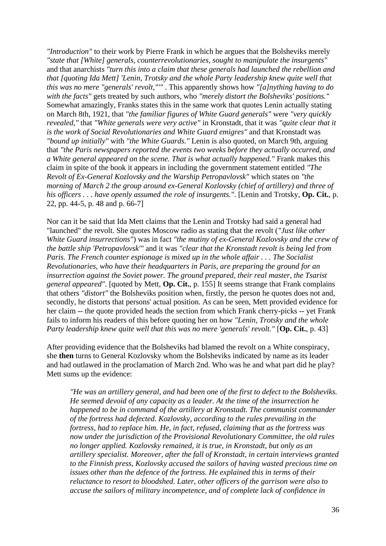*"Introduction"* to their work by Pierre Frank in which he argues that the Bolsheviks merely *"state that [White] generals, counterrevolutionaries, sought to manipulate the insurgents"* and that anarchists *"turn this into a claim that these generals had launched the rebellion and that [quoting Ida Mett] 'Lenin, Trotsky and the whole Party leadership knew quite well that this was no mere "generals' revolt,"'"* . This apparently shows how *"[a]nything having to do with the facts"* gets treated by such authors, who *"merely distort the Bolsheviks' positions."* Somewhat amazingly, Franks states this in the same work that quotes Lenin actually stating on March 8th, 1921, that *"the familiar figures of White Guard generals"* were *"very quickly revealed,"* that *"White generals were very active"* in Kronstadt, that it was *"quite clear that it is the work of Social Revolutionaries and White Guard emigres"* and that Kronstadt was *"bound up initially"* with *"the White Guards."* Lenin is also quoted, on March 9th, arguing that *"the Paris newspapers reported the events two weeks before they actually occurred, and a White general appeared on the scene. That is what actually happened."* Frank makes this claim in spite of the book it appears in including the government statement entitled *"The Revolt of Ex-General Kozlovsky and the Warship Petropavlovsk"* which states on *"the morning of March 2 the group around ex-General Kozlovsky (chief of artillery) and three of his officers . . . have openly assumed the role of insurgents."*. [Lenin and Trotsky, **Op. Cit.**, p. 22, pp. 44-5, p. 48 and p. 66-7]

Nor can it be said that Ida Mett claims that the Lenin and Trotsky had said a general had "launched" the revolt. She quotes Moscow radio as stating that the revolt (*"Just like other White Guard insurrections"*) was in fact *"the mutiny of ex-General Kozlovsky and the crew of the battle ship 'Petropavlovsk'"* and it was *"clear that the Kronstadt revolt is being led from Paris. The French counter espionage is mixed up in the whole affair . . . The Socialist Revolutionaries, who have their headquarters in Paris, are preparing the ground for an insurrection against the Soviet power. The ground prepared, their real master, the Tsarist general appeared"*. [quoted by Mett, **Op. Cit.**, p. 155] It seems strange that Frank complains that others *"distort"* the Bolsheviks position when, firstly, the person he quotes does not and, secondly, he distorts that persons' actual position. As can be seen, Mett provided evidence for her claim -- the quote provided heads the section from which Frank cherry-picks -- yet Frank fails to inform his readers of this before quoting her on how *"Lenin, Trotsky and the whole Party leadership knew quite well that this was no mere 'generals' revolt."* [**Op. Cit.**, p. 43]

After providing evidence that the Bolsheviks had blamed the revolt on a White conspiracy, she **then** turns to General Kozlovsky whom the Bolsheviks indicated by name as its leader and had outlawed in the proclamation of March 2nd. Who was he and what part did he play? Mett sums up the evidence:

*"He was an artillery general, and had been one of the first to defect to the Bolsheviks. He seemed devoid of any capacity as a leader. At the time of the insurrection he happened to be in command of the artillery at Kronstadt. The communist commander of the fortress had defected. Kozlovsky, according to the rules prevailing in the fortress, had to replace him. He, in fact, refused, claiming that as the fortress was now under the jurisdiction of the Provisional Revolutionary Committee, the old rules no longer applied. Kozlovsky remained, it is true, in Kronstadt, but only as an artillery specialist. Moreover, after the fall of Kronstadt, in certain interviews granted to the Finnish press, Kozlovsky accused the sailors of having wasted precious time on issues other than the defence of the fortress. He explained this in terms of their reluctance to resort to bloodshed. Later, other officers of the garrison were also to accuse the sailors of military incompetence, and of complete lack of confidence in*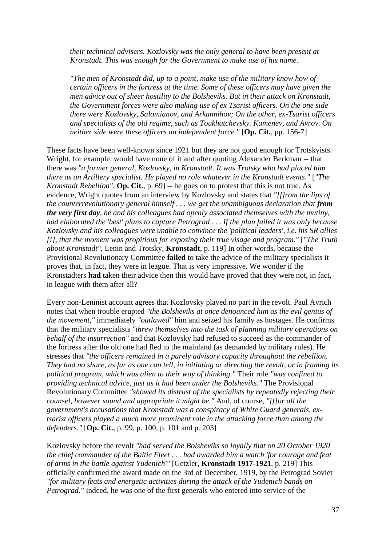*their technical advisers. Kozlovsky was the only general to have been present at Kronstadt. This was enough for the Government to make use of his name.* 

*"The men of Kronstadt did, up to a point, make use of the military know how of certain officers in the fortress at the time. Some of these officers may have given the men advice out of sheer hostility to the Bolsheviks. But in their attack on Kronstadt, the Government forces were also making use of ex Tsarist officers. On the one side there were Kozlovsky, Salomianov, and Arkannihov; On the other, ex-Tsarist officers and specialists of the old regime, such as Toukhatchevsky. Kamenev, and Avrov. On neither side were these officers an independent force."* [**Op. Cit.**, pp. 156-7]

These facts have been well-known since 1921 but they are not good enough for Trotskyists. Wright, for example, would have none of it and after quoting Alexander Berkman -- that there was *"a former general, Kozlovsky, in Kronstadt. It was Trotsky who had placed him there as an Artillery specialist. He played no role whatever in the Kronstadt events."* [*"The Kronstadt Rebellion"*, **Op. Cit.**, p. 69] -- he goes on to protest that this is not true. As evidence, Wright quotes from an interview by Kozlovsky and states that *"[f]rom the lips of the counterrevolutionary general himself . . . we get the unambiguous declaration that from the very first day, he and his colleagues had openly associated themselves with the mutiny, had elaborated the 'best' plans to capture Petrograd . . . If the plan failed it was only because Kozlovsky and his colleagues were unable to convince the 'political leaders', i.e. his SR allies [!], that the moment was propitious for exposing their true visage and program."* [*"The Truth about Kronstadt"*, Lenin and Trotsky, **Kronstadt**, p. 119] In other words, because the Provisional Revolutionary Committee **failed** to take the advice of the military specialists it proves that, in fact, they were in league. That is very impressive. We wonder if the Kronstadters **had** taken their advice then this would have proved that they were not, in fact, in league with them after all?

Every non-Leninist account agrees that Kozlovsky played no part in the revolt. Paul Avrich notes that when trouble erupted *"the Bolsheviks at once denounced him as the evil genius of the movement,"* immediately *"outlawed"* him and seized his family as hostages. He confirms that the military specialists *"threw themselves into the task of planning military operations on behalf of the insurrection"* and that Kozlovsky had refused to succeed as the commander of the fortress after the old one had fled to the mainland (as demanded by military rules). He stresses that *"the officers remained in a purely advisory capacity throughout the rebellion. They had no share, as far as one can tell, in initiating or directing the revolt, or in framing its political program, which was alien to their way of thinking."* Their role *"was confined to providing technical advice, just as it had been under the Bolsheviks."* The Provisional Revolutionary Committee *"showed its distrust of the specialists by repeatedly rejecting their counsel, however sound and appropriate it might be."* And, of course, *"[f]or all the government's accusations that Kronstadt was a conspiracy of White Guard generals, extsarist officers played a much more prominent role in the attacking force than among the defenders."* [**Op. Cit.**, p. 99, p. 100, p. 101 and p. 203]

Kozlovsky before the revolt *"had served the Bolsheviks so loyally that on 20 October 1920 the chief commander of the Baltic Fleet . . . had awarded him a watch 'for courage and feat of arms in the battle against Yudenich'"* [Getzler, **Kronstadt 1917-1921**, p. 219] This officially confirmed the award made on the 3rd of December, 1919, by the Petrograd Soviet *"for military feats and energetic activities during the attack of the Yudenich bands on Petrograd."* Indeed, he was one of the first generals who entered into service of the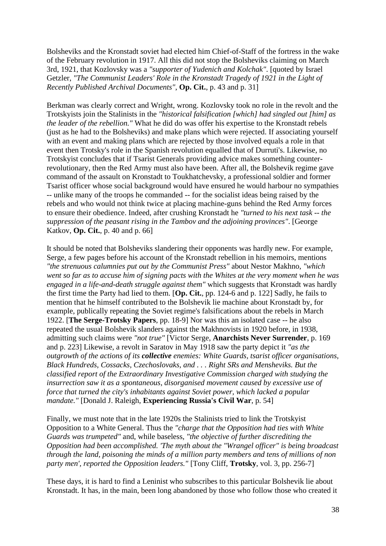Bolsheviks and the Kronstadt soviet had elected him Chief-of-Staff of the fortress in the wake of the February revolution in 1917. All this did not stop the Bolsheviks claiming on March 3rd, 1921, that Kozlovsky was a *"supporter of Yudenich and Kolchak"*. [quoted by Israel Getzler, *"The Communist Leaders' Role in the Kronstadt Tragedy of 1921 in the Light of Recently Published Archival Documents"*, **Op. Cit.**, p. 43 and p. 31]

Berkman was clearly correct and Wright, wrong. Kozlovsky took no role in the revolt and the Trotskyists join the Stalinists in the *"historical falsification [which] had singled out [him] as the leader of the rebellion."* What he did do was offer his expertise to the Kronstadt rebels (just as he had to the Bolsheviks) and make plans which were rejected. If associating yourself with an event and making plans which are rejected by those involved equals a role in that event then Trotsky's role in the Spanish revolution equalled that of Durruti's. Likewise, no Trotskyist concludes that if Tsarist Generals providing advice makes something counterrevolutionary, then the Red Army must also have been. After all, the Bolshevik regime gave command of the assault on Kronstadt to Toukhatchevsky, a professional soldier and former Tsarist officer whose social background would have ensured he would harbour no sympathies -- unlike many of the troops he commanded -- for the socialist ideas being raised by the rebels and who would not think twice at placing machine-guns behind the Red Army forces to ensure their obedience. Indeed, after crushing Kronstadt he *"turned to his next task -- the suppression of the peasant rising in the Tambov and the adjoining provinces"*. [George Katkov, **Op. Cit.**, p. 40 and p. 66]

It should be noted that Bolsheviks slandering their opponents was hardly new. For example, Serge, a few pages before his account of the Kronstadt rebellion in his memoirs, mentions *"the strenuous calumnies put out by the Communist Press"* about Nestor Makhno, *"which went so far as to accuse him of signing pacts with the Whites at the very moment when he was engaged in a life-and-death struggle against them"* which suggests that Kronstadt was hardly the first time the Party had lied to them. [**Op. Cit.**, pp. 124-6 and p. 122] Sadly, he fails to mention that he himself contributed to the Bolshevik lie machine about Kronstadt by, for example, publically repeating the Soviet regime's falsifications about the rebels in March 1922. [**The Serge-Trotsky Papers**, pp. 18-9] Nor was this an isolated case -- he also repeated the usual Bolshevik slanders against the Makhnovists in 1920 before, in 1938, admitting such claims were *"not true"* [Victor Serge, **Anarchists Never Surrender**, p. 169 and p. 223] Likewise, a revolt in Saratov in May 1918 saw the party depict it *"as the outgrowth of the actions of its collective enemies: White Guards, tsarist officer organisations, Black Hundreds, Cossacks, Czechoslovaks, and . . . Right SRs and Mensheviks. But the classified report of the Extraordinary Investigative Commission charged with studying the insurrection saw it as a spontaneous, disorganised movement caused by excessive use of force that turned the city's inhabitants against Soviet power, which lacked a popular mandate."* [Donald J. Raleigh, **Experiencing Russia's Civil War**, p. 54]

Finally, we must note that in the late 1920s the Stalinists tried to link the Trotskyist Opposition to a White General. Thus the *"charge that the Opposition had ties with White Guards was trumpeted"* and, while baseless, *"the objective of further discrediting the Opposition had been accomplished. 'The myth about the "Wrangel officer" is being broadcast through the land, poisoning the minds of a million party members and tens of millions of non party men', reported the Opposition leaders."* [Tony Cliff, **Trotsky**, vol. 3, pp. 256-7]

These days, it is hard to find a Leninist who subscribes to this particular Bolshevik lie about Kronstadt. It has, in the main, been long abandoned by those who follow those who created it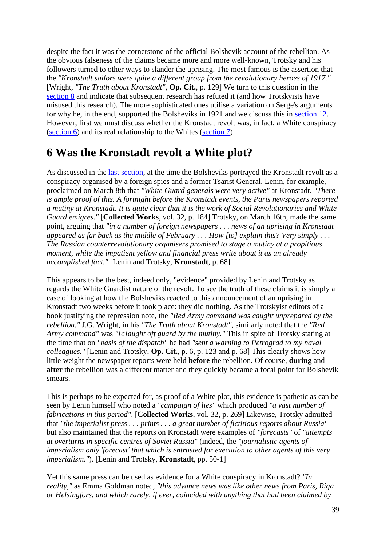despite the fact it was the cornerstone of the official Bolshevik account of the rebellion. As the obvious falseness of the claims became more and more well-known, Trotsky and his followers turned to other ways to slander the uprising. The most famous is the assertion that the *"Kronstadt sailors were quite a different group from the revolutionary heroes of 1917."* [Wright, *"The Truth about Kronstadt"*, **Op. Cit.**, p. 129] We turn to this question in the [section 8](append42.html#app8) and indicate that subsequent research has refuted it (and how Trotskyists have misused this research). The more sophisticated ones utilise a variation on Serge's arguments for why he, in the end, supported the Bolsheviks in 1921 and we discuss this in [section 12.](append42.html#app12) However, first we must discuss whether the Kronstadt revolt was, in fact, a White conspiracy [\(section 6\)](append42.html#app6) and its real relationship to the Whites [\(section 7\)](append42.html#app7).

### **6 Was the Kronstadt revolt a White plot?**

As discussed in the [last section,](append42.html#app5) at the time the Bolsheviks portrayed the Kronstadt revolt as a conspiracy organised by a foreign spies and a former Tsarist General. Lenin, for example, proclaimed on March 8th that *"White Guard generals were very active"* at Kronstadt. *"There is ample proof of this. A fortnight before the Kronstadt events, the Paris newspapers reported a mutiny at Kronstadt. It is quite clear that it is the work of Social Revolutionaries and White Guard emigres."* [**Collected Works**, vol. 32, p. 184] Trotsky, on March 16th, made the same point, arguing that *"in a number of foreign newspapers . . . news of an uprising in Kronstadt appeared as far back as the middle of February . . . How [to] explain this? Very simply . . . The Russian counterrevolutionary organisers promised to stage a mutiny at a propitious moment, while the impatient yellow and financial press write about it as an already accomplished fact."* [Lenin and Trotsky, **Kronstadt**, p. 68]

This appears to be the best, indeed only, "evidence" provided by Lenin and Trotsky as regards the White Guardist nature of the revolt. To see the truth of these claims it is simply a case of looking at how the Bolsheviks reacted to this announcement of an uprising in Kronstadt two weeks before it took place: they did nothing. As the Trotskyist editors of a book justifying the repression note, the *"Red Army command was caught unprepared by the rebellion."* J.G. Wright, in his *"The Truth about Kronstadt"*, similarly noted that the *"Red Army command"* was *"[c]aught off guard by the mutiny."* This in spite of Trotsky stating at the time that on *"basis of the dispatch"* he had *"sent a warning to Petrograd to my naval colleagues."* [Lenin and Trotsky, **Op. Cit.**, p. 6, p. 123 and p. 68] This clearly shows how little weight the newspaper reports were held **before** the rebellion. Of course, **during** and **after** the rebellion was a different matter and they quickly became a focal point for Bolshevik smears.

This is perhaps to be expected for, as proof of a White plot, this evidence is pathetic as can be seen by Lenin himself who noted a *"campaign of lies"* which produced *"a vast number of fabrications in this period"*. [**Collected Works**, vol. 32, p. 269] Likewise, Trotsky admitted that *"the imperialist press . . . prints . . . a great number of fictitious reports about Russia"* but also maintained that the reports on Kronstadt were examples of *"forecasts"* of *"attempts at overturns in specific centres of Soviet Russia"* (indeed, the *"journalistic agents of imperialism only 'forecast' that which is entrusted for execution to other agents of this very imperialism."*). [Lenin and Trotsky, **Kronstadt**, pp. 50-1]

Yet this same press can be used as evidence for a White conspiracy in Kronstadt? *"In reality,"* as Emma Goldman noted, *"this advance news was like other news from Paris, Riga or Helsingfors, and which rarely, if ever, coincided with anything that had been claimed by*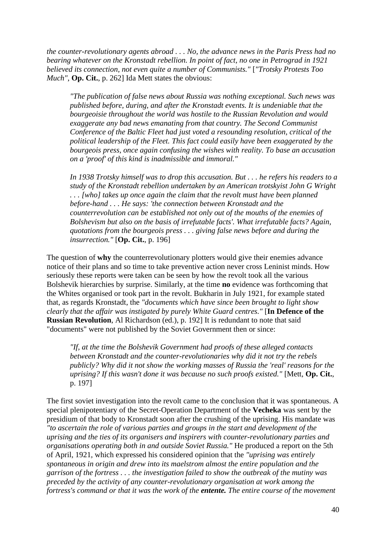*the counter-revolutionary agents abroad . . . No, the advance news in the Paris Press had no bearing whatever on the Kronstadt rebellion. In point of fact, no one in Petrograd in 1921 believed its connection, not even quite a number of Communists."* [*"Trotsky Protests Too Much"*, **Op. Cit.**, p. 262] Ida Mett states the obvious:

*"The publication of false news about Russia was nothing exceptional. Such news was published before, during, and after the Kronstadt events. It is undeniable that the bourgeoisie throughout the world was hostile to the Russian Revolution and would exaggerate any bad news emanating from that country. The Second Communist Conference of the Baltic Fleet had just voted a resounding resolution, critical of the political leadership of the Fleet. This fact could easily have been exaggerated by the bourgeois press, once again confusing the wishes with reality. To base an accusation on a 'proof' of this kind is inadmissible and immoral."*

*In 1938 Trotsky himself was to drop this accusation. But . . . he refers his readers to a study of the Kronstadt rebellion undertaken by an American trotskyist John G Wright . . . [who] takes up once again the claim that the revolt must have been planned before-hand . . . He says: 'the connection between Kronstadt and the counterrevolution can be established not only out of the mouths of the enemies of Bolshevism but also on the basis of irrefutable facts'. What irrefutable facts? Again, quotations from the bourgeois press . . . giving false news before and during the insurrection."* [**Op. Cit.**, p. 196]

The question of **why** the counterrevolutionary plotters would give their enemies advance notice of their plans and so time to take preventive action never cross Leninist minds. How seriously these reports were taken can be seen by how the revolt took all the various Bolshevik hierarchies by surprise. Similarly, at the time **no** evidence was forthcoming that the Whites organised or took part in the revolt. Bukharin in July 1921, for example stated that, as regards Kronstadt, the *"documents which have since been brought to light show clearly that the affair was instigated by purely White Guard centres."* [**In Defence of the Russian Revolution**, Al Richardson (ed.), p. 192] It is redundant to note that said "documents" were not published by the Soviet Government then or since:

*"If, at the time the Bolshevik Government had proofs of these alleged contacts between Kronstadt and the counter-revolutionaries why did it not try the rebels publicly? Why did it not show the working masses of Russia the 'real' reasons for the uprising? If this wasn't done it was because no such proofs existed."* [Mett, **Op. Cit.**, p. 197]

The first soviet investigation into the revolt came to the conclusion that it was spontaneous. A special plenipotentiary of the Secret-Operation Department of the **Vecheka** was sent by the presidium of that body to Kronstadt soon after the crushing of the uprising. His mandate was *"to ascertain the role of various parties and groups in the start and development of the uprising and the ties of its organisers and inspirers with counter-revolutionary parties and organisations operating both in and outside Soviet Russia."* He produced a report on the 5th of April, 1921, which expressed his considered opinion that the *"uprising was entirely spontaneous in origin and drew into its maelstrom almost the entire population and the garrison of the fortress . . . the investigation failed to show the outbreak of the mutiny was preceded by the activity of any counter-revolutionary organisation at work among the fortress's command or that it was the work of the entente. The entire course of the movement*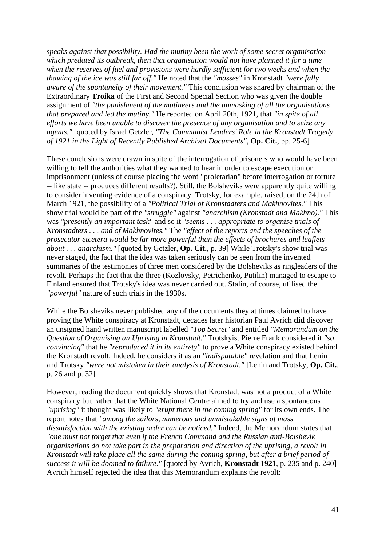*speaks against that possibility. Had the mutiny been the work of some secret organisation which predated its outbreak, then that organisation would not have planned it for a time when the reserves of fuel and provisions were hardly sufficient for two weeks and when the thawing of the ice was still far off."* He noted that the *"masses"* in Kronstadt *"were fully aware of the spontaneity of their movement."* This conclusion was shared by chairman of the Extraordinary **Troika** of the First and Second Special Section who was given the double assignment of *"the punishment of the mutineers and the unmasking of all the organisations that prepared and led the mutiny."* He reported on April 20th, 1921, that *"in spite of all efforts we have been unable to discover the presence of any organisation and to seize any agents."* [quoted by Israel Getzler, *"The Communist Leaders' Role in the Kronstadt Tragedy of 1921 in the Light of Recently Published Archival Documents"*, **Op. Cit.**, pp. 25-6]

These conclusions were drawn in spite of the interrogation of prisoners who would have been willing to tell the authorities what they wanted to hear in order to escape execution or imprisonment (unless of course placing the word "proletarian" before interrogation or torture -- like state -- produces different results?). Still, the Bolsheviks were apparently quite willing to consider inventing evidence of a conspiracy. Trotsky, for example, raised, on the 24th of March 1921, the possibility of a *"Political Trial of Kronstadters and Makhnovites."* This show trial would be part of the *"struggle"* against *"anarchism (Kronstadt and Makhno)."* This was *"presently an important task"* and so it *"seems . . . appropriate to organise trials of Kronstadters . . . and of Makhnovites."* The *"effect of the reports and the speeches of the prosecutor etcetera would be far more powerful than the effects of brochures and leaflets about . . . anarchism."* [quoted by Getzler, **Op. Cit.**, p. 39] While Trotsky's show trial was never staged, the fact that the idea was taken seriously can be seen from the invented summaries of the testimonies of three men considered by the Bolsheviks as ringleaders of the revolt. Perhaps the fact that the three (Kozlovsky, Petrichenko, Putilin) managed to escape to Finland ensured that Trotsky's idea was never carried out. Stalin, of course, utilised the *"powerful"* nature of such trials in the 1930s.

While the Bolsheviks never published any of the documents they at times claimed to have proving the White conspiracy at Kronstadt, decades later historian Paul Avrich **did** discover an unsigned hand written manuscript labelled *"Top Secret"* and entitled *"Memorandum on the Question of Organising an Uprising in Kronstadt."* Trotskyist Pierre Frank considered it *"so convincing"* that he *"reproduced it in its entirety"* to prove a White conspiracy existed behind the Kronstadt revolt. Indeed, he considers it as an *"indisputable"* revelation and that Lenin and Trotsky *"were not mistaken in their analysis of Kronstadt."* [Lenin and Trotsky, **Op. Cit.**, p. 26 and p. 32]

However, reading the document quickly shows that Kronstadt was not a product of a White conspiracy but rather that the White National Centre aimed to try and use a spontaneous *"uprising"* it thought was likely to *"erupt there in the coming spring"* for its own ends. The report notes that *"among the sailors, numerous and unmistakable signs of mass dissatisfaction with the existing order can be noticed."* Indeed, the Memorandum states that *"one must not forget that even if the French Command and the Russian anti-Bolshevik organisations do not take part in the preparation and direction of the uprising, a revolt in Kronstadt will take place all the same during the coming spring, but after a brief period of success it will be doomed to failure."* [quoted by Avrich, **Kronstadt 1921**, p. 235 and p. 240] Avrich himself rejected the idea that this Memorandum explains the revolt: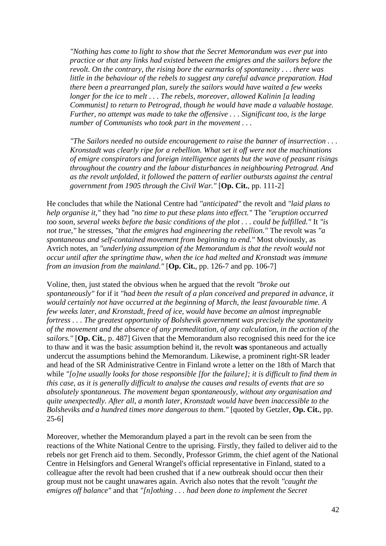*"Nothing has come to light to show that the Secret Memorandum was ever put into practice or that any links had existed between the emigres and the sailors before the revolt. On the contrary, the rising bore the earmarks of spontaneity . . . there was little in the behaviour of the rebels to suggest any careful advance preparation. Had there been a prearranged plan, surely the sailors would have waited a few weeks longer for the ice to melt . . . The rebels, moreover, allowed Kalinin [a leading Communist] to return to Petrograd, though he would have made a valuable hostage. Further, no attempt was made to take the offensive . . . Significant too, is the large number of Communists who took part in the movement . . .* 

*"The Sailors needed no outside encouragement to raise the banner of insurrection . . . Kronstadt was clearly ripe for a rebellion. What set it off were not the machinations of emigre conspirators and foreign intelligence agents but the wave of peasant risings throughout the country and the labour disturbances in neighbouring Petrograd. And as the revolt unfolded, it followed the pattern of earlier outbursts against the central government from 1905 through the Civil War."* [**Op. Cit.**, pp. 111-2]

He concludes that while the National Centre had *"anticipated"* the revolt and *"laid plans to help organise it,"* they had *"no time to put these plans into effect."* The *"eruption occurred too soon, several weeks before the basic conditions of the plot . . . could be fulfilled."* It *"is not true,"* he stresses, *"that the emigres had engineering the rebellion."* The revolt was *"a spontaneous and self-contained movement from beginning to end."* Most obviously, as Avrich notes, an *"underlying assumption of the Memorandum is that the revolt would not occur until after the springtime thaw, when the ice had melted and Kronstadt was immune from an invasion from the mainland."* [**Op. Cit.**, pp. 126-7 and pp. 106-7]

Voline, then, just stated the obvious when he argued that the revolt *"broke out spontaneously"* for if it *"had been the result of a plan conceived and prepared in advance, it would certainly not have occurred at the beginning of March, the least favourable time. A few weeks later, and Kronstadt, freed of ice, would have become an almost impregnable fortress . . . The greatest opportunity of Bolshevik government was precisely the spontaneity of the movement and the absence of any premeditation, of any calculation, in the action of the sailors."* [**Op. Cit.**, p. 487] Given that the Memorandum also recognised this need for the ice to thaw and it was the basic assumption behind it, the revolt **was** spontaneous and actually undercut the assumptions behind the Memorandum. Likewise, a prominent right-SR leader and head of the SR Administrative Centre in Finland wrote a letter on the 18th of March that while *"[o]ne usually looks for those responsible [for the failure]; it is difficult to find them in this case, as it is generally difficult to analyse the causes and results of events that are so absolutely spontaneous. The movement began spontaneously, without any organisation and quite unexpectedly. After all, a month later, Kronstadt would have been inaccessible to the Bolsheviks and a hundred times more dangerous to them."* [quoted by Getzler, **Op. Cit.**, pp. 25-6]

Moreover, whether the Memorandum played a part in the revolt can be seen from the reactions of the White National Centre to the uprising. Firstly, they failed to deliver aid to the rebels nor get French aid to them. Secondly, Professor Grimm, the chief agent of the National Centre in Helsingfors and General Wrangel's official representative in Finland, stated to a colleague after the revolt had been crushed that if a new outbreak should occur then their group must not be caught unawares again. Avrich also notes that the revolt *"caught the emigres off balance"* and that *"[n]othing . . . had been done to implement the Secret*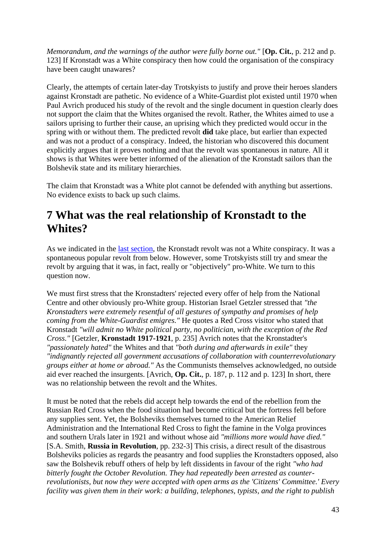*Memorandum, and the warnings of the author were fully borne out."* [**Op. Cit.**, p. 212 and p. 123] If Kronstadt was a White conspiracy then how could the organisation of the conspiracy have been caught unawares?

Clearly, the attempts of certain later-day Trotskyists to justify and prove their heroes slanders against Kronstadt are pathetic. No evidence of a White-Guardist plot existed until 1970 when Paul Avrich produced his study of the revolt and the single document in question clearly does not support the claim that the Whites organised the revolt. Rather, the Whites aimed to use a sailors uprising to further their cause, an uprising which they predicted would occur in the spring with or without them. The predicted revolt **did** take place, but earlier than expected and was not a product of a conspiracy. Indeed, the historian who discovered this document explicitly argues that it proves nothing and that the revolt was spontaneous in nature. All it shows is that Whites were better informed of the alienation of the Kronstadt sailors than the Bolshevik state and its military hierarchies.

The claim that Kronstadt was a White plot cannot be defended with anything but assertions. No evidence exists to back up such claims.

## **7 What was the real relationship of Kronstadt to the Whites?**

As we indicated in the [last section,](append42.html#app6) the Kronstadt revolt was not a White conspiracy. It was a spontaneous popular revolt from below. However, some Trotskyists still try and smear the revolt by arguing that it was, in fact, really or "objectively" pro-White. We turn to this question now.

We must first stress that the Kronstadters' rejected every offer of help from the National Centre and other obviously pro-White group. Historian Israel Getzler stressed that *"the Kronstadters were extremely resentful of all gestures of sympathy and promises of help coming from the White-Guardist emigres."* He quotes a Red Cross visitor who stated that Kronstadt *"will admit no White political party, no politician, with the exception of the Red Cross."* [Getzler, **Kronstadt 1917-1921**, p. 235] Avrich notes that the Kronstadter's *"passionately hated"* the Whites and that *"both during and afterwards in exile"* they *"indignantly rejected all government accusations of collaboration with counterrevolutionary groups either at home or abroad."* As the Communists themselves acknowledged, no outside aid ever reached the insurgents. [Avrich, **Op. Cit.**, p. 187, p. 112 and p. 123] In short, there was no relationship between the revolt and the Whites.

It must be noted that the rebels did accept help towards the end of the rebellion from the Russian Red Cross when the food situation had become critical but the fortress fell before any supplies sent. Yet, the Bolsheviks themselves turned to the American Relief Administration and the International Red Cross to fight the famine in the Volga provinces and southern Urals later in 1921 and without whose aid *"millions more would have died."* [S.A. Smith, **Russia in Revolution**, pp. 232-3] This crisis, a direct result of the disastrous Bolsheviks policies as regards the peasantry and food supplies the Kronstadters opposed, also saw the Bolshevik rebuff others of help by left dissidents in favour of the right *"who had bitterly fought the October Revolution. They had repeatedly been arrested as counterrevolutionists, but now they were accepted with open arms as the 'Citizens' Committee.' Every facility was given them in their work: a building, telephones, typists, and the right to publish*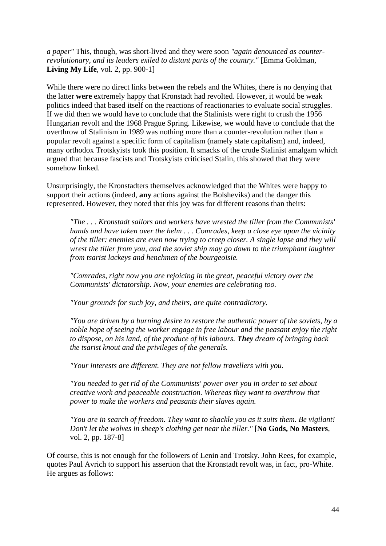*a paper"* This, though, was short-lived and they were soon *"again denounced as counterrevolutionary, and its leaders exiled to distant parts of the country."* [Emma Goldman, **Living My Life**, vol. 2, pp. 900-1]

While there were no direct links between the rebels and the Whites, there is no denying that the latter **were** extremely happy that Kronstadt had revolted. However, it would be weak politics indeed that based itself on the reactions of reactionaries to evaluate social struggles. If we did then we would have to conclude that the Stalinists were right to crush the 1956 Hungarian revolt and the 1968 Prague Spring. Likewise, we would have to conclude that the overthrow of Stalinism in 1989 was nothing more than a counter-revolution rather than a popular revolt against a specific form of capitalism (namely state capitalism) and, indeed, many orthodox Trotskyists took this position. It smacks of the crude Stalinist amalgam which argued that because fascists and Trotskyists criticised Stalin, this showed that they were somehow linked.

Unsurprisingly, the Kronstadters themselves acknowledged that the Whites were happy to support their actions (indeed, **any** actions against the Bolsheviks) and the danger this represented. However, they noted that this joy was for different reasons than theirs:

*"The . . . Kronstadt sailors and workers have wrested the tiller from the Communists' hands and have taken over the helm . . . Comrades, keep a close eye upon the vicinity of the tiller: enemies are even now trying to creep closer. A single lapse and they will wrest the tiller from you, and the soviet ship may go down to the triumphant laughter from tsarist lackeys and henchmen of the bourgeoisie.* 

*"Comrades, right now you are rejoicing in the great, peaceful victory over the Communists' dictatorship. Now, your enemies are celebrating too.* 

*"Your grounds for such joy, and theirs, are quite contradictory.* 

*"You are driven by a burning desire to restore the authentic power of the soviets, by a noble hope of seeing the worker engage in free labour and the peasant enjoy the right to dispose, on his land, of the produce of his labours. They dream of bringing back the tsarist knout and the privileges of the generals.* 

*"Your interests are different. They are not fellow travellers with you.* 

*"You needed to get rid of the Communists' power over you in order to set about creative work and peaceable construction. Whereas they want to overthrow that power to make the workers and peasants their slaves again.* 

*"You are in search of freedom. They want to shackle you as it suits them. Be vigilant! Don't let the wolves in sheep's clothing get near the tiller."* [**No Gods, No Masters**, vol. 2, pp. 187-8]

Of course, this is not enough for the followers of Lenin and Trotsky. John Rees, for example, quotes Paul Avrich to support his assertion that the Kronstadt revolt was, in fact, pro-White. He argues as follows: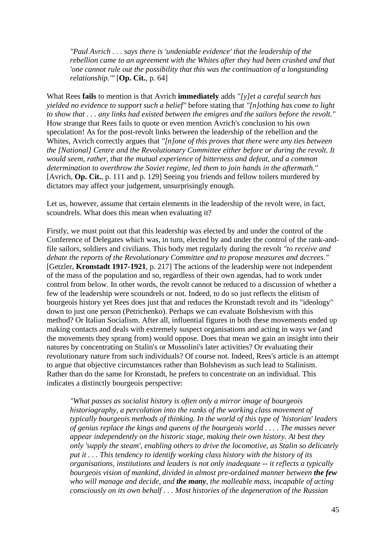*"Paul Avrich . . . says there is 'undeniable evidence' that the leadership of the rebellion came to an agreement with the Whites after they had been crushed and that 'one cannot rule out the possibility that this was the continuation of a longstanding relationship.'"* [**Op. Cit.**, p. 64]

What Rees **fails** to mention is that Avrich **immediately** adds *"[y]et a careful search has yielded no evidence to support such a belief"* before stating that *"[n]othing has come to light to show that . . . any links had existed between the emigres and the sailors before the revolt."* How strange that Rees fails to quote or even mention Avrich's conclusion to his own speculation! As for the post-revolt links between the leadership of the rebellion and the Whites, Avrich correctly argues that *"[n]one of this proves that there were any ties between the [National] Centre and the Revolutionary Committee either before or during the revolt. It would seem, rather, that the mutual experience of bitterness and defeat, and a common determination to overthrow the Soviet regime, led them to join hands in the aftermath."* [Avrich, **Op. Cit.**, p. 111 and p. 129] Seeing you friends and fellow toilers murdered by dictators may affect your judgement, unsurprisingly enough.

Let us, however, assume that certain elements in the leadership of the revolt were, in fact, scoundrels. What does this mean when evaluating it?

Firstly, we must point out that this leadership was elected by and under the control of the Conference of Delegates which was, in turn, elected by and under the control of the rank-andfile sailors, soldiers and civilians. This body met regularly during the revolt *"to receive and debate the reports of the Revolutionary Committee and to propose measures and decrees."* [Getzler, **Kronstadt 1917-1921**, p. 217] The actions of the leadership were not independent of the mass of the population and so, regardless of their own agendas, had to work under control from below. In other words, the revolt cannot be reduced to a discussion of whether a few of the leadership were scoundrels or not. Indeed, to do so just reflects the elitism of bourgeois history yet Rees does just that and reduces the Kronstadt revolt and its "ideology" down to just one person (Petrichenko). Perhaps we can evaluate Bolshevism with this method? Or Italian Socialism. After all, influential figures in both these movements ended up making contacts and deals with extremely suspect organisations and acting in ways we (and the movements they sprang from) would oppose. Does that mean we gain an insight into their natures by concentrating on Stalin's or Mussolini's later activities? Or evaluating their revolutionary nature from such individuals? Of course not. Indeed, Rees's article is an attempt to argue that objective circumstances rather than Bolshevism as such lead to Stalinism. Rather than do the same for Kronstadt, he prefers to concentrate on an individual. This indicates a distinctly bourgeois perspective:

*"What passes as socialist history is often only a mirror image of bourgeois historiography, a percolation into the ranks of the working class movement of typically bourgeois methods of thinking. In the world of this type of 'historian' leaders of genius replace the kings and queens of the bourgeois world . . . . The masses never appear independently on the historic stage, making their own history. At best they only 'supply the steam', enabling others to drive the locomotive, as Stalin so delicately put it . . . This tendency to identify working class history with the history of its organisations, institutions and leaders is not only inadequate -- it reflects a typically bourgeois vision of mankind, divided in almost pre-ordained manner between the few who will manage and decide, and the many, the malleable mass, incapable of acting consciously on its own behalf . . . Most histories of the degeneration of the Russian*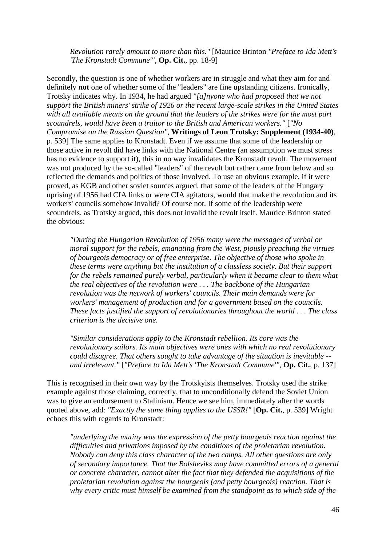*Revolution rarely amount to more than this."* [Maurice Brinton *"Preface to Ida Mett's 'The Kronstadt Commune'"*, **Op. Cit.**, pp. 18-9]

Secondly, the question is one of whether workers are in struggle and what they aim for and definitely **not** one of whether some of the "leaders" are fine upstanding citizens. Ironically, Trotsky indicates why. In 1934, he had argued *"[a]nyone who had proposed that we not support the British miners' strike of 1926 or the recent large-scale strikes in the United States with all available means on the ground that the leaders of the strikes were for the most part scoundrels, would have been a traitor to the British and American workers."* [*"No Compromise on the Russian Question"*, **Writings of Leon Trotsky: Supplement (1934-40)**, p. 539] The same applies to Kronstadt. Even if we assume that some of the leadership or those active in revolt did have links with the National Centre (an assumption we must stress has no evidence to support it), this in no way invalidates the Kronstadt revolt. The movement was not produced by the so-called "leaders" of the revolt but rather came from below and so reflected the demands and politics of those involved. To use an obvious example, if it were proved, as KGB and other soviet sources argued, that some of the leaders of the Hungary uprising of 1956 had CIA links or were CIA agitators, would that make the revolution and its workers' councils somehow invalid? Of course not. If some of the leadership were scoundrels, as Trotsky argued, this does not invalid the revolt itself. Maurice Brinton stated the obvious:

*"During the Hungarian Revolution of 1956 many were the messages of verbal or moral support for the rebels, emanating from the West, piously preaching the virtues of bourgeois democracy or of free enterprise. The objective of those who spoke in these terms were anything but the institution of a classless society. But their support for the rebels remained purely verbal, particularly when it became clear to them what the real objectives of the revolution were . . . The backbone of the Hungarian revolution was the network of workers' councils. Their main demands were for workers' management of production and for a government based on the councils. These facts justified the support of revolutionaries throughout the world . . . The class criterion is the decisive one.*

*"Similar considerations apply to the Kronstadt rebellion. Its core was the revolutionary sailors. Its main objectives were ones with which no real revolutionary could disagree. That others sought to take advantage of the situation is inevitable - and irrelevant."* [*"Preface to Ida Mett's 'The Kronstadt Commune'"*, **Op. Cit.**, p. 137]

This is recognised in their own way by the Trotskyists themselves. Trotsky used the strike example against those claiming, correctly, that to unconditionally defend the Soviet Union was to give an endorsement to Stalinism. Hence we see him, immediately after the words quoted above, add: *"Exactly the same thing applies to the USSR!"* [**Op. Cit.**, p. 539] Wright echoes this with regards to Kronstadt:

*"underlying the mutiny was the expression of the petty bourgeois reaction against the difficulties and privations imposed by the conditions of the proletarian revolution. Nobody can deny this class character of the two camps. All other questions are only of secondary importance. That the Bolsheviks may have committed errors of a general or concrete character, cannot alter the fact that they defended the acquisitions of the proletarian revolution against the bourgeois (and petty bourgeois) reaction. That is why every critic must himself be examined from the standpoint as to which side of the*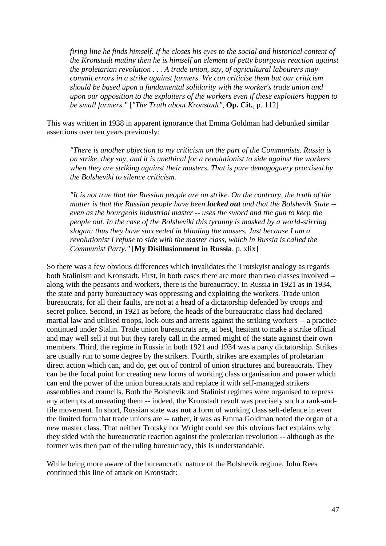*firing line he finds himself. If he closes his eyes to the social and historical content of the Kronstadt mutiny then he is himself an element of petty bourgeois reaction against the proletarian revolution . . . A trade union, say, of agricultural labourers may commit errors in a strike against farmers. We can criticise them but our criticism should be based upon a fundamental solidarity with the worker's trade union and upon our opposition to the exploiters of the workers even if these exploiters happen to be small farmers."* [*"The Truth about Kronstadt"*, **Op. Cit.**, p. 112]

This was written in 1938 in apparent ignorance that Emma Goldman had debunked similar assertions over ten years previously:

*"There is another objection to my criticism on the part of the Communists. Russia is on strike, they say, and it is unethical for a revolutionist to side against the workers when they are striking against their masters. That is pure demagoguery practised by the Bolsheviki to silence criticism.*

*"It is not true that the Russian people are on strike. On the contrary, the truth of the matter is that the Russian people have been locked out and that the Bolshevik State - even as the bourgeois industrial master -- uses the sword and the gun to keep the people out. In the case of the Bolsheviki this tyranny is masked by a world-stirring slogan: thus they have succeeded in blinding the masses. Just because I am a revolutionist I refuse to side with the master class, which in Russia is called the Communist Party."* [**My Disillusionment in Russia**, p. xlix]

So there was a few obvious differences which invalidates the Trotskyist analogy as regards both Stalinism and Kronstadt. First, in both cases there are more than two classes involved - along with the peasants and workers, there is the bureaucracy. In Russia in 1921 as in 1934, the state and party bureaucracy was oppressing and exploiting the workers. Trade union bureaucrats, for all their faults, are not at a head of a dictatorship defended by troops and secret police. Second, in 1921 as before, the heads of the bureaucratic class had declared martial law and utilised troops, lock-outs and arrests against the striking workers -- a practice continued under Stalin. Trade union bureaucrats are, at best, hesitant to make a strike official and may well sell it out but they rarely call in the armed might of the state against their own members. Third, the regime in Russia in both 1921 and 1934 was a party dictatorship. Strikes are usually run to some degree by the strikers. Fourth, strikes are examples of proletarian direct action which can, and do, get out of control of union structures and bureaucrats. They can be the focal point for creating new forms of working class organisation and power which can end the power of the union bureaucrats and replace it with self-managed strikers assemblies and councils. Both the Bolshevik and Stalinist regimes were organised to repress any attempts at unseating them -- indeed, the Kronstadt revolt was precisely such a rank-andfile movement. In short, Russian state was **not** a form of working class self-defence in even the limited form that trade unions are -- rather, it was as Emma Goldman noted the organ of a new master class. That neither Trotsky nor Wright could see this obvious fact explains why they sided with the bureaucratic reaction against the proletarian revolution -- although as the former was then part of the ruling bureaucracy, this is understandable.

While being more aware of the bureaucratic nature of the Bolshevik regime, John Rees continued this line of attack on Kronstadt: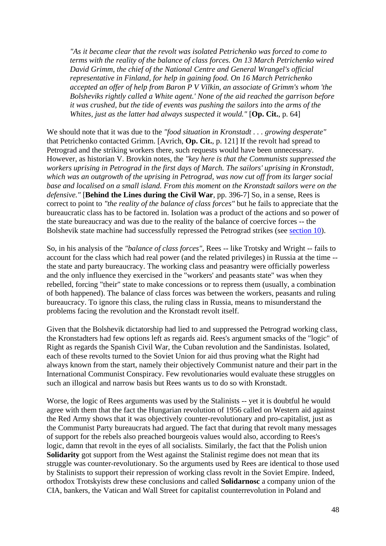*"As it became clear that the revolt was isolated Petrichenko was forced to come to terms with the reality of the balance of class forces. On 13 March Petrichenko wired David Grimm, the chief of the National Centre and General Wrangel's official representative in Finland, for help in gaining food. On 16 March Petrichenko accepted an offer of help from Baron P V Vilkin, an associate of Grimm's whom 'the Bolsheviks rightly called a White agent.' None of the aid reached the garrison before it was crushed, but the tide of events was pushing the sailors into the arms of the Whites, just as the latter had always suspected it would."* [**Op. Cit.**, p. 64]

We should note that it was due to the *"food situation in Kronstadt . . . growing desperate"* that Petrichenko contacted Grimm. [Avrich, **Op. Cit.**, p. 121] If the revolt had spread to Petrograd and the striking workers there, such requests would have been unnecessary. However, as historian V. Brovkin notes, the *"key here is that the Communists suppressed the workers uprising in Petrograd in the first days of March. The sailors' uprising in Kronstadt, which was an outgrowth of the uprising in Petrograd, was now cut off from its larger social base and localised on a small island. From this moment on the Kronstadt sailors were on the defensive."* [**Behind the Lines during the Civil War**, pp. 396-7] So, in a sense, Rees is correct to point to *"the reality of the balance of class forces"* but he fails to appreciate that the bureaucratic class has to be factored in. Isolation was a product of the actions and so power of the state bureaucracy and was due to the reality of the balance of coercive forces -- the Bolshevik state machine had successfully repressed the Petrograd strikes (see [section 10\)](append42.html#app10).

So, in his analysis of the *"balance of class forces"*, Rees -- like Trotsky and Wright -- fails to account for the class which had real power (and the related privileges) in Russia at the time - the state and party bureaucracy. The working class and peasantry were officially powerless and the only influence they exercised in the "workers' and peasants state" was when they rebelled, forcing "their" state to make concessions or to repress them (usually, a combination of both happened). The balance of class forces was between the workers, peasants and ruling bureaucracy. To ignore this class, the ruling class in Russia, means to misunderstand the problems facing the revolution and the Kronstadt revolt itself.

Given that the Bolshevik dictatorship had lied to and suppressed the Petrograd working class, the Kronstadters had few options left as regards aid. Rees's argument smacks of the "logic" of Right as regards the Spanish Civil War, the Cuban revolution and the Sandinistas. Isolated, each of these revolts turned to the Soviet Union for aid thus proving what the Right had always known from the start, namely their objectively Communist nature and their part in the International Communist Conspiracy. Few revolutionaries would evaluate these struggles on such an illogical and narrow basis but Rees wants us to do so with Kronstadt.

Worse, the logic of Rees arguments was used by the Stalinists -- yet it is doubtful he would agree with them that the fact the Hungarian revolution of 1956 called on Western aid against the Red Army shows that it was objectively counter-revolutionary and pro-capitalist, just as the Communist Party bureaucrats had argued. The fact that during that revolt many messages of support for the rebels also preached bourgeois values would also, according to Rees's logic, damn that revolt in the eyes of all socialists. Similarly, the fact that the Polish union **Solidarity** got support from the West against the Stalinist regime does not mean that its struggle was counter-revolutionary. So the arguments used by Rees are identical to those used by Stalinists to support their repression of working class revolt in the Soviet Empire. Indeed, orthodox Trotskyists drew these conclusions and called **Solidarnosc** a company union of the CIA, bankers, the Vatican and Wall Street for capitalist counterrevolution in Poland and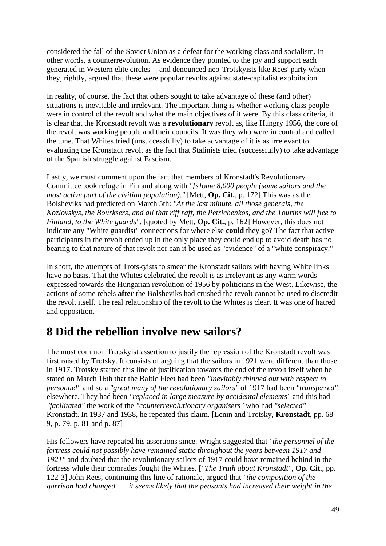considered the fall of the Soviet Union as a defeat for the working class and socialism, in other words, a counterrevolution. As evidence they pointed to the joy and support each generated in Western elite circles -- and denounced neo-Trotskyists like Rees' party when they, rightly, argued that these were popular revolts against state-capitalist exploitation.

In reality, of course, the fact that others sought to take advantage of these (and other) situations is inevitable and irrelevant. The important thing is whether working class people were in control of the revolt and what the main objectives of it were. By this class criteria, it is clear that the Kronstadt revolt was a **revolutionary** revolt as, like Hungry 1956, the core of the revolt was working people and their councils. It was they who were in control and called the tune. That Whites tried (unsuccessfully) to take advantage of it is as irrelevant to evaluating the Kronstadt revolt as the fact that Stalinists tried (successfully) to take advantage of the Spanish struggle against Fascism.

Lastly, we must comment upon the fact that members of Kronstadt's Revolutionary Committee took refuge in Finland along with *"[s]ome 8,000 people (some sailors and the most active part of the civilian population)."* [Mett, **Op. Cit.**, p. 172] This was as the Bolsheviks had predicted on March 5th: *"At the last minute, all those generals, the Kozlovskys, the Bourksers, and all that riff raff, the Petrichenkos, and the Tourins will flee to Finland, to the White guards"*. [quoted by Mett, **Op. Cit.**, p. 162] However, this does not indicate any "White guardist" connections for where else **could** they go? The fact that active participants in the revolt ended up in the only place they could end up to avoid death has no bearing to that nature of that revolt nor can it be used as "evidence" of a "white conspiracy."

In short, the attempts of Trotskyists to smear the Kronstadt sailors with having White links have no basis. That the Whites celebrated the revolt is as irrelevant as any warm words expressed towards the Hungarian revolution of 1956 by politicians in the West. Likewise, the actions of some rebels **after** the Bolsheviks had crushed the revolt cannot be used to discredit the revolt itself. The real relationship of the revolt to the Whites is clear. It was one of hatred and opposition.

#### **8 Did the rebellion involve new sailors?**

The most common Trotskyist assertion to justify the repression of the Kronstadt revolt was first raised by Trotsky. It consists of arguing that the sailors in 1921 were different than those in 1917. Trotsky started this line of justification towards the end of the revolt itself when he stated on March 16th that the Baltic Fleet had been *"inevitably thinned out with respect to personnel"* and so a *"great many of the revolutionary sailors"* of 1917 had been *"transferred"* elsewhere. They had been *"replaced in large measure by accidental elements"* and this had *"facilitated"* the work of the *"counterrevolutionary organisers"* who had *"selected"* Kronstadt. In 1937 and 1938, he repeated this claim. [Lenin and Trotsky, **Kronstadt**, pp. 68- 9, p. 79, p. 81 and p. 87]

His followers have repeated his assertions since. Wright suggested that *"the personnel of the fortress could not possibly have remained static throughout the years between 1917 and 1921"* and doubted that the revolutionary sailors of 1917 could have remained behind in the fortress while their comrades fought the Whites. [*"The Truth about Kronstadt"*, **Op. Cit.**, pp. 122-3] John Rees, continuing this line of rationale, argued that *"the composition of the garrison had changed . . . it seems likely that the peasants had increased their weight in the*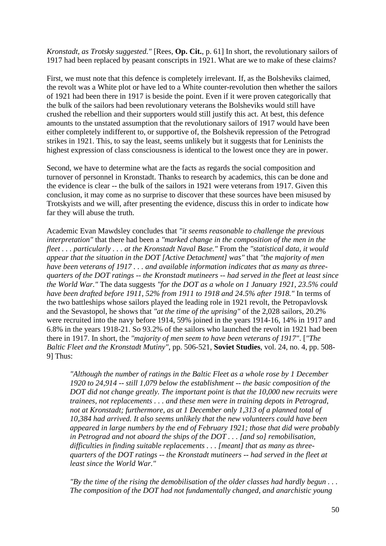*Kronstadt, as Trotsky suggested."* [Rees, **Op. Cit.**, p. 61] In short, the revolutionary sailors of 1917 had been replaced by peasant conscripts in 1921. What are we to make of these claims?

First, we must note that this defence is completely irrelevant. If, as the Bolsheviks claimed, the revolt was a White plot or have led to a White counter-revolution then whether the sailors of 1921 had been there in 1917 is beside the point. Even if it were proven categorically that the bulk of the sailors had been revolutionary veterans the Bolsheviks would still have crushed the rebellion and their supporters would still justify this act. At best, this defence amounts to the unstated assumption that the revolutionary sailors of 1917 would have been either completely indifferent to, or supportive of, the Bolshevik repression of the Petrograd strikes in 1921. This, to say the least, seems unlikely but it suggests that for Leninists the highest expression of class consciousness is identical to the lowest once they are in power.

Second, we have to determine what are the facts as regards the social composition and turnover of personnel in Kronstadt. Thanks to research by academics, this can be done and the evidence is clear -- the bulk of the sailors in 1921 were veterans from 1917. Given this conclusion, it may come as no surprise to discover that these sources have been misused by Trotskyists and we will, after presenting the evidence, discuss this in order to indicate how far they will abuse the truth.

Academic Evan Mawdsley concludes that *"it seems reasonable to challenge the previous interpretation"* that there had been a *"marked change in the composition of the men in the fleet . . . particularly . . . at the Kronstadt Naval Base."* From the *"statistical data, it would appear that the situation in the DOT [Active Detachment] was"* that *"the majority of men have been veterans of 1917 . . . and available information indicates that as many as threequarters of the DOT ratings -- the Kronstadt mutineers -- had served in the fleet at least since the World War."* The data suggests *"for the DOT as a whole on 1 January 1921, 23.5% could have been drafted before 1911, 52% from 1911 to 1918 and 24.5% after 1918."* In terms of the two battleships whose sailors played the leading role in 1921 revolt, the Petropavlovsk and the Sevastopol, he shows that *"at the time of the uprising"* of the 2,028 sailors, 20.2% were recruited into the navy before 1914, 59% joined in the years 1914-16, 14% in 1917 and 6.8% in the years 1918-21. So 93.2% of the sailors who launched the revolt in 1921 had been there in 1917. In short, the *"majority of men seem to have been veterans of 1917"*. [*"The Baltic Fleet and the Kronstadt Mutiny"*, pp. 506-521, **Soviet Studies**, vol. 24, no. 4, pp. 508- 9] Thus:

*"Although the number of ratings in the Baltic Fleet as a whole rose by 1 December 1920 to 24,914 -- still 1,079 below the establishment -- the basic composition of the DOT did not change greatly. The important point is that the 10,000 new recruits were trainees, not replacements . . . and these men were in training depots in Petrograd, not at Kronstadt; furthermore, as at 1 December only 1,313 of a planned total of 10,384 had arrived. It also seems unlikely that the new volunteers could have been appeared in large numbers by the end of February 1921; those that did were probably in Petrograd and not aboard the ships of the DOT . . . [and so] remobilisation, difficulties in finding suitable replacements . . . [meant] that as many as threequarters of the DOT ratings -- the Kronstadt mutineers -- had served in the fleet at least since the World War."*

*"By the time of the rising the demobilisation of the older classes had hardly begun . . . The composition of the DOT had not fundamentally changed, and anarchistic young*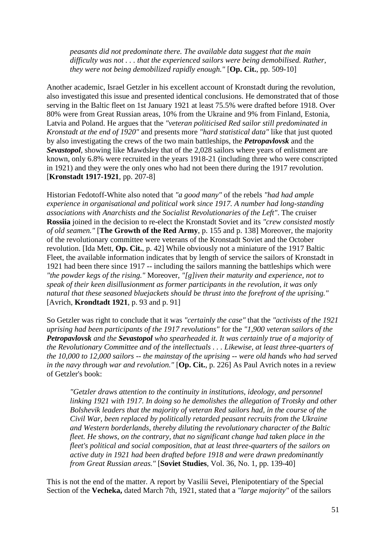*peasants did not predominate there. The available data suggest that the main difficulty was not . . . that the experienced sailors were being demobilised. Rather, they were not being demobilized rapidly enough."* [**Op. Cit.**, pp. 509-10]

Another academic, Israel Getzler in his excellent account of Kronstadt during the revolution, also investigated this issue and presented identical conclusions. He demonstrated that of those serving in the Baltic fleet on 1st January 1921 at least 75.5% were drafted before 1918. Over 80% were from Great Russian areas, 10% from the Ukraine and 9% from Finland, Estonia, Latvia and Poland. He argues that the *"veteran politicised Red sailor still predominated in Kronstadt at the end of 1920"* and presents more *"hard statistical data"* like that just quoted by also investigating the crews of the two main battleships, the *Petropavlovsk* and the *Sevastopol*, showing like Mawdsley that of the 2,028 sailors where years of enlistment are known, only 6.8% were recruited in the years 1918-21 (including three who were conscripted in 1921) and they were the only ones who had not been there during the 1917 revolution. [**Kronstadt 1917-1921**, pp. 207-8]

Historian Fedotoff-White also noted that *"a good many"* of the rebels *"had had ample experience in organisational and political work since 1917. A number had long-standing associations with Anarchists and the Socialist Revolutionaries of the Left"*. The cruiser **Rossiia** joined in the decision to re-elect the Kronstadt Soviet and its *"crew consisted mostly of old seamen."* [**The Growth of the Red Army**, p. 155 and p. 138] Moreover, the majority of the revolutionary committee were veterans of the Kronstadt Soviet and the October revolution. [Ida Mett, **Op. Cit.**, p. 42] While obviously not a miniature of the 1917 Baltic Fleet, the available information indicates that by length of service the sailors of Kronstadt in 1921 had been there since 1917 -- including the sailors manning the battleships which were *"the powder kegs of the rising."* Moreover, *"[g]iven their maturity and experience, not to speak of their keen disillusionment as former participants in the revolution, it was only natural that these seasoned bluejackets should be thrust into the forefront of the uprising."* [Avrich, **Krondtadt 1921**, p. 93 and p. 91]

So Getzler was right to conclude that it was *"certainly the case"* that the *"activists of the 1921 uprising had been participants of the 1917 revolutions"* for the *"1,900 veteran sailors of the Petropavlovsk and the Sevastopol who spearheaded it. It was certainly true of a majority of the Revolutionary Committee and of the intellectuals . . . Likewise, at least three-quarters of the 10,000 to 12,000 sailors -- the mainstay of the uprising -- were old hands who had served in the navy through war and revolution."* [**Op. Cit.**, p. 226] As Paul Avrich notes in a review of Getzler's book:

*"Getzler draws attention to the continuity in institutions, ideology, and personnel linking 1921 with 1917. In doing so he demolishes the allegation of Trotsky and other Bolshevik leaders that the majority of veteran Red sailors had, in the course of the Civil War, been replaced by politically retarded peasant recruits from the Ukraine and Western borderlands, thereby diluting the revolutionary character of the Baltic fleet. He shows, on the contrary, that no significant change had taken place in the fleet's political and social composition, that at least three-quarters of the sailors on active duty in 1921 had been drafted before 1918 and were drawn predominantly from Great Russian areas."* [**Soviet Studies**, Vol. 36, No. 1, pp. 139-40]

This is not the end of the matter. A report by Vasilii Sevei, Plenipotentiary of the Special Section of the **Vecheka,** dated March 7th, 1921, stated that a *"large majority"* of the sailors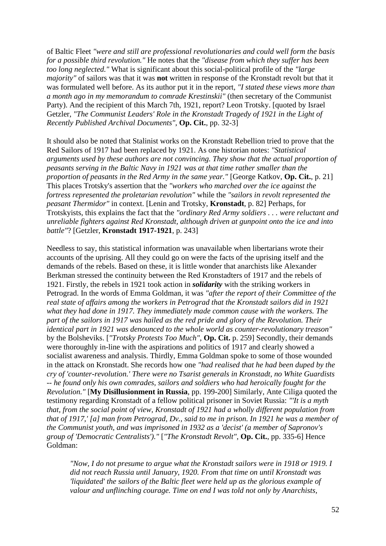of Baltic Fleet *"were and still are professional revolutionaries and could well form the basis for a possible third revolution."* He notes that the *"disease from which they suffer has been too long neglected."* What is significant about this social-political profile of the *"large majority"* of sailors was that it was **not** written in response of the Kronstadt revolt but that it was formulated well before. As its author put it in the report, *"I stated these views more than a month ago in my memorandum to comrade Krestinskii"* (then secretary of the Communist Party). And the recipient of this March 7th, 1921, report? Leon Trotsky. [quoted by Israel Getzler, *"The Communist Leaders' Role in the Kronstadt Tragedy of 1921 in the Light of Recently Published Archival Documents"*, **Op. Cit.**, pp. 32-3]

It should also be noted that Stalinist works on the Kronstadt Rebellion tried to prove that the Red Sailors of 1917 had been replaced by 1921. As one historian notes: *"Statistical arguments used by these authors are not convincing. They show that the actual proportion of peasants serving in the Baltic Navy in 1921 was at that time rather smaller than the proportion of peasants in the Red Army in the same year."* [George Katkov, **Op. Cit.**, p. 21] This places Trotsky's assertion that the *"workers who marched over the ice against the fortress represented the proletarian revolution"* while the *"sailors in revolt represented the peasant Thermidor"* in context. [Lenin and Trotsky, **Kronstadt**, p. 82] Perhaps, for Trotskyists, this explains the fact that the *"ordinary Red Army soldiers . . . were reluctant and unreliable fighters against Red Kronstadt, although driven at gunpoint onto the ice and into battle"*? [Getzler, **Kronstadt 1917-1921**, p. 243]

Needless to say, this statistical information was unavailable when libertarians wrote their accounts of the uprising. All they could go on were the facts of the uprising itself and the demands of the rebels. Based on these, it is little wonder that anarchists like Alexander Berkman stressed the continuity between the Red Kronstadters of 1917 and the rebels of 1921. Firstly, the rebels in 1921 took action in *solidarity* with the striking workers in Petrograd. In the words of Emma Goldman, it was *"after the report of their Committee of the real state of affairs among the workers in Petrograd that the Kronstadt sailors did in 1921 what they had done in 1917. They immediately made common cause with the workers. The part of the sailors in 1917 was hailed as the red pride and glory of the Revolution. Their identical part in 1921 was denounced to the whole world as counter-revolutionary treason"* by the Bolsheviks. [*"Trotsky Protests Too Much"*, **Op. Cit.** p. 259] Secondly, their demands were thoroughly in-line with the aspirations and politics of 1917 and clearly showed a socialist awareness and analysis. Thirdly, Emma Goldman spoke to some of those wounded in the attack on Kronstadt. She records how one *"had realised that he had been duped by the cry of 'counter-revolution.' There were no Tsarist generals in Kronstadt, no White Guardists -- he found only his own comrades, sailors and soldiers who had heroically fought for the Revolution."* [**My Disillusionment in Russia**, pp. 199-200] Similarly, Ante Ciliga quoted the testimony regarding Kronstadt of a fellow political prisoner in Soviet Russia: *"'It is a myth that, from the social point of view, Kronstadt of 1921 had a wholly different population from that of 1917,' [a] man from Petrograd, Dv., said to me in prison. In 1921 he was a member of the Communist youth, and was imprisoned in 1932 as a 'decist' (a member of Sapronov's group of 'Democratic Centralists')."* [*"The Kronstadt Revolt"*, **Op. Cit.**, pp. 335-6] Hence Goldman:

*"Now, I do not presume to argue what the Kronstadt sailors were in 1918 or 1919. I did not reach Russia until January, 1920. From that time on until Kronstadt was 'liquidated' the sailors of the Baltic fleet were held up as the glorious example of valour and unflinching courage. Time on end I was told not only by Anarchists,*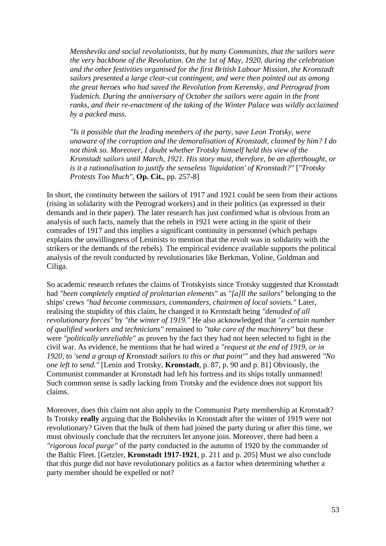*Mensheviks and social revolutionists, but by many Communists, that the sailors were the very backbone of the Revolution. On the 1st of May, 1920, during the celebration and the other festivities organised for the first British Labour Mission, the Kronstadt sailors presented a large clear-cut contingent, and were then pointed out as among the great heroes who had saved the Revolution from Kerensky, and Petrograd from Yudenich. During the anniversary of October the sailors were again in the front ranks, and their re-enactment of the taking of the Winter Palace was wildly acclaimed by a packed mass.* 

*"Is it possible that the leading members of the party, save Leon Trotsky, were unaware of the corruption and the demoralisation of Kronstadt, claimed by him? I do not think so. Moreover, I doubt whether Trotsky himself held this view of the Kronstadt sailors until March, 1921. His story must, therefore, be an afterthought, or is it a rationalisation to justify the senseless 'liquidation' of Kronstadt?"* [*"Trotsky Protests Too Much"*, **Op. Cit.**, pp. 257-8]

In short, the continuity between the sailors of 1917 and 1921 could be seen from their actions (rising in solidarity with the Petrograd workers) and in their politics (as expressed in their demands and in their paper). The later research has just confirmed what is obvious from an analysis of such facts, namely that the rebels in 1921 were acting in the spirit of their comrades of 1917 and this implies a significant continuity in personnel (which perhaps explains the unwillingness of Leninists to mention that the revolt was in solidarity with the strikers or the demands of the rebels). The empirical evidence available supports the political analysis of the revolt conducted by revolutionaries like Berkman, Voline, Goldman and Ciliga.

So academic research refutes the claims of Trotskyists since Trotsky suggested that Kronstadt had *"been completely emptied of proletarian elements"* as *"[a]ll the sailors"* belonging to the ships' crews *"had become commissars, commanders, chairmen of local soviets."* Later, realising the stupidity of this claim, he changed it to Kronstadt being *"denuded of all revolutionary forces"* by *"the winter of 1919."* He also acknowledged that *"a certain number of qualified workers and technicians"* remained to *"take care of the machinery"* but these were *"politically unreliable"* as proven by the fact they had not been selected to fight in the civil war. As evidence, he mentions that he had wired a *"request at the end of 1919, or in 1920, to 'send a group of Kronstadt sailors to this or that point'"* and they had answered *"No one left to send."* [Lenin and Trotsky, **Kronstadt**, p. 87, p. 90 and p. 81] Obviously, the Communist commander at Kronstadt had left his fortress and its ships totally unmanned! Such common sense is sadly lacking from Trotsky and the evidence does not support his claims.

Moreover, does this claim not also apply to the Communist Party membership at Kronstadt? Is Trotsky **really** arguing that the Bolsheviks in Kronstadt after the winter of 1919 were not revolutionary? Given that the bulk of them had joined the party during or after this time, we must obviously conclude that the recruiters let anyone join. Moreover, there had been a *"rigorous local purge"* of the party conducted in the autumn of 1920 by the commander of the Baltic Fleet. [Getzler, **Kronstadt 1917-1921**, p. 211 and p. 205] Must we also conclude that this purge did not have revolutionary politics as a factor when determining whether a party member should be expelled or not?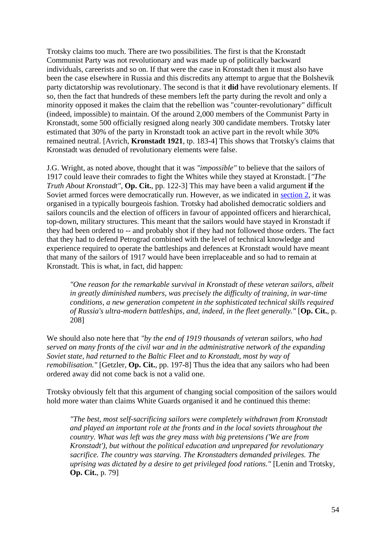Trotsky claims too much. There are two possibilities. The first is that the Kronstadt Communist Party was not revolutionary and was made up of politically backward individuals, careerists and so on. If that were the case in Kronstadt then it must also have been the case elsewhere in Russia and this discredits any attempt to argue that the Bolshevik party dictatorship was revolutionary. The second is that it **did** have revolutionary elements. If so, then the fact that hundreds of these members left the party during the revolt and only a minority opposed it makes the claim that the rebellion was "counter-revolutionary" difficult (indeed, impossible) to maintain. Of the around 2,000 members of the Communist Party in Kronstadt, some 500 officially resigned along nearly 300 candidate members. Trotsky later estimated that 30% of the party in Kronstadt took an active part in the revolt while 30% remained neutral. [Avrich, **Kronstadt 1921**, tp. 183-4] This shows that Trotsky's claims that Kronstadt was denuded of revolutionary elements were false.

J.G. Wright, as noted above, thought that it was *"impossible"* to believe that the sailors of 1917 could leave their comrades to fight the Whites while they stayed at Kronstadt. [*"The Truth About Kronstadt"*, **Op. Cit.**, pp. 122-3] This may have been a valid argument **if** the Soviet armed forces were democratically run. However, as we indicated in [section 2,](append42.html#app2) it was organised in a typically bourgeois fashion. Trotsky had abolished democratic soldiers and sailors councils and the election of officers in favour of appointed officers and hierarchical, top-down, military structures. This meant that the sailors would have stayed in Kronstadt if they had been ordered to -- and probably shot if they had not followed those orders. The fact that they had to defend Petrograd combined with the level of technical knowledge and experience required to operate the battleships and defences at Kronstadt would have meant that many of the sailors of 1917 would have been irreplaceable and so had to remain at Kronstadt. This is what, in fact, did happen:

*"One reason for the remarkable survival in Kronstadt of these veteran sailors, albeit in greatly diminished numbers, was precisely the difficulty of training, in war-time conditions, a new generation competent in the sophisticated technical skills required of Russia's ultra-modern battleships, and, indeed, in the fleet generally."* [**Op. Cit.**, p. 208]

We should also note here that *"by the end of 1919 thousands of veteran sailors, who had served on many fronts of the civil war and in the administrative network of the expanding Soviet state, had returned to the Baltic Fleet and to Kronstadt, most by way of remobilisation."* [Getzler, **Op. Cit.**, pp. 197-8] Thus the idea that any sailors who had been ordered away did not come back is not a valid one.

Trotsky obviously felt that this argument of changing social composition of the sailors would hold more water than claims White Guards organised it and he continued this theme:

*"The best, most self-sacrificing sailors were completely withdrawn from Kronstadt and played an important role at the fronts and in the local soviets throughout the country. What was left was the grey mass with big pretensions ('We are from Kronstadt'), but without the political education and unprepared for revolutionary sacrifice. The country was starving. The Kronstadters demanded privileges. The uprising was dictated by a desire to get privileged food rations."* [Lenin and Trotsky, **Op. Cit.**, p. 79]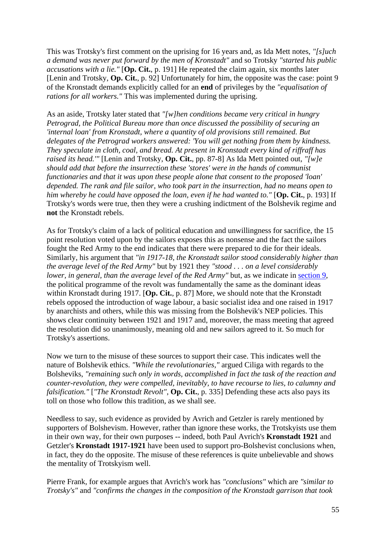This was Trotsky's first comment on the uprising for 16 years and, as Ida Mett notes, *"[s]uch a demand was never put forward by the men of Kronstadt"* and so Trotsky *"started his public accusations with a lie."* [**Op. Cit.**, p. 191] He repeated the claim again, six months later [Lenin and Trotsky, **Op. Cit.**, p. 92] Unfortunately for him, the opposite was the case: point 9 of the Kronstadt demands explicitly called for an **end** of privileges by the *"equalisation of rations for all workers."* This was implemented during the uprising.

As an aside, Trotsky later stated that *"[w]hen conditions became very critical in hungry Petrograd, the Political Bureau more than once discussed the possibility of securing an 'internal loan' from Kronstadt, where a quantity of old provisions still remained. But delegates of the Petrograd workers answered: 'You will get nothing from them by kindness. They speculate in cloth, coal, and bread. At present in Kronstadt every kind of riffraff has raised its head.'"* [Lenin and Trotsky, **Op. Cit.**, pp. 87-8] As Ida Mett pointed out, *"[w]e should add that before the insurrection these 'stores' were in the hands of communist functionaries and that it was upon these people alone that consent to the proposed 'loan' depended. The rank and file sailor, who took part in the insurrection, had no means open to him whereby he could have opposed the loan, even if he had wanted to."* [**Op. Cit.**, p. 193] If Trotsky's words were true, then they were a crushing indictment of the Bolshevik regime and **not** the Kronstadt rebels.

As for Trotsky's claim of a lack of political education and unwillingness for sacrifice, the 15 point resolution voted upon by the sailors exposes this as nonsense and the fact the sailors fought the Red Army to the end indicates that there were prepared to die for their ideals. Similarly, his argument that *"in 1917-18, the Kronstadt sailor stood considerably higher than the average level of the Red Army"* but by 1921 they *"stood . . . on a level considerably lower, in general, than the average level of the Red Army"* but, as we indicate in [section 9,](append42.html#app9) the political programme of the revolt was fundamentally the same as the dominant ideas within Kronstadt during 1917. [**Op. Cit.**, p. 87] More, we should note that the Kronstadt rebels opposed the introduction of wage labour, a basic socialist idea and one raised in 1917 by anarchists and others, while this was missing from the Bolshevik's NEP policies. This shows clear continuity between 1921 and 1917 and, moreover, the mass meeting that agreed the resolution did so unanimously, meaning old and new sailors agreed to it. So much for Trotsky's assertions.

Now we turn to the misuse of these sources to support their case. This indicates well the nature of Bolshevik ethics. *"While the revolutionaries,"* argued Ciliga with regards to the Bolsheviks, *"remaining such only in words, accomplished in fact the task of the reaction and counter-revolution, they were compelled, inevitably, to have recourse to lies, to calumny and falsification."* [*"The Kronstadt Revolt"*, **Op. Cit.**, p. 335] Defending these acts also pays its toll on those who follow this tradition, as we shall see.

Needless to say, such evidence as provided by Avrich and Getzler is rarely mentioned by supporters of Bolshevism. However, rather than ignore these works, the Trotskyists use them in their own way, for their own purposes -- indeed, both Paul Avrich's **Kronstadt 1921** and Getzler's **Kronstadt 1917-1921** have been used to support pro-Bolshevist conclusions when, in fact, they do the opposite. The misuse of these references is quite unbelievable and shows the mentality of Trotskyism well.

Pierre Frank, for example argues that Avrich's work has *"conclusions"* which are *"similar to Trotsky's"* and *"confirms the changes in the composition of the Kronstadt garrison that took*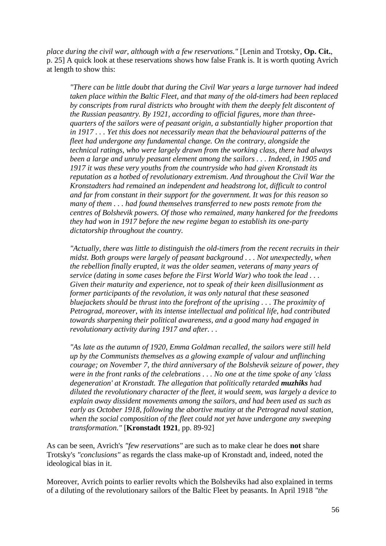*place during the civil war, although with a few reservations."* [Lenin and Trotsky, **Op. Cit.**, p. 25] A quick look at these reservations shows how false Frank is. It is worth quoting Avrich at length to show this:

*"There can be little doubt that during the Civil War years a large turnover had indeed taken place within the Baltic Fleet, and that many of the old-timers had been replaced by conscripts from rural districts who brought with them the deeply felt discontent of the Russian peasantry. By 1921, according to official figures, more than threequarters of the sailors were of peasant origin, a substantially higher proportion that in 1917 . . . Yet this does not necessarily mean that the behavioural patterns of the fleet had undergone any fundamental change. On the contrary, alongside the technical ratings, who were largely drawn from the working class, there had always been a large and unruly peasant element among the sailors . . . Indeed, in 1905 and 1917 it was these very youths from the countryside who had given Kronstadt its reputation as a hotbed of revolutionary extremism. And throughout the Civil War the Kronstadters had remained an independent and headstrong lot, difficult to control and far from constant in their support for the government. It was for this reason so many of them . . . had found themselves transferred to new posts remote from the centres of Bolshevik powers. Of those who remained, many hankered for the freedoms they had won in 1917 before the new regime began to establish its one-party dictatorship throughout the country.* 

*"Actually, there was little to distinguish the old-timers from the recent recruits in their midst. Both groups were largely of peasant background . . . Not unexpectedly, when the rebellion finally erupted, it was the older seamen, veterans of many years of service (dating in some cases before the First World War) who took the lead . . . Given their maturity and experience, not to speak of their keen disillusionment as former participants of the revolution, it was only natural that these seasoned bluejackets should be thrust into the forefront of the uprising . . . The proximity of Petrograd, moreover, with its intense intellectual and political life, had contributed towards sharpening their political awareness, and a good many had engaged in revolutionary activity during 1917 and after. . .* 

*"As late as the autumn of 1920, Emma Goldman recalled, the sailors were still held up by the Communists themselves as a glowing example of valour and unflinching courage; on November 7, the third anniversary of the Bolshevik seizure of power, they were in the front ranks of the celebrations . . . No one at the time spoke of any 'class degeneration' at Kronstadt. The allegation that politically retarded muzhiks had diluted the revolutionary character of the fleet, it would seem, was largely a device to explain away dissident movements among the sailors, and had been used as such as early as October 1918, following the abortive mutiny at the Petrograd naval station, when the social composition of the fleet could not yet have undergone any sweeping transformation."* [**Kronstadt 1921**, pp. 89-92]

As can be seen, Avrich's *"few reservations"* are such as to make clear he does **not** share Trotsky's *"conclusions"* as regards the class make-up of Kronstadt and, indeed, noted the ideological bias in it.

Moreover, Avrich points to earlier revolts which the Bolsheviks had also explained in terms of a diluting of the revolutionary sailors of the Baltic Fleet by peasants. In April 1918 *"the*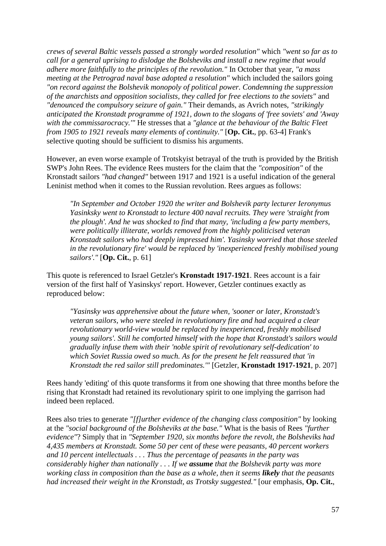*crews of several Baltic vessels passed a strongly worded resolution"* which *"went so far as to call for a general uprising to dislodge the Bolsheviks and install a new regime that would adhere more faithfully to the principles of the revolution."* In October that year, *"a mass meeting at the Petrograd naval base adopted a resolution"* which included the sailors going *"on record against the Bolshevik monopoly of political power. Condemning the suppression of the anarchists and opposition socialists, they called for free elections to the soviets"* and *"denounced the compulsory seizure of gain."* Their demands, as Avrich notes, *"strikingly anticipated the Kronstadt programme of 1921, down to the slogans of 'free soviets' and 'Away with the commissarocracy.'"* He stresses that a *"glance at the behaviour of the Baltic Fleet from 1905 to 1921 reveals many elements of continuity."* [**Op. Cit.**, pp. 63-4] Frank's selective quoting should be sufficient to dismiss his arguments.

However, an even worse example of Trotskyist betrayal of the truth is provided by the British SWP's John Rees. The evidence Rees musters for the claim that the *"composition"* of the Kronstadt sailors *"had changed"* between 1917 and 1921 is a useful indication of the general Leninist method when it comes to the Russian revolution. Rees argues as follows:

*"In September and October 1920 the writer and Bolshevik party lecturer Ieronymus Yasinksky went to Kronstadt to lecture 400 naval recruits. They were 'straight from the plough'. And he was shocked to find that many, 'including a few party members, were politically illiterate, worlds removed from the highly politicised veteran Kronstadt sailors who had deeply impressed him'. Yasinsky worried that those steeled in the revolutionary fire' would be replaced by 'inexperienced freshly mobilised young sailors'."* [**Op. Cit.**, p. 61]

This quote is referenced to Israel Getzler's **Kronstadt 1917-1921**. Rees account is a fair version of the first half of Yasinskys' report. However, Getzler continues exactly as reproduced below:

*"Yasinsky was apprehensive about the future when, 'sooner or later, Kronstadt's veteran sailors, who were steeled in revolutionary fire and had acquired a clear revolutionary world-view would be replaced by inexperienced, freshly mobilised young sailors'. Still he comforted himself with the hope that Kronstadt's sailors would gradually infuse them with their 'noble spirit of revolutionary self-dedication' to which Soviet Russia owed so much. As for the present he felt reassured that 'in Kronstadt the red sailor still predominates.'"* [Getzler, **Kronstadt 1917-1921**, p. 207]

Rees handy 'editing' of this quote transforms it from one showing that three months before the rising that Kronstadt had retained its revolutionary spirit to one implying the garrison had indeed been replaced.

Rees also tries to generate *"[f]urther evidence of the changing class composition"* by looking at the *"social background of the Bolsheviks at the base."* What is the basis of Rees *"further evidence"*? Simply that in *"September 1920, six months before the revolt, the Bolsheviks had 4,435 members at Kronstadt. Some 50 per cent of these were peasants, 40 percent workers and 10 percent intellectuals . . . Thus the percentage of peasants in the party was considerably higher than nationally . . . If we assume that the Bolshevik party was more working class in composition than the base as a whole, then it seems <i>likely* that the peasants *had increased their weight in the Kronstadt, as Trotsky suggested."* [our emphasis, **Op. Cit.**,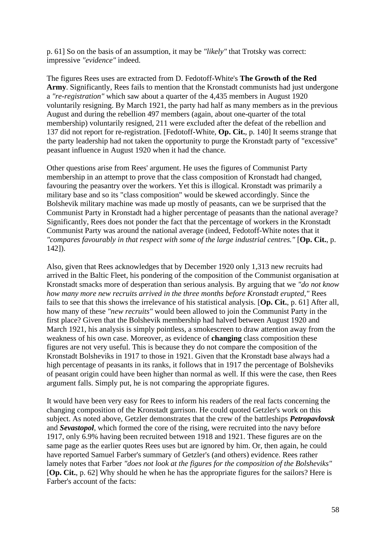p. 61] So on the basis of an assumption, it may be *"likely"* that Trotsky was correct: impressive *"evidence"* indeed.

The figures Rees uses are extracted from D. Fedotoff-White's **The Growth of the Red Army**. Significantly, Rees fails to mention that the Kronstadt communists had just undergone a *"re-registration"* which saw about a quarter of the 4,435 members in August 1920 voluntarily resigning. By March 1921, the party had half as many members as in the previous August and during the rebellion 497 members (again, about one-quarter of the total membership) voluntarily resigned, 211 were excluded after the defeat of the rebellion and 137 did not report for re-registration. [Fedotoff-White, **Op. Cit.**, p. 140] It seems strange that the party leadership had not taken the opportunity to purge the Kronstadt party of "excessive" peasant influence in August 1920 when it had the chance.

Other questions arise from Rees' argument. He uses the figures of Communist Party membership in an attempt to prove that the class composition of Kronstadt had changed, favouring the peasantry over the workers. Yet this is illogical. Kronstadt was primarily a military base and so its "class composition" would be skewed accordingly. Since the Bolshevik military machine was made up mostly of peasants, can we be surprised that the Communist Party in Kronstadt had a higher percentage of peasants than the national average? Significantly, Rees does not ponder the fact that the percentage of workers in the Kronstadt Communist Party was around the national average (indeed, Fedotoff-White notes that it *"compares favourably in that respect with some of the large industrial centres."* [**Op. Cit.**, p. 142]).

Also, given that Rees acknowledges that by December 1920 only 1,313 new recruits had arrived in the Baltic Fleet, his pondering of the composition of the Communist organisation at Kronstadt smacks more of desperation than serious analysis. By arguing that we *"do not know how many more new recruits arrived in the three months before Kronstadt erupted,"* Rees fails to see that this shows the irrelevance of his statistical analysis. [**Op. Cit.**, p. 61] After all, how many of these *"new recruits"* would been allowed to join the Communist Party in the first place? Given that the Bolshevik membership had halved between August 1920 and March 1921, his analysis is simply pointless, a smokescreen to draw attention away from the weakness of his own case. Moreover, as evidence of **changing** class composition these figures are not very useful. This is because they do not compare the composition of the Kronstadt Bolsheviks in 1917 to those in 1921. Given that the Kronstadt base always had a high percentage of peasants in its ranks, it follows that in 1917 the percentage of Bolsheviks of peasant origin could have been higher than normal as well. If this were the case, then Rees argument falls. Simply put, he is not comparing the appropriate figures.

It would have been very easy for Rees to inform his readers of the real facts concerning the changing composition of the Kronstadt garrison. He could quoted Getzler's work on this subject. As noted above, Getzler demonstrates that the crew of the battleships *Petropavlovsk* and *Sevastopol*, which formed the core of the rising, were recruited into the navy before 1917, only 6.9% having been recruited between 1918 and 1921. These figures are on the same page as the earlier quotes Rees uses but are ignored by him. Or, then again, he could have reported Samuel Farber's summary of Getzler's (and others) evidence. Rees rather lamely notes that Farber *"does not look at the figures for the composition of the Bolsheviks"* [**Op. Cit.**, p. 62] Why should he when he has the appropriate figures for the sailors? Here is Farber's account of the facts: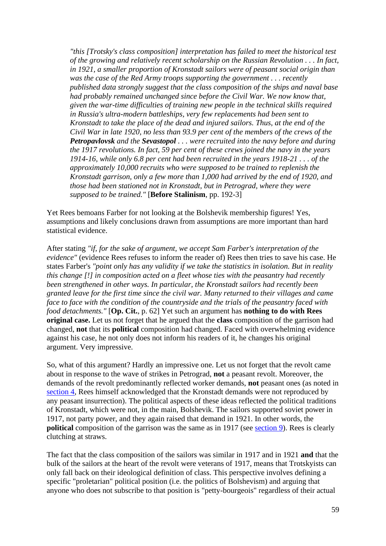*"this [Trotsky's class composition] interpretation has failed to meet the historical test of the growing and relatively recent scholarship on the Russian Revolution . . . In fact, in 1921, a smaller proportion of Kronstadt sailors were of peasant social origin than was the case of the Red Army troops supporting the government . . . recently published data strongly suggest that the class composition of the ships and naval base had probably remained unchanged since before the Civil War. We now know that, given the war-time difficulties of training new people in the technical skills required in Russia's ultra-modern battleships, very few replacements had been sent to Kronstadt to take the place of the dead and injured sailors. Thus, at the end of the Civil War in late 1920, no less than 93.9 per cent of the members of the crews of the Petropavlovsk and the Sevastopol . . . were recruited into the navy before and during the 1917 revolutions. In fact, 59 per cent of these crews joined the navy in the years 1914-16, while only 6.8 per cent had been recruited in the years 1918-21 . . . of the approximately 10,000 recruits who were supposed to be trained to replenish the Kronstadt garrison, only a few more than 1,000 had arrived by the end of 1920, and those had been stationed not in Kronstadt, but in Petrograd, where they were supposed to be trained."* [**Before Stalinism**, pp. 192-3]

Yet Rees bemoans Farber for not looking at the Bolshevik membership figures! Yes, assumptions and likely conclusions drawn from assumptions are more important than hard statistical evidence.

After stating *"if, for the sake of argument, we accept Sam Farber's interpretation of the evidence"* (evidence Rees refuses to inform the reader of) Rees then tries to save his case. He states Farber's *"point only has any validity if we take the statistics in isolation. But in reality this change [!] in composition acted on a fleet whose ties with the peasantry had recently been strengthened in other ways. In particular, the Kronstadt sailors had recently been granted leave for the first time since the civil war. Many returned to their villages and came face to face with the condition of the countryside and the trials of the peasantry faced with food detachments."* [**Op. Cit.**, p. 62] Yet such an argument has **nothing to do with Rees original case.** Let us not forget that he argued that the **class** composition of the garrison had changed, **not** that its **political** composition had changed. Faced with overwhelming evidence against his case, he not only does not inform his readers of it, he changes his original argument. Very impressive.

So, what of this argument? Hardly an impressive one. Let us not forget that the revolt came about in response to the wave of strikes in Petrograd, **not** a peasant revolt. Moreover, the demands of the revolt predominantly reflected worker demands, **not** peasant ones (as noted in [section 4,](append42.html#app4) Rees himself acknowledged that the Kronstadt demands were not reproduced by any peasant insurrection). The political aspects of these ideas reflected the political traditions of Kronstadt, which were not, in the main, Bolshevik. The sailors supported soviet power in 1917, not party power, and they again raised that demand in 1921. In other words, the **political** composition of the garrison was the same as in 1917 (see [section 9\)](append42.html#app9). Rees is clearly clutching at straws.

The fact that the class composition of the sailors was similar in 1917 and in 1921 **and** that the bulk of the sailors at the heart of the revolt were veterans of 1917, means that Trotskyists can only fall back on their ideological definition of class. This perspective involves defining a specific "proletarian" political position (i.e. the politics of Bolshevism) and arguing that anyone who does not subscribe to that position is "petty-bourgeois" regardless of their actual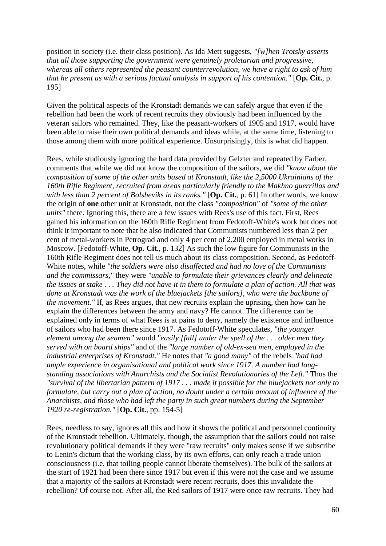position in society (i.e. their class position). As Ida Mett suggests, *"[w]hen Trotsky asserts that all those supporting the government were genuinely proletarian and progressive, whereas all others represented the peasant counterrevolution, we have a right to ask of him that he present us with a serious factual analysis in support of his contention."* [**Op. Cit.**, p. 195]

Given the political aspects of the Kronstadt demands we can safely argue that even if the rebellion had been the work of recent recruits they obviously had been influenced by the veteran sailors who remained. They, like the peasant-workers of 1905 and 1917, would have been able to raise their own political demands and ideas while, at the same time, listening to those among them with more political experience. Unsurprisingly, this is what did happen.

Rees, while studiously ignoring the hard data provided by Gelzter and repeated by Farber, comments that while we did not know the composition of the sailors, we did *"know about the composition of some of the other units based at Kronstadt, like the 2,5000 Ukrainians of the 160th Rifle Regiment, recruited from areas particularly friendly to the Makhno guerrillas and with less than 2 percent of Bolsheviks in its ranks."* [**Op. Cit.**, p. 61] In other words, we know the origin of **one** other unit at Kronstadt, not the class *"composition"* of *"some of the other units"* there. Ignoring this, there are a few issues with Rees's use of this fact. First, Rees gained his information on the 160th Rifle Regiment from Fedotoff-White's work but does not think it important to note that he also indicated that Communists numbered less than 2 per cent of metal-workers in Petrograd and only 4 per cent of 2,200 employed in metal works in Moscow. [Fedotoff-White, **Op. Cit.**, p. 132] As such the low figure for Communists in the 160th Rifle Regiment does not tell us much about its class composition. Second, as Fedotoff-White notes, while *"the soldiers were also disaffected and had no love of the Communists and the commissars,"* they were *"unable to formulate their grievances clearly and delineate the issues at stake . . . They did not have it in them to formulate a plan of action. All that was done at Kronstadt was the work of the bluejackets [the sailors], who were the backbone of the movement.*" If, as Rees argues, that new recruits explain the uprising, then how can he explain the differences between the army and navy? He cannot. The difference can be explained only in terms of what Rees is at pains to deny, namely the existence and influence of sailors who had been there since 1917. As Fedotoff-White speculates, *"the younger element among the seamen"* would *"easily [fall] under the spell of the . . . older men they served with on board ships"* and of the *"large number of old-ex-sea men, employed in the industrial enterprises of Kronstadt."* He notes that *"a good many"* of the rebels *"had had ample experience in organisational and political work since 1917. A number had longstanding associations with Anarchists and the Socialist Revolutionaries of the Left."* Thus the *"survival of the libertarian pattern of 1917... made it possible for the bluejackets not only to formulate, but carry out a plan of action, no doubt under a certain amount of influence of the Anarchists, and those who had left the party in such great numbers during the September 1920 re-registration."* [**Op. Cit.**, pp. 154-5]

Rees, needless to say, ignores all this and how it shows the political and personnel continuity of the Kronstadt rebellion. Ultimately, though, the assumption that the sailors could not raise revolutionary political demands if they were "raw recruits" only makes sense if we subscribe to Lenin's dictum that the working class, by its own efforts, can only reach a trade union consciousness (i.e. that toiling people cannot liberate themselves). The bulk of the sailors at the start of 1921 had been there since 1917 but even if this were not the case and we assume that a majority of the sailors at Kronstadt were recent recruits, does this invalidate the rebellion? Of course not. After all, the Red sailors of 1917 were once raw recruits. They had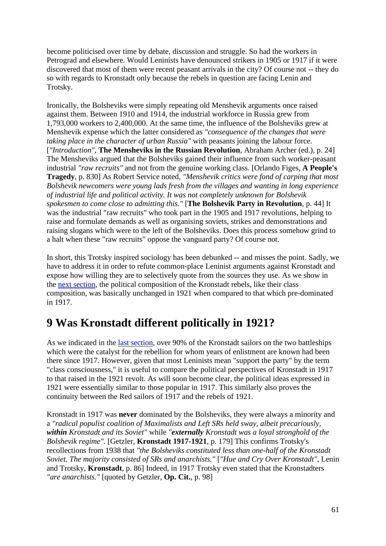become politicised over time by debate, discussion and struggle. So had the workers in Petrograd and elsewhere. Would Leninists have denounced strikers in 1905 or 1917 if it were discovered that most of them were recent peasant arrivals in the city? Of course not -- they do so with regards to Kronstadt only because the rebels in question are facing Lenin and Trotsky.

Ironically, the Bolsheviks were simply repeating old Menshevik arguments once raised against them. Between 1910 and 1914, the industrial workforce in Russia grew from 1,793,000 workers to 2,400,000. At the same time, the influence of the Bolsheviks grew at Menshevik expense which the latter considered as *"consequence of the changes that were taking place in the character of urban Russia"* with peasants joining the labour force. [*"Introduction"*, **The Mensheviks in the Russian Revolution**, Abraham Archer (ed.), p. 24] The Mensheviks argued that the Bolsheviks gained their influence from such worker-peasant industrial *"raw recruits"* and not from the genuine working class. [Orlando Figes, **A People's Tragedy**, p. 830] As Robert Service noted, *"Menshevik critics were fond of carping that most Bolshevik newcomers were young lads fresh from the villages and wanting in long experience of industrial life and political activity. It was not completely unknown for Bolshevik spokesmen to come close to admitting this."* [**The Bolshevik Party in Revolution**, p. 44] It was the industrial "raw recruits" who took part in the 1905 and 1917 revolutions, helping to raise and formulate demands as well as organising soviets, strikes and demonstrations and raising slogans which were to the left of the Bolsheviks. Does this process somehow grind to a halt when these "raw recruits" oppose the vanguard party? Of course not.

In short, this Trotsky inspired sociology has been debunked -- and misses the point. Sadly, we have to address it in order to refute common-place Leninist arguments against Kronstadt and expose how willing they are to selectively quote from the sources they use. As we show in the [next section,](append42.html#app9) the political composition of the Kronstadt rebels, like their class composition, was basically unchanged in 1921 when compared to that which pre-dominated in 1917.

# **9 Was Kronstadt different politically in 1921?**

As we indicated in the [last section,](append42.html#app8) over 90% of the Kronstadt sailors on the two battleships which were the catalyst for the rebellion for whom years of enlistment are known had been there since 1917. However, given that most Leninists mean "support the party" by the term "class consciousness," it is useful to compare the political perspectives of Kronstadt in 1917 to that raised in the 1921 revolt. As will soon become clear, the political ideas expressed in 1921 were essentially similar to those popular in 1917. This similarly also proves the continuity between the Red sailors of 1917 and the rebels of 1921.

Kronstadt in 1917 was **never** dominated by the Bolsheviks, they were always a minority and a *"radical populist coalition of Maximalists and Left SRs held sway, albeit precariously, within Kronstadt and its Soviet"* while *"externally Kronstadt was a loyal stronghold of the Bolshevik regime"*. [Getzler, **Kronstadt 1917-1921**, p. 179] This confirms Trotsky's recollections from 1938 that *"the Bolsheviks constituted less than one-half of the Kronstadt Soviet. The majority consisted of SRs and anarchists."* [*"Hue and Cry Over Kronstadt"*, Lenin and Trotsky, **Kronstadt**, p. 86] Indeed, in 1917 Trotsky even stated that the Kronstadters *"are anarchists."* [quoted by Getzler, **Op. Cit.**, p. 98]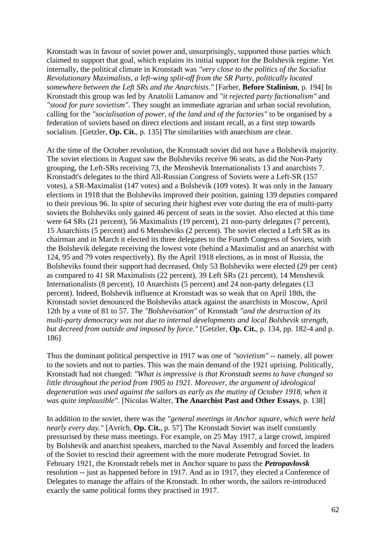Kronstadt was in favour of soviet power and, unsurprisingly, supported those parties which claimed to support that goal, which explains its initial support for the Bolshevik regime. Yet internally, the political climate in Kronstadt was *"very close to the politics of the Socialist Revolutionary Maximalists, a left-wing split-off from the SR Party, politically located somewhere between the Left SRs and the Anarchists."* [Farber, **Before Stalinism**, p. 194] In Kronstadt this group was led by Anatolii Lamanov and *"it rejected party factionalism"* and *"stood for pure sovietism"*. They sought an immediate agrarian and urban social revolution, calling for the *"socialisation of power, of the land and of the factories"* to be organised by a federation of soviets based on direct elections and instant recall, as a first step towards socialism. [Getzler, **Op. Cit.**, p. 135] The similarities with anarchism are clear.

At the time of the October revolution, the Kronstadt soviet did not have a Bolshevik majority. The soviet elections in August saw the Bolsheviks receive 96 seats, as did the Non-Party grouping, the Left-SRs receiving 73, the Menshevik Internationalists 13 and anarchists 7. Kronstadt's delegates to the third All-Russian Congress of Soviets were a Left-SR (157 votes), a SR-Maximalist (147 votes) and a Bolshevik (109 votes). It was only in the January elections in 1918 that the Bolsheviks improved their position, gaining 139 deputies compared to their previous 96. In spite of securing their highest ever vote during the era of multi-party soviets the Bolsheviks only gained 46 percent of seats in the soviet. Also elected at this time were 64 SRs (21 percent), 56 Maximalists (19 percent), 21 non-party delegates (7 percent), 15 Anarchists (5 percent) and 6 Mensheviks (2 percent). The soviet elected a Left SR as its chairman and in March it elected its three delegates to the Fourth Congress of Soviets, with the Bolshevik delegate receiving the lowest vote (behind a Maximalist and an anarchist with 124, 95 and 79 votes respectively). By the April 1918 elections, as in most of Russia, the Bolsheviks found their support had decreased. Only 53 Bolsheviks were elected (29 per cent) as compared to 41 SR Maximalists (22 percent), 39 Left SRs (21 percent), 14 Menshevik Internationalists (8 percent), 10 Anarchists (5 percent) and 24 non-party delegates (13 percent). Indeed, Bolshevik influence at Kronstadt was so weak that on April 18th, the Kronstadt soviet denounced the Bolsheviks attack against the anarchists in Moscow, April 12th by a vote of 81 to 57. The *"Bolshevisation"* of Kronstadt *"and the destruction of its multi-party democracy was not due to internal developments and local Bolshevik strength, but decreed from outside and imposed by force."* [Getzler, **Op. Cit.**, p. 134, pp. 182-4 and p. 186]

Thus the dominant political perspective in 1917 was one of *"sovietism"* -- namely, all power to the soviets and not to parties. This was the main demand of the 1921 uprising. Politically, Kronstadt had not changed: *"What is impressive is that Kronstadt seems to have changed so little throughout the period from 1905 to 1921. Moreover, the argument of ideological degeneration was used against the sailors as early as the mutiny of October 1918, when it was quite implausible".* [Nicolas Walter, **The Anarchist Past and Other Essays**, p. 138]

In addition to the soviet, there was the *"general meetings in Anchor square, which were held nearly every day."* [Avrich, **Op. Cit.**, p. 57] The Kronstadt Soviet was itself constantly pressurised by these mass meetings. For example, on 25 May 1917, a large crowd, inspired by Bolshevik and anarchist speakers, marched to the Naval Assembly and forced the leaders of the Soviet to rescind their agreement with the more moderate Petrograd Soviet. In February 1921, the Kronstadt rebels met in Anchor square to pass the *Petropavlovsk* resolution -- just as happened before in 1917. And as in 1917, they elected a Conference of Delegates to manage the affairs of the Kronstadt. In other words, the sailors re-introduced exactly the same political forms they practised in 1917.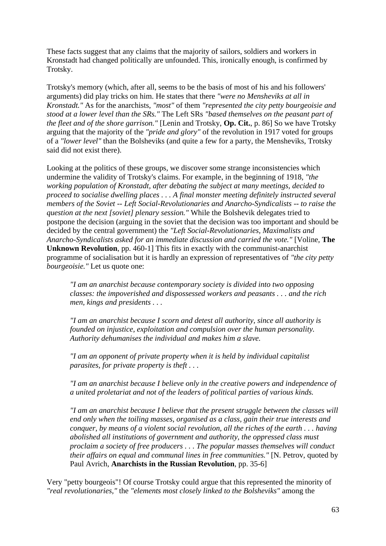These facts suggest that any claims that the majority of sailors, soldiers and workers in Kronstadt had changed politically are unfounded. This, ironically enough, is confirmed by Trotsky.

Trotsky's memory (which, after all, seems to be the basis of most of his and his followers' arguments) did play tricks on him. He states that there *"were no Mensheviks at all in Kronstadt."* As for the anarchists, *"most"* of them *"represented the city petty bourgeoisie and stood at a lower level than the SRs."* The Left SRs *"based themselves on the peasant part of the fleet and of the shore garrison."* [Lenin and Trotsky, **Op. Cit.**, p. 86] So we have Trotsky arguing that the majority of the *"pride and glory"* of the revolution in 1917 voted for groups of a *"lower level"* than the Bolsheviks (and quite a few for a party, the Mensheviks, Trotsky said did not exist there).

Looking at the politics of these groups, we discover some strange inconsistencies which undermine the validity of Trotsky's claims. For example, in the beginning of 1918, *"the working population of Kronstadt, after debating the subject at many meetings, decided to proceed to socialise dwelling places . . . A final monster meeting definitely instructed several members of the Soviet -- Left Social-Revolutionaries and Anarcho-Syndicalists -- to raise the question at the next [soviet] plenary session."* While the Bolshevik delegates tried to postpone the decision (arguing in the soviet that the decision was too important and should be decided by the central government) the *"Left Social-Revolutionaries, Maximalists and Anarcho-Syndicalists asked for an immediate discussion and carried the vote."* [Voline, **The Unknown Revolution**, pp. 460-1] This fits in exactly with the communist-anarchist programme of socialisation but it is hardly an expression of representatives of *"the city petty bourgeoisie."* Let us quote one:

*"I am an anarchist because contemporary society is divided into two opposing classes: the impoverished and dispossessed workers and peasants . . . and the rich men, kings and presidents . . .*

*"I am an anarchist because I scorn and detest all authority, since all authority is founded on injustice, exploitation and compulsion over the human personality. Authority dehumanises the individual and makes him a slave.*

*"I am an opponent of private property when it is held by individual capitalist parasites, for private property is theft . . .*

*"I am an anarchist because I believe only in the creative powers and independence of a united proletariat and not of the leaders of political parties of various kinds.*

*"I am an anarchist because I believe that the present struggle between the classes will end only when the toiling masses, organised as a class, gain their true interests and conquer, by means of a violent social revolution, all the riches of the earth . . . having abolished all institutions of government and authority, the oppressed class must proclaim a society of free producers . . . The popular masses themselves will conduct their affairs on equal and communal lines in free communities."* [N. Petrov, quoted by Paul Avrich, **Anarchists in the Russian Revolution**, pp. 35-6]

Very "petty bourgeois"! Of course Trotsky could argue that this represented the minority of *"real revolutionaries,"* the *"elements most closely linked to the Bolsheviks"* among the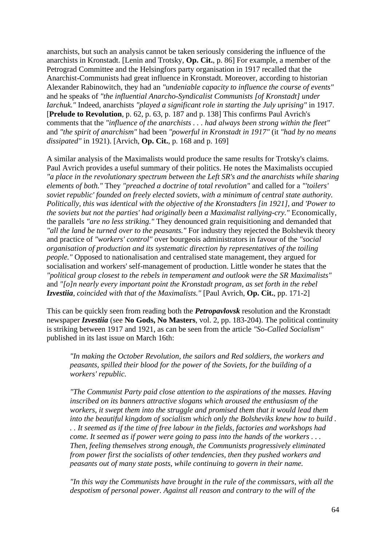anarchists, but such an analysis cannot be taken seriously considering the influence of the anarchists in Kronstadt. [Lenin and Trotsky, **Op. Cit.**, p. 86] For example, a member of the Petrograd Committee and the Helsingfors party organisation in 1917 recalled that the Anarchist-Communists had great influence in Kronstadt. Moreover, according to historian Alexander Rabinowitch, they had an *"undeniable capacity to influence the course of events"* and he speaks of *"the influential Anarcho-Syndicalist Communists [of Kronstadt] under Iarchuk."* Indeed, anarchists *"played a significant role in starting the July uprising"* in 1917. [**Prelude to Revolution**, p. 62, p. 63, p. 187 and p. 138] This confirms Paul Avrich's comments that the *"influence of the anarchists . . . had always been strong within the fleet"* and *"the spirit of anarchism"* had been *"powerful in Kronstadt in 1917"* (it *"had by no means dissipated"* in 1921). [Arvich, **Op. Cit.**, p. 168 and p. 169]

A similar analysis of the Maximalists would produce the same results for Trotsky's claims. Paul Avrich provides a useful summary of their politics. He notes the Maximalists occupied *"a place in the revolutionary spectrum between the Left SR's and the anarchists while sharing elements of both."* They *"preached a doctrine of total revolution"* and called for a *"'toilers' soviet republic' founded on freely elected soviets, with a minimum of central state authority. Politically, this was identical with the objective of the Kronstadters [in 1921], and 'Power to the soviets but not the parties' had originally been a Maximalist rallying-cry."* Economically, the parallels *"are no less striking."* They denounced grain requisitioning and demanded that *"all the land be turned over to the peasants."* For industry they rejected the Bolshevik theory and practice of *"workers' control"* over bourgeois administrators in favour of the *"social organisation of production and its systematic direction by representatives of the toiling people."* Opposed to nationalisation and centralised state management, they argued for socialisation and workers' self-management of production. Little wonder he states that the *"political group closest to the rebels in temperament and outlook were the SR Maximalists"* and *"[o]n nearly every important point the Kronstadt program, as set forth in the rebel Izvestiia, coincided with that of the Maximalists."* [Paul Avrich, **Op. Cit.**, pp. 171-2]

This can be quickly seen from reading both the *Petropavlovsk* resolution and the Kronstadt newspaper *Izvestiia* (see **No Gods, No Masters**, vol. 2, pp. 183-204). The political continuity is striking between 1917 and 1921, as can be seen from the article *"So-Called Socialism"* published in its last issue on March 16th:

*"In making the October Revolution, the sailors and Red soldiers, the workers and peasants, spilled their blood for the power of the Soviets, for the building of a workers' republic.*

*"The Communist Party paid close attention to the aspirations of the masses. Having inscribed on its banners attractive slogans which aroused the enthusiasm of the workers, it swept them into the struggle and promised them that it would lead them into the beautiful kingdom of socialism which only the Bolsheviks knew how to build . . . It seemed as if the time of free labour in the fields, factories and workshops had come. It seemed as if power were going to pass into the hands of the workers . . . Then, feeling themselves strong enough, the Communists progressively eliminated from power first the socialists of other tendencies, then they pushed workers and peasants out of many state posts, while continuing to govern in their name.*

*"In this way the Communists have brought in the rule of the commissars, with all the despotism of personal power. Against all reason and contrary to the will of the*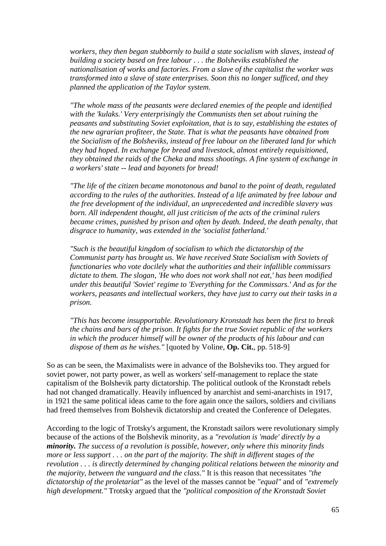*workers, they then began stubbornly to build a state socialism with slaves, instead of building a society based on free labour . . . the Bolsheviks established the nationalisation of works and factories. From a slave of the capitalist the worker was transformed into a slave of state enterprises. Soon this no longer sufficed, and they planned the application of the Taylor system.*

*"The whole mass of the peasants were declared enemies of the people and identified with the 'kulaks.' Very enterprisingly the Communists then set about ruining the peasants and substituting Soviet exploitation, that is to say, establishing the estates of the new agrarian profiteer, the State. That is what the peasants have obtained from the Socialism of the Bolsheviks, instead of free labour on the liberated land for which they had hoped. In exchange for bread and livestock, almost entirely requisitioned, they obtained the raids of the Cheka and mass shootings. A fine system of exchange in a workers' state -- lead and bayonets for bread!*

*"The life of the citizen became monotonous and banal to the point of death, regulated according to the rules of the authorities. Instead of a life animated by free labour and the free development of the individual, an unprecedented and incredible slavery was born. All independent thought, all just criticism of the acts of the criminal rulers became crimes, punished by prison and often by death. Indeed, the death penalty, that disgrace to humanity, was extended in the 'socialist fatherland.'*

*"Such is the beautiful kingdom of socialism to which the dictatorship of the Communist party has brought us. We have received State Socialism with Soviets of functionaries who vote docilely what the authorities and their infallible commissars dictate to them. The slogan, 'He who does not work shall not eat,' has been modified under this beautiful 'Soviet' regime to 'Everything for the Commissars.' And as for the workers, peasants and intellectual workers, they have just to carry out their tasks in a prison.*

*"This has become insupportable. Revolutionary Kronstadt has been the first to break the chains and bars of the prison. It fights for the true Soviet republic of the workers in which the producer himself will be owner of the products of his labour and can dispose of them as he wishes."* [quoted by Voline, **Op. Cit.**, pp. 518-9]

So as can be seen, the Maximalists were in advance of the Bolsheviks too. They argued for soviet power, not party power, as well as workers' self-management to replace the state capitalism of the Bolshevik party dictatorship. The political outlook of the Kronstadt rebels had not changed dramatically. Heavily influenced by anarchist and semi-anarchists in 1917, in 1921 the same political ideas came to the fore again once the sailors, soldiers and civilians had freed themselves from Bolshevik dictatorship and created the Conference of Delegates.

According to the logic of Trotsky's argument, the Kronstadt sailors were revolutionary simply because of the actions of the Bolshevik minority, as a *"revolution is 'made' directly by a minority. The success of a revolution is possible, however, only where this minority finds more or less support . . . on the part of the majority. The shift in different stages of the revolution . . . is directly determined by changing political relations between the minority and the majority, between the vanguard and the class."* It is this reason that necessitates *"the dictatorship of the proletariat"* as the level of the masses cannot be *"equal"* and of *"extremely high development."* Trotsky argued that the *"political composition of the Kronstadt Soviet*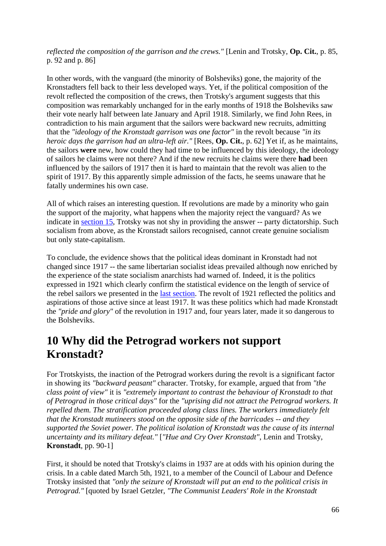*reflected the composition of the garrison and the crews."* [Lenin and Trotsky, **Op. Cit.**, p. 85, p. 92 and p. 86]

In other words, with the vanguard (the minority of Bolsheviks) gone, the majority of the Kronstadters fell back to their less developed ways. Yet, if the political composition of the revolt reflected the composition of the crews, then Trotsky's argument suggests that this composition was remarkably unchanged for in the early months of 1918 the Bolsheviks saw their vote nearly half between late January and April 1918. Similarly, we find John Rees, in contradiction to his main argument that the sailors were backward new recruits, admitting that the *"ideology of the Kronstadt garrison was one factor"* in the revolt because *"in its heroic days the garrison had an ultra-left air."* [Rees, **Op. Cit.**, p. 62] Yet if, as he maintains, the sailors **were** new, how could they had time to be influenced by this ideology, the ideology of sailors he claims were not there? And if the new recruits he claims were there **had** been influenced by the sailors of 1917 then it is hard to maintain that the revolt was alien to the spirit of 1917. By this apparently simple admission of the facts, he seems unaware that he fatally undermines his own case.

All of which raises an interesting question. If revolutions are made by a minority who gain the support of the majority, what happens when the majority reject the vanguard? As we indicate in [section 15,](append42.html#app15) Trotsky was not shy in providing the answer -- party dictatorship. Such socialism from above, as the Kronstadt sailors recognised, cannot create genuine socialism but only state-capitalism.

To conclude, the evidence shows that the political ideas dominant in Kronstadt had not changed since 1917 -- the same libertarian socialist ideas prevailed although now enriched by the experience of the state socialism anarchists had warned of. Indeed, it is the politics expressed in 1921 which clearly confirm the statistical evidence on the length of service of the rebel sailors we presented in the [last section.](append42.html#app8) The revolt of 1921 reflected the politics and aspirations of those active since at least 1917. It was these politics which had made Kronstadt the *"pride and glory"* of the revolution in 1917 and, four years later, made it so dangerous to the Bolsheviks.

## **10 Why did the Petrograd workers not support Kronstadt?**

For Trotskyists, the inaction of the Petrograd workers during the revolt is a significant factor in showing its *"backward peasant"* character. Trotsky, for example, argued that from *"the class point of view"* it is *"extremely important to contrast the behaviour of Kronstadt to that of Petrograd in those critical days"* for the *"uprising did not attract the Petrograd workers. It repelled them. The stratification proceeded along class lines. The workers immediately felt that the Kronstadt mutineers stood on the opposite side of the barricades -- and they supported the Soviet power. The political isolation of Kronstadt was the cause of its internal uncertainty and its military defeat."* [*"Hue and Cry Over Kronstadt"*, Lenin and Trotsky, **Kronstadt**, pp. 90-1]

First, it should be noted that Trotsky's claims in 1937 are at odds with his opinion during the crisis. In a cable dated March 5th, 1921, to a member of the Council of Labour and Defence Trotsky insisted that *"only the seizure of Kronstadt will put an end to the political crisis in Petrograd."* [quoted by Israel Getzler, *"The Communist Leaders' Role in the Kronstadt*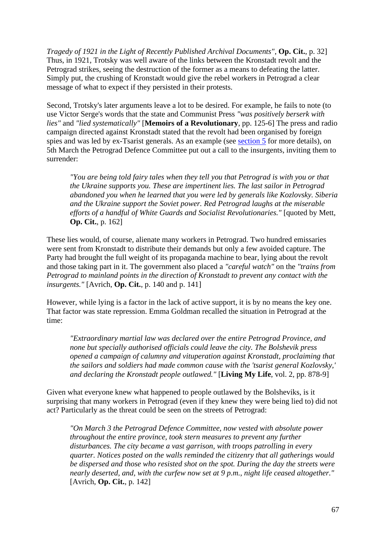*Tragedy of 1921 in the Light of Recently Published Archival Documents"*, **Op. Cit.**, p. 32] Thus, in 1921, Trotsky was well aware of the links between the Kronstadt revolt and the Petrograd strikes, seeing the destruction of the former as a means to defeating the latter. Simply put, the crushing of Kronstadt would give the rebel workers in Petrograd a clear message of what to expect if they persisted in their protests.

Second, Trotsky's later arguments leave a lot to be desired. For example, he fails to note (to use Victor Serge's words that the state and Communist Press *"was positively berserk with lies"* and *"lied systematically"* [**Memoirs of a Revolutionary**, pp. 125-6] The press and radio campaign directed against Kronstadt stated that the revolt had been organised by foreign spies and was led by ex-Tsarist generals. As an example (see [section 5](append42.html#app5) for more details), on 5th March the Petrograd Defence Committee put out a call to the insurgents, inviting them to surrender:

*"You are being told fairy tales when they tell you that Petrograd is with you or that the Ukraine supports you. These are impertinent lies. The last sailor in Petrograd abandoned you when he learned that you were led by generals like Kozlovsky. Siberia and the Ukraine support the Soviet power. Red Petrograd laughs at the miserable efforts of a handful of White Guards and Socialist Revolutionaries."* [quoted by Mett, **Op. Cit.**, p. 162]

These lies would, of course, alienate many workers in Petrograd. Two hundred emissaries were sent from Kronstadt to distribute their demands but only a few avoided capture. The Party had brought the full weight of its propaganda machine to bear, lying about the revolt and those taking part in it. The government also placed a *"careful watch"* on the *"trains from Petrograd to mainland points in the direction of Kronstadt to prevent any contact with the insurgents."* [Avrich, **Op. Cit.**, p. 140 and p. 141]

However, while lying is a factor in the lack of active support, it is by no means the key one. That factor was state repression. Emma Goldman recalled the situation in Petrograd at the time:

*"Extraordinary martial law was declared over the entire Petrograd Province, and none but specially authorised officials could leave the city. The Bolshevik press opened a campaign of calumny and vituperation against Kronstadt, proclaiming that the sailors and soldiers had made common cause with the 'tsarist general Kozlovsky,' and declaring the Kronstadt people outlawed."* [**Living My Life**, vol. 2, pp. 878-9]

Given what everyone knew what happened to people outlawed by the Bolsheviks, is it surprising that many workers in Petrograd (even if they knew they were being lied to) did not act? Particularly as the threat could be seen on the streets of Petrograd:

*"On March 3 the Petrograd Defence Committee, now vested with absolute power throughout the entire province, took stern measures to prevent any further disturbances. The city became a vast garrison, with troops patrolling in every quarter. Notices posted on the walls reminded the citizenry that all gatherings would be dispersed and those who resisted shot on the spot. During the day the streets were nearly deserted, and, with the curfew now set at 9 p.m., night life ceased altogether."* [Avrich, **Op. Cit.**, p. 142]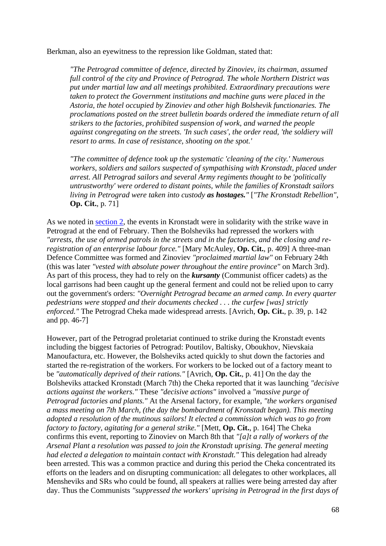Berkman, also an eyewitness to the repression like Goldman, stated that:

*"The Petrograd committee of defence, directed by Zinoviev, its chairman, assumed full control of the city and Province of Petrograd. The whole Northern District was put under martial law and all meetings prohibited. Extraordinary precautions were taken to protect the Government institutions and machine guns were placed in the Astoria, the hotel occupied by Zinoviev and other high Bolshevik functionaries. The proclamations posted on the street bulletin boards ordered the immediate return of all strikers to the factories, prohibited suspension of work, and warned the people against congregating on the streets. 'In such cases', the order read, 'the soldiery will resort to arms. In case of resistance, shooting on the spot.'* 

*"The committee of defence took up the systematic 'cleaning of the city.' Numerous workers, soldiers and sailors suspected of sympathising with Kronstadt, placed under arrest. All Petrograd sailors and several Army regiments thought to be 'politically untrustworthy' were ordered to distant points, while the families of Kronstadt sailors living in Petrograd were taken into custody as hostages."* [*"The Kronstadt Rebellion"*, **Op. Cit.**, p. 71]

As we noted in [section 2,](append42.html#app2) the events in Kronstadt were in solidarity with the strike wave in Petrograd at the end of February. Then the Bolsheviks had repressed the workers with *"arrests, the use of armed patrols in the streets and in the factories, and the closing and reregistration of an enterprise labour force."* [Mary McAuley, **Op. Cit.**, p. 409] A three-man Defence Committee was formed and Zinoviev *"proclaimed martial law"* on February 24th (this was later *"vested with absolute power throughout the entire province"* on March 3rd). As part of this process, they had to rely on the *kursanty* (Communist officer cadets) as the local garrisons had been caught up the general ferment and could not be relied upon to carry out the government's orders: *"Overnight Petrograd became an armed camp. In every quarter pedestrians were stopped and their documents checked . . . the curfew [was] strictly enforced."* The Petrograd Cheka made widespread arrests. [Avrich, **Op. Cit.**, p. 39, p. 142 and pp. 46-7]

However, part of the Petrograd proletariat continued to strike during the Kronstadt events including the biggest factories of Petrograd: Poutilov, Baltisky, Oboukhov, Nievskaia Manoufactura, etc. However, the Bolsheviks acted quickly to shut down the factories and started the re-registration of the workers. For workers to be locked out of a factory meant to be *"automatically deprived of their rations."* [Avrich, **Op. Cit.**, p. 41] On the day the Bolsheviks attacked Kronstadt (March 7th) the Cheka reported that it was launching *"decisive actions against the workers."* These *"decisive actions"* involved a *"massive purge of Petrograd factories and plants."* At the Arsenal factory, for example, *"the workers organised a mass meeting on 7th March, (the day the bombardment of Kronstadt began). This meeting adopted a resolution of the mutinous sailors! It elected a commission which was to go from factory to factory, agitating for a general strike."* [Mett, **Op. Cit.**, p. 164] The Cheka confirms this event, reporting to Zinoviev on March 8th that *"[a]t a rally of workers of the Arsenal Plant a resolution was passed to join the Kronstadt uprising. The general meeting had elected a delegation to maintain contact with Kronstadt."* This delegation had already been arrested. This was a common practice and during this period the Cheka concentrated its efforts on the leaders and on disrupting communication: all delegates to other workplaces, all Mensheviks and SRs who could be found, all speakers at rallies were being arrested day after day. Thus the Communists *"suppressed the workers' uprising in Petrograd in the first days of*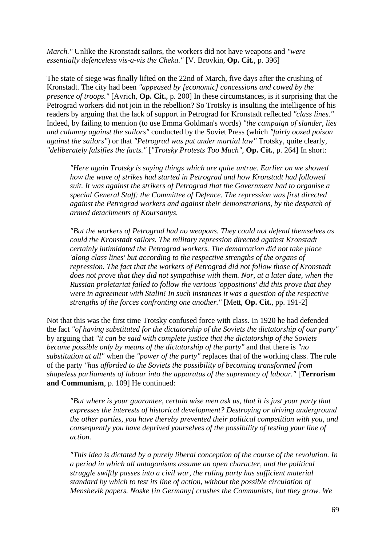*March."* Unlike the Kronstadt sailors, the workers did not have weapons and *"were essentially defenceless vis-a-vis the Cheka."* [V. Brovkin, **Op. Cit.**, p. 396]

The state of siege was finally lifted on the 22nd of March, five days after the crushing of Kronstadt. The city had been *"appeased by [economic] concessions and cowed by the presence of troops."* [Avrich, **Op. Cit.**, p. 200] In these circumstances, is it surprising that the Petrograd workers did not join in the rebellion? So Trotsky is insulting the intelligence of his readers by arguing that the lack of support in Petrograd for Kronstadt reflected *"class lines."* Indeed, by failing to mention (to use Emma Goldman's words) *"the campaign of slander, lies and calumny against the sailors"* conducted by the Soviet Press (which *"fairly oozed poison against the sailors"*) or that *"Petrograd was put under martial law"* Trotsky, quite clearly, *"deliberately falsifies the facts."* [*"Trotsky Protests Too Much"*, **Op. Cit.**, p. 264] In short:

*"Here again Trotsky is saying things which are quite untrue. Earlier on we showed how the wave of strikes had started in Petrograd and how Kronstadt had followed suit. It was against the strikers of Petrograd that the Government had to organise a special General Staff: the Committee of Defence. The repression was first directed against the Petrograd workers and against their demonstrations, by the despatch of armed detachments of Koursantys.* 

*"But the workers of Petrograd had no weapons. They could not defend themselves as could the Kronstadt sailors. The military repression directed against Kronstadt certainly intimidated the Petrograd workers. The demarcation did not take place 'along class lines' but according to the respective strengths of the organs of repression. The fact that the workers of Petrograd did not follow those of Kronstadt does not prove that they did not sympathise with them. Nor, at a later date, when the Russian proletariat failed to follow the various 'oppositions' did this prove that they were in agreement with Stalin! In such instances it was a question of the respective strengths of the forces confronting one another."* [Mett, **Op. Cit.**, pp. 191-2]

Not that this was the first time Trotsky confused force with class. In 1920 he had defended the fact *"of having substituted for the dictatorship of the Soviets the dictatorship of our party"* by arguing that *"it can be said with complete justice that the dictatorship of the Soviets became possible only by means of the dictatorship of the party"* and that there is *"no substitution at all"* when the *"power of the party"* replaces that of the working class. The rule of the party *"has afforded to the Soviets the possibility of becoming transformed from shapeless parliaments of labour into the apparatus of the supremacy of labour."* [**Terrorism and Communism**, p. 109] He continued:

*"But where is your guarantee, certain wise men ask us, that it is just your party that expresses the interests of historical development? Destroying or driving underground the other parties, you have thereby prevented their political competition with you, and consequently you have deprived yourselves of the possibility of testing your line of action.* 

*"This idea is dictated by a purely liberal conception of the course of the revolution. In a period in which all antagonisms assume an open character, and the political struggle swiftly passes into a civil war, the ruling party has sufficient material standard by which to test its line of action, without the possible circulation of Menshevik papers. Noske [in Germany] crushes the Communists, but they grow. We*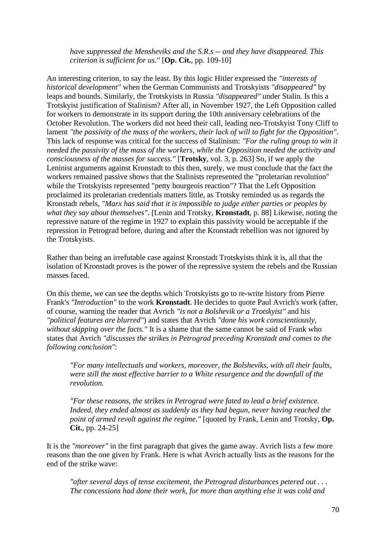*have suppressed the Mensheviks and the S.R.s -- and they have disappeared. This criterion is sufficient for us."* [**Op. Cit.**, pp. 109-10]

An interesting criterion, to say the least. By this logic Hitler expressed the *"interests of historical development"* when the German Communists and Trotskyists *"disappeared"* by leaps and bounds. Similarly, the Trotskyists in Russia *"disappeared"* under Stalin. Is this a Trotskyist justification of Stalinism? After all, in November 1927, the Left Opposition called for workers to demonstrate in its support during the 10th anniversary celebrations of the October Revolution. The workers did not heed their call, leading neo-Trotskyist Tony Cliff to lament *"the passivity of the mass of the workers, their lack of will to fight for the Opposition"*. This lack of response was critical for the success of Stalinism: *"For the ruling group to win it needed the passivity of the mass of the workers, while the Opposition needed the activity and consciousness of the masses for success."* [**Trotsky**, vol. 3, p. 263] So, if we apply the Leninist arguments against Kronstadt to this then, surely, we must conclude that the fact the workers remained passive shows that the Stalinists represented the "proletarian revolution" while the Trotskyists represented "petty bourgeois reaction"? That the Left Opposition proclaimed its proletarian credentials matters little, as Trotsky reminded us as regards the Kronstadt rebels, *"Marx has said that it is impossible to judge either parties or peoples by what they say about themselves"*. [Lenin and Trotsky, **Kronstadt**, p. 88] Likewise, noting the repressive nature of the regime in 1927 to explain this passivity would be acceptable if the repression in Petrograd before, during and after the Kronstadt rebellion was not ignored by the Trotskyists.

Rather than being an irrefutable case against Kronstadt Trotskyists think it is, all that the isolation of Kronstadt proves is the power of the repressive system the rebels and the Russian masses faced.

On this theme, we can see the depths which Trotskyists go to re-write history from Pierre Frank's *"Introduction"* to the work **Kronstadt**. He decides to quote Paul Avrich's work (after, of course, warning the reader that Avrich *"is not a Bolshevik or a Trotskyist"* and his *"political features are blurred"*) and states that Avrich *"done his work conscientiously, without skipping over the facts."* It is a shame that the same cannot be said of Frank who states that Avrich *"discusses the strikes in Petrograd preceding Kronstadt and comes to the following conclusion"*:

*"For many intellectuals and workers, moreover, the Bolsheviks, with all their faults, were still the most effective barrier to a White resurgence and the downfall of the revolution.* 

*"For these reasons, the strikes in Petrograd were fated to lead a brief existence. Indeed, they ended almost as suddenly as they had begun, never having reached the point of armed revolt against the regime."* [quoted by Frank, Lenin and Trotsky, **Op. Cit.**, pp. 24-25]

It is the *"moreover"* in the first paragraph that gives the game away. Avrich lists a few more reasons than the one given by Frank. Here is what Avrich actually lists as the reasons for the end of the strike wave:

*"after several days of tense excitement, the Petrograd disturbances petered out . . . The concessions had done their work, for more than anything else it was cold and*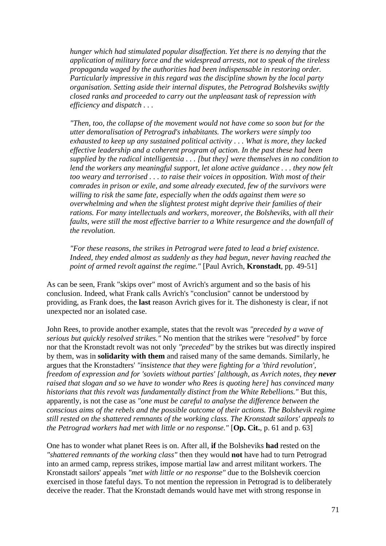*hunger which had stimulated popular disaffection. Yet there is no denying that the application of military force and the widespread arrests, not to speak of the tireless propaganda waged by the authorities had been indispensable in restoring order. Particularly impressive in this regard was the discipline shown by the local party organisation. Setting aside their internal disputes, the Petrograd Bolsheviks swiftly closed ranks and proceeded to carry out the unpleasant task of repression with efficiency and dispatch . . .* 

*"Then, too, the collapse of the movement would not have come so soon but for the utter demoralisation of Petrograd's inhabitants. The workers were simply too exhausted to keep up any sustained political activity . . . What is more, they lacked effective leadership and a coherent program of action. In the past these had been supplied by the radical intelligentsia . . . [but they] were themselves in no condition to lend the workers any meaningful support, let alone active guidance . . . they now felt too weary and terrorised . . . to raise their voices in opposition. With most of their comrades in prison or exile, and some already executed, few of the survivors were willing to risk the same fate, especially when the odds against them were so overwhelming and when the slightest protest might deprive their families of their rations. For many intellectuals and workers, moreover, the Bolsheviks, with all their faults, were still the most effective barrier to a White resurgence and the downfall of the revolution.* 

*"For these reasons, the strikes in Petrograd were fated to lead a brief existence. Indeed, they ended almost as suddenly as they had begun, never having reached the point of armed revolt against the regime."* [Paul Avrich, **Kronstadt**, pp. 49-51]

As can be seen, Frank "skips over" most of Avrich's argument and so the basis of his conclusion. Indeed, what Frank calls Avrich's "conclusion" cannot be understood by providing, as Frank does, the **last** reason Avrich gives for it. The dishonesty is clear, if not unexpected nor an isolated case.

John Rees, to provide another example, states that the revolt was *"preceded by a wave of serious but quickly resolved strikes."* No mention that the strikes were *"resolved"* by force nor that the Kronstadt revolt was not only *"preceded"* by the strikes but was directly inspired by them, was in **solidarity with them** and raised many of the same demands. Similarly, he argues that the Kronstadters' *"insistence that they were fighting for a 'third revolution', freedom of expression and for 'soviets without parties' [although, as Avrich notes, they never raised that slogan and so we have to wonder who Rees is quoting here] has convinced many historians that this revolt was fundamentally distinct from the White Rebellions."* But this, apparently, is not the case as *"one must be careful to analyse the difference between the conscious aims of the rebels and the possible outcome of their actions. The Bolshevik regime still rested on the shattered remnants of the working class. The Kronstadt sailors' appeals to the Petrograd workers had met with little or no response."* [**Op. Cit.**, p. 61 and p. 63]

One has to wonder what planet Rees is on. After all, **if** the Bolsheviks **had** rested on the *"shattered remnants of the working class"* then they would **not** have had to turn Petrograd into an armed camp, repress strikes, impose martial law and arrest militant workers. The Kronstadt sailors' appeals *"met with little or no response"* due to the Bolshevik coercion exercised in those fateful days. To not mention the repression in Petrograd is to deliberately deceive the reader. That the Kronstadt demands would have met with strong response in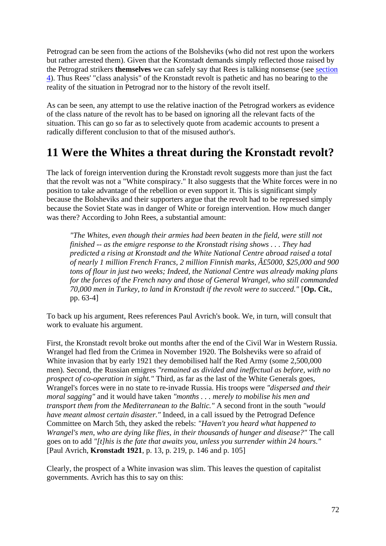Petrograd can be seen from the actions of the Bolsheviks (who did not rest upon the workers but rather arrested them). Given that the Kronstadt demands simply reflected those raised by the Petrograd strikers **themselves** we can safely say that Rees is talking nonsense (see [section](append42.html#app4)  [4\)](append42.html#app4). Thus Rees' "class analysis" of the Kronstadt revolt is pathetic and has no bearing to the reality of the situation in Petrograd nor to the history of the revolt itself.

As can be seen, any attempt to use the relative inaction of the Petrograd workers as evidence of the class nature of the revolt has to be based on ignoring all the relevant facts of the situation. This can go so far as to selectively quote from academic accounts to present a radically different conclusion to that of the misused author's.

## **11 Were the Whites a threat during the Kronstadt revolt?**

The lack of foreign intervention during the Kronstadt revolt suggests more than just the fact that the revolt was not a "White conspiracy." It also suggests that the White forces were in no position to take advantage of the rebellion or even support it. This is significant simply because the Bolsheviks and their supporters argue that the revolt had to be repressed simply because the Soviet State was in danger of White or foreign intervention. How much danger was there? According to John Rees, a substantial amount:

*"The Whites, even though their armies had been beaten in the field, were still not finished -- as the emigre response to the Kronstadt rising shows . . . They had predicted a rising at Kronstadt and the White National Centre abroad raised a total of nearly 1 million French Francs, 2 million Finnish marks, £5000, \$25,000 and 900 tons of flour in just two weeks; Indeed, the National Centre was already making plans for the forces of the French navy and those of General Wrangel, who still commanded 70,000 men in Turkey, to land in Kronstadt if the revolt were to succeed."* [**Op. Cit.**, pp. 63-4]

To back up his argument, Rees references Paul Avrich's book. We, in turn, will consult that work to evaluate his argument.

First, the Kronstadt revolt broke out months after the end of the Civil War in Western Russia. Wrangel had fled from the Crimea in November 1920. The Bolsheviks were so afraid of White invasion that by early 1921 they demobilised half the Red Army (some 2,500,000 men). Second, the Russian emigres *"remained as divided and ineffectual as before, with no prospect of co-operation in sight."* Third, as far as the last of the White Generals goes, Wrangel's forces were in no state to re-invade Russia. His troops were *"dispersed and their moral sagging"* and it would have taken *"months . . . merely to mobilise his men and transport them from the Mediterranean to the Baltic."* A second front in the south *"would have meant almost certain disaster."* Indeed, in a call issued by the Petrograd Defence Committee on March 5th, they asked the rebels: *"Haven't you heard what happened to Wrangel's men, who are dying like flies, in their thousands of hunger and disease?"* The call goes on to add *"[t]his is the fate that awaits you, unless you surrender within 24 hours."* [Paul Avrich, **Kronstadt 1921**, p. 13, p. 219, p. 146 and p. 105]

Clearly, the prospect of a White invasion was slim. This leaves the question of capitalist governments. Avrich has this to say on this: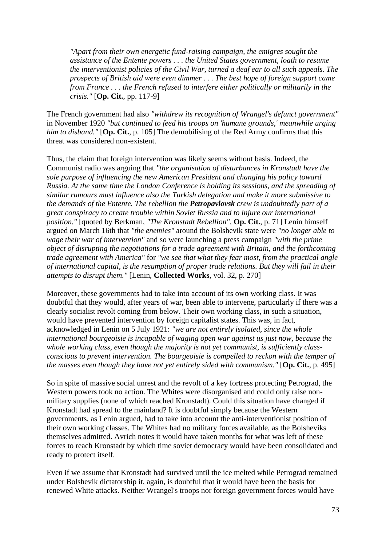*"Apart from their own energetic fund-raising campaign, the emigres sought the assistance of the Entente powers . . . the United States government, loath to resume the interventionist policies of the Civil War, turned a deaf ear to all such appeals. The prospects of British aid were even dimmer . . . The best hope of foreign support came from France . . . the French refused to interfere either politically or militarily in the crisis."* [**Op. Cit.**, pp. 117-9]

The French government had also *"withdrew its recognition of Wrangel's defunct government"* in November 1920 *"but continued to feed his troops on 'humane grounds,' meanwhile urging him to disband."* [**Op. Cit.**, p. 105] The demobilising of the Red Army confirms that this threat was considered non-existent.

Thus, the claim that foreign intervention was likely seems without basis. Indeed, the Communist radio was arguing that *"the organisation of disturbances in Kronstadt have the sole purpose of influencing the new American President and changing his policy toward Russia. At the same time the London Conference is holding its sessions, and the spreading of similar rumours must influence also the Turkish delegation and make it more submissive to the demands of the Entente. The rebellion the Petropavlovsk crew is undoubtedly part of a great conspiracy to create trouble within Soviet Russia and to injure our international position."* [quoted by Berkman, *"The Kronstadt Rebellion"*, **Op. Cit.**, p. 71] Lenin himself argued on March 16th that *"the enemies"* around the Bolshevik state were *"no longer able to wage their war of intervention"* and so were launching a press campaign *"with the prime object of disrupting the negotiations for a trade agreement with Britain, and the forthcoming trade agreement with America"* for *"we see that what they fear most, from the practical angle of international capital, is the resumption of proper trade relations. But they will fail in their attempts to disrupt them."* [Lenin, **Collected Works**, vol. 32, p. 270]

Moreover, these governments had to take into account of its own working class. It was doubtful that they would, after years of war, been able to intervene, particularly if there was a clearly socialist revolt coming from below. Their own working class, in such a situation, would have prevented intervention by foreign capitalist states. This was, in fact, acknowledged in Lenin on 5 July 1921: *"we are not entirely isolated, since the whole international bourgeoisie is incapable of waging open war against us just now, because the whole working class, even though the majority is not yet communist, is sufficiently classconscious to prevent intervention. The bourgeoisie is compelled to reckon with the temper of the masses even though they have not yet entirely sided with communism."* [**Op. Cit.**, p. 495]

So in spite of massive social unrest and the revolt of a key fortress protecting Petrograd, the Western powers took no action. The Whites were disorganised and could only raise nonmilitary supplies (none of which reached Kronstadt). Could this situation have changed if Kronstadt had spread to the mainland? It is doubtful simply because the Western governments, as Lenin argued, had to take into account the anti-interventionist position of their own working classes. The Whites had no military forces available, as the Bolsheviks themselves admitted. Avrich notes it would have taken months for what was left of these forces to reach Kronstadt by which time soviet democracy would have been consolidated and ready to protect itself.

Even if we assume that Kronstadt had survived until the ice melted while Petrograd remained under Bolshevik dictatorship it, again, is doubtful that it would have been the basis for renewed White attacks. Neither Wrangel's troops nor foreign government forces would have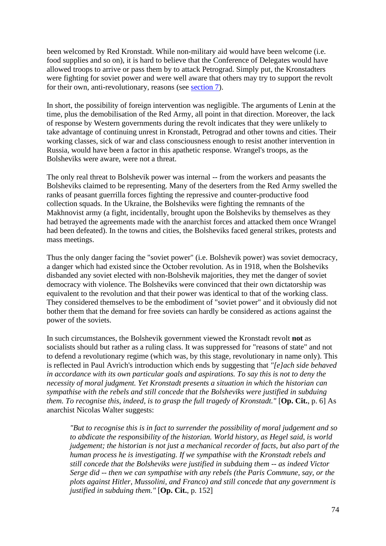been welcomed by Red Kronstadt. While non-military aid would have been welcome (i.e. food supplies and so on), it is hard to believe that the Conference of Delegates would have allowed troops to arrive or pass them by to attack Petrograd. Simply put, the Kronstadters were fighting for soviet power and were well aware that others may try to support the revolt for their own, anti-revolutionary, reasons (see [section 7\)](append42.html#app7).

In short, the possibility of foreign intervention was negligible. The arguments of Lenin at the time, plus the demobilisation of the Red Army, all point in that direction. Moreover, the lack of response by Western governments during the revolt indicates that they were unlikely to take advantage of continuing unrest in Kronstadt, Petrograd and other towns and cities. Their working classes, sick of war and class consciousness enough to resist another intervention in Russia, would have been a factor in this apathetic response. Wrangel's troops, as the Bolsheviks were aware, were not a threat.

The only real threat to Bolshevik power was internal -- from the workers and peasants the Bolsheviks claimed to be representing. Many of the deserters from the Red Army swelled the ranks of peasant guerrilla forces fighting the repressive and counter-productive food collection squads. In the Ukraine, the Bolsheviks were fighting the remnants of the Makhnovist army (a fight, incidentally, brought upon the Bolsheviks by themselves as they had betrayed the agreements made with the anarchist forces and attacked them once Wrangel had been defeated). In the towns and cities, the Bolsheviks faced general strikes, protests and mass meetings.

Thus the only danger facing the "soviet power" (i.e. Bolshevik power) was soviet democracy, a danger which had existed since the October revolution. As in 1918, when the Bolsheviks disbanded any soviet elected with non-Bolshevik majorities, they met the danger of soviet democracy with violence. The Bolsheviks were convinced that their own dictatorship was equivalent to the revolution and that their power was identical to that of the working class. They considered themselves to be the embodiment of "soviet power" and it obviously did not bother them that the demand for free soviets can hardly be considered as actions against the power of the soviets.

In such circumstances, the Bolshevik government viewed the Kronstadt revolt **not** as socialists should but rather as a ruling class. It was suppressed for "reasons of state" and not to defend a revolutionary regime (which was, by this stage, revolutionary in name only). This is reflected in Paul Avrich's introduction which ends by suggesting that *"[e]ach side behaved in accordance with its own particular goals and aspirations. To say this is not to deny the necessity of moral judgment. Yet Kronstadt presents a situation in which the historian can sympathise with the rebels and still concede that the Bolsheviks were justified in subduing them. To recognise this, indeed, is to grasp the full tragedy of Kronstadt."* [**Op. Cit.**, p. 6] As anarchist Nicolas Walter suggests:

*"But to recognise this is in fact to surrender the possibility of moral judgement and so to abdicate the responsibility of the historian. World history, as Hegel said, is world judgement; the historian is not just a mechanical recorder of facts, but also part of the human process he is investigating. If we sympathise with the Kronstadt rebels and still concede that the Bolsheviks were justified in subduing them -- as indeed Victor Serge did -- then we can sympathise with any rebels (the Paris Commune, say, or the plots against Hitler, Mussolini, and Franco) and still concede that any government is justified in subduing them."* [**Op. Cit.**, p. 152]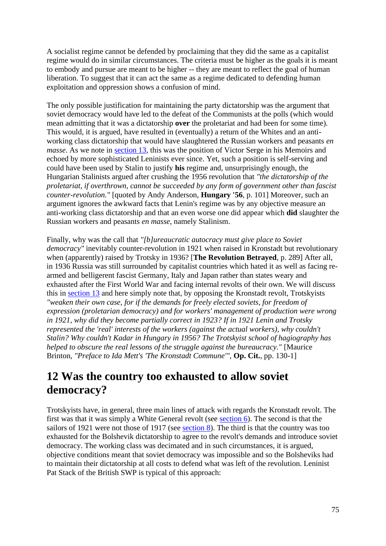A socialist regime cannot be defended by proclaiming that they did the same as a capitalist regime would do in similar circumstances. The criteria must be higher as the goals it is meant to embody and pursue are meant to be higher -- they are meant to reflect the goal of human liberation. To suggest that it can act the same as a regime dedicated to defending human exploitation and oppression shows a confusion of mind.

The only possible justification for maintaining the party dictatorship was the argument that soviet democracy would have led to the defeat of the Communists at the polls (which would mean admitting that it was a dictatorship **over** the proletariat and had been for some time). This would, it is argued, have resulted in (eventually) a return of the Whites and an antiworking class dictatorship that would have slaughtered the Russian workers and peasants *en masse*. As we note in [section 13,](append42.html#app13) this was the position of Victor Serge in his Memoirs and echoed by more sophisticated Leninists ever since. Yet, such a position is self-serving and could have been used by Stalin to justify **his** regime and, unsurprisingly enough, the Hungarian Stalinists argued after crushing the 1956 revolution that *"the dictatorship of the proletariat, if overthrown, cannot be succeeded by any form of government other than fascist counter-revolution."* [quoted by Andy Anderson, **Hungary '56**, p. 101] Moreover, such an argument ignores the awkward facts that Lenin's regime was by any objective measure an anti-working class dictatorship and that an even worse one did appear which **did** slaughter the Russian workers and peasants *en masse*, namely Stalinism.

Finally, why was the call that *"[b]ureaucratic autocracy must give place to Soviet democracy"* inevitably counter-revolution in 1921 when raised in Kronstadt but revolutionary when (apparently) raised by Trotsky in 1936? [**The Revolution Betrayed**, p. 289] After all, in 1936 Russia was still surrounded by capitalist countries which hated it as well as facing rearmed and belligerent fascist Germany, Italy and Japan rather than states weary and exhausted after the First World War and facing internal revolts of their own. We will discuss this in [section 13](append42.html#app13) and here simply note that, by opposing the Kronstadt revolt, Trotskyists *"weaken their own case, for if the demands for freely elected soviets, for freedom of expression (proletarian democracy) and for workers' management of production were wrong in 1921, why did they become partially correct in 1923? If in 1921 Lenin and Trotsky represented the 'real' interests of the workers (against the actual workers), why couldn't Stalin? Why couldn't Kadar in Hungary in 1956? The Trotskyist school of hagiography has helped to obscure the real lessons of the struggle against the bureaucracy."* [Maurice Brinton, *"Preface to Ida Mett's 'The Kronstadt Commune'"*, **Op. Cit.**, pp. 130-1]

## **12 Was the country too exhausted to allow soviet democracy?**

Trotskyists have, in general, three main lines of attack with regards the Kronstadt revolt. The first was that it was simply a White General revolt (see [section 6\)](append42.html#app6). The second is that the sailors of 1921 were not those of 1917 (see [section 8\)](append42.html#app8). The third is that the country was too exhausted for the Bolshevik dictatorship to agree to the revolt's demands and introduce soviet democracy. The working class was decimated and in such circumstances, it is argued, objective conditions meant that soviet democracy was impossible and so the Bolsheviks had to maintain their dictatorship at all costs to defend what was left of the revolution. Leninist Pat Stack of the British SWP is typical of this approach: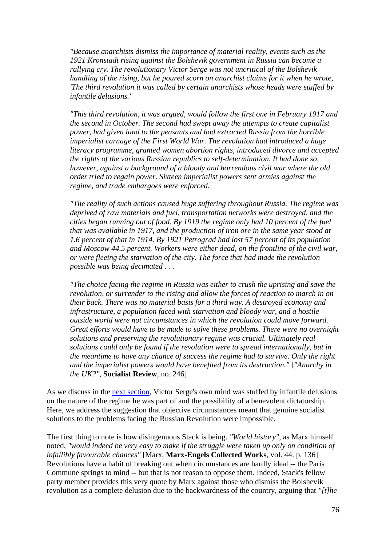*"Because anarchists dismiss the importance of material reality, events such as the 1921 Kronstadt rising against the Bolshevik government in Russia can become a rallying cry. The revolutionary Victor Serge was not uncritical of the Bolshevik handling of the rising, but he poured scorn on anarchist claims for it when he wrote, 'The third revolution it was called by certain anarchists whose heads were stuffed by infantile delusions.'*

*"This third revolution, it was argued, would follow the first one in February 1917 and the second in October. The second had swept away the attempts to create capitalist power, had given land to the peasants and had extracted Russia from the horrible imperialist carnage of the First World War. The revolution had introduced a huge literacy programme, granted women abortion rights, introduced divorce and accepted the rights of the various Russian republics to self-determination. It had done so, however, against a background of a bloody and horrendous civil war where the old order tried to regain power. Sixteen imperialist powers sent armies against the regime, and trade embargoes were enforced.*

*"The reality of such actions caused huge suffering throughout Russia. The regime was deprived of raw materials and fuel, transportation networks were destroyed, and the cities began running out of food. By 1919 the regime only had 10 percent of the fuel that was available in 1917, and the production of iron ore in the same year stood at 1.6 percent of that in 1914. By 1921 Petrograd had lost 57 percent of its population and Moscow 44.5 percent. Workers were either dead, on the frontline of the civil war, or were fleeing the starvation of the city. The force that had made the revolution possible was being decimated . . .* 

*"The choice facing the regime in Russia was either to crush the uprising and save the revolution, or surrender to the rising and allow the forces of reaction to march in on their back. There was no material basis for a third way. A destroyed economy and infrastructure, a population faced with starvation and bloody war, and a hostile outside world were not circumstances in which the revolution could move forward. Great efforts would have to be made to solve these problems. There were no overnight solutions and preserving the revolutionary regime was crucial. Ultimately real solutions could only be found if the revolution were to spread internationally, but in the meantime to have any chance of success the regime had to survive. Only the right and the imperialist powers would have benefited from its destruction."* [*"Anarchy in the UK?"*, **Socialist Review**, no. 246]

As we discuss in the **next section**, Victor Serge's own mind was stuffed by infantile delusions on the nature of the regime he was part of and the possibility of a benevolent dictatorship. Here, we address the suggestion that objective circumstances meant that genuine socialist solutions to the problems facing the Russian Revolution were impossible.

The first thing to note is how disingenuous Stack is being. *"World history"*, as Marx himself noted, *"would indeed be very easy to make if the struggle were taken up only on condition of infallibly favourable chances"* [Marx, **Marx-Engels Collected Works**, vol. 44. p. 136] Revolutions have a habit of breaking out when circumstances are hardly ideal -- the Paris Commune springs to mind -- but that is not reason to oppose them. Indeed, Stack's fellow party member provides this very quote by Marx against those who dismiss the Bolshevik revolution as a complete delusion due to the backwardness of the country, arguing that *"[t]he*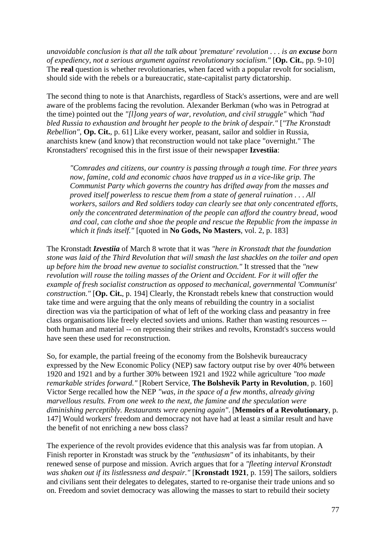*unavoidable conclusion is that all the talk about 'premature' revolution ... is an excuse born of expediency, not a serious argument against revolutionary socialism."* [**Op. Cit.**, pp. 9-10] The **real** question is whether revolutionaries, when faced with a popular revolt for socialism, should side with the rebels or a bureaucratic, state-capitalist party dictatorship.

The second thing to note is that Anarchists, regardless of Stack's assertions, were and are well aware of the problems facing the revolution. Alexander Berkman (who was in Petrograd at the time) pointed out the *"[l]ong years of war, revolution, and civil struggle"* which *"had bled Russia to exhaustion and brought her people to the brink of despair."* [*"The Kronstadt Rebellion"*, **Op. Cit.**, p. 61] Like every worker, peasant, sailor and soldier in Russia, anarchists knew (and know) that reconstruction would not take place "overnight." The Kronstadters' recognised this in the first issue of their newspaper **Izvestiia**:

*"Comrades and citizens, our country is passing through a tough time. For three years now, famine, cold and economic chaos have trapped us in a vice-like grip. The Communist Party which governs the country has drifted away from the masses and proved itself powerless to rescue them from a state of general ruination . . . All workers, sailors and Red soldiers today can clearly see that only concentrated efforts, only the concentrated determination of the people can afford the country bread, wood and coal, can clothe and shoe the people and rescue the Republic from the impasse in which it finds itself."* [quoted in **No Gods, No Masters**, vol. 2, p. 183]

The Kronstadt *Izvestiia* of March 8 wrote that it was *"here in Kronstadt that the foundation stone was laid of the Third Revolution that will smash the last shackles on the toiler and open up before him the broad new avenue to socialist construction."* It stressed that the *"new revolution will rouse the toiling masses of the Orient and Occident. For it will offer the example of fresh socialist construction as opposed to mechanical, governmental 'Communist' construction."* [**Op. Cit.**, p. 194] Clearly, the Kronstadt rebels knew that construction would take time and were arguing that the only means of rebuilding the country in a socialist direction was via the participation of what of left of the working class and peasantry in free class organisations like freely elected soviets and unions. Rather than wasting resources - both human and material -- on repressing their strikes and revolts, Kronstadt's success would have seen these used for reconstruction.

So, for example, the partial freeing of the economy from the Bolshevik bureaucracy expressed by the New Economic Policy (NEP) saw factory output rise by over 40% between 1920 and 1921 and by a further 30% between 1921 and 1922 while agriculture *"too made remarkable strides forward."* [Robert Service, **The Bolshevik Party in Revolution**, p. 160] Victor Serge recalled how the NEP *"was, in the space of a few months, already giving marvellous results. From one week to the next, the famine and the speculation were diminishing perceptibly. Restaurants were opening again"*. [**Memoirs of a Revolutionary**, p. 147] Would workers' freedom and democracy not have had at least a similar result and have the benefit of not enriching a new boss class?

The experience of the revolt provides evidence that this analysis was far from utopian. A Finish reporter in Kronstadt was struck by the *"enthusiasm"* of its inhabitants, by their renewed sense of purpose and mission. Avrich argues that for a *"fleeting interval Kronstadt was shaken out if its listlessness and despair."* [**Kronstadt 1921**, p. 159] The sailors, soldiers and civilians sent their delegates to delegates, started to re-organise their trade unions and so on. Freedom and soviet democracy was allowing the masses to start to rebuild their society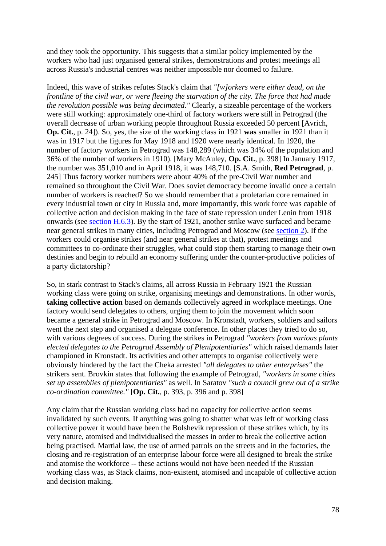and they took the opportunity. This suggests that a similar policy implemented by the workers who had just organised general strikes, demonstrations and protest meetings all across Russia's industrial centres was neither impossible nor doomed to failure.

Indeed, this wave of strikes refutes Stack's claim that *"[w]orkers were either dead, on the frontline of the civil war, or were fleeing the starvation of the city. The force that had made the revolution possible was being decimated."* Clearly, a sizeable percentage of the workers were still working: approximately one-third of factory workers were still in Petrograd (the overall decrease of urban working people throughout Russia exceeded 50 percent [Avrich, **Op. Cit.**, p. 24]). So, yes, the size of the working class in 1921 **was** smaller in 1921 than it was in 1917 but the figures for May 1918 and 1920 were nearly identical. In 1920, the number of factory workers in Petrograd was 148,289 (which was 34% of the population and 36% of the number of workers in 1910). [Mary McAuley, **Op. Cit.**, p. 398] In January 1917, the number was 351,010 and in April 1918, it was 148,710. [S.A. Smith, **Red Petrograd**, p. 245] Thus factory worker numbers were about 40% of the pre-Civil War number and remained so throughout the Civil War. Does soviet democracy become invalid once a certain number of workers is reached? So we should remember that a proletarian core remained in every industrial town or city in Russia and, more importantly, this work force was capable of collective action and decision making in the face of state repression under Lenin from 1918 onwards (see [section H.6.3\)](sectionH.html#sech63). By the start of 1921, another strike wave surfaced and became near general strikes in many cities, including Petrograd and Moscow (see [section 2\)](append42.html#app2). If the workers could organise strikes (and near general strikes at that), protest meetings and committees to co-ordinate their struggles, what could stop them starting to manage their own destinies and begin to rebuild an economy suffering under the counter-productive policies of a party dictatorship?

So, in stark contrast to Stack's claims, all across Russia in February 1921 the Russian working class were going on strike, organising meetings and demonstrations. In other words, **taking collective action** based on demands collectively agreed in workplace meetings. One factory would send delegates to others, urging them to join the movement which soon became a general strike in Petrograd and Moscow. In Kronstadt, workers, soldiers and sailors went the next step and organised a delegate conference. In other places they tried to do so, with various degrees of success. During the strikes in Petrograd *"workers from various plants elected delegates to the Petrograd Assembly of Plenipotentiaries"* which raised demands later championed in Kronstadt. Its activities and other attempts to organise collectively were obviously hindered by the fact the Cheka arrested *"all delegates to other enterprises"* the strikers sent. Brovkin states that following the example of Petrograd, *"workers in some cities set up assemblies of plenipotentiaries"* as well. In Saratov *"such a council grew out of a strike co-ordination committee."* [**Op. Cit.**, p. 393, p. 396 and p. 398]

Any claim that the Russian working class had no capacity for collective action seems invalidated by such events. If anything was going to shatter what was left of working class collective power it would have been the Bolshevik repression of these strikes which, by its very nature, atomised and individualised the masses in order to break the collective action being practised. Martial law, the use of armed patrols on the streets and in the factories, the closing and re-registration of an enterprise labour force were all designed to break the strike and atomise the workforce -- these actions would not have been needed if the Russian working class was, as Stack claims, non-existent, atomised and incapable of collective action and decision making.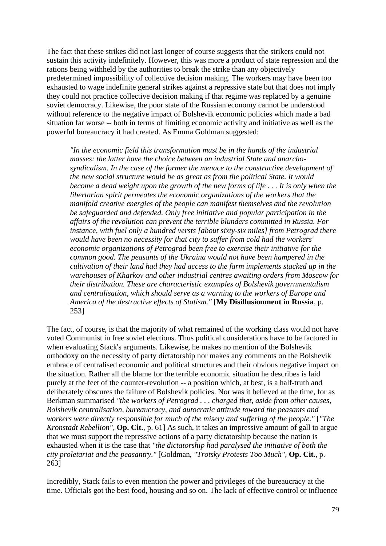The fact that these strikes did not last longer of course suggests that the strikers could not sustain this activity indefinitely. However, this was more a product of state repression and the rations being withheld by the authorities to break the strike than any objectively predetermined impossibility of collective decision making. The workers may have been too exhausted to wage indefinite general strikes against a repressive state but that does not imply they could not practice collective decision making if that regime was replaced by a genuine soviet democracy. Likewise, the poor state of the Russian economy cannot be understood without reference to the negative impact of Bolshevik economic policies which made a bad situation far worse -- both in terms of limiting economic activity and initiative as well as the powerful bureaucracy it had created. As Emma Goldman suggested:

*"In the economic field this transformation must be in the hands of the industrial masses: the latter have the choice between an industrial State and anarchosyndicalism. In the case of the former the menace to the constructive development of the new social structure would be as great as from the political State. It would become a dead weight upon the growth of the new forms of life . . . It is only when the libertarian spirit permeates the economic organizations of the workers that the manifold creative energies of the people can manifest themselves and the revolution be safeguarded and defended. Only free initiative and popular participation in the affairs of the revolution can prevent the terrible blunders committed in Russia. For instance, with fuel only a hundred versts [about sixty-six miles] from Petrograd there would have been no necessity for that city to suffer from cold had the workers' economic organizations of Petrograd been free to exercise their initiative for the common good. The peasants of the Ukraina would not have been hampered in the cultivation of their land had they had access to the farm implements stacked up in the warehouses of Kharkov and other industrial centres awaiting orders from Moscow for their distribution. These are characteristic examples of Bolshevik governmentalism and centralisation, which should serve as a warning to the workers of Europe and America of the destructive effects of Statism."* [**My Disillusionment in Russia**, p. 253]

The fact, of course, is that the majority of what remained of the working class would not have voted Communist in free soviet elections. Thus political considerations have to be factored in when evaluating Stack's arguments. Likewise, he makes no mention of the Bolshevik orthodoxy on the necessity of party dictatorship nor makes any comments on the Bolshevik embrace of centralised economic and political structures and their obvious negative impact on the situation. Rather all the blame for the terrible economic situation he describes is laid purely at the feet of the counter-revolution -- a position which, at best, is a half-truth and deliberately obscures the failure of Bolshevik policies. Nor was it believed at the time, for as Berkman summarised *"the workers of Petrograd . . . charged that, aside from other causes, Bolshevik centralisation, bureaucracy, and autocratic attitude toward the peasants and workers were directly responsible for much of the misery and suffering of the people."* [*"The Kronstadt Rebellion"*, **Op. Cit.**, p. 61] As such, it takes an impressive amount of gall to argue that we must support the repressive actions of a party dictatorship because the nation is exhausted when it is the case that *"the dictatorship had paralysed the initiative of both the city proletariat and the peasantry."* [Goldman, *"Trotsky Protests Too Much"*, **Op. Cit.**, p. 263]

Incredibly, Stack fails to even mention the power and privileges of the bureaucracy at the time. Officials got the best food, housing and so on. The lack of effective control or influence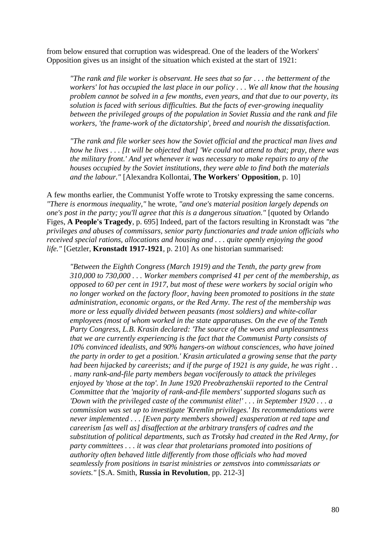from below ensured that corruption was widespread. One of the leaders of the Workers' Opposition gives us an insight of the situation which existed at the start of 1921:

*"The rank and file worker is observant. He sees that so far . . . the betterment of the workers' lot has occupied the last place in our policy . . . We all know that the housing problem cannot be solved in a few months, even years, and that due to our poverty, its solution is faced with serious difficulties. But the facts of ever-growing inequality between the privileged groups of the population in Soviet Russia and the rank and file workers, 'the frame-work of the dictatorship', breed and nourish the dissatisfaction.* 

*"The rank and file worker sees how the Soviet official and the practical man lives and how he lives . . . [It will be objected that] 'We could not attend to that; pray, there was the military front.' And yet whenever it was necessary to make repairs to any of the houses occupied by the Soviet institutions, they were able to find both the materials and the labour."* [Alexandra Kollontai, **The Workers' Opposition**, p. 10]

A few months earlier, the Communist Yoffe wrote to Trotsky expressing the same concerns. *"There is enormous inequality,"* he wrote, *"and one's material position largely depends on one's post in the party; you'll agree that this is a dangerous situation."* [quoted by Orlando Figes, **A People's Tragedy**, p. 695] Indeed, part of the factors resulting in Kronstadt was *"the privileges and abuses of commissars, senior party functionaries and trade union officials who received special rations, allocations and housing and . . . quite openly enjoying the good life."* [Getzler, **Kronstadt 1917-1921**, p. 210] As one historian summarised:

*"Between the Eighth Congress (March 1919) and the Tenth, the party grew from 310,000 to 730,000 . . . Worker members comprised 41 per cent of the membership, as opposed to 60 per cent in 1917, but most of these were workers by social origin who no longer worked on the factory floor, having been promoted to positions in the state administration, economic organs, or the Red Army. The rest of the membership was more or less equally divided between peasants (most soldiers) and white-collar employees (most of whom worked in the state apparatuses. On the eve of the Tenth Party Congress, L.B. Krasin declared: 'The source of the woes and unpleasantness that we are currently experiencing is the fact that the Communist Party consists of 10% convinced idealists, and 90% hangers-on without consciences, who have joined the party in order to get a position.' Krasin articulated a growing sense that the party had been hijacked by careerists; and if the purge of 1921 is any guide, he was right . . . many rank-and-file party members began vociferously to attack the privileges enjoyed by 'those at the top'. In June 1920 Preobrazhenskii reported to the Central Committee that the 'majority of rank-and-file members' supported slogans such as 'Down with the privileged caste of the communist elite!' . . . in September 1920 . . . a commission was set up to investigate 'Kremlin privileges.' Its recommendations were never implemented . . . [Even party members showed] exasperation at red tape and careerism [as well as] disaffection at the arbitrary transfers of cadres and the substitution of political departments, such as Trotsky had created in the Red Army, for party committees . . . it was clear that proletarians promoted into positions of authority often behaved little differently from those officials who had moved seamlessly from positions in tsarist ministries or zemstvos into commissariats or soviets."* [S.A. Smith, **Russia in Revolution**, pp. 212-3]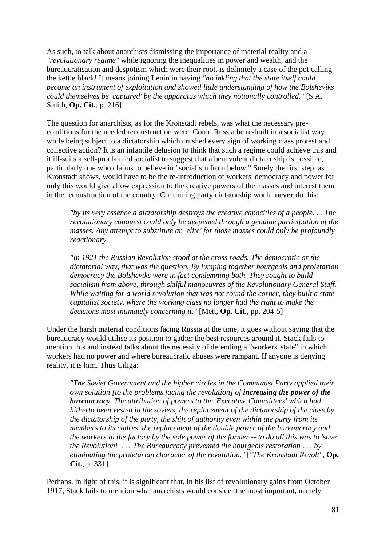As such, to talk about anarchists dismissing the importance of material reality and a *"revolutionary regime"* while ignoring the inequalities in power and wealth, and the bureaucratisation and despotism which were their root, is definitely a case of the pot calling the kettle black! It means joining Lenin in having *"no inkling that the state itself could become an instrument of exploitation and showed little understanding of how the Bolsheviks could themselves be 'captured' by the apparatus which they notionally controlled."* [S.A. Smith, **Op. Cit.**, p. 216]

The question for anarchists, as for the Kronstadt rebels, was what the necessary preconditions for the needed reconstruction were. Could Russia be re-built in a socialist way while being subject to a dictatorship which crushed every sign of working class protest and collective action? It is an infantile delusion to think that such a regime could achieve this and it ill-suits a self-proclaimed socialist to suggest that a benevolent dictatorship is possible, particularly one who claims to believe in "socialism from below." Surely the first step, as Kronstadt shows, would have to be the re-introduction of workers' democracy and power for only this would give allow expression to the creative powers of the masses and interest them in the reconstruction of the country. Continuing party dictatorship would **never** do this:

*"by its very essence a dictatorship destroys the creative capacities of a people. . . The revolutionary conquest could only be deepened through a genuine participation of the masses. Any attempt to substitute an 'elite' for those masses could only be profoundly reactionary.*

*"In 1921 the Russian Revolution stood at the cross roads. The democratic or the dictatorial way, that was the question. By lumping together bourgeois and proletarian democracy the Bolsheviks were in fact condemning both. They sought to build socialism from above, through skilful manoeuvres of the Revolutionary General Staff. While waiting for a world revolution that was not round the corner, they built a state capitalist society, where the working class no longer had the right to make the decisions most intimately concerning it."* [Mett, **Op. Cit.**, pp. 204-5]

Under the harsh material conditions facing Russia at the time, it goes without saying that the bureaucracy would utilise its position to gather the best resources around it. Stack fails to mention this and instead talks about the necessity of defending a "workers' state" in which workers had no power and where bureaucratic abuses were rampant. If anyone is denying reality, it is him. Thus Ciliga:

*"The Soviet Government and the higher circles in the Communist Party applied their own solution [to the problems facing the revolution] of increasing the power of the bureaucracy. The attribution of powers to the 'Executive Committees' which had hitherto been vested in the soviets, the replacement of the dictatorship of the class by the dictatorship of the party, the shift of authority even within the party from its members to its cadres, the replacement of the double power of the bureaucracy and the workers in the factory by the sole power of the former -- to do all this was to 'save the Revolution!' . . . The Bureaucracy prevented the bourgeois restoration . . . by eliminating the proletarian character of the revolution."* [*"The Kronstadt Revolt"*, **Op. Cit.**, p. 331]

Perhaps, in light of this, it is significant that, in his list of revolutionary gains from October 1917, Stack fails to mention what anarchists would consider the most important, namely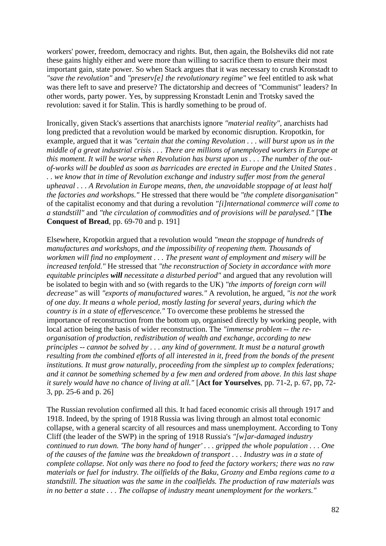workers' power, freedom, democracy and rights. But, then again, the Bolsheviks did not rate these gains highly either and were more than willing to sacrifice them to ensure their most important gain, state power. So when Stack argues that it was necessary to crush Kronstadt to *"save the revolution"* and *"preserv[e] the revolutionary regime"* we feel entitled to ask what was there left to save and preserve? The dictatorship and decrees of "Communist" leaders? In other words, party power. Yes, by suppressing Kronstadt Lenin and Trotsky saved the revolution: saved it for Stalin. This is hardly something to be proud of.

Ironically, given Stack's assertions that anarchists ignore *"material reality"*, anarchists had long predicted that a revolution would be marked by economic disruption. Kropotkin, for example, argued that it was *"certain that the coming Revolution . . . will burst upon us in the middle of a great industrial crisis . . . There are millions of unemployed workers in Europe at this moment. It will be worse when Revolution has burst upon us . . . The number of the outof-works will be doubled as soon as barricades are erected in Europe and the United States . . . we know that in time of Revolution exchange and industry suffer most from the general upheaval . . . A Revolution in Europe means, then, the unavoidable stoppage of at least half the factories and workshops."* He stressed that there would be *"the complete disorganisation"* of the capitalist economy and that during a revolution *"[i]nternational commerce will come to a standstill"* and *"the circulation of commodities and of provisions will be paralysed."* [**The Conquest of Bread**, pp. 69-70 and p. 191]

Elsewhere, Kropotkin argued that a revolution would *"mean the stoppage of hundreds of manufactures and workshops, and the impossibility of reopening them. Thousands of workmen will find no employment . . . The present want of employment and misery will be increased tenfold."* He stressed that *"the reconstruction of Society in accordance with more equitable principles will necessitate a disturbed period"* and argued that any revolution will be isolated to begin with and so (with regards to the UK) *"the imports of foreign corn will decrease"* as will *"exports of manufactured wares."* A revolution, he argued, *"is not the work of one day. It means a whole period, mostly lasting for several years, during which the country is in a state of effervescence."* To overcome these problems he stressed the importance of reconstruction from the bottom up, organised directly by working people, with local action being the basis of wider reconstruction. The *"immense problem -- the reorganisation of production, redistribution of wealth and exchange, according to new principles -- cannot be solved by . . . any kind of government. It must be a natural growth resulting from the combined efforts of all interested in it, freed from the bonds of the present institutions. It must grow naturally, proceeding from the simplest up to complex federations; and it cannot be something schemed by a few men and ordered from above. In this last shape it surely would have no chance of living at all."* [**Act for Yourselves**, pp. 71-2, p. 67, pp, 72- 3, pp. 25-6 and p. 26]

The Russian revolution confirmed all this. It had faced economic crisis all through 1917 and 1918. Indeed, by the spring of 1918 Russia was living through an almost total economic collapse, with a general scarcity of all resources and mass unemployment. According to Tony Cliff (the leader of the SWP) in the spring of 1918 Russia's *"[w]ar-damaged industry continued to run down. 'The bony hand of hunger' . . . gripped the whole population . . . One of the causes of the famine was the breakdown of transport . . . Industry was in a state of complete collapse. Not only was there no food to feed the factory workers; there was no raw materials or fuel for industry. The oilfields of the Baku, Grozny and Emba regions came to a standstill. The situation was the same in the coalfields. The production of raw materials was in no better a state . . . The collapse of industry meant unemployment for the workers."*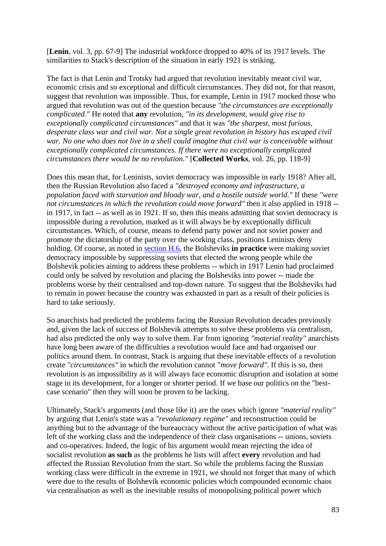[**Lenin**, vol. 3, pp. 67-9] The industrial workforce dropped to 40% of its 1917 levels. The similarities to Stack's description of the situation in early 1921 is striking.

The fact is that Lenin and Trotsky had argued that revolution inevitably meant civil war, economic crisis and so exceptional and difficult circumstances. They did not, for that reason, suggest that revolution was impossible. Thus, for example, Lenin in 1917 mocked those who argued that revolution was out of the question because *"the circumstances are exceptionally complicated."* He noted that **any** revolution, *"in its development, would give rise to exceptionally complicated circumstances"* and that it was *"the sharpest, most furious, desperate class war and civil war. Not a single great revolution in history has escaped civil war. No one who does not live in a shell could imagine that civil war is conceivable without exceptionally complicated circumstances. If there were no exceptionally complicated circumstances there would be no revolution."* [**Collected Works**, vol. 26, pp. 118-9]

Does this mean that, for Leninists, soviet democracy was impossible in early 1918? After all, then the Russian Revolution also faced a *"destroyed economy and infrastructure, a population faced with starvation and bloody war, and a hostile outside world."* If these *"were not circumstances in which the revolution could move forward"* then it also applied in 1918 - in 1917, in fact -- as well as in 1921. If so, then this means admitting that soviet democracy is impossible during a revolution, marked as it will always be by exceptionally difficult circumstances. Which, of course, means to defend party power and not soviet power and promote the dictatorship of the party over the working class, positions Leninists deny holding. Of course, as noted in [section H.6,](sectionH.html#sech6) the Bolsheviks **in practice** were making soviet democracy impossible by suppressing soviets that elected the wrong people while the Bolshevik policies aiming to address these problems -- which in 1917 Lenin had proclaimed could only be solved by revolution and placing the Bolsheviks into power -- made the problems worse by their centralised and top-down nature. To suggest that the Bolsheviks had to remain in power because the country was exhausted in part as a result of their policies is hard to take seriously.

So anarchists had predicted the problems facing the Russian Revolution decades previously and, given the lack of success of Bolshevik attempts to solve these problems via centralism, had also predicted the only way to solve them. Far from ignoring *"material reality"* anarchists have long been aware of the difficulties a revolution would face and had organised our politics around them. In contrast, Stack is arguing that these inevitable effects of a revolution create *"circumstances"* in which the revolution cannot *"move forward"*. If this is so, then revolution is an impossibility as it will always face economic disruption and isolation at some stage in its development, for a longer or shorter period. If we base our politics on the "bestcase scenario" then they will soon be proven to be lacking.

Ultimately, Stack's arguments (and those like it) are the ones which ignore *"material reality"* by arguing that Lenin's state was a *"revolutionary regime"* and reconstruction could be anything but to the advantage of the bureaucracy without the active participation of what was left of the working class and the independence of their class organisations -- unions, soviets and co-operatives. Indeed, the logic of his argument would mean rejecting the idea of socialist revolution **as such** as the problems he lists will affect **every** revolution and had affected the Russian Revolution from the start. So while the problems facing the Russian working class were difficult in the extreme in 1921, we should not forget that many of which were due to the results of Bolshevik economic policies which compounded economic chaos via centralisation as well as the inevitable results of monopolising political power which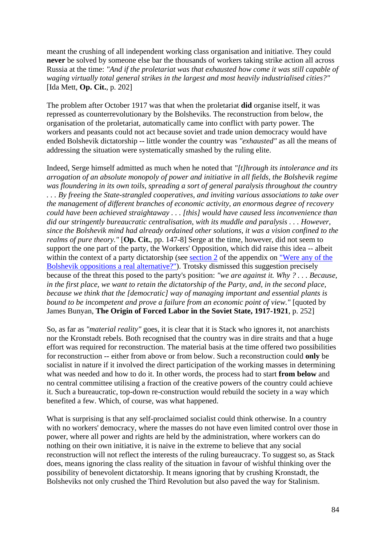meant the crushing of all independent working class organisation and initiative. They could **never** be solved by someone else bar the thousands of workers taking strike action all across Russia at the time: *"And if the proletariat was that exhausted how come it was still capable of waging virtually total general strikes in the largest and most heavily industrialised cities?"* [Ida Mett, **Op. Cit.**, p. 202]

The problem after October 1917 was that when the proletariat **did** organise itself, it was repressed as counterrevolutionary by the Bolsheviks. The reconstruction from below, the organisation of the proletariat, automatically came into conflict with party power. The workers and peasants could not act because soviet and trade union democracy would have ended Bolshevik dictatorship -- little wonder the country was *"exhausted"* as all the means of addressing the situation were systematically smashed by the ruling elite.

Indeed, Serge himself admitted as much when he noted that *"[t]hrough its intolerance and its arrogation of an absolute monopoly of power and initiative in all fields, the Bolshevik regime was floundering in its own toils, spreading a sort of general paralysis throughout the country . . . By freeing the State-strangled cooperatives, and inviting various associations to take over the management of different branches of economic activity, an enormous degree of recovery could have been achieved straightaway . . . [this] would have caused less inconvenience than did our stringently bureaucratic centralisation, with its muddle and paralysis . . . However, since the Bolshevik mind had already ordained other solutions, it was a vision confined to the realms of pure theory."* [**Op. Cit.**, pp. 147-8] Serge at the time, however, did not seem to support the one part of the party, the Workers' Opposition, which did raise this idea -- albeit within the context of a party dictatorship (see [section 2](append45.html#app2) of the appendix on "Were any of the [Bolshevik oppositions a real alternative?"\)](append45.html). Trotsky dismissed this suggestion precisely because of the threat this posed to the party's position: *"we are against it. Why ? . . . Because, in the first place, we want to retain the dictatorship of the Party, and, in the second place, because we think that the [democratic] way of managing important and essential plants is bound to be incompetent and prove a failure from an economic point of view."* [quoted by James Bunyan, **The Origin of Forced Labor in the Soviet State, 1917-1921**, p. 252]

So, as far as *"material reality"* goes, it is clear that it is Stack who ignores it, not anarchists nor the Kronstadt rebels. Both recognised that the country was in dire straits and that a huge effort was required for reconstruction. The material basis at the time offered two possibilities for reconstruction -- either from above or from below. Such a reconstruction could **only** be socialist in nature if it involved the direct participation of the working masses in determining what was needed and how to do it. In other words, the process had to start **from below** and no central committee utilising a fraction of the creative powers of the country could achieve it. Such a bureaucratic, top-down re-construction would rebuild the society in a way which benefited a few. Which, of course, was what happened.

What is surprising is that any self-proclaimed socialist could think otherwise. In a country with no workers' democracy, where the masses do not have even limited control over those in power, where all power and rights are held by the administration, where workers can do nothing on their own initiative, it is naive in the extreme to believe that any social reconstruction will not reflect the interests of the ruling bureaucracy. To suggest so, as Stack does, means ignoring the class reality of the situation in favour of wishful thinking over the possibility of benevolent dictatorship. It means ignoring that by crushing Kronstadt, the Bolsheviks not only crushed the Third Revolution but also paved the way for Stalinism.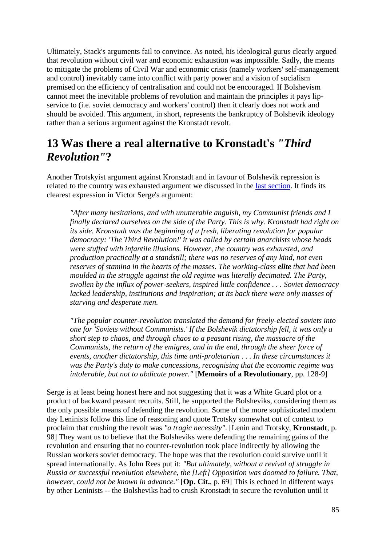Ultimately, Stack's arguments fail to convince. As noted, his ideological gurus clearly argued that revolution without civil war and economic exhaustion was impossible. Sadly, the means to mitigate the problems of Civil War and economic crisis (namely workers' self-management and control) inevitably came into conflict with party power and a vision of socialism premised on the efficiency of centralisation and could not be encouraged. If Bolshevism cannot meet the inevitable problems of revolution and maintain the principles it pays lipservice to (i.e. soviet democracy and workers' control) then it clearly does not work and should be avoided. This argument, in short, represents the bankruptcy of Bolshevik ideology rather than a serious argument against the Kronstadt revolt.

## **13 Was there a real alternative to Kronstadt's** *"Third Revolution"***?**

Another Trotskyist argument against Kronstadt and in favour of Bolshevik repression is related to the country was exhausted argument we discussed in the [last section.](append42.html#app12) It finds its clearest expression in Victor Serge's argument:

*"After many hesitations, and with unutterable anguish, my Communist friends and I finally declared ourselves on the side of the Party. This is why. Kronstadt had right on its side. Kronstadt was the beginning of a fresh, liberating revolution for popular democracy: 'The Third Revolution!' it was called by certain anarchists whose heads were stuffed with infantile illusions. However, the country was exhausted, and production practically at a standstill; there was no reserves of any kind, not even reserves of stamina in the hearts of the masses. The working-class elite that had been moulded in the struggle against the old regime was literally decimated. The Party, swollen by the influx of power-seekers, inspired little confidence . . . Soviet democracy lacked leadership, institutions and inspiration; at its back there were only masses of starving and desperate men.* 

*"The popular counter-revolution translated the demand for freely-elected soviets into one for 'Soviets without Communists.' If the Bolshevik dictatorship fell, it was only a short step to chaos, and through chaos to a peasant rising, the massacre of the Communists, the return of the emigres, and in the end, through the sheer force of events, another dictatorship, this time anti-proletarian . . . In these circumstances it was the Party's duty to make concessions, recognising that the economic regime was intolerable, but not to abdicate power."* [**Memoirs of a Revolutionary**, pp. 128-9]

Serge is at least being honest here and not suggesting that it was a White Guard plot or a product of backward peasant recruits. Still, he supported the Bolsheviks, considering them as the only possible means of defending the revolution. Some of the more sophisticated modern day Leninists follow this line of reasoning and quote Trotsky somewhat out of context to proclaim that crushing the revolt was *"a tragic necessity"*. [Lenin and Trotsky, **Kronstadt**, p. 98] They want us to believe that the Bolsheviks were defending the remaining gains of the revolution and ensuring that no counter-revolution took place indirectly by allowing the Russian workers soviet democracy. The hope was that the revolution could survive until it spread internationally. As John Rees put it: *"But ultimately, without a revival of struggle in Russia or successful revolution elsewhere, the [Left] Opposition was doomed to failure. That, however, could not be known in advance."* [**Op. Cit.**, p. 69] This is echoed in different ways by other Leninists -- the Bolsheviks had to crush Kronstadt to secure the revolution until it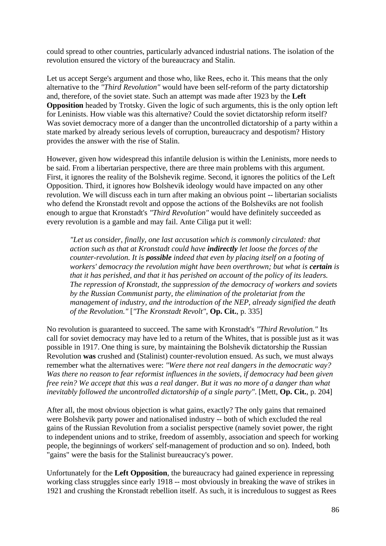could spread to other countries, particularly advanced industrial nations. The isolation of the revolution ensured the victory of the bureaucracy and Stalin.

Let us accept Serge's argument and those who, like Rees, echo it. This means that the only alternative to the *"Third Revolution"* would have been self-reform of the party dictatorship and, therefore, of the soviet state. Such an attempt was made after 1923 by the **Left Opposition** headed by Trotsky. Given the logic of such arguments, this is the only option left for Leninists. How viable was this alternative? Could the soviet dictatorship reform itself? Was soviet democracy more of a danger than the uncontrolled dictatorship of a party within a state marked by already serious levels of corruption, bureaucracy and despotism? History provides the answer with the rise of Stalin.

However, given how widespread this infantile delusion is within the Leninists, more needs to be said. From a libertarian perspective, there are three main problems with this argument. First, it ignores the reality of the Bolshevik regime. Second, it ignores the politics of the Left Opposition. Third, it ignores how Bolshevik ideology would have impacted on any other revolution. We will discuss each in turn after making an obvious point -- libertarian socialists who defend the Kronstadt revolt and oppose the actions of the Bolsheviks are not foolish enough to argue that Kronstadt's *"Third Revolution"* would have definitely succeeded as every revolution is a gamble and may fail. Ante Ciliga put it well:

*"Let us consider, finally, one last accusation which is commonly circulated: that action such as that at Kronstadt could have indirectly let loose the forces of the counter-revolution. It is possible indeed that even by placing itself on a footing of workers' democracy the revolution might have been overthrown; but what is certain is that it has perished, and that it has perished on account of the policy of its leaders. The repression of Kronstadt, the suppression of the democracy of workers and soviets by the Russian Communist party, the elimination of the proletariat from the management of industry, and the introduction of the NEP, already signified the death of the Revolution."* [*"The Kronstadt Revolt"*, **Op. Cit.**, p. 335]

No revolution is guaranteed to succeed. The same with Kronstadt's *"Third Revolution."* Its call for soviet democracy may have led to a return of the Whites, that is possible just as it was possible in 1917. One thing is sure, by maintaining the Bolshevik dictatorship the Russian Revolution **was** crushed and (Stalinist) counter-revolution ensued. As such, we must always remember what the alternatives were: *"Were there not real dangers in the democratic way? Was there no reason to fear reformist influences in the soviets, if democracy had been given free rein? We accept that this was a real danger. But it was no more of a danger than what inevitably followed the uncontrolled dictatorship of a single party"*. [Mett, **Op. Cit.**, p. 204]

After all, the most obvious objection is what gains, exactly? The only gains that remained were Bolshevik party power and nationalised industry -- both of which excluded the real gains of the Russian Revolution from a socialist perspective (namely soviet power, the right to independent unions and to strike, freedom of assembly, association and speech for working people, the beginnings of workers' self-management of production and so on). Indeed, both "gains" were the basis for the Stalinist bureaucracy's power.

Unfortunately for the **Left Opposition**, the bureaucracy had gained experience in repressing working class struggles since early 1918 -- most obviously in breaking the wave of strikes in 1921 and crushing the Kronstadt rebellion itself. As such, it is incredulous to suggest as Rees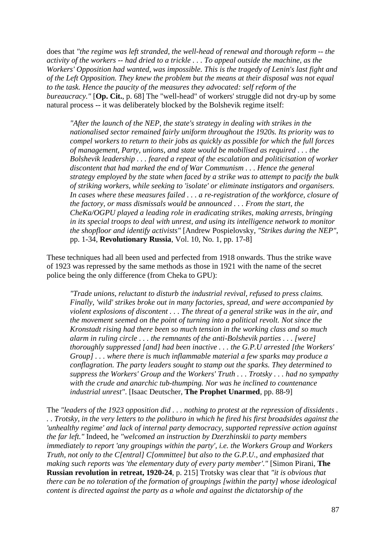does that *"the regime was left stranded, the well-head of renewal and thorough reform -- the activity of the workers -- had dried to a trickle . . . To appeal outside the machine, as the Workers' Opposition had wanted, was impossible. This is the tragedy of Lenin's last fight and of the Left Opposition. They knew the problem but the means at their disposal was not equal to the task. Hence the paucity of the measures they advocated: self reform of the bureaucracy."* [**Op. Cit.**, p. 68] The "well-head" of workers' struggle did not dry-up by some natural process -- it was deliberately blocked by the Bolshevik regime itself:

*"After the launch of the NEP, the state's strategy in dealing with strikes in the nationalised sector remained fairly uniform throughout the 1920s. Its priority was to compel workers to return to their jobs as quickly as possible for which the full forces of management, Party, unions, and state would be mobilised as required . . . the Bolshevik leadership . . . feared a repeat of the escalation and politicisation of worker discontent that had marked the end of War Communism . . . Hence the general strategy employed by the state when faced by a strike was to attempt to pacify the bulk of striking workers, while seeking to 'isolate' or eliminate instigators and organisers. In cases where these measures failed . . . a re-registration of the workforce, closure of the factory, or mass dismissals would be announced . . . From the start, the CheKa/OGPU played a leading role in eradicating strikes, making arrests, bringing in its special troops to deal with unrest, and using its intelligence network to monitor the shopfloor and identify activists"* [Andrew Pospielovsky, *"Strikes during the NEP"*, pp. 1-34, **Revolutionary Russia**, Vol. 10, No. 1, pp. 17-8]

These techniques had all been used and perfected from 1918 onwards. Thus the strike wave of 1923 was repressed by the same methods as those in 1921 with the name of the secret police being the only difference (from Cheka to GPU):

*"Trade unions, reluctant to disturb the industrial revival, refused to press claims. Finally, 'wild' strikes broke out in many factories, spread, and were accompanied by violent explosions of discontent . . . The threat of a general strike was in the air, and the movement seemed on the point of turning into a political revolt. Not since the Kronstadt rising had there been so much tension in the working class and so much alarm in ruling circle . . . the remnants of the anti-Bolshevik parties . . . [were] thoroughly suppressed [and] had been inactive . . . the G.P.U arrested [the Workers' Group] . . . where there is much inflammable material a few sparks may produce a conflagration. The party leaders sought to stamp out the sparks. They determined to suppress the Workers' Group and the Workers' Truth . . . Trotsky . . . had no sympathy with the crude and anarchic tub-thumping. Nor was he inclined to countenance industrial unrest"*. [Isaac Deutscher, **The Prophet Unarmed**, pp. 88-9]

The *"leaders of the 1923 opposition did . . . nothing to protest at the repression of dissidents . . . Trotsky, in the very letters to the politburo in which he fired his first broadsides against the 'unhealthy regime' and lack of internal party democracy, supported repressive action against the far left."* Indeed, he *"welcomed an instruction by Dzerzhinskii to party members immediately to report 'any groupings within the party', i.e. the Workers Group and Workers Truth, not only to the C[entral] C[ommittee] but also to the G.P.U., and emphasized that making such reports was 'the elementary duty of every party member'."* [Simon Pirani, **The Russian revolution in retreat, 1920-24**, p. 215] Trotsky was clear that *"it is obvious that there can be no toleration of the formation of groupings [within the party] whose ideological content is directed against the party as a whole and against the dictatorship of the*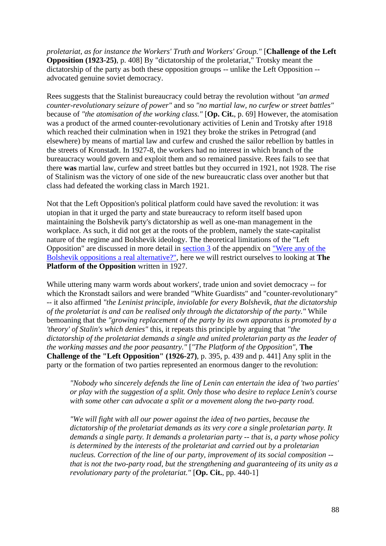*proletariat, as for instance the Workers' Truth and Workers' Group."* [**Challenge of the Left Opposition (1923-25)**, p. 408] By "dictatorship of the proletariat," Trotsky meant the dictatorship of the party as both these opposition groups -- unlike the Left Opposition - advocated genuine soviet democracy.

Rees suggests that the Stalinist bureaucracy could betray the revolution without *"an armed counter-revolutionary seizure of power"* and so *"no martial law, no curfew or street battles"* because of *"the atomisation of the working class."* [**Op. Cit.**, p. 69] However, the atomisation was a product of the armed counter-revolutionary activities of Lenin and Trotsky after 1918 which reached their culmination when in 1921 they broke the strikes in Petrograd (and elsewhere) by means of martial law and curfew and crushed the sailor rebellion by battles in the streets of Kronstadt. In 1927-8, the workers had no interest in which branch of the bureaucracy would govern and exploit them and so remained passive. Rees fails to see that there **was** martial law, curfew and street battles but they occurred in 1921, not 1928. The rise of Stalinism was the victory of one side of the new bureaucratic class over another but that class had defeated the working class in March 1921.

Not that the Left Opposition's political platform could have saved the revolution: it was utopian in that it urged the party and state bureaucracy to reform itself based upon maintaining the Bolshevik party's dictatorship as well as one-man management in the workplace. As such, it did not get at the roots of the problem, namely the state-capitalist nature of the regime and Bolshevik ideology. The theoretical limitations of the "Left Opposition" are discussed in more detail in [section 3](append45.html#app3) of the appendix on ["Were any of the](append45.html)  [Bolshevik oppositions a real alternative?",](append45.html) here we will restrict ourselves to looking at **The Platform of the Opposition** written in 1927.

While uttering many warm words about workers', trade union and soviet democracy -- for which the Kronstadt sailors and were branded "White Guardists" and "counter-revolutionary" -- it also affirmed *"the Leninist principle, inviolable for every Bolshevik, that the dictatorship of the proletariat is and can be realised only through the dictatorship of the party."* While bemoaning that the *"growing replacement of the party by its own apparatus is promoted by a 'theory' of Stalin's which denies"* this, it repeats this principle by arguing that *"the dictatorship of the proletariat demands a single and united proletarian party as the leader of the working masses and the poor peasantry."* [*"The Platform of the Opposition"*, **The Challenge of the "Left Opposition" (1926-27)**, p. 395, p. 439 and p. 441] Any split in the party or the formation of two parties represented an enormous danger to the revolution:

*"Nobody who sincerely defends the line of Lenin can entertain the idea of 'two parties' or play with the suggestion of a split. Only those who desire to replace Lenin's course with some other can advocate a split or a movement along the two-party road.* 

*"We will fight with all our power against the idea of two parties, because the dictatorship of the proletariat demands as its very core a single proletarian party. It demands a single party. It demands a proletarian party -- that is, a party whose policy is determined by the interests of the proletariat and carried out by a proletarian nucleus. Correction of the line of our party, improvement of its social composition - that is not the two-party road, but the strengthening and guaranteeing of its unity as a revolutionary party of the proletariat."* [**Op. Cit.**, pp. 440-1]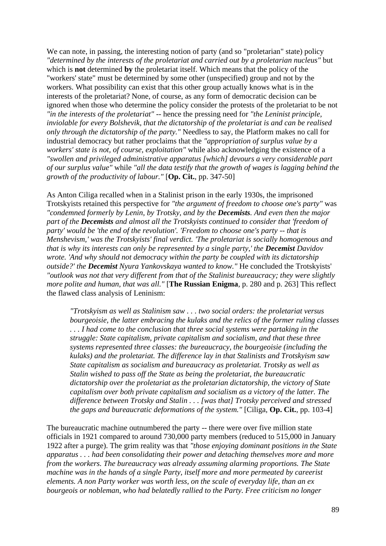We can note, in passing, the interesting notion of party (and so "proletarian" state) policy *"determined by the interests of the proletariat and carried out by a proletarian nucleus"* but which is **not** determined **by** the proletariat itself. Which means that the policy of the "workers' state" must be determined by some other (unspecified) group and not by the workers. What possibility can exist that this other group actually knows what is in the interests of the proletariat? None, of course, as any form of democratic decision can be ignored when those who determine the policy consider the protests of the proletariat to be not *"in the interests of the proletariat"* -- hence the pressing need for *"the Leninist principle, inviolable for every Bolshevik, that the dictatorship of the proletariat is and can be realised only through the dictatorship of the party."* Needless to say, the Platform makes no call for industrial democracy but rather proclaims that the *"appropriation of surplus value by a workers' state is not, of course, exploitation"* while also acknowledging the existence of a *"swollen and privileged administrative apparatus [which] devours a very considerable part of our surplus value"* while *"all the data testify that the growth of wages is lagging behind the growth of the productivity of labour."* [**Op. Cit.**, pp. 347-50]

As Anton Ciliga recalled when in a Stalinist prison in the early 1930s, the imprisoned Trotskyists retained this perspective for *"the argument of freedom to choose one's party"* was *"condemned formerly by Lenin, by Trotsky, and by the Decemists. And even then the major part of the Decemists and almost all the Trotskyists continued to consider that 'freedom of party' would be 'the end of the revolution'. 'Freedom to choose one's party -- that is Menshevism,' was the Trotskyists' final verdict. 'The proletariat is socially homogenous and that is why its interests can only be represented by a single party,' the Decemist Davidov wrote. 'And why should not democracy within the party be coupled with its dictatorship outside?' the Decemist Nyura Yankovskaya wanted to know."* He concluded the Trotskyists' *"outlook was not that very different from that of the Stalinist bureaucracy; they were slightly more polite and human, that was all."* [**The Russian Enigma**, p. 280 and p. 263] This reflect the flawed class analysis of Leninism:

*"Trotskyism as well as Stalinism saw . . . two social orders: the proletariat versus bourgeoisie, the latter embracing the kulaks and the relics of the former ruling classes . . . I had come to the conclusion that three social systems were partaking in the struggle: State capitalism, private capitalism and socialism, and that these three systems represented three classes: the bureaucracy, the bourgeoisie (including the kulaks) and the proletariat. The difference lay in that Stalinists and Trotskyism saw State capitalism as socialism and bureaucracy as proletariat. Trotsky as well as Stalin wished to pass off the State as being the proletariat, the bureaucratic dictatorship over the proletariat as the proletarian dictatorship, the victory of State capitalism over both private capitalism and socialism as a victory of the latter. The difference between Trotsky and Stalin . . . [was that] Trotsky perceived and stressed the gaps and bureaucratic deformations of the system."* [Ciliga, **Op. Cit.**, pp. 103-4]

The bureaucratic machine outnumbered the party -- there were over five million state officials in 1921 compared to around 730,000 party members (reduced to 515,000 in January 1922 after a purge). The grim reality was that *"those enjoying dominant positions in the State apparatus . . . had been consolidating their power and detaching themselves more and more from the workers. The bureaucracy was already assuming alarming proportions. The State machine was in the hands of a single Party, itself more and more permeated by careerist elements. A non Party worker was worth less, on the scale of everyday life, than an ex bourgeois or nobleman, who had belatedly rallied to the Party. Free criticism no longer*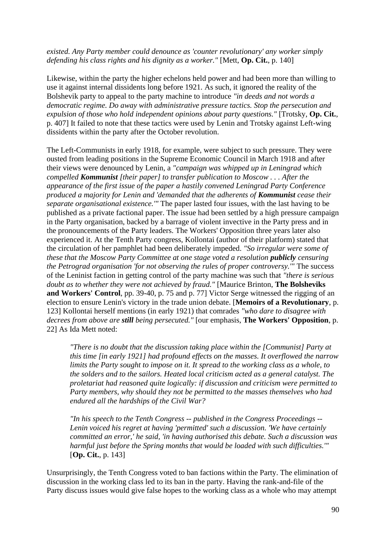*existed. Any Party member could denounce as 'counter revolutionary' any worker simply defending his class rights and his dignity as a worker."* [Mett, **Op. Cit.**, p. 140]

Likewise, within the party the higher echelons held power and had been more than willing to use it against internal dissidents long before 1921. As such, it ignored the reality of the Bolshevik party to appeal to the party machine to introduce *"in deeds and not words a democratic regime. Do away with administrative pressure tactics. Stop the persecution and expulsion of those who hold independent opinions about party questions."* [Trotsky, **Op. Cit.**, p. 407] It failed to note that these tactics were used by Lenin and Trotsky against Left-wing dissidents within the party after the October revolution.

The Left-Communists in early 1918, for example, were subject to such pressure. They were ousted from leading positions in the Supreme Economic Council in March 1918 and after their views were denounced by Lenin, a *"campaign was whipped up in Leningrad which compelled Kommunist [their paper] to transfer publication to Moscow . . . After the appearance of the first issue of the paper a hastily convened Leningrad Party Conference produced a majority for Lenin and 'demanded that the adherents of Kommunist cease their separate organisational existence.'"* The paper lasted four issues, with the last having to be published as a private factional paper. The issue had been settled by a high pressure campaign in the Party organisation, backed by a barrage of violent invective in the Party press and in the pronouncements of the Party leaders. The Workers' Opposition three years later also experienced it. At the Tenth Party congress, Kollontai (author of their platform) stated that the circulation of her pamphlet had been deliberately impeded. *"So irregular were some of these that the Moscow Party Committee at one stage voted a resolution <i>publicly* censuring *the Petrograd organisation 'for not observing the rules of proper controversy.'"* The success of the Leninist faction in getting control of the party machine was such that *"there is serious doubt as to whether they were not achieved by fraud."* [Maurice Brinton, **The Bolsheviks and Workers' Control**, pp. 39-40, p. 75 and p. 77] Victor Serge witnessed the rigging of an election to ensure Lenin's victory in the trade union debate. [**Memoirs of a Revolutionary**, p. 123] Kollontai herself mentions (in early 1921) that comrades *"who dare to disagree with decrees from above are still being persecuted."* [our emphasis, **The Workers' Opposition**, p. 22] As Ida Mett noted:

*"There is no doubt that the discussion taking place within the [Communist] Party at this time [in early 1921] had profound effects on the masses. It overflowed the narrow limits the Party sought to impose on it. It spread to the working class as a whole, to the solders and to the sailors. Heated local criticism acted as a general catalyst. The proletariat had reasoned quite logically: if discussion and criticism were permitted to Party members, why should they not be permitted to the masses themselves who had endured all the hardships of the Civil War?*

*"In his speech to the Tenth Congress -- published in the Congress Proceedings -- Lenin voiced his regret at having 'permitted' such a discussion. 'We have certainly committed an error,' he said, 'in having authorised this debate. Such a discussion was harmful just before the Spring months that would be loaded with such difficulties.'"* [**Op. Cit.**, p. 143]

Unsurprisingly, the Tenth Congress voted to ban factions within the Party. The elimination of discussion in the working class led to its ban in the party. Having the rank-and-file of the Party discuss issues would give false hopes to the working class as a whole who may attempt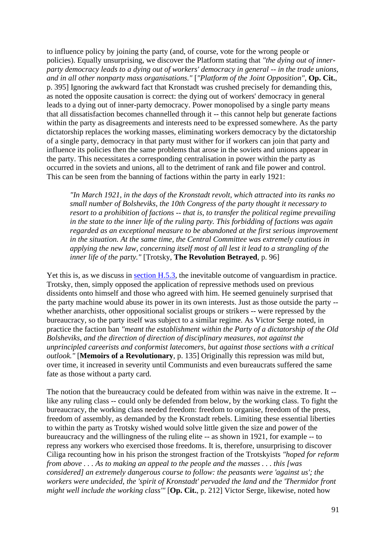to influence policy by joining the party (and, of course, vote for the wrong people or policies). Equally unsurprising, we discover the Platform stating that *"the dying out of innerparty democracy leads to a dying out of workers' democracy in general -- in the trade unions, and in all other nonparty mass organisations."* [*"Platform of the Joint Opposition"*, **Op. Cit.**, p. 395] Ignoring the awkward fact that Kronstadt was crushed precisely for demanding this, as noted the opposite causation is correct: the dying out of workers' democracy in general leads to a dying out of inner-party democracy. Power monopolised by a single party means that all dissatisfaction becomes channelled through it -- this cannot help but generate factions within the party as disagreements and interests need to be expressed somewhere. As the party dictatorship replaces the working masses, eliminating workers democracy by the dictatorship of a single party, democracy in that party must wither for if workers can join that party and influence its policies then the same problems that arose in the soviets and unions appear in the party. This necessitates a corresponding centralisation in power within the party as occurred in the soviets and unions, all to the detriment of rank and file power and control. This can be seen from the banning of factions within the party in early 1921:

*"In March 1921, in the days of the Kronstadt revolt, which attracted into its ranks no small number of Bolsheviks, the 10th Congress of the party thought it necessary to resort to a prohibition of factions -- that is, to transfer the political regime prevailing in the state to the inner life of the ruling party. This forbidding of factions was again regarded as an exceptional measure to be abandoned at the first serious improvement in the situation. At the same time, the Central Committee was extremely cautious in applying the new law, concerning itself most of all lest it lead to a strangling of the inner life of the party."* [Trotsky, **The Revolution Betrayed**, p. 96]

Yet this is, as we discuss in [section H.5.3,](sectionH.html#sech53) the inevitable outcome of vanguardism in practice. Trotsky, then, simply opposed the application of repressive methods used on previous dissidents onto himself and those who agreed with him. He seemed genuinely surprised that the party machine would abuse its power in its own interests. Just as those outside the party - whether anarchists, other oppositional socialist groups or strikers -- were repressed by the bureaucracy, so the party itself was subject to a similar regime. As Victor Serge noted, in practice the faction ban *"meant the establishment within the Party of a dictatorship of the Old Bolsheviks, and the direction of direction of disciplinary measures, not against the unprincipled careerists and conformist latecomers, but against those sections with a critical outlook."* [**Memoirs of a Revolutionary**, p. 135] Originally this repression was mild but, over time, it increased in severity until Communists and even bureaucrats suffered the same fate as those without a party card.

The notion that the bureaucracy could be defeated from within was naive in the extreme. It - like any ruling class -- could only be defended from below, by the working class. To fight the bureaucracy, the working class needed freedom: freedom to organise, freedom of the press, freedom of assembly, as demanded by the Kronstadt rebels. Limiting these essential liberties to within the party as Trotsky wished would solve little given the size and power of the bureaucracy and the willingness of the ruling elite -- as shown in 1921, for example -- to repress any workers who exercised those freedoms. It is, therefore, unsurprising to discover Ciliga recounting how in his prison the strongest fraction of the Trotskyists *"hoped for reform from above . . . As to making an appeal to the people and the masses . . . this [was considered] an extremely dangerous course to follow: the peasants were 'against us'; the workers were undecided, the 'spirit of Kronstadt' pervaded the land and the 'Thermidor front might well include the working class'"* [**Op. Cit.**, p. 212] Victor Serge, likewise, noted how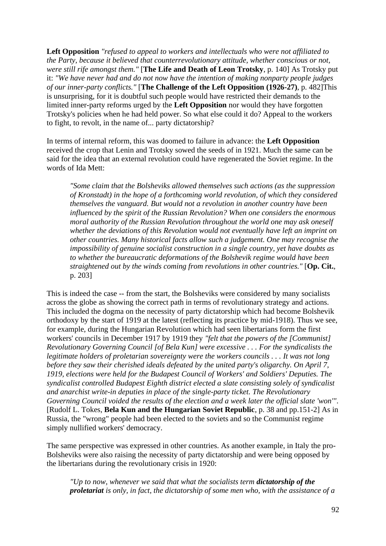**Left Opposition** *"refused to appeal to workers and intellectuals who were not affiliated to the Party, because it believed that counterrevolutionary attitude, whether conscious or not, were still rife amongst them."* [**The Life and Death of Leon Trotsky**, p. 140] As Trotsky put it: *"We have never had and do not now have the intention of making nonparty people judges of our inner-party conflicts."* [**The Challenge of the Left Opposition (1926-27)**, p. 482]This is unsurprising, for it is doubtful such people would have restricted their demands to the limited inner-party reforms urged by the **Left Opposition** nor would they have forgotten Trotsky's policies when he had held power. So what else could it do? Appeal to the workers to fight, to revolt, in the name of... party dictatorship?

In terms of internal reform, this was doomed to failure in advance: the **Left Opposition** received the crop that Lenin and Trotsky sowed the seeds of in 1921. Much the same can be said for the idea that an external revolution could have regenerated the Soviet regime. In the words of Ida Mett:

*"Some claim that the Bolsheviks allowed themselves such actions (as the suppression of Kronstadt) in the hope of a forthcoming world revolution, of which they considered themselves the vanguard. But would not a revolution in another country have been influenced by the spirit of the Russian Revolution? When one considers the enormous moral authority of the Russian Revolution throughout the world one may ask oneself whether the deviations of this Revolution would not eventually have left an imprint on other countries. Many historical facts allow such a judgement. One may recognise the impossibility of genuine socialist construction in a single country, yet have doubts as to whether the bureaucratic deformations of the Bolshevik regime would have been straightened out by the winds coming from revolutions in other countries."* [**Op. Cit.**, p. 203]

This is indeed the case -- from the start, the Bolsheviks were considered by many socialists across the globe as showing the correct path in terms of revolutionary strategy and actions. This included the dogma on the necessity of party dictatorship which had become Bolshevik orthodoxy by the start of 1919 at the latest (reflecting its practice by mid-1918). Thus we see, for example, during the Hungarian Revolution which had seen libertarians form the first workers' councils in December 1917 by 1919 they *"felt that the powers of the [Communist] Revolutionary Governing Council [of Bela Kun] were excessive . . . For the syndicalists the legitimate holders of proletarian sovereignty were the workers councils . . . It was not long before they saw their cherished ideals defeated by the united party's oligarchy. On April 7, 1919, elections were held for the Budapest Council of Workers' and Soldiers' Deputies. The syndicalist controlled Budapest Eighth district elected a slate consisting solely of syndicalist and anarchist write-in deputies in place of the single-party ticket. The Revolutionary Governing Council voided the results of the election and a week later the official slate 'won'"*. [Rudolf L. Tokes, **Bela Kun and the Hungarian Soviet Republic**, p. 38 and pp.151-2] As in Russia, the "wrong" people had been elected to the soviets and so the Communist regime simply nullified workers' democracy.

The same perspective was expressed in other countries. As another example, in Italy the pro-Bolsheviks were also raising the necessity of party dictatorship and were being opposed by the libertarians during the revolutionary crisis in 1920:

*"Up to now, whenever we said that what the socialists term dictatorship of the proletariat is only, in fact, the dictatorship of some men who, with the assistance of a*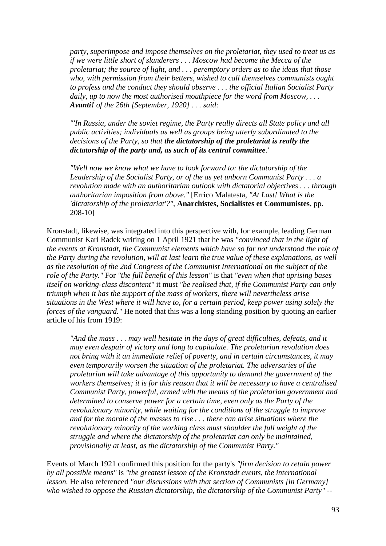*party, superimpose and impose themselves on the proletariat, they used to treat us as if we were little short of slanderers . . . Moscow had become the Mecca of the proletariat; the source of light, and . . . peremptory orders as to the ideas that those who, with permission from their betters, wished to call themselves communists ought to profess and the conduct they should observe . . . the official Italian Socialist Party daily, up to now the most authorised mouthpiece for the word from Moscow, . . . Avanti! of the 26th [September, 1920] . . . said:*

*"'In Russia, under the soviet regime, the Party really directs all State policy and all public activities; individuals as well as groups being utterly subordinated to the decisions of the Party, so that the dictatorship of the proletariat is really the dictatorship of the party and, as such of its central committee.'*

*"Well now we know what we have to look forward to: the dictatorship of the Leadership of the Socialist Party, or of the as yet unborn Communist Party . . . a revolution made with an authoritarian outlook with dictatorial objectives . . . through authoritarian imposition from above."* [Errico Malatesta, *"At Last! What is the 'dictatorship of the proletariat'?"*, **Anarchistes, Socialistes et Communistes**, pp. 208-10]

Kronstadt, likewise, was integrated into this perspective with, for example, leading German Communist Karl Radek writing on 1 April 1921 that he was *"convinced that in the light of the events at Kronstadt, the Communist elements which have so far not understood the role of the Party during the revolution, will at last learn the true value of these explanations, as well as the resolution of the 2nd Congress of the Communist International on the subject of the role of the Party."* For *"the full benefit of this lesson"* is that *"even when that uprising bases itself on working-class discontent"* it must *"be realised that, if the Communist Party can only triumph when it has the support of the mass of workers, there will nevertheless arise situations in the West where it will have to, for a certain period, keep power using solely the forces of the vanguard."* He noted that this was a long standing position by quoting an earlier article of his from 1919:

*"And the mass . . . may well hesitate in the days of great difficulties, defeats, and it may even despair of victory and long to capitulate. The proletarian revolution does not bring with it an immediate relief of poverty, and in certain circumstances, it may even temporarily worsen the situation of the proletariat. The adversaries of the proletarian will take advantage of this opportunity to demand the government of the workers themselves; it is for this reason that it will be necessary to have a centralised Communist Party, powerful, armed with the means of the proletarian government and determined to conserve power for a certain time, even only as the Party of the revolutionary minority, while waiting for the conditions of the struggle to improve and for the morale of the masses to rise . . . there can arise situations where the revolutionary minority of the working class must shoulder the full weight of the struggle and where the dictatorship of the proletariat can only be maintained, provisionally at least, as the dictatorship of the Communist Party."*

Events of March 1921 confirmed this position for the party's *"firm decision to retain power by all possible means"* is *"the greatest lesson of the Kronstadt events, the international lesson.* He also referenced *"our discussions with that section of Communists [in Germany] who wished to oppose the Russian dictatorship, the dictatorship of the Communist Party"* --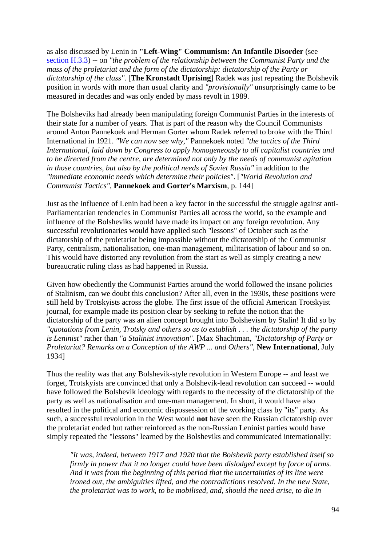as also discussed by Lenin in **"Left-Wing" Communism: An Infantile Disorder** (see [section H.3.3\)](sectionH.html#sech33) -- on *"the problem of the relationship between the Communist Party and the mass of the proletariat and the form of the dictatorship: dictatorship of the Party or dictatorship of the class"*. [**The Kronstadt Uprising**] Radek was just repeating the Bolshevik position in words with more than usual clarity and *"provisionally"* unsurprisingly came to be measured in decades and was only ended by mass revolt in 1989.

The Bolsheviks had already been manipulating foreign Communist Parties in the interests of their state for a number of years. That is part of the reason why the Council Communists around Anton Pannekoek and Herman Gorter whom Radek referred to broke with the Third International in 1921. *"We can now see why,"* Pannekoek noted *"the tactics of the Third International, laid down by Congress to apply homogeneously to all capitalist countries and to be directed from the centre, are determined not only by the needs of communist agitation in those countries, but also by the political needs of Soviet Russia"* in addition to the *"immediate economic needs which determine their policies"*. [*"World Revolution and Communist Tactics"*, **Pannekoek and Gorter's Marxism**, p. 144]

Just as the influence of Lenin had been a key factor in the successful the struggle against anti-Parliamentarian tendencies in Communist Parties all across the world, so the example and influence of the Bolsheviks would have made its impact on any foreign revolution. Any successful revolutionaries would have applied such "lessons" of October such as the dictatorship of the proletariat being impossible without the dictatorship of the Communist Party, centralism, nationalisation, one-man management, militarisation of labour and so on. This would have distorted any revolution from the start as well as simply creating a new bureaucratic ruling class as had happened in Russia.

Given how obediently the Communist Parties around the world followed the insane policies of Stalinism, can we doubt this conclusion? After all, even in the 1930s, these positions were still held by Trotskyists across the globe. The first issue of the official American Trotskyist journal, for example made its position clear by seeking to refute the notion that the dictatorship of the party was an alien concept brought into Bolshevism by Stalin! It did so by *"quotations from Lenin, Trotsky and others so as to establish . . . the dictatorship of the party is Leninist"* rather than *"a Stalinist innovation"*. [Max Shachtman, *"Dictatorship of Party or Proletariat? Remarks on a Conception of the AWP ... and Others"*, **New International**, July 1934]

Thus the reality was that any Bolshevik-style revolution in Western Europe -- and least we forget, Trotskyists are convinced that only a Bolshevik-lead revolution can succeed -- would have followed the Bolshevik ideology with regards to the necessity of the dictatorship of the party as well as nationalisation and one-man management. In short, it would have also resulted in the political and economic dispossession of the working class by "its" party. As such, a successful revolution in the West would **not** have seen the Russian dictatorship over the proletariat ended but rather reinforced as the non-Russian Leninist parties would have simply repeated the "lessons" learned by the Bolsheviks and communicated internationally:

*"It was, indeed, between 1917 and 1920 that the Bolshevik party established itself so firmly in power that it no longer could have been dislodged except by force of arms. And it was from the beginning of this period that the uncertainties of its line were ironed out, the ambiguities lifted, and the contradictions resolved. In the new State, the proletariat was to work, to be mobilised, and, should the need arise, to die in*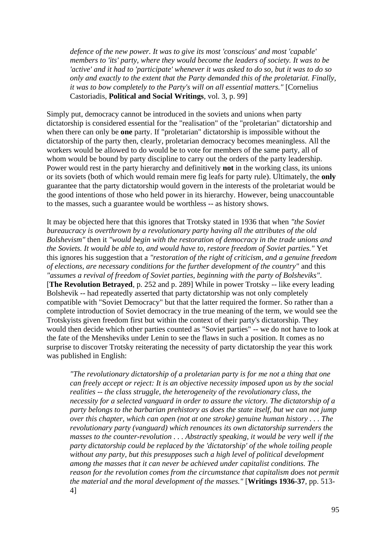*defence of the new power. It was to give its most 'conscious' and most 'capable' members to 'its' party, where they would become the leaders of society. It was to be 'active' and it had to 'participate' whenever it was asked to do so, but it was to do so only and exactly to the extent that the Party demanded this of the proletariat. Finally, it was to bow completely to the Party's will on all essential matters."* [Cornelius Castoriadis, **Political and Social Writings**, vol. 3, p. 99]

Simply put, democracy cannot be introduced in the soviets and unions when party dictatorship is considered essential for the "realisation" of the "proletarian" dictatorship and when there can only be **one** party. If "proletarian" dictatorship is impossible without the dictatorship of the party then, clearly, proletarian democracy becomes meaningless. All the workers would be allowed to do would be to vote for members of the same party, all of whom would be bound by party discipline to carry out the orders of the party leadership. Power would rest in the party hierarchy and definitively **not** in the working class, its unions or its soviets (both of which would remain mere fig leafs for party rule). Ultimately, the **only** guarantee that the party dictatorship would govern in the interests of the proletariat would be the good intentions of those who held power in its hierarchy. However, being unaccountable to the masses, such a guarantee would be worthless -- as history shows.

It may be objected here that this ignores that Trotsky stated in 1936 that when *"the Soviet bureaucracy is overthrown by a revolutionary party having all the attributes of the old Bolshevism"* then it *"would begin with the restoration of democracy in the trade unions and the Soviets. It would be able to, and would have to, restore freedom of Soviet parties."* Yet this ignores his suggestion that a *"restoration of the right of criticism, and a genuine freedom of elections, are necessary conditions for the further development of the country"* and this *"assumes a revival of freedom of Soviet parties, beginning with the party of Bolsheviks"*. [**The Revolution Betrayed**, p. 252 and p. 289] While in power Trotsky -- like every leading Bolshevik -- had repeatedly asserted that party dictatorship was not only completely compatible with "Soviet Democracy" but that the latter required the former. So rather than a complete introduction of Soviet democracy in the true meaning of the term, we would see the Trotskyists given freedom first but within the context of their party's dictatorship. They would then decide which other parties counted as "Soviet parties" -- we do not have to look at the fate of the Mensheviks under Lenin to see the flaws in such a position. It comes as no surprise to discover Trotsky reiterating the necessity of party dictatorship the year this work was published in English:

*"The revolutionary dictatorship of a proletarian party is for me not a thing that one can freely accept or reject: It is an objective necessity imposed upon us by the social realities -- the class struggle, the heterogeneity of the revolutionary class, the necessity for a selected vanguard in order to assure the victory. The dictatorship of a party belongs to the barbarian prehistory as does the state itself, but we can not jump over this chapter, which can open (not at one stroke) genuine human history . . . The revolutionary party (vanguard) which renounces its own dictatorship surrenders the masses to the counter-revolution . . . Abstractly speaking, it would be very well if the party dictatorship could be replaced by the 'dictatorship' of the whole toiling people without any party, but this presupposes such a high level of political development among the masses that it can never be achieved under capitalist conditions. The reason for the revolution comes from the circumstance that capitalism does not permit the material and the moral development of the masses."* [**Writings 1936-37**, pp. 513- 4]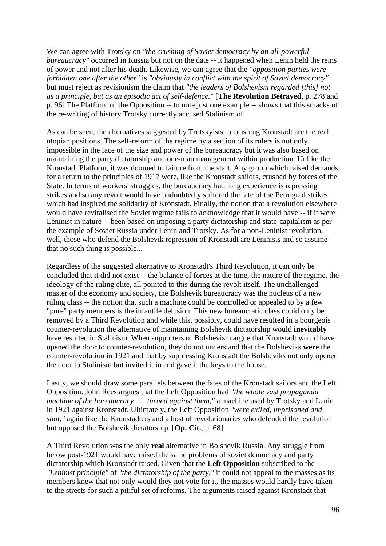We can agree with Trotsky on *"the crushing of Soviet democracy by an all-powerful bureaucracy"* occurred in Russia but not on the date -- it happened when Lenin held the reins of power and not after his death. Likewise, we can agree that the *"opposition parties were forbidden one after the other"* is *"obviously in conflict with the spirit of Soviet democracy"* but must reject as revisionism the claim that *"the leaders of Bolshevism regarded [this] not as a principle, but as an episodic act of self-defence."* [**The Revolution Betrayed**, p. 278 and p. 96] The Platform of the Opposition -- to note just one example -- shows that this smacks of the re-writing of history Trotsky correctly accused Stalinism of.

As can be seen, the alternatives suggested by Trotskyists to crushing Kronstadt are the real utopian positions. The self-reform of the regime by a section of its rulers is not only impossible in the face of the size and power of the bureaucracy but it was also based on maintaining the party dictatorship and one-man management within production. Unlike the Kronstadt Platform, it was doomed to failure from the start. Any group which raised demands for a return to the principles of 1917 were, like the Kronstadt sailors, crushed by forces of the State. In terms of workers' struggles, the bureaucracy had long experience is repressing strikes and so any revolt would have undoubtedly suffered the fate of the Petrograd strikes which had inspired the solidarity of Kronstadt. Finally, the notion that a revolution elsewhere would have revitalised the Soviet regime fails to acknowledge that it would have -- if it were Leninist in nature -- been based on imposing a party dictatorship and state-capitalism as per the example of Soviet Russia under Lenin and Trotsky. As for a non-Leninist revolution, well, those who defend the Bolshevik repression of Kronstadt are Leninists and so assume that no such thing is possible...

Regardless of the suggested alternative to Kronstadt's Third Revolution, it can only be concluded that it did not exist -- the balance of forces at the time, the nature of the regime, the ideology of the ruling elite, all pointed to this during the revolt itself. The unchallenged master of the economy and society, the Bolshevik bureaucracy was the nucleus of a new ruling class -- the notion that such a machine could be controlled or appealed to by a few "pure" party members is the infantile delusion. This new bureaucratic class could only be removed by a Third Revolution and while this, possibly, could have resulted in a bourgeois counter-revolution the alternative of maintaining Bolshevik dictatorship would **inevitably** have resulted in Stalinism. When supporters of Bolshevism argue that Kronstadt would have opened the door to counter-revolution, they do not understand that the Bolsheviks **were** the counter-revolution in 1921 and that by suppressing Kronstadt the Bolsheviks not only opened the door to Stalinism but invited it in and gave it the keys to the house.

Lastly, we should draw some parallels between the fates of the Kronstadt sailors and the Left Opposition. John Rees argues that the Left Opposition had *"the whole vast propaganda machine of the bureaucracy . . . turned against them,"* a machine used by Trotsky and Lenin in 1921 against Kronstadt. Ultimately, the Left Opposition *"were exiled, imprisoned and shot,"* again like the Kronstadters and a host of revolutionaries who defended the revolution but opposed the Bolshevik dictatorship. [**Op. Cit.**, p. 68]

A Third Revolution was the only **real** alternative in Bolshevik Russia. Any struggle from below post-1921 would have raised the same problems of soviet democracy and party dictatorship which Kronstadt raised. Given that the **Left Opposition** subscribed to the *"Leninist principle"* of *"the dictatorship of the party,"* it could not appeal to the masses as its members knew that not only would they not vote for it, the masses would hardly have taken to the streets for such a pitiful set of reforms. The arguments raised against Kronstadt that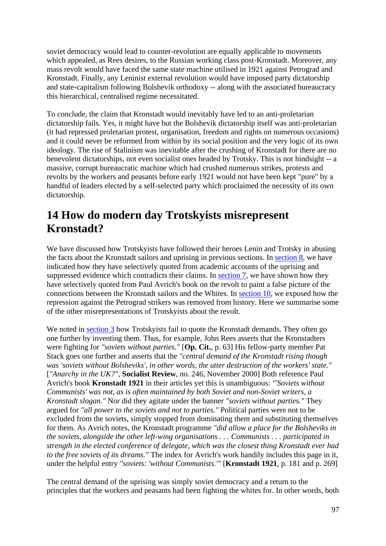soviet democracy would lead to counter-revolution are equally applicable to movements which appealed, as Rees desires, to the Russian working class post-Kronstadt. Moreover, any mass revolt would have faced the same state machine utilised in 1921 against Petrograd and Kronstadt. Finally, any Leninist external revolution would have imposed party dictatorship and state-capitalism following Bolshevik orthodoxy -- along with the associated bureaucracy this hierarchical, centralised regime necessitated.

To conclude, the claim that Kronstadt would inevitably have led to an anti-proletarian dictatorship fails. Yes, it might have but the Bolshevik dictatorship itself was anti-proletarian (it had repressed proletarian protest, organisation, freedom and rights on numerous occasions) and it could never be reformed from within by its social position and the very logic of its own ideology. The rise of Stalinism was inevitable after the crushing of Kronstadt for there are no benevolent dictatorships, not even socialist ones headed by Trotsky. This is not hindsight -- a massive, corrupt bureaucratic machine which had crushed numerous strikes, protests and revolts by the workers and peasants before early 1921 would not have been kept "pure" by a handful of leaders elected by a self-selected party which proclaimed the necessity of its own dictatorship.

## **14 How do modern day Trotskyists misrepresent Kronstadt?**

We have discussed how Trotskyists have followed their heroes Lenin and Trotsky in abusing the facts about the Kronstadt sailors and uprising in previous sections. In [section 8,](append42.html#app8) we have indicated how they have selectively quoted from academic accounts of the uprising and suppressed evidence which contradicts their claims. In [section 7,](append42.html#app7) we have shown how they have selectively quoted from Paul Avrich's book on the revolt to paint a false picture of the connections between the Kronstadt sailors and the Whites. In [section 10,](append42.html#app10) we exposed how the repression against the Petrograd strikers was removed from history. Here we summarise some of the other misrepresentations of Trotskyists about the revolt.

We noted in [section 3](append42.html#app3) how Trotskyists fail to quote the Kronstadt demands. They often go one further by inventing them. Thus, for example, John Rees asserts that the Kronstadters were fighting for *"soviets without parties."* [**Op. Cit.**, p. 63] His fellow-party member Pat Stack goes one further and asserts that the *"central demand of the Kronstadt rising though was 'soviets without Bolsheviks', in other words, the utter destruction of the workers' state."* [*"Anarchy in the UK?"*, **Socialist Review**, no. 246, November 2000] Both reference Paul Avrich's book **Kronstadt 1921** in their articles yet this is unambiguous: *"'Soviets without Communists' was not, as is often maintained by both Soviet and non-Soviet writers, a Kronstadt slogan."* Nor did they agitate under the banner *"soviets without parties."* They argued for *"all power to the soviets and not to parties."* Political parties were not to be excluded from the soviets, simply stopped from dominating them and substituting themselves for them. As Avrich notes, the Kronstadt programme *"did allow a place for the Bolsheviks in the soviets, alongside the other left-wing organisations . . . Communists . . . participated in strength in the elected conference of delegate, which was the closest thing Kronstadt ever had to the free soviets of its dreams."* The index for Avrich's work handily includes this page in it, under the helpful entry *"soviets: 'without Communists.'"* [**Kronstadt 1921**, p. 181 and p. 269]

The central demand of the uprising was simply soviet democracy and a return to the principles that the workers and peasants had been fighting the whites for. In other words, both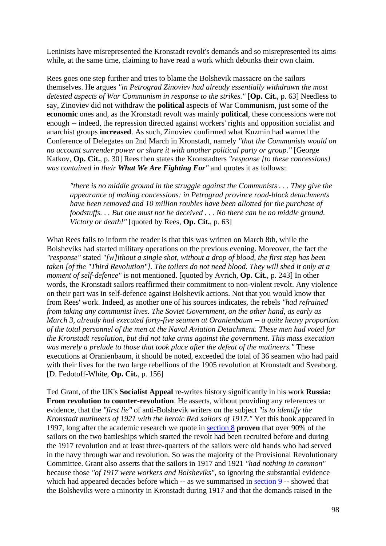Leninists have misrepresented the Kronstadt revolt's demands and so misrepresented its aims while, at the same time, claiming to have read a work which debunks their own claim.

Rees goes one step further and tries to blame the Bolshevik massacre on the sailors themselves. He argues *"in Petrograd Zinoviev had already essentially withdrawn the most detested aspects of War Communism in response to the strikes."* [**Op. Cit.**, p. 63] Needless to say, Zinoviev did not withdraw the **political** aspects of War Communism, just some of the **economic** ones and, as the Kronstadt revolt was mainly **political**, these concessions were not enough -- indeed, the repression directed against workers' rights and opposition socialist and anarchist groups **increased**. As such, Zinoviev confirmed what Kuzmin had warned the Conference of Delegates on 2nd March in Kronstadt, namely *"that the Communists would on no account surrender power or share it with another political party or group."* [George Katkov, **Op. Cit.**, p. 30] Rees then states the Kronstadters *"response [to these concessions] was contained in their What We Are Fighting For"* and quotes it as follows:

*"there is no middle ground in the struggle against the Communists . . . They give the appearance of making concessions: in Petrograd province road-block detachments have been removed and 10 million roubles have been allotted for the purchase of foodstuffs. . . But one must not be deceived . . . No there can be no middle ground. Victory or death!"* [quoted by Rees, **Op. Cit.**, p. 63]

What Rees fails to inform the reader is that this was written on March 8th, while the Bolsheviks had started military operations on the previous evening. Moreover, the fact the *"response"* stated *"[w]ithout a single shot, without a drop of blood, the first step has been taken [of the "Third Revolution"]. The toilers do not need blood. They will shed it only at a moment of self-defence"* is not mentioned. [quoted by Avrich, **Op. Cit.**, p. 243] In other words, the Kronstadt sailors reaffirmed their commitment to non-violent revolt. Any violence on their part was in self-defence against Bolshevik actions. Not that you would know that from Rees' work. Indeed, as another one of his sources indicates, the rebels *"had refrained from taking any communist lives. The Soviet Government, on the other hand, as early as March 3, already had executed forty-five seamen at Oranienbaum -- a quite heavy proportion of the total personnel of the men at the Naval Aviation Detachment. These men had voted for the Kronstadt resolution, but did not take arms against the government. This mass execution was merely a prelude to those that took place after the defeat of the mutineers."* These executions at Oranienbaum, it should be noted, exceeded the total of 36 seamen who had paid with their lives for the two large rebellions of the 1905 revolution at Kronstadt and Sveaborg. [D. Fedotoff-White, **Op. Cit.**, p. 156]

Ted Grant, of the UK's **Socialist Appeal** re-writes history significantly in his work **Russia: From revolution to counter-revolution**. He asserts, without providing any references or evidence, that the *"first lie"* of anti-Bolshevik writers on the subject *"is to identify the Kronstadt mutineers of 1921 with the heroic Red sailors of 1917."* Yet this book appeared in 1997, long after the academic research we quote in [section 8](append42.html#app8) **proven** that over 90% of the sailors on the two battleships which started the revolt had been recruited before and during the 1917 revolution and at least three-quarters of the sailors were old hands who had served in the navy through war and revolution. So was the majority of the Provisional Revolutionary Committee. Grant also asserts that the sailors in 1917 and 1921 *"had nothing in common"* because those *"of 1917 were workers and Bolsheviks"*, so ignoring the substantial evidence which had appeared decades before which -- as we summarised in [section 9](append42.html#app9) -- showed that the Bolsheviks were a minority in Kronstadt during 1917 and that the demands raised in the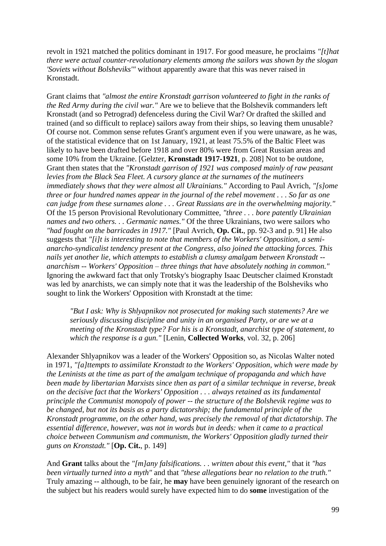revolt in 1921 matched the politics dominant in 1917. For good measure, he proclaims *"[t]hat there were actual counter-revolutionary elements among the sailors was shown by the slogan 'Soviets without Bolsheviks'"* without apparently aware that this was never raised in Kronstadt.

Grant claims that *"almost the entire Kronstadt garrison volunteered to fight in the ranks of the Red Army during the civil war."* Are we to believe that the Bolshevik commanders left Kronstadt (and so Petrograd) defenceless during the Civil War? Or drafted the skilled and trained (and so difficult to replace) sailors away from their ships, so leaving them unusable? Of course not. Common sense refutes Grant's argument even if you were unaware, as he was, of the statistical evidence that on 1st January, 1921, at least 75.5% of the Baltic Fleet was likely to have been drafted before 1918 and over 80% were from Great Russian areas and some 10% from the Ukraine. [Gelzter, **Kronstadt 1917-1921**, p. 208] Not to be outdone, Grant then states that the *"Kronstadt garrison of 1921 was composed mainly of raw peasant levies from the Black Sea Fleet. A cursory glance at the surnames of the mutineers immediately shows that they were almost all Ukrainians."* According to Paul Avrich, *"[s]ome three or four hundred names appear in the journal of the rebel movement . . . So far as one can judge from these surnames alone . . . Great Russians are in the overwhelming majority."* Of the 15 person Provisional Revolutionary Committee, *"three . . . bore patently Ukrainian names and two others. . . Germanic names."* Of the three Ukrainians, two were sailors who *"had fought on the barricades in 1917."* [Paul Avrich, **Op. Cit.**, pp. 92-3 and p. 91] He also suggests that *"[i]t is interesting to note that members of the Workers' Opposition, a semianarcho-syndicalist tendency present at the Congress, also joined the attacking forces. This nails yet another lie, which attempts to establish a clumsy amalgam between Kronstadt - anarchism -- Workers' Opposition – three things that have absolutely nothing in common."* Ignoring the awkward fact that only Trotsky's biography Isaac Deutscher claimed Kronstadt was led by anarchists, we can simply note that it was the leadership of the Bolsheviks who sought to link the Workers' Opposition with Kronstadt at the time:

*"But I ask: Why is Shlyapnikov not prosecuted for making such statements? Are we seriously discussing discipline and unity in an organised Party, or are we at a meeting of the Kronstadt type? For his is a Kronstadt, anarchist type of statement, to which the response is a gun."* [Lenin, **Collected Works**, vol. 32, p. 206]

Alexander Shlyapnikov was a leader of the Workers' Opposition so, as Nicolas Walter noted in 1971, *"[a]ttempts to assimilate Kronstadt to the Workers' Opposition, which were made by the Leninists at the time as part of the amalgam technique of propaganda and which have been made by libertarian Marxists since then as part of a similar technique in reverse, break on the decisive fact that the Workers' Opposition . . . always retained as its fundamental principle the Communist monopoly of power -- the structure of the Bolshevik regime was to be changed, but not its basis as a party dictatorship; the fundamental principle of the Kronstadt programme, on the other hand, was precisely the removal of that dictatorship. The essential difference, however, was not in words but in deeds: when it came to a practical choice between Communism and communism, the Workers' Opposition gladly turned their guns on Kronstadt."* [**Op. Cit.**, p. 149]

And **Grant** talks about the *"[m]any falsifications. . . written about this event,"* that it *"has been virtually turned into a myth"* and that *"these allegations bear no relation to the truth."* Truly amazing -- although, to be fair, he **may** have been genuinely ignorant of the research on the subject but his readers would surely have expected him to do **some** investigation of the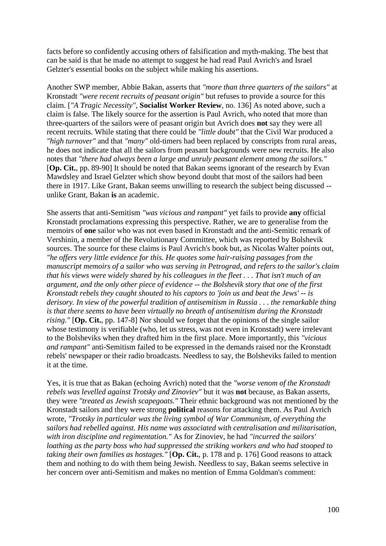facts before so confidently accusing others of falsification and myth-making. The best that can be said is that he made no attempt to suggest he had read Paul Avrich's and Israel Gelzter's essential books on the subject while making his assertions.

Another SWP member, Abbie Bakan, asserts that *"more than three quarters of the sailors"* at Kronstadt *"were recent recruits of peasant origin"* but refuses to provide a source for this claim. [*"A Tragic Necessity"*, **Socialist Worker Review**, no. 136] As noted above, such a claim is false. The likely source for the assertion is Paul Avrich, who noted that more than three-quarters of the sailors were of peasant origin but Avrich does **not** say they were all recent recruits. While stating that there could be *"little doubt"* that the Civil War produced a *"high turnover"* and that *"many"* old-timers had been replaced by conscripts from rural areas, he does not indicate that all the sailors from peasant backgrounds were new recruits. He also notes that *"there had always been a large and unruly peasant element among the sailors."* [**Op. Cit.**, pp. 89-90] It should be noted that Bakan seems ignorant of the research by Evan Mawdsley and Israel Gelzter which show beyond doubt that most of the sailors had been there in 1917. Like Grant, Bakan seems unwilling to research the subject being discussed - unlike Grant, Bakan **is** an academic.

She asserts that anti-Semitism *"was vicious and rampant"* yet fails to provide **any** official Kronstadt proclamations expressing this perspective. Rather, we are to generalise from the memoirs of **one** sailor who was not even based in Kronstadt and the anti-Semitic remark of Vershinin, a member of the Revolutionary Committee, which was reported by Bolshevik sources. The source for these claims is Paul Avrich's book but, as Nicolas Walter points out, *"he offers very little evidence for this. He quotes some hair-raising passages from the manuscript memoirs of a sailor who was serving in Petrograd, and refers to the sailor's claim that his views were widely shared by his colleagues in the fleet . . . That isn't much of an argument, and the only other piece of evidence -- the Bolshevik story that one of the first Kronstadt rebels they caught shouted to his captors to 'join us and beat the Jews' -- is derisory. In view of the powerful tradition of antisemitism in Russia . . . the remarkable thing is that there seems to have been virtually no breath of antisemitism during the Kronstadt rising."* [**Op. Cit.**, pp. 147-8] Nor should we forget that the opinions of the single sailor whose testimony is verifiable (who, let us stress, was not even in Kronstadt) were irrelevant to the Bolsheviks when they drafted him in the first place. More importantly, this *"vicious and rampant"* anti-Semitism failed to be expressed in the demands raised nor the Kronstadt rebels' newspaper or their radio broadcasts. Needless to say, the Bolsheviks failed to mention it at the time.

Yes, it is true that as Bakan (echoing Avrich) noted that the *"worse venom of the Kronstadt rebels was levelled against Trotsky and Zinoviev"* but it was **not** because, as Bakan asserts, they were *"treated as Jewish scapegoats."* Their ethnic background was not mentioned by the Kronstadt sailors and they were strong **political** reasons for attacking them. As Paul Avrich wrote, *"Trotsky in particular was the living symbol of War Communism, of everything the sailors had rebelled against. His name was associated with centralisation and militarisation, with iron discipline and regimentation."* As for Zinoviev, he had *"incurred the sailors' loathing as the party boss who had suppressed the striking workers and who had stooped to taking their own families as hostages."* [**Op. Cit.**, p. 178 and p. 176] Good reasons to attack them and nothing to do with them being Jewish. Needless to say, Bakan seems selective in her concern over anti-Semitism and makes no mention of Emma Goldman's comment: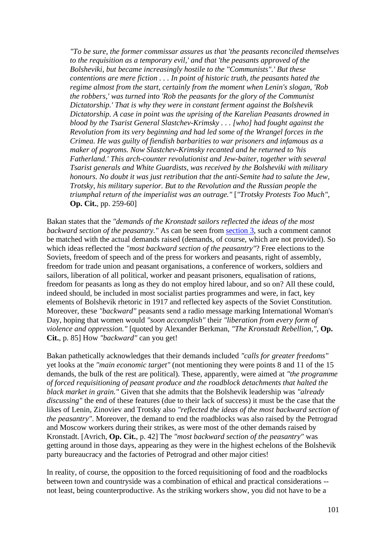*"To be sure, the former commissar assures us that 'the peasants reconciled themselves to the requisition as a temporary evil,' and that 'the peasants approved of the Bolsheviki, but became increasingly hostile to the "Communists".' But these contentions are mere fiction . . . In point of historic truth, the peasants hated the regime almost from the start, certainly from the moment when Lenin's slogan, 'Rob the robbers,' was turned into 'Rob the peasants for the glory of the Communist Dictatorship.' That is why they were in constant ferment against the Bolshevik Dictatorship. A case in point was the uprising of the Karelian Peasants drowned in blood by the Tsarist General Slastchev-Krimsky . . . [who] had fought against the Revolution from its very beginning and had led some of the Wrangel forces in the Crimea. He was guilty of fiendish barbarities to war prisoners and infamous as a maker of pogroms. Now Slastchev-Krimsky recanted and he returned to 'his Fatherland.' This arch-counter revolutionist and Jew-baiter, together with several Tsarist generals and White Guardists, was received by the Bolsheviki with military honours. No doubt it was just retribution that the anti-Semite had to salute the Jew, Trotsky, his military superior. But to the Revolution and the Russian people the triumphal return of the imperialist was an outrage."* [*"Trotsky Protests Too Much"*, **Op. Cit.**, pp. 259-60]

Bakan states that the *"demands of the Kronstadt sailors reflected the ideas of the most backward section of the peasantry."* As can be seen from [section 3,](append42.html#app3) such a comment cannot be matched with the actual demands raised (demands, of course, which are not provided). So which ideas reflected the *"most backward section of the peasantry"*? Free elections to the Soviets, freedom of speech and of the press for workers and peasants, right of assembly, freedom for trade union and peasant organisations, a conference of workers, soldiers and sailors, liberation of all political, worker and peasant prisoners, equalisation of rations, freedom for peasants as long as they do not employ hired labour, and so on? All these could, indeed should, be included in most socialist parties programmes and were, in fact, key elements of Bolshevik rhetoric in 1917 and reflected key aspects of the Soviet Constitution. Moreover, these *"backward"* peasants send a radio message marking International Woman's Day, hoping that women would *"soon accomplish"* their *"liberation from every form of violence and oppression."* [quoted by Alexander Berkman, *"The Kronstadt Rebellion,"*, **Op. Cit.**, p. 85] How *"backward"* can you get!

Bakan pathetically acknowledges that their demands included *"calls for greater freedoms"* yet looks at the *"main economic target"* (not mentioning they were points 8 and 11 of the 15 demands, the bulk of the rest are political). These, apparently, were aimed at *"the programme of forced requisitioning of peasant produce and the roadblock detachments that halted the black market in grain."* Given that she admits that the Bolshevik leadership was *"already discussing"* the end of these features (due to their lack of success) it must be the case that the likes of Lenin, Zinoviev and Trotsky also *"reflected the ideas of the most backward section of the peasantry"*. Moreover, the demand to end the roadblocks was also raised by the Petrograd and Moscow workers during their strikes, as were most of the other demands raised by Kronstadt. [Avrich, **Op. Cit.**, p. 42] The *"most backward section of the peasantry"* was getting around in those days, appearing as they were in the highest echelons of the Bolshevik party bureaucracy and the factories of Petrograd and other major cities!

In reality, of course, the opposition to the forced requisitioning of food and the roadblocks between town and countryside was a combination of ethical and practical considerations - not least, being counterproductive. As the striking workers show, you did not have to be a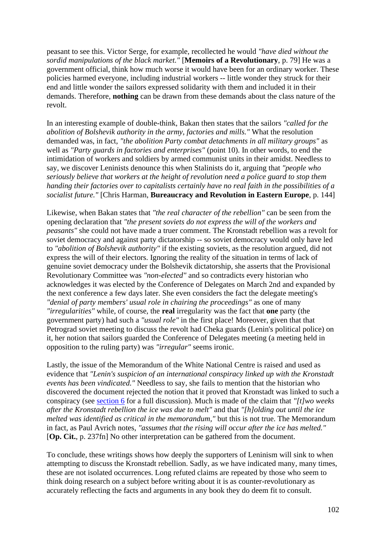peasant to see this. Victor Serge, for example, recollected he would *"have died without the sordid manipulations of the black market."* [**Memoirs of a Revolutionary**, p. 79] He was a government official, think how much worse it would have been for an ordinary worker. These policies harmed everyone, including industrial workers -- little wonder they struck for their end and little wonder the sailors expressed solidarity with them and included it in their demands. Therefore, **nothing** can be drawn from these demands about the class nature of the revolt.

In an interesting example of double-think, Bakan then states that the sailors *"called for the abolition of Bolshevik authority in the army, factories and mills."* What the resolution demanded was, in fact, *"the abolition Party combat detachments in all military groups"* as well as *"Party guards in factories and enterprises"* (point 10). In other words, to end the intimidation of workers and soldiers by armed communist units in their amidst. Needless to say, we discover Leninists denounce this when Stalinists do it, arguing that *"people who seriously believe that workers at the height of revolution need a police guard to stop them handing their factories over to capitalists certainly have no real faith in the possibilities of a socialist future."* [Chris Harman, **Bureaucracy and Revolution in Eastern Europe**, p. 144]

Likewise, when Bakan states that *"the real character of the rebellion"* can be seen from the opening declaration that *"the present soviets do not express the will of the workers and peasants"* she could not have made a truer comment. The Kronstadt rebellion was a revolt for soviet democracy and against party dictatorship -- so soviet democracy would only have led to *"abolition of Bolshevik authority"* if the existing soviets, as the resolution argued, did not express the will of their electors. Ignoring the reality of the situation in terms of lack of genuine soviet democracy under the Bolshevik dictatorship, she asserts that the Provisional Revolutionary Committee was *"non-elected"* and so contradicts every historian who acknowledges it was elected by the Conference of Delegates on March 2nd and expanded by the next conference a few days later. She even considers the fact the delegate meeting's *"denial of party members' usual role in chairing the proceedings"* as one of many *"irregularities"* while, of course, the **real** irregularity was the fact that **one** party (the government party) had such a *"usual role"* in the first place! Moreover, given that that Petrograd soviet meeting to discuss the revolt had Cheka guards (Lenin's political police) on it, her notion that sailors guarded the Conference of Delegates meeting (a meeting held in opposition to the ruling party) was *"irregular"* seems ironic.

Lastly, the issue of the Memorandum of the White National Centre is raised and used as evidence that *"Lenin's suspicion of an international conspiracy linked up with the Kronstadt events has been vindicated."* Needless to say, she fails to mention that the historian who discovered the document rejected the notion that it proved that Kronstadt was linked to such a conspiracy (see [section 6](append42.html#app6) for a full discussion). Much is made of the claim that *"[t]wo weeks after the Kronstadt rebellion the ice was due to melt"* and that *"[h]olding out until the ice melted was identified as critical in the memorandum,"* but this is not true. The Memorandum in fact, as Paul Avrich notes, *"assumes that the rising will occur after the ice has melted."* [**Op. Cit.**, p. 237fn] No other interpretation can be gathered from the document.

To conclude, these writings shows how deeply the supporters of Leninism will sink to when attempting to discuss the Kronstadt rebellion. Sadly, as we have indicated many, many times, these are not isolated occurrences. Long refuted claims are repeated by those who seem to think doing research on a subject before writing about it is as counter-revolutionary as accurately reflecting the facts and arguments in any book they do deem fit to consult.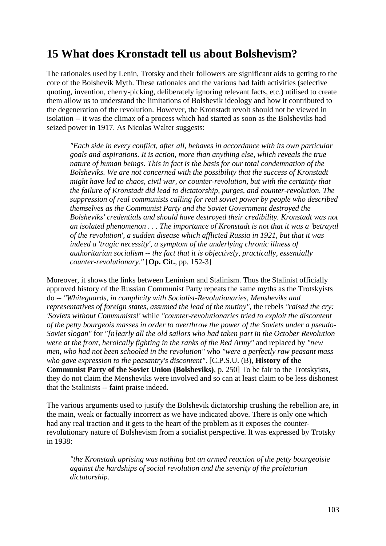## **15 What does Kronstadt tell us about Bolshevism?**

The rationales used by Lenin, Trotsky and their followers are significant aids to getting to the core of the Bolshevik Myth. These rationales and the various bad faith activities (selective quoting, invention, cherry-picking, deliberately ignoring relevant facts, etc.) utilised to create them allow us to understand the limitations of Bolshevik ideology and how it contributed to the degeneration of the revolution. However, the Kronstadt revolt should not be viewed in isolation -- it was the climax of a process which had started as soon as the Bolsheviks had seized power in 1917. As Nicolas Walter suggests:

*"Each side in every conflict, after all, behaves in accordance with its own particular goals and aspirations. It is action, more than anything else, which reveals the true nature of human beings. This in fact is the basis for our total condemnation of the Bolsheviks. We are not concerned with the possibility that the success of Kronstadt might have led to chaos, civil war, or counter-revolution, but with the certainty that the failure of Kronstadt did lead to dictatorship, purges, and counter-revolution. The suppression of real communists calling for real soviet power by people who described themselves as the Communist Party and the Soviet Government destroyed the Bolsheviks' credentials and should have destroyed their credibility. Kronstadt was not an isolated phenomenon . . . The importance of Kronstadt is not that it was a 'betrayal of the revolution', a sudden disease which afflicted Russia in 1921, but that it was indeed a 'tragic necessity', a symptom of the underlying chronic illness of authoritarian socialism -- the fact that it is objectively, practically, essentially counter-revolutionary."* [**Op. Cit.**, pp. 152-3]

Moreover, it shows the links between Leninism and Stalinism. Thus the Stalinist officially approved history of the Russian Communist Party repeats the same myths as the Trotskyists do -- *"Whiteguards, in complicity with Socialist-Revolutionaries, Mensheviks and representatives of foreign states, assumed the lead of the mutiny"*, the rebels *"raised the cry: 'Soviets without Communists!'* while *"counter-revolutionaries tried to exploit the discontent of the petty bourgeois masses in order to overthrow the power of the Soviets under a pseudo-Soviet slogan"* for *"[n]early all the old sailors who had taken part in the October Revolution were at the front, heroically fighting in the ranks of the Red Army"* and replaced by *"new men, who had not been schooled in the revolution"* who *"were a perfectly raw peasant mass who gave expression to the peasantry's discontent"*. [C.P.S.U. (B), **History of the Communist Party of the Soviet Union (Bolsheviks)**, p. 250] To be fair to the Trotskyists, they do not claim the Mensheviks were involved and so can at least claim to be less dishonest that the Stalinists -- faint praise indeed.

The various arguments used to justify the Bolshevik dictatorship crushing the rebellion are, in the main, weak or factually incorrect as we have indicated above. There is only one which had any real traction and it gets to the heart of the problem as it exposes the counterrevolutionary nature of Bolshevism from a socialist perspective. It was expressed by Trotsky in 1938:

*"the Kronstadt uprising was nothing but an armed reaction of the petty bourgeoisie against the hardships of social revolution and the severity of the proletarian dictatorship.*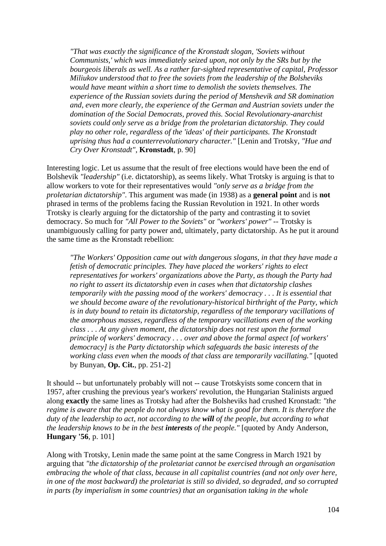*"That was exactly the significance of the Kronstadt slogan, 'Soviets without Communists,' which was immediately seized upon, not only by the SRs but by the bourgeois liberals as well. As a rather far-sighted representative of capital, Professor Miliukov understood that to free the soviets from the leadership of the Bolsheviks would have meant within a short time to demolish the soviets themselves. The experience of the Russian soviets during the period of Menshevik and SR domination and, even more clearly, the experience of the German and Austrian soviets under the domination of the Social Democrats, proved this. Social Revolutionary-anarchist soviets could only serve as a bridge from the proletarian dictatorship. They could play no other role, regardless of the 'ideas' of their participants. The Kronstadt uprising thus had a counterrevolutionary character."* [Lenin and Trotsky, *"Hue and Cry Over Kronstadt"*, **Kronstadt**, p. 90]

Interesting logic. Let us assume that the result of free elections would have been the end of Bolshevik *"leadership"* (i.e. dictatorship), as seems likely. What Trotsky is arguing is that to allow workers to vote for their representatives would *"only serve as a bridge from the proletarian dictatorship"*. This argument was made (in 1938) as a **general point** and is **not** phrased in terms of the problems facing the Russian Revolution in 1921. In other words Trotsky is clearly arguing for the dictatorship of the party and contrasting it to soviet democracy. So much for *"All Power to the Soviets"* or *"workers' power"* -- Trotsky is unambiguously calling for party power and, ultimately, party dictatorship. As he put it around the same time as the Kronstadt rebellion:

*"The Workers' Opposition came out with dangerous slogans, in that they have made a fetish of democratic principles. They have placed the workers' rights to elect representatives for workers' organizations above the Party, as though the Party had no right to assert its dictatorship even in cases when that dictatorship clashes temporarily with the passing mood of the workers' democracy . . . It is essential that we should become aware of the revolutionary-historical birthright of the Party, which is in duty bound to retain its dictatorship, regardless of the temporary vacillations of the amorphous masses, regardless of the temporary vacillations even of the working class . . . At any given moment, the dictatorship does not rest upon the formal principle of workers' democracy . . . over and above the formal aspect [of workers' democracy] is the Party dictatorship which safeguards the basic interests of the working class even when the moods of that class are temporarily vacillating."* [quoted by Bunyan, **Op. Cit.**, pp. 251-2]

It should -- but unfortunately probably will not -- cause Trotskyists some concern that in 1957, after crushing the previous year's workers' revolution, the Hungarian Stalinists argued along **exactly** the same lines as Trotsky had after the Bolsheviks had crushed Kronstadt: *"the regime is aware that the people do not always know what is good for them. It is therefore the duty of the leadership to act, not according to the will of the people, but according to what the leadership knows to be in the best interests of the people."* [quoted by Andy Anderson, **Hungary '56**, p. 101]

Along with Trotsky, Lenin made the same point at the same Congress in March 1921 by arguing that *"the dictatorship of the proletariat cannot be exercised through an organisation embracing the whole of that class, because in all capitalist countries (and not only over here, in one of the most backward) the proletariat is still so divided, so degraded, and so corrupted in parts (by imperialism in some countries) that an organisation taking in the whole*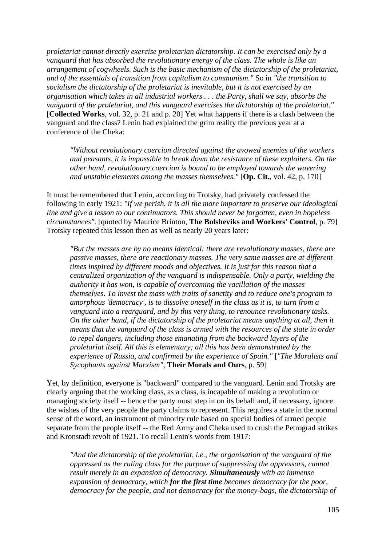*proletariat cannot directly exercise proletarian dictatorship. It can be exercised only by a vanguard that has absorbed the revolutionary energy of the class. The whole is like an arrangement of cogwheels. Such is the basic mechanism of the dictatorship of the proletariat, and of the essentials of transition from capitalism to communism."* So in *"the transition to socialism the dictatorship of the proletariat is inevitable, but it is not exercised by an organisation which takes in all industrial workers . . . the Party, shall we say, absorbs the vanguard of the proletariat, and this vanguard exercises the dictatorship of the proletariat."* [**Collected Works**, vol. 32, p. 21 and p. 20] Yet what happens if there is a clash between the vanguard and the class? Lenin had explained the grim reality the previous year at a conference of the Cheka:

*"Without revolutionary coercion directed against the avowed enemies of the workers and peasants, it is impossible to break down the resistance of these exploiters. On the other hand, revolutionary coercion is bound to be employed towards the wavering and unstable elements among the masses themselves."* [**Op. Cit.**, vol. 42, p. 170]

It must be remembered that Lenin, according to Trotsky, had privately confessed the following in early 1921: *"If we perish, it is all the more important to preserve our ideological line and give a lesson to our continuators. This should never be forgotten, even in hopeless circumstances"*. [quoted by Maurice Brinton, **The Bolsheviks and Workers' Control**, p. 79] Trotsky repeated this lesson then as well as nearly 20 years later:

*"But the masses are by no means identical: there are revolutionary masses, there are passive masses, there are reactionary masses. The very same masses are at different times inspired by different moods and objectives. It is just for this reason that a centralized organization of the vanguard is indispensable. Only a party, wielding the authority it has won, is capable of overcoming the vacillation of the masses themselves. To invest the mass with traits of sanctity and to reduce one's program to amorphous 'democracy', is to dissolve oneself in the class as it is, to turn from a vanguard into a rearguard, and by this very thing, to renounce revolutionary tasks. On the other hand, if the dictatorship of the proletariat means anything at all, then it means that the vanguard of the class is armed with the resources of the state in order to repel dangers, including those emanating from the backward layers of the proletariat itself. All this is elementary; all this has been demonstrated by the experience of Russia, and confirmed by the experience of Spain."* [*"The Moralists and Sycophants against Marxism"*, **Their Morals and Ours**, p. 59]

Yet, by definition, everyone is "backward" compared to the vanguard. Lenin and Trotsky are clearly arguing that the working class, as a class, is incapable of making a revolution or managing society itself -- hence the party must step in on its behalf and, if necessary, ignore the wishes of the very people the party claims to represent. This requires a state in the normal sense of the word, an instrument of minority rule based on special bodies of armed people separate from the people itself -- the Red Army and Cheka used to crush the Petrograd strikes and Kronstadt revolt of 1921. To recall Lenin's words from 1917:

*"And the dictatorship of the proletariat, i.e., the organisation of the vanguard of the oppressed as the ruling class for the purpose of suppressing the oppressors, cannot result merely in an expansion of democracy. Simultaneously with an immense expansion of democracy, which for the first time becomes democracy for the poor, democracy for the people, and not democracy for the money-bags, the dictatorship of*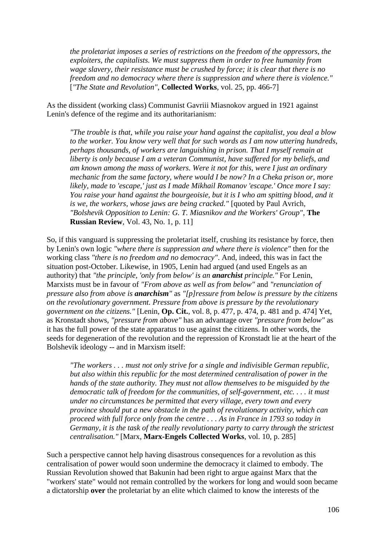*the proletariat imposes a series of restrictions on the freedom of the oppressors, the exploiters, the capitalists. We must suppress them in order to free humanity from wage slavery, their resistance must be crushed by force; it is clear that there is no freedom and no democracy where there is suppression and where there is violence."* [*"The State and Revolution"*, **Collected Works**, vol. 25, pp. 466-7]

As the dissident (working class) Communist Gavriii Miasnokov argued in 1921 against Lenin's defence of the regime and its authoritarianism:

*"The trouble is that, while you raise your hand against the capitalist, you deal a blow to the worker. You know very well that for such words as I am now uttering hundreds, perhaps thousands, of workers are languishing in prison. That I myself remain at liberty is only because I am a veteran Communist, have suffered for my beliefs, and am known among the mass of workers. Were it not for this, were I just an ordinary mechanic from the same factory, where would I be now? In a Cheka prison or, more likely, made to 'escape,' just as I made Mikhail Romanov 'escape.' Once more I say: You raise your hand against the bourgeoisie, but it is I who am spitting blood, and it is we, the workers, whose jaws are being cracked."* [quoted by Paul Avrich, *"Bolshevik Opposition to Lenin: G. T. Miasnikov and the Workers' Group"*, **The Russian Review**, Vol. 43, No. 1, p. 11]

So, if this vanguard is suppressing the proletariat itself, crushing its resistance by force, then by Lenin's own logic *"where there is suppression and where there is violence"* then for the working class *"there is no freedom and no democracy"*. And, indeed, this was in fact the situation post-October. Likewise, in 1905, Lenin had argued (and used Engels as an authority) that *"the principle, 'only from below' is an anarchist principle."* For Lenin, Marxists must be in favour of *"From above as well as from below"* and *"renunciation of pressure also from above is anarchism"* as *"[p]ressure from below is pressure by the citizens on the revolutionary government. Pressure from above is pressure by the revolutionary government on the citizens."* [Lenin, **Op. Cit.**, vol. 8, p. 477, p. 474, p. 481 and p. 474] Yet, as Kronstadt shows, *"pressure from above"* has an advantage over *"pressure from below"* as it has the full power of the state apparatus to use against the citizens. In other words, the seeds for degeneration of the revolution and the repression of Kronstadt lie at the heart of the Bolshevik ideology -- and in Marxism itself:

*"The workers . . . must not only strive for a single and indivisible German republic, but also within this republic for the most determined centralisation of power in the hands of the state authority. They must not allow themselves to be misguided by the democratic talk of freedom for the communities, of self-government, etc. . . . it must under no circumstances be permitted that every village, every town and every province should put a new obstacle in the path of revolutionary activity, which can proceed with full force only from the centre . . . As in France in 1793 so today in Germany, it is the task of the really revolutionary party to carry through the strictest centralisation."* [Marx, **Marx-Engels Collected Works**, vol. 10, p. 285]

Such a perspective cannot help having disastrous consequences for a revolution as this centralisation of power would soon undermine the democracy it claimed to embody. The Russian Revolution showed that Bakunin had been right to argue against Marx that the "workers' state" would not remain controlled by the workers for long and would soon became a dictatorship **over** the proletariat by an elite which claimed to know the interests of the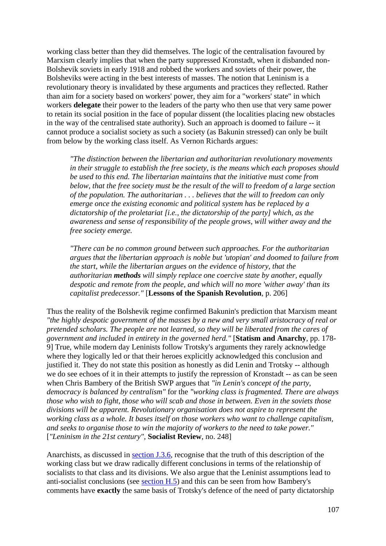working class better than they did themselves. The logic of the centralisation favoured by Marxism clearly implies that when the party suppressed Kronstadt, when it disbanded non-Bolshevik soviets in early 1918 and robbed the workers and soviets of their power, the Bolsheviks were acting in the best interests of masses. The notion that Leninism is a revolutionary theory is invalidated by these arguments and practices they reflected. Rather than aim for a society based on workers' power, they aim for a "workers' state" in which workers **delegate** their power to the leaders of the party who then use that very same power to retain its social position in the face of popular dissent (the localities placing new obstacles in the way of the centralised state authority). Such an approach is doomed to failure -- it cannot produce a socialist society as such a society (as Bakunin stressed) can only be built from below by the working class itself. As Vernon Richards argues:

*"The distinction between the libertarian and authoritarian revolutionary movements in their struggle to establish the free society, is the means which each proposes should be used to this end. The libertarian maintains that the initiative must come from below, that the free society must be the result of the will to freedom of a large section of the population. The authoritarian . . . believes that the will to freedom can only emerge once the existing economic and political system has be replaced by a dictatorship of the proletariat [i.e., the dictatorship of the party] which, as the awareness and sense of responsibility of the people grows, will wither away and the free society emerge.*

*"There can be no common ground between such approaches. For the authoritarian argues that the libertarian approach is noble but 'utopian' and doomed to failure from the start, while the libertarian argues on the evidence of history, that the authoritarian methods will simply replace one coercive state by another, equally despotic and remote from the people, and which will no more 'wither away' than its capitalist predecessor."* [**Lessons of the Spanish Revolution**, p. 206]

Thus the reality of the Bolshevik regime confirmed Bakunin's prediction that Marxism meant *"the highly despotic government of the masses by a new and very small aristocracy of real or pretended scholars. The people are not learned, so they will be liberated from the cares of government and included in entirety in the governed herd."* [**Statism and Anarchy**, pp. 178- 9] True, while modern day Leninists follow Trotsky's arguments they rarely acknowledge where they logically led or that their heroes explicitly acknowledged this conclusion and justified it. They do not state this position as honestly as did Lenin and Trotsky -- although we do see echoes of it in their attempts to justify the repression of Kronstadt -- as can be seen when Chris Bambery of the British SWP argues that *"in Lenin's concept of the party, democracy is balanced by centralism"* for the *"working class is fragmented. There are always those who wish to fight, those who will scab and those in between. Even in the soviets those divisions will be apparent. Revolutionary organisation does not aspire to represent the working class as a whole. It bases itself on those workers who want to challenge capitalism, and seeks to organise those to win the majority of workers to the need to take power."* [*"Leninism in the 21st century"*, **Socialist Review**, no. 248]

Anarchists, as discussed in [section J.3.6,](sectionJ.html#secj36) recognise that the truth of this description of the working class but we draw radically different conclusions in terms of the relationship of socialists to that class and its divisions. We also argue that the Leninist assumptions lead to anti-socialist conclusions (see [section H.5\)](sectionH.html#sech5) and this can be seen from how Bambery's comments have **exactly** the same basis of Trotsky's defence of the need of party dictatorship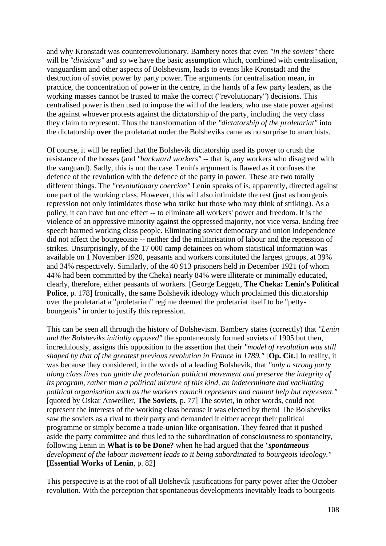and why Kronstadt was counterrevolutionary. Bambery notes that even *"in the soviets"* there will be *"divisions"* and so we have the basic assumption which, combined with centralisation, vanguardism and other aspects of Bolshevism, leads to events like Kronstadt and the destruction of soviet power by party power. The arguments for centralisation mean, in practice, the concentration of power in the centre, in the hands of a few party leaders, as the working masses cannot be trusted to make the correct ("revolutionary") decisions. This centralised power is then used to impose the will of the leaders, who use state power against the against whoever protests against the dictatorship of the party, including the very class they claim to represent. Thus the transformation of the *"dictatorship of the proletariat"* into the dictatorship **over** the proletariat under the Bolsheviks came as no surprise to anarchists.

Of course, it will be replied that the Bolshevik dictatorship used its power to crush the resistance of the bosses (and *"backward workers"* -- that is, any workers who disagreed with the vanguard). Sadly, this is not the case. Lenin's argument is flawed as it confuses the defence of the revolution with the defence of the party in power. These are two totally different things. The *"revolutionary coercion"* Lenin speaks of is, apparently, directed against one part of the working class. However, this will also intimidate the rest (just as bourgeois repression not only intimidates those who strike but those who may think of striking). As a policy, it can have but one effect -- to eliminate **all** workers' power and freedom. It is the violence of an oppressive minority against the oppressed majority, not vice versa. Ending free speech harmed working class people. Eliminating soviet democracy and union independence did not affect the bourgeoisie -- neither did the militarisation of labour and the repression of strikes. Unsurprisingly, of the 17 000 camp detainees on whom statistical information was available on 1 November 1920, peasants and workers constituted the largest groups, at 39% and 34% respectively. Similarly, of the 40 913 prisoners held in December 1921 (of whom 44% had been committed by the Cheka) nearly 84% were illiterate or minimally educated, clearly, therefore, either peasants of workers. [George Leggett, **The Cheka: Lenin's Political Police**, p. 178] Ironically, the same Bolshevik ideology which proclaimed this dictatorship over the proletariat a "proletarian" regime deemed the proletariat itself to be "pettybourgeois" in order to justify this repression.

This can be seen all through the history of Bolshevism. Bambery states (correctly) that *"Lenin and the Bolsheviks initially opposed"* the spontaneously formed soviets of 1905 but then, incredulously, assigns this opposition to the assertion that their *"model of revolution was still shaped by that of the greatest previous revolution in France in 1789."* [**Op. Cit.**] In reality, it was because they considered, in the words of a leading Bolshevik, that *"only a strong party along class lines can guide the proletarian political movement and preserve the integrity of its program, rather than a political mixture of this kind, an indeterminate and vacillating political organisation such as the workers council represents and cannot help but represent."* [quoted by Oskar Anweilier, **The Soviets**, p. 77] The soviet, in other words, could not represent the interests of the working class because it was elected by them! The Bolsheviks saw the soviets as a rival to their party and demanded it either accept their political programme or simply become a trade-union like organisation. They feared that it pushed aside the party committee and thus led to the subordination of consciousness to spontaneity, following Lenin in **What is to be Done?** when he had argued that the *"spontaneous development of the labour movement leads to it being subordinated to bourgeois ideology."* [**Essential Works of Lenin**, p. 82]

This perspective is at the root of all Bolshevik justifications for party power after the October revolution. With the perception that spontaneous developments inevitably leads to bourgeois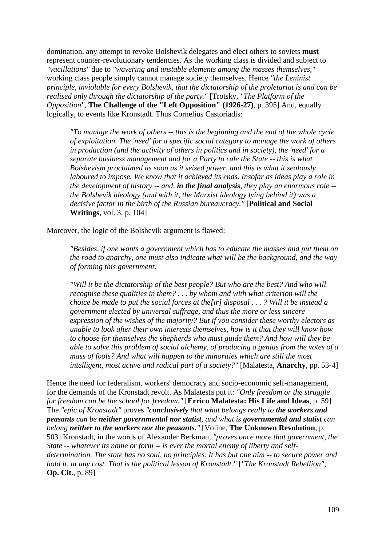domination, any attempt to revoke Bolshevik delegates and elect others to soviets **must** represent counter-revolutionary tendencies. As the working class is divided and subject to *"vacillations"* due to *"wavering and unstable elements among the masses themselves,"* working class people simply cannot manage society themselves. Hence *"the Leninist principle, inviolable for every Bolshevik, that the dictatorship of the proletariat is and can be realised only through the dictatorship of the party."* [Trotsky, *"The Platform of the Opposition"*, **The Challenge of the "Left Opposition" (1926-27)**, p. 395] And, equally logically, to events like Kronstadt. Thus Cornelius Castoriadis:

*"To manage the work of others -- this is the beginning and the end of the whole cycle of exploitation. The 'need' for a specific social category to manage the work of others in production (and the activity of others in politics and in society), the 'need' for a separate business management and for a Party to rule the State -- this is what Bolshevism proclaimed as soon as it seized power, and this is what it zealously laboured to impose. We know that it achieved its ends. Insofar as ideas play a role in the development of history -- and, in the final analysis, they play an enormous role - the Bolshevik ideology (and with it, the Marxist ideology lying behind it) was a decisive factor in the birth of the Russian bureaucracy."* [**Political and Social Writings**, vol. 3, p. 104]

Moreover, the logic of the Bolshevik argument is flawed:

*"Besides, if one wants a government which has to educate the masses and put them on the road to anarchy, one must also indicate what will be the background, and the way of forming this government.*

*"Will it be the dictatorship of the best people? But who are the best? And who will recognise these qualities in them? . . . by whom and with what criterion will the choice be made to put the social forces at the[ir] disposal . . . ? Will it be instead a government elected by universal suffrage, and thus the more or less sincere expression of the wishes of the majority? But if you consider these worthy electors as unable to look after their own interests themselves, how is it that they will know how to choose for themselves the shepherds who must guide them? And how will they be able to solve this problem of social alchemy, of producing a genius from the votes of a mass of fools? And what will happen to the minorities which are still the most intelligent, most active and radical part of a society?"* [Malatesta, **Anarchy**, pp. 53-4]

Hence the need for federalism, workers' democracy and socio-economic self-management, for the demands of the Kronstadt revolt. As Malatesta put it: *"Only freedom or the struggle for freedom can be the school for freedom."* [**Errico Malatesta: His Life and Ideas**, p. 59] The *"epic of Kronstadt"* proves *"conclusively that what belongs really to the workers and peasants can be neither governmental nor statist, and what is governmental and statist can belong neither to the workers nor the peasants."* [Voline, **The Unknown Revolution**, p. 503] Kronstadt, in the words of Alexander Berkman, *"proves once more that government, the State -- whatever its name or form -- is ever the mortal enemy of liberty and selfdetermination. The state has no soul, no principles. It has but one aim -- to secure power and hold it, at any cost. That is the political lesson of Kronstadt."* [*"The Kronstadt Rebellion"*, **Op. Cit.**, p. 89]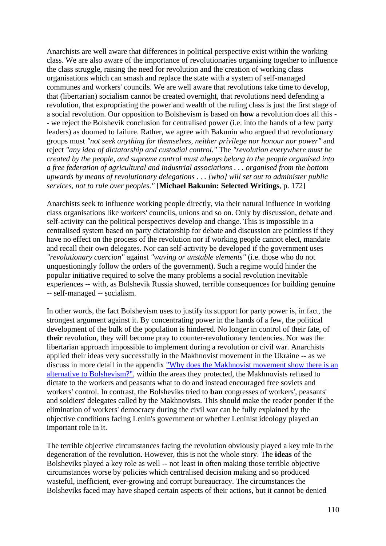Anarchists are well aware that differences in political perspective exist within the working class. We are also aware of the importance of revolutionaries organising together to influence the class struggle, raising the need for revolution and the creation of working class organisations which can smash and replace the state with a system of self-managed communes and workers' councils. We are well aware that revolutions take time to develop, that (libertarian) socialism cannot be created overnight, that revolutions need defending a revolution, that expropriating the power and wealth of the ruling class is just the first stage of a social revolution. Our opposition to Bolshevism is based on **how** a revolution does all this - - we reject the Bolshevik conclusion for centralised power (i.e. into the hands of a few party leaders) as doomed to failure. Rather, we agree with Bakunin who argued that revolutionary groups must *"not seek anything for themselves, neither privilege nor honour nor power"* and reject *"any idea of dictatorship and custodial control."* The *"revolution everywhere must be created by the people, and supreme control must always belong to the people organised into a free federation of agricultural and industrial associations . . . organised from the bottom upwards by means of revolutionary delegations . . . [who] will set out to administer public services, not to rule over peoples."* [**Michael Bakunin: Selected Writings**, p. 172]

Anarchists seek to influence working people directly, via their natural influence in working class organisations like workers' councils, unions and so on. Only by discussion, debate and self-activity can the political perspectives develop and change. This is impossible in a centralised system based on party dictatorship for debate and discussion are pointless if they have no effect on the process of the revolution nor if working people cannot elect, mandate and recall their own delegates. Nor can self-activity be developed if the government uses *"revolutionary coercion"* against *"waving or unstable elements"* (i.e. those who do not unquestioningly follow the orders of the government). Such a regime would hinder the popular initiative required to solve the many problems a social revolution inevitable experiences -- with, as Bolshevik Russia showed, terrible consequences for building genuine -- self-managed -- socialism.

In other words, the fact Bolshevism uses to justify its support for party power is, in fact, the strongest argument against it. By concentrating power in the hands of a few, the political development of the bulk of the population is hindered. No longer in control of their fate, of **their** revolution, they will become pray to counter-revolutionary tendencies. Nor was the libertarian approach impossible to implement during a revolution or civil war. Anarchists applied their ideas very successfully in the Makhnovist movement in the Ukraine -- as we discuss in more detail in the appendix ["Why does the Makhnovist movement show there is an](append46.html)  [alternative to Bolshevism?",](append46.html) within the areas they protected, the Makhnovists refused to dictate to the workers and peasants what to do and instead encouraged free soviets and workers' control. In contrast, the Bolsheviks tried to **ban** congresses of workers', peasants' and soldiers' delegates called by the Makhnovists. This should make the reader ponder if the elimination of workers' democracy during the civil war can be fully explained by the objective conditions facing Lenin's government or whether Leninist ideology played an important role in it.

The terrible objective circumstances facing the revolution obviously played a key role in the degeneration of the revolution. However, this is not the whole story. The **ideas** of the Bolsheviks played a key role as well -- not least in often making those terrible objective circumstances worse by policies which centralised decision making and so produced wasteful, inefficient, ever-growing and corrupt bureaucracy. The circumstances the Bolsheviks faced may have shaped certain aspects of their actions, but it cannot be denied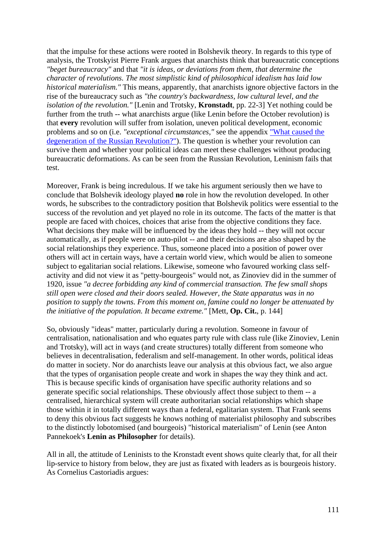that the impulse for these actions were rooted in Bolshevik theory. In regards to this type of analysis, the Trotskyist Pierre Frank argues that anarchists think that bureaucratic conceptions *"beget bureaucracy"* and that *"it is ideas, or deviations from them, that determine the character of revolutions. The most simplistic kind of philosophical idealism has laid low historical materialism."* This means, apparently, that anarchists ignore objective factors in the rise of the bureaucracy such as *"the country's backwardness, low cultural level, and the isolation of the revolution."* [Lenin and Trotsky, **Kronstadt**, pp. 22-3] Yet nothing could be further from the truth -- what anarchists argue (like Lenin before the October revolution) is that **every** revolution will suffer from isolation, uneven political development, economic problems and so on (i.e. *"exceptional circumstances,"* see the appendix ["What caused the](append43.html)  [degeneration of the Russian Revolution?"\)](append43.html). The question is whether your revolution can survive them and whether your political ideas can meet these challenges without producing bureaucratic deformations. As can be seen from the Russian Revolution, Leninism fails that test.

Moreover, Frank is being incredulous. If we take his argument seriously then we have to conclude that Bolshevik ideology played **no** role in how the revolution developed. In other words, he subscribes to the contradictory position that Bolshevik politics were essential to the success of the revolution and yet played no role in its outcome. The facts of the matter is that people are faced with choices, choices that arise from the objective conditions they face. What decisions they make will be influenced by the ideas they hold -- they will not occur automatically, as if people were on auto-pilot -- and their decisions are also shaped by the social relationships they experience. Thus, someone placed into a position of power over others will act in certain ways, have a certain world view, which would be alien to someone subject to egalitarian social relations. Likewise, someone who favoured working class selfactivity and did not view it as "petty-bourgeois" would not, as Zinoviev did in the summer of 1920, issue *"a decree forbidding any kind of commercial transaction. The few small shops still open were closed and their doors sealed. However, the State apparatus was in no position to supply the towns. From this moment on, famine could no longer be attenuated by the initiative of the population. It became extreme."* [Mett, **Op. Cit.**, p. 144]

So, obviously "ideas" matter, particularly during a revolution. Someone in favour of centralisation, nationalisation and who equates party rule with class rule (like Zinoviev, Lenin and Trotsky), will act in ways (and create structures) totally different from someone who believes in decentralisation, federalism and self-management. In other words, political ideas do matter in society. Nor do anarchists leave our analysis at this obvious fact, we also argue that the types of organisation people create and work in shapes the way they think and act. This is because specific kinds of organisation have specific authority relations and so generate specific social relationships. These obviously affect those subject to them -- a centralised, hierarchical system will create authoritarian social relationships which shape those within it in totally different ways than a federal, egalitarian system. That Frank seems to deny this obvious fact suggests he knows nothing of materialist philosophy and subscribes to the distinctly lobotomised (and bourgeois) "historical materialism" of Lenin (see Anton Pannekoek's **Lenin as Philosopher** for details).

All in all, the attitude of Leninists to the Kronstadt event shows quite clearly that, for all their lip-service to history from below, they are just as fixated with leaders as is bourgeois history. As Cornelius Castoriadis argues: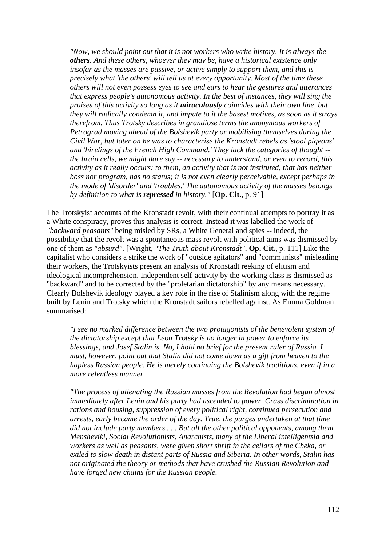*"Now, we should point out that it is not workers who write history. It is always the others. And these others, whoever they may be, have a historical existence only insofar as the masses are passive, or active simply to support them, and this is precisely what 'the others' will tell us at every opportunity. Most of the time these others will not even possess eyes to see and ears to hear the gestures and utterances that express people's autonomous activity. In the best of instances, they will sing the praises of this activity so long as it miraculously coincides with their own line, but they will radically condemn it, and impute to it the basest motives, as soon as it strays therefrom. Thus Trotsky describes in grandiose terms the anonymous workers of Petrograd moving ahead of the Bolshevik party or mobilising themselves during the Civil War, but later on he was to characterise the Kronstadt rebels as 'stool pigeons' and 'hirelings of the French High Command.' They lack the categories of thought - the brain cells, we might dare say -- necessary to understand, or even to record, this activity as it really occurs: to them, an activity that is not instituted, that has neither boss nor program, has no status; it is not even clearly perceivable, except perhaps in the mode of 'disorder' and 'troubles.' The autonomous activity of the masses belongs by definition to what is repressed in history."* [**Op. Cit.**, p. 91]

The Trotskyist accounts of the Kronstadt revolt, with their continual attempts to portray it as a White conspiracy, proves this analysis is correct. Instead it was labelled the work of *"backward peasants"* being misled by SRs, a White General and spies -- indeed, the possibility that the revolt was a spontaneous mass revolt with political aims was dismissed by one of them as *"absurd"*. [Wright, *"The Truth about Kronstadt"*, **Op. Cit.**, p. 111] Like the capitalist who considers a strike the work of "outside agitators" and "communists" misleading their workers, the Trotskyists present an analysis of Kronstadt reeking of elitism and ideological incomprehension. Independent self-activity by the working class is dismissed as "backward" and to be corrected by the "proletarian dictatorship" by any means necessary. Clearly Bolshevik ideology played a key role in the rise of Stalinism along with the regime built by Lenin and Trotsky which the Kronstadt sailors rebelled against. As Emma Goldman summarised:

*"I see no marked difference between the two protagonists of the benevolent system of the dictatorship except that Leon Trotsky is no longer in power to enforce its blessings, and Josef Stalin is. No, I hold no brief for the present ruler of Russia. I must, however, point out that Stalin did not come down as a gift from heaven to the hapless Russian people. He is merely continuing the Bolshevik traditions, even if in a more relentless manner.*

*"The process of alienating the Russian masses from the Revolution had begun almost immediately after Lenin and his party had ascended to power. Crass discrimination in rations and housing, suppression of every political right, continued persecution and arrests, early became the order of the day. True, the purges undertaken at that time did not include party members . . . But all the other political opponents, among them Mensheviki, Social Revolutionists, Anarchists, many of the Liberal intelligentsia and workers as well as peasants, were given short shrift in the cellars of the Cheka, or exiled to slow death in distant parts of Russia and Siberia. In other words, Stalin has not originated the theory or methods that have crushed the Russian Revolution and have forged new chains for the Russian people.*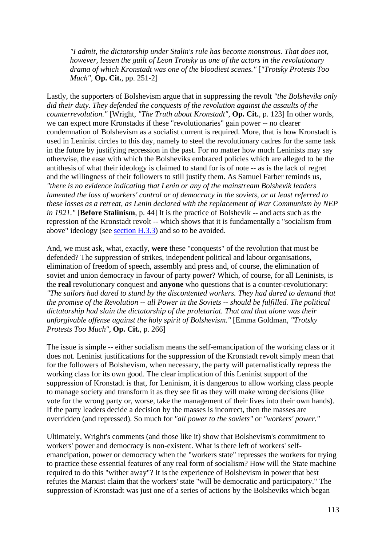*"I admit, the dictatorship under Stalin's rule has become monstrous. That does not, however, lessen the guilt of Leon Trotsky as one of the actors in the revolutionary drama of which Kronstadt was one of the bloodiest scenes."* [*"Trotsky Protests Too Much"*, **Op. Cit.**, pp. 251-2]

Lastly, the supporters of Bolshevism argue that in suppressing the revolt *"the Bolsheviks only did their duty. They defended the conquests of the revolution against the assaults of the counterrevolution."* [Wright, *"The Truth about Kronstadt"*, **Op. Cit.**, p. 123] In other words, we can expect more Kronstadts if these "revolutionaries" gain power -- no clearer condemnation of Bolshevism as a socialist current is required. More, that is how Kronstadt is used in Leninist circles to this day, namely to steel the revolutionary cadres for the same task in the future by justifying repression in the past. For no matter how much Leninists may say otherwise, the ease with which the Bolsheviks embraced policies which are alleged to be the antithesis of what their ideology is claimed to stand for is of note -- as is the lack of regret and the willingness of their followers to still justify them. As Samuel Farber reminds us, *"there is no evidence indicating that Lenin or any of the mainstream Bolshevik leaders lamented the loss of workers' control or of democracy in the soviets, or at least referred to these losses as a retreat, as Lenin declared with the replacement of War Communism by NEP in 1921."* [**Before Stalinism**, p. 44] It is the practice of Bolshevik -- and acts such as the repression of the Kronstadt revolt -- which shows that it is fundamentally a "socialism from above" ideology (see [section H.3.3\)](sectionH.html#sech33) and so to be avoided.

And, we must ask, what, exactly, **were** these "conquests" of the revolution that must be defended? The suppression of strikes, independent political and labour organisations, elimination of freedom of speech, assembly and press and, of course, the elimination of soviet and union democracy in favour of party power? Which, of course, for all Leninists, is the **real** revolutionary conquest and **anyone** who questions that is a counter-revolutionary: *"The sailors had dared to stand by the discontented workers. They had dared to demand that the promise of the Revolution -- all Power in the Soviets -- should be fulfilled. The political dictatorship had slain the dictatorship of the proletariat. That and that alone was their unforgivable offense against the holy spirit of Bolshevism."* [Emma Goldman, *"Trotsky Protests Too Much"*, **Op. Cit.**, p. 266]

The issue is simple -- either socialism means the self-emancipation of the working class or it does not. Leninist justifications for the suppression of the Kronstadt revolt simply mean that for the followers of Bolshevism, when necessary, the party will paternalistically repress the working class for its own good. The clear implication of this Leninist support of the suppression of Kronstadt is that, for Leninism, it is dangerous to allow working class people to manage society and transform it as they see fit as they will make wrong decisions (like vote for the wrong party or, worse, take the management of their lives into their own hands). If the party leaders decide a decision by the masses is incorrect, then the masses are overridden (and repressed). So much for *"all power to the soviets"* or *"workers' power."*

Ultimately, Wright's comments (and those like it) show that Bolshevism's commitment to workers' power and democracy is non-existent. What is there left of workers' selfemancipation, power or democracy when the "workers state" represses the workers for trying to practice these essential features of any real form of socialism? How will the State machine required to do this "wither away"? It is the experience of Bolshevism in power that best refutes the Marxist claim that the workers' state "will be democratic and participatory." The suppression of Kronstadt was just one of a series of actions by the Bolsheviks which began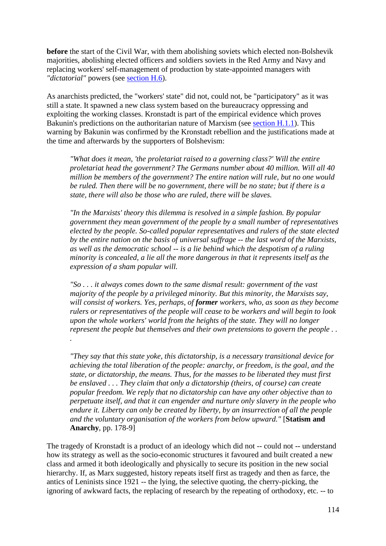**before** the start of the Civil War, with them abolishing soviets which elected non-Bolshevik majorities, abolishing elected officers and soldiers soviets in the Red Army and Navy and replacing workers' self-management of production by state-appointed managers with *"dictatorial"* powers (see [section](sectionH.html#sech6) H.6).

As anarchists predicted, the "workers' state" did not, could not, be "participatory" as it was still a state. It spawned a new class system based on the bureaucracy oppressing and exploiting the working classes. Kronstadt is part of the empirical evidence which proves Bakunin's predictions on the authoritarian nature of Marxism (see [section H.1.1\)](sectionH.html#sech11). This warning by Bakunin was confirmed by the Kronstadt rebellion and the justifications made at the time and afterwards by the supporters of Bolshevism:

*"What does it mean, 'the proletariat raised to a governing class?' Will the entire proletariat head the government? The Germans number about 40 million. Will all 40 million be members of the government? The entire nation will rule, but no one would be ruled. Then there will be no government, there will be no state; but if there is a state, there will also be those who are ruled, there will be slaves.*

*"In the Marxists' theory this dilemma is resolved in a simple fashion. By popular government they mean government of the people by a small number of representatives elected by the people. So-called popular representatives and rulers of the state elected by the entire nation on the basis of universal suffrage -- the last word of the Marxists, as well as the democratic school -- is a lie behind which the despotism of a ruling minority is concealed, a lie all the more dangerous in that it represents itself as the expression of a sham popular will.*

*"So . . . it always comes down to the same dismal result: government of the vast majority of the people by a privileged minority. But this minority, the Marxists say, will consist of workers. Yes, perhaps, of former workers, who, as soon as they become rulers or representatives of the people will cease to be workers and will begin to look upon the whole workers' world from the heights of the state. They will no longer represent the people but themselves and their own pretensions to govern the people . . .* 

*"They say that this state yoke, this dictatorship, is a necessary transitional device for achieving the total liberation of the people: anarchy, or freedom, is the goal, and the state, or dictatorship, the means. Thus, for the masses to be liberated they must first be enslaved . . . They claim that only a dictatorship (theirs, of course) can create popular freedom. We reply that no dictatorship can have any other objective than to perpetuate itself, and that it can engender and nurture only slavery in the people who endure it. Liberty can only be created by liberty, by an insurrection of all the people and the voluntary organisation of the workers from below upward."* [**Statism and Anarchy**, pp. 178-9]

The tragedy of Kronstadt is a product of an ideology which did not -- could not -- understand how its strategy as well as the socio-economic structures it favoured and built created a new class and armed it both ideologically and physically to secure its position in the new social hierarchy. If, as Marx suggested, history repeats itself first as tragedy and then as farce, the antics of Leninists since 1921 -- the lying, the selective quoting, the cherry-picking, the ignoring of awkward facts, the replacing of research by the repeating of orthodoxy, etc. -- to